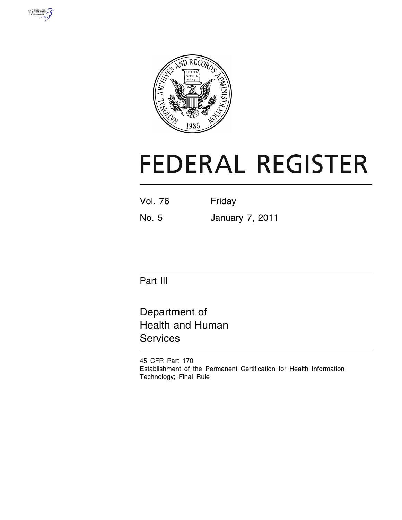



# **FEDERAL REGISTER**

| Friday |
|--------|
|        |

No. 5 January 7, 2011

Part III

Department of Health and Human **Services** 

45 CFR Part 170 Establishment of the Permanent Certification for Health Information Technology; Final Rule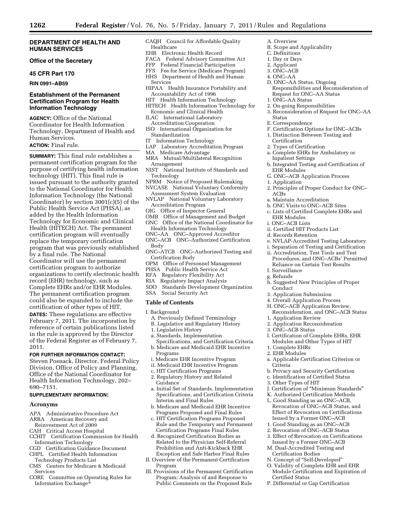#### **DEPARTMENT OF HEALTH AND HUMAN SERVICES**

# **Office of the Secretary**

#### **45 CFR Part 170**

**RIN 0991–AB59** 

# **Establishment of the Permanent Certification Program for Health Information Technology**

**AGENCY:** Office of the National Coordinator for Health Information Technology, Department of Health and Human Services.

# **ACTION:** Final rule.

**SUMMARY:** This final rule establishes a permanent certification program for the purpose of certifying health information technology (HIT). This final rule is issued pursuant to the authority granted to the National Coordinator for Health Information Technology (the National Coordinator) by section 3001(c)(5) of the Public Health Service Act (PHSA), as added by the Health Information Technology for Economic and Clinical Health (HITECH) Act. The permanent certification program will eventually replace the temporary certification program that was previously established by a final rule. The National Coordinator will use the permanent certification program to authorize organizations to certify electronic health record (EHR) technology, such as Complete EHRs and/or EHR Modules. The permanent certification program could also be expanded to include the certification of other types of HIT.

**DATES:** These regulations are effective February 7, 2011. The incorporation by reference of certain publications listed in the rule is approved by the Director of the Federal Register as of February 7, 2011.

# **FOR FURTHER INFORMATION CONTACT:**

Steven Posnack, Director, Federal Policy Division, Office of Policy and Planning, Office of the National Coordinator for Health Information Technology, 202– 690–7151.

# **SUPPLEMENTARY INFORMATION:**

#### **Acronyms**

- APA Administrative Procedure Act
- ARRA American Recovery and
- Reinvestment Act of 2009
- CAH Critical Access Hospital
- CCHIT Certification Commission for Health Information Technology
- CGD Certification Guidance Document
- CHPL Certified Health Information Technology Products List
- CMS Centers for Medicare & Medicaid Services
- CORE Committee on Operating Rules for Information Exchange®
- CAQH Council for Affordable Quality Healthcare
- EHR Electronic Health Record
- FACA Federal Advisory Committee Act
- FFP Federal Financial Participation
- FFS Fee for Service (Medicare Program) HHS Department of Health and Human
- Services
- HIPAA Health Insurance Portability and
- Accountability Act of 1996 HIT Health Information Technology
- HITECH Health Information Technology for Economic and Clinical Health
- ILAC International Laboratory Accreditation Cooperation
- ISO International Organization for Standardization
- IT Information Technology
- LAP Laboratory Accreditation Program
- MA Medicare Advantage
- MRA Mutual/Multilateral Recognition
- Arrangement NIST National Institute of Standards and
- Technology NPRM Notice of Proposed Rulemaking
- NVCASE National Voluntary Conformity Assessment System Evaluation
- NVLAP National Voluntary Laboratory Accreditation Program
- OIG Office of Inspector General
- OMB Office of Management and Budget
- ONC Office of the National Coordinator for Health Information Technology
- ONC–AA ONC–Approved Accreditor
- ONC–ACB ONC–Authorized Certification Body
- ONC–ATCB ONC–Authorized Testing and Certification Body
- OPM Office of Personnel Management
- PHSA Public Health Service Act
- RFA Regulatory Flexibility Act<br>RIA Regulatory Impact Analysis
- RIA Regulatory Impact Analysis<br>SDO Standards Development Or
- SDO Standards Development Organization
- Social Security Act

#### **Table of Contents**

I. Background

- A. Previously Defined Terminology
- B. Legislative and Regulatory History
- 1. Legislative History
- a. Standards, Implementation
- Specifications, and Certification Criteria b. Medicare and Medicaid EHR Incentive
- Programs
- i. Medicare EHR Incentive Program
- ii. Medicaid EHR Incentive Program c. HIT Certification Programs
- 2. Regulatory History and Related
- Guidance
- a. Initial Set of Standards, Implementation Specifications, and Certification Criteria Interim and Final Rules
- b. Medicare and Medicaid EHR Incentive Programs Proposed and Final Rules
- c. HIT Certification Programs Proposed Rule and the Temporary and Permanent Certification Programs Final Rules
- d. Recognized Certification Bodies as Related to the Physician Self-Referral Prohibition and Anti-Kickback EHR Exception and Safe Harbor Final Rules
- II. Overview of the Permanent Certification Program
- III. Provisions of the Permanent Certification Program; Analysis of and Response to Public Comments on the Proposed Rule
- A. Overview
- B. Scope and Applicability C. Definitions
- 1. Day or Days
- 2. Applicant
- 3. ONC–ACB
- 4. ONC–AA
- D. ONC–AA Status, Ongoing Responsibilities and Reconsideration of Request for ONC–AA Status
- 1. ONC–AA Status
- 2. On-going Responsibilities
- 3. Reconsideration of Request for ONC–AA Status
- E. Correspondence
- F. Certification Options for ONC–ACBs
- 1. Distinction Between Testing and
- Certification
- 2. Types of Certification
- a. Complete EHRs for Ambulatory or Inpatient Settings
- b. Integrated Testing and Certification of EHR Modules
- G. ONC–ACB Application Process
- 1. Application
- 2. Principles of Proper Conduct for ONC– ACBs
- a. Maintain Accreditation
- b. ONC Visits to ONC–ACB Sites
- c. Lists of Certified Complete EHRs and EHR Modules
- i. ONC–ACB Lists

f. Surveillance g. Refunds

Conduct

- ii. Certified HIT Products List
- d. Records Retention

3. Application Submission 4. Overall Application Process H. ONC–ACB Application Review, Reconsideration, and ONC–ACB Status

1. Application Review 2. Application Reconsideration

3. ONC–ACB Status

1. Complete EHRs 2. EHR Modules

3. Other Types of HIT

Certified Status

P. Differential or Gap Certification

Criteria

e. NVLAP-Accredited Testing Laboratory i. Separation of Testing and Certification

ii. Accreditation, Test Tools and Test Procedures, and ONC–ACBs' Permitted Reliance on Certain Test Results

h. Suggested New Principles of Proper

I. Certification of Complete EHRs, EHR Modules and Other Types of HIT

a. Applicable Certification Criterion or

J. Certification of ''Minimum Standards'' K. Authorized Certification Methods L. Good Standing as an ONC–ACB, Revocation of ONC–ACB Status, and Effect of Revocation on Certifications Issued by a Former ONC–ACB 1. Good Standing as an ONC–ACB 2. Revocation of ONC–ACB Status 3. Effect of Revocation on Certifications Issued by a Former ONC–ACB M. Dual-Accredited Testing and Certification Bodies N. Concept of ''Self-Developed'' O. Validity of Complete EHR and EHR Module Certification and Expiration of

b. Privacy and Security Certification c. Identification of Certified Status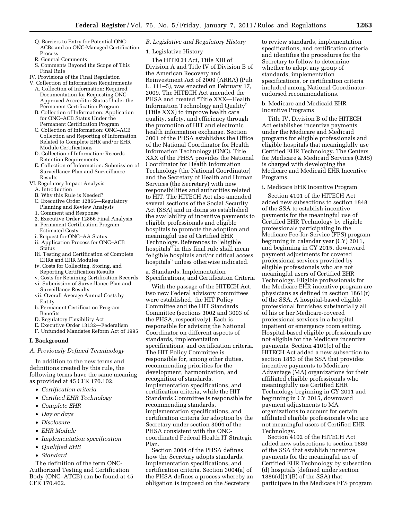- Q. Barriers to Entry for Potential ONC-ACBs and an ONC-Managed Certification Process
- R. General Comments
- S. Comments Beyond the Scope of This Final Rule
- IV. Provisions of the Final Regulation
- V. Collection of Information Requirements A. Collection of Information: Required Documentation for Requesting ONC-Approved Accreditor Status Under the Permanent Certification Program
	- B. Collection of Information: Application for ONC–ACB Status Under the Permanent Certification Program
	- C. Collection of Information: ONC–ACB Collection and Reporting of Information Related to Complete EHR and/or EHR Module Certifications
	- D. Collection of Information: Records Retention Requirements
	- E. Collection of Information: Submission of Surveillance Plan and Surveillance Results
- VI. Regulatory Impact Analysis A. Introduction
	- B. Why this Rule is Needed?
	- C. Executive Order 12866—Regulatory Planning and Review Analysis
	- 1. Comment and Response
	- 2. Executive Order 12866 Final Analysis
	- a. Permanent Certification Program Estimated Costs
	- i. Request for ONC–AA Status
	- ii. Application Process for ONC–ACB Status
	- iii. Testing and Certification of Complete EHRs and EHR Modules
	- iv. Costs for Collecting, Storing, and Reporting Certification Results
	- v. Costs for Retaining Certification Records vi. Submission of Surveillance Plan and
	- Surveillance Results vii. Overall Average Annual Costs by
	- Entity
	- b. Permanent Certification Program Benefits
	- D. Regulatory Flexibility Act
	- E. Executive Order 13132—Federalism F. Unfunded Mandates Reform Act of 1995
- 

# **I. Background**

# *A. Previously Defined Terminology*

In addition to the new terms and definitions created by this rule, the following terms have the same meaning as provided at 45 CFR 170.102.

- *Certification criteria*
- *Certified EHR Technology*
- *Complete EHR*
- *Day or days*
- *Disclosure*
- *EHR Module*
- *Implementation specification*
- *Qualified EHR*
- *Standard*

The definition of the term ONC-Authorized Testing and Certification Body (ONC–ATCB) can be found at 45 CFR 170.402.

# *B. Legislative and Regulatory History*

1. Legislative History

The HITECH Act, Title XIII of Division A and Title IV of Division B of the American Recovery and Reinvestment Act of 2009 (ARRA) (Pub. L. 111–5), was enacted on February 17, 2009. The HITECH Act amended the PHSA and created ''Title XXX—Health Information Technology and Quality'' (Title XXX) to improve health care quality, safety, and efficiency through the promotion of HIT and electronic health information exchange. Section 3001 of the PHSA establishes the Office of the National Coordinator for Health Information Technology (ONC). Title XXX of the PHSA provides the National Coordinator for Health Information Technology (the National Coordinator) and the Secretary of Health and Human Services (the Secretary) with new responsibilities and authorities related to HIT. The HITECH Act also amended several sections of the Social Security Act (SSA) and in doing so established the availability of incentive payments to eligible professionals and eligible hospitals to promote the adoption and meaningful use of Certified EHR Technology. References to "eligible hospitals'' in this final rule shall mean ''eligible hospitals and/or critical access hospitals'' unless otherwise indicated.

a. Standards, Implementation Specifications, and Certification Criteria

With the passage of the HITECH Act, two new Federal advisory committees were established, the HIT Policy Committee and the HIT Standards Committee (sections 3002 and 3003 of the PHSA, respectively). Each is responsible for advising the National Coordinator on different aspects of standards, implementation specifications, and certification criteria. The HIT Policy Committee is responsible for, among other duties, recommending priorities for the development, harmonization, and recognition of standards, implementation specifications, and certification criteria, while the HIT Standards Committee is responsible for recommending standards, implementation specifications, and certification criteria for adoption by the Secretary under section 3004 of the PHSA consistent with the ONCcoordinated Federal Health IT Strategic Plan.

Section 3004 of the PHSA defines how the Secretary adopts standards, implementation specifications, and certification criteria. Section 3004(a) of the PHSA defines a process whereby an obligation is imposed on the Secretary

to review standards, implementation specifications, and certification criteria and identifies the procedures for the Secretary to follow to determine whether to adopt any group of standards, implementation specifications, or certification criteria included among National Coordinatorendorsed recommendations.

b. Medicare and Medicaid EHR Incentive Programs

Title IV, Division B of the HITECH Act establishes incentive payments under the Medicare and Medicaid programs for eligible professionals and eligible hospitals that meaningfully use Certified EHR Technology. The Centers for Medicare & Medicaid Services (CMS) is charged with developing the Medicare and Medicaid EHR Incentive Programs.

#### i. Medicare EHR Incentive Program

Section 4101 of the HITECH Act added new subsections to section 1848 of the SSA to establish incentive payments for the meaningful use of Certified EHR Technology by eligible professionals participating in the Medicare Fee-for-Service (FFS) program beginning in calendar year  $(CY)$  2011, and beginning in CY 2015, downward payment adjustments for covered professional services provided by eligible professionals who are not meaningful users of Certified EHR Technology. Eligible professionals for the Medicare EHR incentive program are physicians as defined in section 1861(r) of the SSA. A hospital-based eligible professional furnishes substantially all of his or her Medicare-covered professional services in a hospital inpatient or emergency room setting. Hospital-based eligible professionals are not eligible for the Medicare incentive payments. Section 4101(c) of the HITECH Act added a new subsection to section 1853 of the SSA that provides incentive payments to Medicare Advantage (MA) organizations for their affiliated eligible professionals who meaningfully use Certified EHR Technology beginning in CY 2011 and beginning in CY 2015, downward payment adjustments to MA organizations to account for certain affiliated eligible professionals who are not meaningful users of Certified EHR Technology.

Section 4102 of the HITECH Act added new subsections to section 1886 of the SSA that establish incentive payments for the meaningful use of Certified EHR Technology by subsection (d) hospitals (defined under section  $1886(d)(1)(B)$  of the SSA) that participate in the Medicare FFS program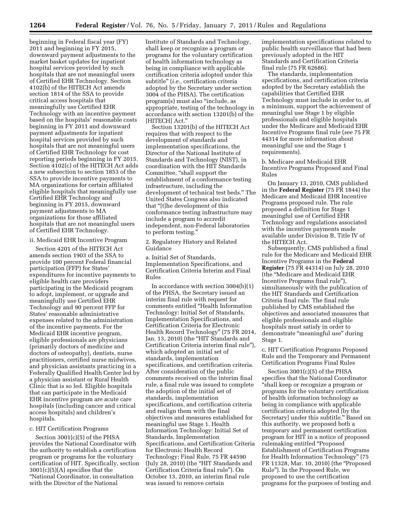beginning in Federal fiscal year (FY) 2011 and beginning in FY 2015, downward payment adjustments to the market basket updates for inpatient hospital services provided by such hospitals that are not meaningful users of Certified EHR Technology. Section 4102(b) of the HITECH Act amends section 1814 of the SSA to provide critical access hospitals that meaningfully use Certified EHR Technology with an incentive payment based on the hospitals' reasonable costs beginning in FY 2011 and downward payment adjustments for inpatient hospital services provided by such hospitals that are not meaningful users of Certified EHR Technology for cost reporting periods beginning in FY 2015. Section 4102(c) of the HITECH Act adds a new subsection to section 1853 of the SSA to provide incentive payments to MA organizations for certain affiliated eligible hospitals that meaningfully use Certified EHR Technology and beginning in FY 2015, downward payment adjustments to MA organizations for those affiliated hospitals that are not meaningful users of Certified EHR Technology.

#### ii. Medicaid EHR Incentive Program

Section 4201 of the HITECH Act amends section 1903 of the SSA to provide 100 percent Federal financial participation (FFP) for States' expenditures for incentive payments to eligible health care providers participating in the Medicaid program to adopt, implement, or upgrade and meaningfully use Certified EHR Technology and 90 percent FFP for States' reasonable administrative expenses related to the administration of the incentive payments. For the Medicaid EHR incentive program, eligible professionals are physicians (primarily doctors of medicine and doctors of osteopathy), dentists, nurse practitioners, certified nurse midwives, and physician assistants practicing in a Federally Qualified Health Center led by a physician assistant or Rural Health Clinic that is so led. Eligible hospitals that can participate in the Medicaid EHR incentive program are acute care hospitals (including cancer and critical access hospitals) and children's hospitals.

#### c. HIT Certification Programs

Section 3001(c)(5) of the PHSA provides the National Coordinator with the authority to establish a certification program or programs for the voluntary certification of HIT. Specifically, section 3001(c)(5)(A) specifies that the ''National Coordinator, in consultation with the Director of the National

Institute of Standards and Technology, shall keep or recognize a program or programs for the voluntary certification of health information technology as being in compliance with applicable certification criteria adopted under this subtitle'' (*i.e.,* certification criteria adopted by the Secretary under section 3004 of the PHSA). The certification program(s) must also ''include, as appropriate, testing of the technology in accordance with section 13201(b) of the [HITECH] Act.''

Section 13201(b) of the HITECH Act requires that with respect to the development of standards and implementation specifications, the Director of the National Institute of Standards and Technology (NIST), in coordination with the HIT Standards Committee, ''shall support the establishment of a conformance testing infrastructure, including the development of technical test beds.'' The United States Congress also indicated that ''[t]he development of this conformance testing infrastructure may include a program to accredit independent, non-Federal laboratories to perform testing.''

2. Regulatory History and Related Guidance

a. Initial Set of Standards, Implementation Specifications, and Certification Criteria Interim and Final Rules

In accordance with section 3004(b)(1) of the PHSA, the Secretary issued an interim final rule with request for comments entitled ''Health Information Technology: Initial Set of Standards, Implementation Specifications, and Certification Criteria for Electronic Health Record Technology'' (75 FR 2014, Jan. 13, 2010) (the "HIT Standards and Certification Criteria interim final rule''), which adopted an initial set of standards, implementation specifications, and certification criteria. After consideration of the public comments received on the interim final rule, a final rule was issued to complete the adoption of the initial set of standards, implementation specifications, and certification criteria and realign them with the final objectives and measures established for meaningful use Stage 1. Health Information Technology: Initial Set of Standards, Implementation Specifications, and Certification Criteria for Electronic Health Record Technology; Final Rule, 75 FR 44590 (July 28, 2010) (the ''HIT Standards and Certification Criteria final rule''). On October 13, 2010, an interim final rule was issued to remove certain

implementation specifications related to public health surveillance that had been previously adopted in the HIT Standards and Certification Criteria final rule (75 FR 62686).

The standards, implementation specifications, and certification criteria adopted by the Secretary establish the capabilities that Certified EHR Technology must include in order to, at a minimum, support the achievement of meaningful use Stage 1 by eligible professionals and eligible hospitals under the Medicare and Medicaid EHR Incentive Programs final rule (*see* 75 FR 44314 for more information about meaningful use and the Stage 1 requirements).

b. Medicare and Medicaid EHR Incentive Programs Proposed and Final Rules

On January 13, 2010, CMS published in the **Federal Register** (75 FR 1844) the Medicare and Medicaid EHR Incentive Programs proposed rule. The rule proposed a definition for Stage 1 meaningful use of Certified EHR Technology and regulations associated with the incentive payments made available under Division B, Title IV of the HITECH Act.

Subsequently, CMS published a final rule for the Medicare and Medicaid EHR Incentive Programs in the **Federal Register** (75 FR 44314) on July 28, 2010 (the ''Medicare and Medicaid EHR Incentive Programs final rule''), simultaneously with the publication of the HIT Standards and Certification Criteria final rule. The final rule published by CMS established the objectives and associated measures that eligible professionals and eligible hospitals must satisfy in order to demonstrate ''meaningful use'' during Stage 1.

c. HIT Certification Programs Proposed Rule and the Temporary and Permanent Certification Programs Final Rules

Section 3001(c)(5) of the PHSA specifies that the National Coordinator ''shall keep or recognize a program or programs for the voluntary certification of health information technology as being in compliance with applicable certification criteria adopted [by the Secretary] under this subtitle.'' Based on this authority, we proposed both a temporary and permanent certification program for HIT in a notice of proposed rulemaking entitled ''Proposed Establishment of Certification Programs for Health Information Technology'' (75 FR 11328, Mar. 10, 2010) (the ''Proposed Rule''). In the Proposed Rule, we proposed to use the certification programs for the purposes of testing and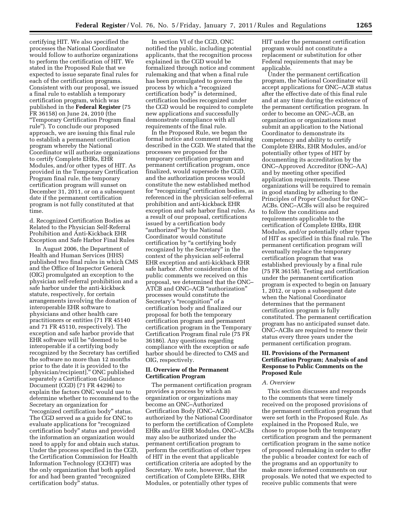certifying HIT. We also specified the processes the National Coordinator would follow to authorize organizations to perform the certification of HIT. We stated in the Proposed Rule that we expected to issue separate final rules for each of the certification programs. Consistent with our proposal, we issued a final rule to establish a temporary certification program, which was published in the **Federal Register** (75 FR 36158) on June 24, 2010 (the ''Temporary Certification Program final rule''). To conclude our proposed approach, we are issuing this final rule to establish a permanent certification program whereby the National Coordinator will authorize organizations to certify Complete EHRs, EHR Modules, and/or other types of HIT. As provided in the Temporary Certification Program final rule, the temporary certification program will sunset on December 31, 2011, or on a subsequent date if the permanent certification program is not fully constituted at that time.

d. Recognized Certification Bodies as Related to the Physician Self-Referral Prohibition and Anti-Kickback EHR Exception and Safe Harbor Final Rules

In August 2006, the Department of Health and Human Services (HHS) published two final rules in which CMS and the Office of Inspector General (OIG) promulgated an exception to the physician self-referral prohibition and a safe harbor under the anti-kickback statute, respectively, for certain arrangements involving the donation of interoperable EHR software to physicians and other health care practitioners or entities (71 FR 45140 and 71 FR 45110, respectively). The exception and safe harbor provide that EHR software will be ''deemed to be interoperable if a certifying body recognized by the Secretary has certified the software no more than 12 months prior to the date it is provided to the [physician/recipient].'' ONC published separately a Certification Guidance Document (CGD) (71 FR 44296) to explain the factors ONC would use to determine whether to recommend to the Secretary an organization for "recognized certification body" status. The CGD served as a guide for ONC to evaluate applications for ''recognized certification body'' status and provided the information an organization would need to apply for and obtain such status. Under the process specified in the CGD, the Certification Commission for Health Information Technology (CCHIT) was the only organization that both applied for and had been granted ''recognized certification body'' status.

In section VI of the CGD, ONC notified the public, including potential applicants, that the recognition process explained in the CGD would be formalized through notice and comment rulemaking and that when a final rule has been promulgated to govern the process by which a ''recognized certification body'' is determined, certification bodies recognized under the CGD would be required to complete new applications and successfully demonstrate compliance with all requirements of the final rule.

In the Proposed Rule, we began the formal notice and comment rulemaking described in the CGD. We stated that the processes we proposed for the temporary certification program and permanent certification program, once finalized, would supersede the CGD, and the authorization process would constitute the new established method for ''recognizing'' certification bodies, as referenced in the physician self-referral prohibition and anti-kickback EHR exception and safe harbor final rules. As a result of our proposal, certifications issued by a certification body "authorized" by the National Coordinator would constitute certification by ''a certifying body recognized by the Secretary'' in the context of the physician self-referral EHR exception and anti-kickback EHR safe harbor. After consideration of the public comments we received on this proposal, we determined that the ONC– ATCB and ONC–ACB ''authorization'' processes would constitute the Secretary's "recognition" of a certification body and finalized our proposal for both the temporary certification program and permanent certification program in the Temporary Certification Program final rule (75 FR 36186). Any questions regarding compliance with the exception or safe harbor should be directed to CMS and OIG, respectively.

#### **II. Overview of the Permanent Certification Program**

The permanent certification program provides a process by which an organization or organizations may become an ONC–Authorized Certification Body (ONC–ACB) authorized by the National Coordinator to perform the certification of Complete EHRs and/or EHR Modules. ONC–ACBs may also be authorized under the permanent certification program to perform the certification of other types of HIT in the event that applicable certification criteria are adopted by the Secretary. We note, however, that the certification of Complete EHRs, EHR Modules, or potentially other types of

HIT under the permanent certification program would not constitute a replacement or substitution for other Federal requirements that may be applicable.

Under the permanent certification program, the National Coordinator will accept applications for ONC–ACB status after the effective date of this final rule and at any time during the existence of the permanent certification program. In order to become an ONC–ACB, an organization or organizations must submit an application to the National Coordinator to demonstrate its competency and ability to certify Complete EHRs, EHR Modules, and/or potentially other types of HIT by documenting its accreditation by the ONC–Approved Accreditor (ONC–AA) and by meeting other specified application requirements. These organizations will be required to remain in good standing by adhering to the Principles of Proper Conduct for ONC– ACBs. ONC–ACBs will also be required to follow the conditions and requirements applicable to the certification of Complete EHRs, EHR Modules, and/or potentially other types of HIT as specified in this final rule. The permanent certification program will eventually replace the temporary certification program that was established previously by a final rule (75 FR 36158). Testing and certification under the permanent certification program is expected to begin on January 1, 2012, or upon a subsequent date when the National Coordinator determines that the permanent certification program is fully constituted. The permanent certification program has no anticipated sunset date. ONC–ACBs are required to renew their status every three years under the permanent certification program.

# **III. Provisions of the Permanent Certification Program; Analysis of and Response to Public Comments on the Proposed Rule**

# *A. Overview*

This section discusses and responds to the comments that were timely received on the proposed provisions of the permanent certification program that were set forth in the Proposed Rule. As explained in the Proposed Rule, we chose to propose both the temporary certification program and the permanent certification program in the same notice of proposed rulemaking in order to offer the public a broader context for each of the programs and an opportunity to make more informed comments on our proposals. We noted that we expected to receive public comments that were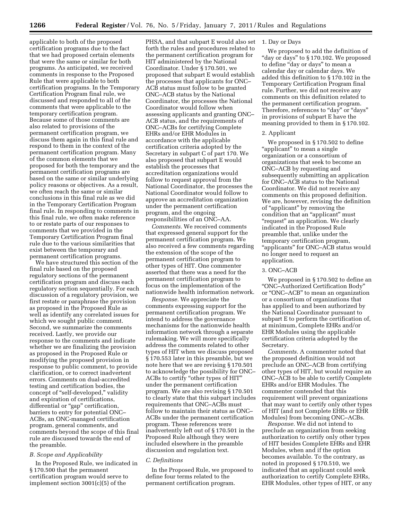applicable to both of the proposed certification programs due to the fact that we had proposed certain elements that were the same or similar for both programs. As anticipated, we received comments in response to the Proposed Rule that were applicable to both certification programs. In the Temporary Certification Program final rule, we discussed and responded to all of the comments that were applicable to the temporary certification program. Because some of those comments are also related to provisions of the permanent certification program, we discuss them again in this final rule and respond to them in the context of the permanent certification program. Many of the common elements that we proposed for both the temporary and the permanent certification programs are based on the same or similar underlying policy reasons or objectives. As a result, we often reach the same or similar conclusions in this final rule as we did in the Temporary Certification Program final rule. In responding to comments in this final rule, we often make reference to or restate parts of our responses to comments that we provided in the Temporary Certification Program final rule due to the various similarities that exist between the temporary and permanent certification programs.

We have structured this section of the final rule based on the proposed regulatory sections of the permanent certification program and discuss each regulatory section sequentially. For each discussion of a regulatory provision, we first restate or paraphrase the provision as proposed in the Proposed Rule as well as identify any correlated issues for which we sought public comment. Second, we summarize the comments received. Lastly, we provide our response to the comments and indicate whether we are finalizing the provision as proposed in the Proposed Rule or modifying the proposed provision in response to public comment, to provide clarification, or to correct inadvertent errors. Comments on dual-accredited testing and certification bodies, the concept of ''self-developed,'' validity and expiration of certifications, differential or "gap" certification, barriers to entry for potential ONC– ACBs, an ONC-managed certification program, general comments, and comments beyond the scope of this final rule are discussed towards the end of the preamble.

# *B. Scope and Applicability*

In the Proposed Rule, we indicated in § 170.500 that the permanent certification program would serve to implement section 3001(c)(5) of the

PHSA, and that subpart E would also set forth the rules and procedures related to the permanent certification program for HIT administered by the National Coordinator. Under § 170.501, we proposed that subpart E would establish the processes that applicants for ONC– ACB status must follow to be granted ONC–ACB status by the National Coordinator, the processes the National Coordinator would follow when assessing applicants and granting ONC– ACB status, and the requirements of ONC–ACBs for certifying Complete EHRs and/or EHR Modules in accordance with the applicable certification criteria adopted by the Secretary in subpart C of part 170. We also proposed that subpart E would establish the processes that accreditation organizations would follow to request approval from the National Coordinator, the processes the National Coordinator would follow to approve an accreditation organization under the permanent certification program, and the ongoing responsibilities of an ONC–AA.

*Comments.* We received comments that expressed general support for the permanent certification program. We also received a few comments regarding the extension of the scope of the permanent certification program to other types of HIT. One commenter asserted that there was a need for the permanent certification program to focus on the implementation of the nationwide health information network.

*Response.* We appreciate the comments expressing support for the permanent certification program. We intend to address the governance mechanisms for the nationwide health information network through a separate rulemaking. We will more specifically address the comments related to other types of HIT when we discuss proposed § 170.553 later in this preamble, but we note here that we are revising § 170.501 to acknowledge the possibility for ONC– ACBs to certify ''other types of HIT'' under the permanent certification program. We are also revising § 170.501 to clearly state that this subpart includes requirements that ONC–ACBs must follow to maintain their status as ONC– ACBs under the permanent certification program. These references were inadvertently left out of § 170.501 in the Proposed Rule although they were included elsewhere in the preamble discussion and regulation text.

#### *C. Definitions*

In the Proposed Rule, we proposed to define four terms related to the permanent certification program.

#### 1. Day or Days

We proposed to add the definition of "day or days" to §170.102. We proposed to define "day or days" to mean a calendar day or calendar days. We added this definition to § 170.102 in the Temporary Certification Program final rule. Further, we did not receive any comments on this definition related to the permanent certification program. Therefore, references to "day" or "days" in provisions of subpart E have the meaning provided to them in § 170.102.

#### 2. Applicant

We proposed in § 170.502 to define "applicant" to mean a single organization or a consortium of organizations that seek to become an ONC–ACB by requesting and subsequently submitting an application for ONC–ACB status to the National Coordinator. We did not receive any comments on this proposed definition. We are, however, revising the definition of ''applicant'' by removing the condition that an "applicant" must ''request'' an application. We clearly indicated in the Proposed Rule preamble that, unlike under the temporary certification program, ''applicants'' for ONC–ACB status would no longer need to request an application.

#### 3. ONC–ACB

We proposed in § 170.502 to define an ''ONC–Authorized Certification Body'' or ''ONC–ACB'' to mean an organization or a consortium of organizations that has applied to and been authorized by the National Coordinator pursuant to subpart E to perform the certification of, at minimum, Complete EHRs and/or EHR Modules using the applicable certification criteria adopted by the Secretary.

*Comments.* A commenter noted that the proposed definition would not preclude an ONC–ACB from certifying other types of HIT, but would require an ONC–ACB to be able to certify Complete EHRs and/or EHR Modules. The commenter contended that this requirement will prevent organizations that may want to certify only other types of HIT (and not Complete EHRs or EHR Modules) from becoming ONC–ACBs.

*Response.* We did not intend to preclude an organization from seeking authorization to certify only other types of HIT besides Complete EHRs and EHR Modules, when and if the option becomes available. To the contrary, as noted in proposed § 170.510, we indicated that an applicant could seek authorization to certify Complete EHRs, EHR Modules, other types of HIT, or any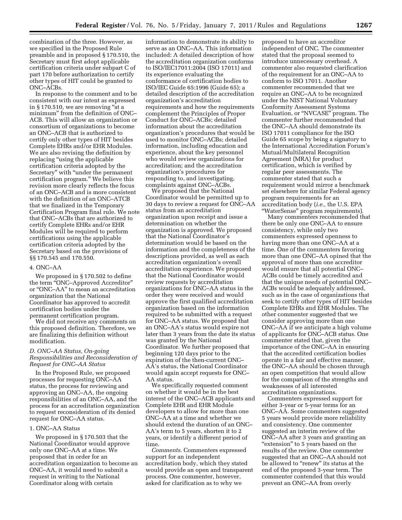combination of the three. However, as we specified in the Proposed Rule preamble and in proposed § 170.510, the Secretary must first adopt applicable certification criteria under subpart C of part 170 before authorization to certify other types of HIT could be granted to ONC–ACBs.

In response to the comment and to be consistent with our intent as expressed in § 170.510, we are removing "at a minimum'' from the definition of ONC– ACB. This will allow an organization or consortium of organizations to become an ONC–ACB that is authorized to certify only other types of HIT besides Complete EHRs and/or EHR Modules. We are also revising the definition by replacing "using the applicable certification criteria adopted by the Secretary'' with ''under the permanent certification program.'' We believe this revision more clearly reflects the focus of an ONC–ACB and is more consistent with the definition of an ONC–ATCB that we finalized in the Temporary Certification Program final rule. We note that ONC–ACBs that are authorized to certify Complete EHRs and/or EHR Modules will be required to perform certifications using the applicable certification criteria adopted by the Secretary based on the provisions of §§ 170.545 and 170.550.

#### 4. ONC–AA

We proposed in § 170.502 to define the term ''ONC–Approved Accreditor'' or ''ONC–AA'' to mean an accreditation organization that the National Coordinator has approved to accredit certification bodies under the permanent certification program.

We did not receive any comments on this proposed definition. Therefore, we are finalizing this definition without modification.

# *D. ONC–AA Status, On-going Responsibilities and Reconsideration of Request for ONC–AA Status*

In the Proposed Rule, we proposed processes for requesting ONC–AA status, the process for reviewing and approving an ONC–AA, the ongoing responsibilities of an ONC–AA, and the process for an accreditation organization to request reconsideration of its denied request for ONC–AA status.

#### 1. ONC–AA Status

We proposed in § 170.503 that the National Coordinator would approve only one ONC–AA at a time. We proposed that in order for an accreditation organization to become an ONC–AA, it would need to submit a request in writing to the National Coordinator along with certain

information to demonstrate its ability to serve as an ONC–AA. This information included: A detailed description of how the accreditation organization conforms to ISO/IEC17011:2004 (ISO 17011) and its experience evaluating the conformance of certification bodies to ISO/IEC Guide 65:1996 (Guide 65); a detailed description of the accreditation organization's accreditation requirements and how the requirements complement the Principles of Proper Conduct for ONC–ACBs; detailed information about the accreditation organization's procedures that would be used to monitor ONC–ACBs; detailed information, including education and experience, about the key personnel who would review organizations for accreditation; and the accreditation organization's procedures for responding to, and investigating, complaints against ONC–ACBs.

We proposed that the National Coordinator would be permitted up to 30 days to review a request for ONC–AA status from an accreditation organization upon receipt and issue a determination on whether the organization is approved. We proposed that the National Coordinator's determination would be based on the information and the completeness of the descriptions provided, as well as each accreditation organization's overall accreditation experience. We proposed that the National Coordinator would review requests by accreditation organizations for ONC–AA status in the order they were received and would approve the first qualified accreditation organization based on the information required to be submitted with a request for ONC–AA status. We proposed that an ONC–AA's status would expire not later than 3 years from the date its status was granted by the National Coordinator. We further proposed that beginning 120 days prior to the expiration of the then-current ONC– AA's status, the National Coordinator would again accept requests for ONC– AA status.

We specifically requested comment on whether it would be in the best interest of the ONC–ACB applicants and Complete EHR and EHR Module developers to allow for more than one ONC–AA at a time and whether we should extend the duration of an ONC– AA's term to 5 years, shorten it to 2 years, or identify a different period of time.

*Comments.* Commenters expressed support for an independent accreditation body, which they stated would provide an open and transparent process. One commenter, however, asked for clarification as to why we

proposed to have an accreditor independent of ONC. The commenter stated that the proposal seemed to introduce unnecessary overhead. A commenter also requested clarification of the requirement for an ONC–AA to conform to ISO 17011. Another commenter recommended that we require an ONC–AA to be recognized under the NIST National Voluntary Conformity Assessment Systems Evaluation, or ''NVCASE'' program. The commenter further recommended that the ONC–AA should demonstrate its ISO 17011 compliance for the ISO Guide 65 scope by being a signatory to the International Accreditation Forum's Mutual/Multilateral Recognition Agreement (MRA) for product certification, which is verified by regular peer assessments. The commenter stated that such a requirement would mirror a benchmark set elsewhere for similar Federal agency program requirements for an accreditation body (*i.e.,* the U.S. EPA ''WaterSense'' program requirements).

Many commenters recommended that there be only one ONC–AA to ensure consistency, while only two commenters expressed openness to having more than one ONC–AA at a time. One of the commenters favoring more than one ONC–AA opined that the approval of more than one accreditor would ensure that all potential ONC– ACBs could be timely accredited and that the unique needs of potential ONC– ACBs would be adequately addressed, such as in the case of organizations that seek to certify other types of HIT besides Complete EHRs and EHR Modules. The other commenter suggested that we consider approving more than one ONC–AA if we anticipate a high volume of applicants for ONC–ACB status. One commenter stated that, given the importance of the ONC–AA in ensuring that the accredited certification bodies operate in a fair and effective manner, the ONC–AA should be chosen through an open competition that would allow for the comparison of the strengths and weaknesses of all interested accreditation organizations.

Commenters expressed support for either 3-year or 5-year terms for an ONC–AA. Some commenters suggested 5 years would provide more reliability and consistency. One commenter suggested an interim review of the ONC–AA after 3 years and granting an "extension" to 5 years based on the results of the review. One commenter suggested that an ONC–AA should not be allowed to "renew" its status at the end of the proposed 3-year term. The commenter contended that this would prevent an ONC–AA from overly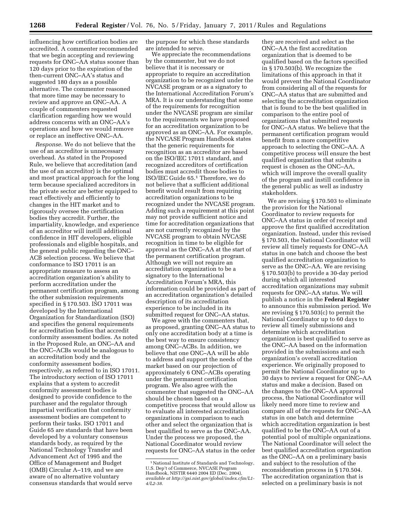influencing how certification bodies are accredited. A commenter recommended that we begin accepting and reviewing requests for ONC–AA status sooner than 120 days prior to the expiration of the then-current ONC–AA's status and suggested 180 days as a possible alternative. The commenter reasoned that more time may be necessary to review and approve an ONC–AA. A couple of commenters requested clarification regarding how we would address concerns with an ONC–AA's operations and how we would remove or replace an ineffective ONC–AA.

*Response.* We do not believe that the use of an accreditor is unnecessary overhead. As stated in the Proposed Rule, we believe that accreditation (and the use of an accreditor) is the optimal and most practical approach for the long term because specialized accreditors in the private sector are better equipped to react effectively and efficiently to changes in the HIT market and to rigorously oversee the certification bodies they accredit. Further, the impartiality, knowledge, and experience of an accreditor will instill additional confidence in HIT developers, eligible professionals and eligible hospitals, and the general public regarding the ONC– ACB selection process. We believe that conformance to ISO 17011 is an appropriate measure to assess an accreditation organization's ability to perform accreditation under the permanent certification program, among the other submission requirements specified in § 170.503. ISO 17011 was developed by the International Organization for Standardization (ISO) and specifies the general requirements for accreditation bodies that accredit conformity assessment bodies. As noted in the Proposed Rule, an ONC–AA and the ONC–ACBs would be analogous to an accreditation body and the conformity assessment bodies, respectively, as referred to in ISO 17011. The introductory section of ISO 17011 explains that a system to accredit conformity assessment bodies is designed to provide confidence to the purchaser and the regulator through impartial verification that conformity assessment bodies are competent to perform their tasks. ISO 17011 and Guide 65 are standards that have been developed by a voluntary consensus standards body, as required by the National Technology Transfer and Advancement Act of 1995 and the Office of Management and Budget (OMB) Circular A–119, and we are aware of no alternative voluntary consensus standards that would serve

the purpose for which these standards are intended to serve.

We appreciate the recommendations by the commenter, but we do not believe that it is necessary or appropriate to require an accreditation organization to be recognized under the NVCASE program or as a signatory to the International Accreditation Forum's MRA. It is our understanding that some of the requirements for recognition under the NVCASE program are similar to the requirements we have proposed for an accreditation organization to be approved as an ONC–AA. For example, the NVCASE Program Handbook states that the generic requirements for recognition as an accreditor are based on the ISO/IEC 17011 standard, and recognized accreditors of certification bodies must accredit those bodies to ISO/IEC Guide 65.1 Therefore, we do not believe that a sufficient additional benefit would result from requiring accreditation organizations to be recognized under the NVCASE program. Adding such a requirement at this point may not provide sufficient notice and time for accreditation organizations that are not currently recognized by the NVCASE program to obtain NVCASE recognition in time to be eligible for approval as the ONC–AA at the start of the permanent certification program. Although we will not require an accreditation organization to be a signatory to the International Accreditation Forum's MRA, this information could be provided as part of an accreditation organization's detailed description of its accreditation experience to be included in its submitted request for ONC–AA status.

We agree with the commenters that, as proposed, granting ONC–AA status to only one accreditation body at a time is the best way to ensure consistency among ONC–ACBs. In addition, we believe that one ONC–AA will be able to address and support the needs of the market based on our projection of approximately 6 ONC–ACBs operating under the permanent certification program. We also agree with the commenter that suggested the ONC–AA should be chosen based on a competitive process that would allow us to evaluate all interested accreditation organizations in comparison to each other and select the organization that is best qualified to serve as the ONC–AA. Under the process we proposed, the National Coordinator would review requests for ONC–AA status in the order

they are received and select as the ONC–AA the first accreditation organization that is deemed to be qualified based on the factors specified in § 170.503(b). We recognize the limitations of this approach in that it would prevent the National Coordinator from considering all of the requests for ONC–AA status that are submitted and selecting the accreditation organization that is found to be the best qualified in comparison to the entire pool of organizations that submitted requests for ONC–AA status. We believe that the permanent certification program would benefit from a more competitive approach to selecting the ONC–AA. A competitive process will ensure the best qualified organization that submits a request is chosen as the ONC–AA, which will improve the overall quality of the program and instill confidence in the general public as well as industry stakeholders.

We are revising § 170.503 to eliminate the provision for the National Coordinator to review requests for ONC–AA status in order of receipt and approve the first qualified accreditation organization. Instead, under this revised § 170.503, the National Coordinator will review all timely requests for ONC–AA status in one batch and choose the best qualified accreditation organization to serve as the ONC–AA. We are revising § 170.503(b) to provide a 30-day period during which all interested accreditation organizations may submit requests for ONC–AA status. We will publish a notice in the **Federal Register**  to announce this submission period. We are revising § 170.503(c) to permit the National Coordinator up to 60 days to review all timely submissions and determine which accreditation organization is best qualified to serve as the ONC–AA based on the information provided in the submissions and each organization's overall accreditation experience. We originally proposed to permit the National Coordinator up to 30 days to review a request for ONC–AA status and make a decision. Based on the changes to the ONC–AA approval process, the National Coordinator will likely need more time to review and compare all of the requests for ONC–AA status in one batch and determine which accreditation organization is best qualified to be the ONC–AA out of a potential pool of multiple organizations. The National Coordinator will select the best qualified accreditation organization as the ONC–AA on a preliminary basis and subject to the resolution of the reconsideration process in § 170.504. The accreditation organization that is selected on a preliminary basis is not

<sup>1</sup>National Institute of Standards and Technology, U.S. Dep't of Commerce, NVCASE Program Handbook, NISTIR 6440 2004 ED (Dec. 2004), *available at [http://gsi.nist.gov/global/index.cfm/L1-](http://gsi.nist.gov/global/index.cfm/L1-4/L2-38)  [4/L2-38.](http://gsi.nist.gov/global/index.cfm/L1-4/L2-38)*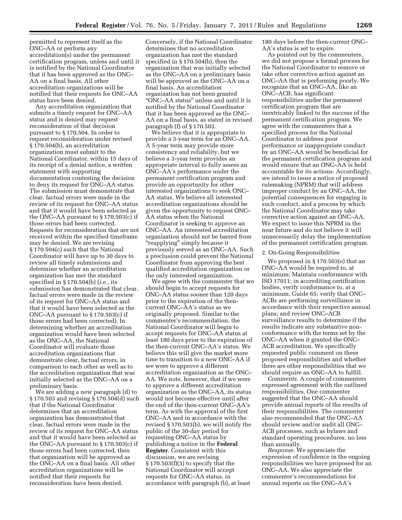permitted to represent itself as the ONC–AA or perform any accreditation(s) under the permanent certification program, unless and until it is notified by the National Coordinator that it has been approved as the ONC– AA on a final basis. All other accreditation organizations will be notified that their requests for ONC–AA status have been denied.

Any accreditation organization that submits a timely request for ONC–AA status and is denied may request reconsideration of that decision pursuant to § 170.504. In order to request reconsideration under revised § 170.504(b), an accreditation organization must submit to the National Coordinator, within 15 days of its receipt of a denial notice, a written statement with supporting documentation contesting the decision to deny its request for ONC–AA status. The submission must demonstrate that clear, factual errors were made in the review of its request for ONC–AA status and that it would have been selected as the ONC–AA pursuant to § 170.503(c) if those errors had been corrected. Requests for reconsideration that are not received within the specified timeframe may be denied. We are revising § 170.504(c) such that the National Coordinator will have up to 30 days to review all timely submissions and determine whether an accreditation organization has met the standard specified in § 170.504(b) (*i.e.,* its submission has demonstrated that clear, factual errors were made in the review of its request for ONC–AA status and that it would have been selected as the ONC–AA pursuant to § 170.503(c) if those errors had been corrected). In determining whether an accreditation organization would have been selected as the ONC–AA, the National Coordinator will evaluate those accreditation organizations that demonstrate clear, factual errors, in comparison to each other as well as to the accreditation organization that was initially selected as the ONC–AA on a preliminary basis.

We are adding a new paragraph (d) to § 170.503 and revising § 170.504(d) such that if the National Coordinator determines that an accreditation organization has demonstrated that clear, factual errors were made in the review of its request for ONC–AA status and that it would have been selected as the ONC–AA pursuant to § 170.503(c) if those errors had been corrected, then that organization will be approved as the ONC–AA on a final basis. All other accreditation organizations will be notified that their requests for reconsideration have been denied.

Conversely, if the National Coordinator determines that no accreditation organization has met the standard specified in § 170.504(b), then the organization that was initially selected as the ONC–AA on a preliminary basis will be approved as the ONC–AA on a final basis. An accreditation organization has not been granted ''ONC–AA status'' unless and until it is notified by the National Coordinator that it has been approved as the ONC– AA on a final basis, as stated in revised paragraph (f) of § 170.503.

We believe that it is appropriate to provide a 3-year term for an ONC–AA. A 5-year term may provide more consistency and reliability, but we believe a 3-year term provides an appropriate interval to fully assess an ONC–AA's performance under the permanent certification program and provide an opportunity for other interested organizations to seek ONC– AA status. We believe all interested accreditation organizations should be given the opportunity to request ONC– AA status when the National Coordinator is seeking to approve an ONC–AA. An interested accreditation organization should not be barred from ''reapplying'' simply because it previously served as an ONC–AA. Such a preclusion could prevent the National Coordinator from approving the best qualified accreditation organization or the only interested organization.

We agree with the commenter that we should begin to accept requests for ONC–AA status sooner than 120 days prior to the expiration of the thencurrent ONC–AA's status as we originally proposed. Similar to the commenter's recommendation, the National Coordinator will begin to accept requests for ONC–AA status at least 180 days prior to the expiration of the then-current ONC–AA's status. We believe this will give the market more time to transition to a new ONC–AA if we were to approve a different accreditation organization as the ONC– AA. We note, however, that if we were to approve a different accreditation organization as the ONC–AA, its status would not become effective until after the end of the then-current ONC–AA's term. As with the approval of the first ONC–AA and in accordance with the revised § 170.503(b), we will notify the public of the 30-day period for requesting ONC–AA status by publishing a notice in the **Federal Register**. Consistent with this discussion, we are revising  $\S 170.503(f)(3)$  to specify that the National Coordinator will accept requests for ONC–AA status, in accordance with paragraph (b), at least

180 days before the then-current ONC– AA's status is set to expire.

As pointed out by the commenters, we did not propose a formal process for the National Coordinator to remove or take other corrective action against an ONC–AA that is performing poorly. We recognize that an ONC–AA, like an ONC–ACB, has significant responsibilities under the permanent certification program that are inextricably linked to the success of the permanent certification program. We agree with the commenters that a specified process for the National Coordinator to address poor performance or inappropriate conduct by an ONC–AA would be beneficial for the permanent certification program and would ensure that an ONC–AA is held accountable for its actions. Accordingly, we intend to issue a notice of proposed rulemaking (NPRM) that will address improper conduct by an ONC–AA, the potential consequences for engaging in such conduct, and a process by which the National Coordinator may take corrective action against an ONC–AA. We expect to issue this NPRM in the near future and do not believe it will unnecessarily delay the implementation of the permanent certification program.

#### 2. On-Going Responsibilities

We proposed in § 170.503(e) that an ONC–AA would be required to, at minimum: Maintain conformance with ISO 17011; in accrediting certification bodies, verify conformance to, at a minimum, Guide 65; verify that ONC– ACBs are performing surveillance in accordance with their respective annual plans; and review ONC–ACB surveillance results to determine if the results indicate any substantive nonconformance with the terms set by the ONC–AA when it granted the ONC– ACB accreditation. We specifically requested public comment on these proposed responsibilities and whether there are other responsibilities that we should require an ONC–AA to fulfill.

*Comments.* A couple of commenters expressed agreement with the outlined responsibilities. One commenter suggested that the ONC–AA should provide annual reports of the results of their responsibilities. The commenter also recommended that the ONC–AA should review and/or audit all ONC– ACB processes, such as bylaws and standard operating procedures, no less than annually.

*Response.* We appreciate the expression of confidence in the ongoing responsibilities we have proposed for an ONC–AA. We also appreciate the commenter's recommendations for annual reports on the ONC–AA's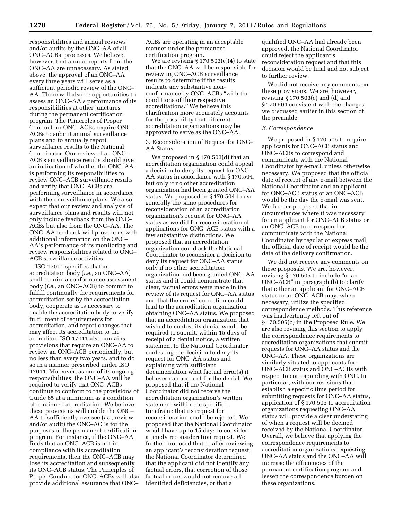responsibilities and annual reviews and/or audits by the ONC–AA of all ONC–ACBs' processes. We believe, however, that annual reports from the ONC–AA are unnecessary. As stated above, the approval of an ONC–AA every three years will serve as a sufficient periodic review of the ONC– AA. There will also be opportunities to assess an ONC–AA's performance of its responsibilities at other junctures during the permanent certification program. The Principles of Proper Conduct for ONC–ACBs require ONC– ACBs to submit annual surveillance plans and to annually report surveillance results to the National Coordinator. Our review of an ONC– ACB's surveillance results should give an indication of whether the ONC–AA is performing its responsibilities to review ONC–ACB surveillance results and verify that ONC–ACBs are performing surveillance in accordance with their surveillance plans. We also expect that our review and analysis of surveillance plans and results will not only include feedback from the ONC– ACBs but also from the ONC–AA. The ONC–AA feedback will provide us with additional information on the ONC– AA's performance of its monitoring and review responsibilities related to ONC– ACB surveillance activities.

ISO 17011 specifies that an accreditation body (*i.e.,* an ONC–AA) shall require a conformance assessment body (*i.e.,* an ONC–ACB) to commit to fulfill continually the requirements for accreditation set by the accreditation body, cooperate as is necessary to enable the accreditation body to verify fulfillment of requirements for accreditation, and report changes that may affect its accreditation to the accreditor. ISO 17011 also contains provisions that require an ONC–AA to review an ONC–ACB periodically, but no less than every two years, and to do so in a manner prescribed under ISO 17011. Moreover, as one of its ongoing responsibilities, the ONC–AA will be required to verify that ONC–ACBs continue to conform to the provisions of Guide 65 at a minimum as a condition of continued accreditation. We believe these provisions will enable the ONC– AA to sufficiently oversee (*i.e.,* review and/or audit) the ONC–ACBs for the purposes of the permanent certification program. For instance, if the ONC–AA finds that an ONC–ACB is not in compliance with its accreditation requirements, then the ONC–ACB may lose its accreditation and subsequently its ONC–ACB status. The Principles of Proper Conduct for ONC–ACBs will also provide additional assurance that ONC–

ACBs are operating in an acceptable manner under the permanent certification program.

We are revising § 170.503(e)(4) to state that the ONC–AA will be responsible for reviewing ONC–ACB surveillance results to determine if the results indicate any substantive nonconformance by ONC–ACBs ''with the conditions of their respective accreditations.'' We believe this clarification more accurately accounts for the possibility that different accreditation organizations may be approved to serve as the ONC–AA.

3. Reconsideration of Request for ONC– AA Status

We proposed in § 170.503(d) that an accreditation organization could appeal a decision to deny its request for ONC– AA status in accordance with § 170.504, but only if no other accreditation organization had been granted ONC–AA status. We proposed in § 170.504 to use generally the same procedures for reconsideration of an accreditation organization's request for ONC–AA status as we did for reconsideration of applications for ONC–ACB status with a few substantive distinctions. We proposed that an accreditation organization could ask the National Coordinator to reconsider a decision to deny its request for ONC–AA status only if no other accreditation organization had been granted ONC–AA status and it could demonstrate that clear, factual errors were made in the review of its request for ONC–AA status and that the errors' correction could lead to the accreditation organization obtaining ONC–AA status. We proposed that an accreditation organization that wished to contest its denial would be required to submit, within 15 days of receipt of a denial notice, a written statement to the National Coordinator contesting the decision to deny its request for ONC–AA status and explaining with sufficient documentation what factual error(s) it believes can account for the denial. We proposed that if the National Coordinator did not receive the accreditation organization's written statement within the specified timeframe that its request for reconsideration could be rejected. We proposed that the National Coordinator would have up to 15 days to consider a timely reconsideration request. We further proposed that if, after reviewing an applicant's reconsideration request, the National Coordinator determined that the applicant did not identify any factual errors, that correction of those factual errors would not remove all identified deficiencies, or that a

qualified ONC–AA had already been approved, the National Coordinator could reject the applicant's reconsideration request and that this decision would be final and not subject to further review.

We did not receive any comments on these provisions. We are, however, revising § 170.503(c) and (d) and § 170.504 consistent with the changes we discussed earlier in this section of the preamble.

#### *E. Correspondence*

We proposed in § 170.505 to require applicants for ONC–ACB status and ONC–ACBs to correspond and communicate with the National Coordinator by e-mail, unless otherwise necessary. We proposed that the official date of receipt of any e-mail between the National Coordinator and an applicant for ONC–ACB status or an ONC–ACB would be the day the e-mail was sent. We further proposed that in circumstances where it was necessary for an applicant for ONC–ACB status or an ONC–ACB to correspond or communicate with the National Coordinator by regular or express mail, the official date of receipt would be the date of the delivery confirmation.

We did not receive any comments on these proposals. We are, however, revising § 170.505 to include "or an ONC–ACB'' in paragraph (b) to clarify that either an applicant for ONC–ACB status or an ONC–ACB may, when necessary, utilize the specified correspondence methods. This reference was inadvertently left out of § 170.505(b) in the Proposed Rule. We are also revising this section to apply the correspondence requirements to accreditation organizations that submit requests for ONC–AA status and the ONC–AA. These organizations are similarly situated to applicants for ONC–ACB status and ONC–ACBs with respect to corresponding with ONC. In particular, with our revisions that establish a specific time period for submitting requests for ONC–AA status, application of § 170.505 to accreditation organizations requesting ONC–AA status will provide a clear understating of when a request will be deemed received by the National Coordinator. Overall, we believe that applying the correspondence requirements to accreditation organizations requesting ONC–AA status and the ONC–AA will increase the efficiencies of the permanent certification program and lessen the correspondence burden on these organizations.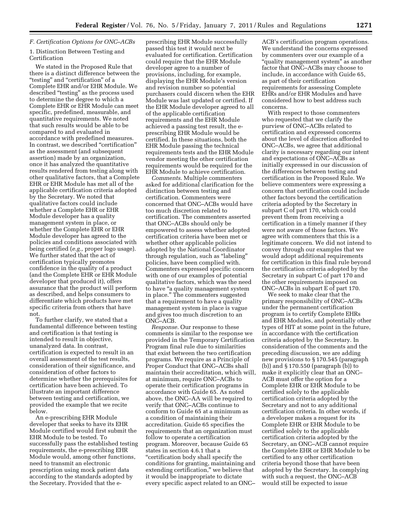# *F. Certification Options for ONC–ACBs*  1. Distinction Between Testing and Certification

We stated in the Proposed Rule that there is a distinct difference between the "testing" and "certification" of a Complete EHR and/or EHR Module. We described ''testing'' as the process used to determine the degree to which a Complete EHR or EHR Module can meet specific, predefined, measurable, and quantitative requirements. We noted that such results would be able to be compared to and evaluated in accordance with predefined measures. In contrast, we described "certification" as the assessment (and subsequent assertion) made by an organization, once it has analyzed the quantitative results rendered from testing along with other qualitative factors, that a Complete EHR or EHR Module has met all of the applicable certification criteria adopted by the Secretary. We noted that qualitative factors could include whether a Complete EHR or EHR Module developer has a quality management system in place, or whether the Complete EHR or EHR Module developer has agreed to the policies and conditions associated with being certified (*e.g.,* proper logo usage). We further stated that the act of certification typically promotes confidence in the quality of a product (and the Complete EHR or EHR Module developer that produced it), offers assurance that the product will perform as described, and helps consumers to differentiate which products have met specific criteria from others that have not.

To further clarify, we stated that a fundamental difference between testing and certification is that testing is intended to result in objective, unanalyzed data. In contrast, certification is expected to result in an overall assessment of the test results, consideration of their significance, and consideration of other factors to determine whether the prerequisites for certification have been achieved. To illustrate an important difference between testing and certification, we provided the example that we recite below.

An e-prescribing EHR Module developer that seeks to have its EHR Module certified would first submit the EHR Module to be tested. To successfully pass the established testing requirements, the e-prescribing EHR Module would, among other functions, need to transmit an electronic prescription using mock patient data according to the standards adopted by the Secretary. Provided that the e-

prescribing EHR Module successfully passed this test it would next be evaluated for certification. Certification could require that the EHR Module developer agree to a number of provisions, including, for example, displaying the EHR Module's version and revision number so potential purchasers could discern when the EHR Module was last updated or certified. If the EHR Module developer agreed to all of the applicable certification requirements and the EHR Module achieved a passing test result, the eprescribing EHR Module would be certified. In these situations, both the EHR Module passing the technical requirements tests and the EHR Module vendor meeting the other certification requirements would be required for the EHR Module to achieve certification.

*Comments.* Multiple commenters asked for additional clarification for the distinction between testing and certification. Commenters were concerned that ONC–ACBs would have too much discretion related to certification. The commenters asserted that ONC–ACBs should only be empowered to assess whether adopted certification criteria have been met or whether other applicable policies adopted by the National Coordinator through regulation, such as ''labeling'' policies, have been complied with. Commenters expressed specific concern with one of our examples of potential qualitative factors, which was the need to have ''a quality management system in place.'' The commenters suggested that a requirement to have a quality management system in place is vague and gives too much discretion to an ONC–ACB.

*Response.* Our response to these comments is similar to the response we provided in the Temporary Certification Program final rule due to similarities that exist between the two certification programs. We require as a Principle of Proper Conduct that ONC–ACBs shall maintain their accreditation, which will, at minimum, require ONC–ACBs to operate their certification programs in accordance with Guide 65. As noted above, the ONC–AA will be required to verify that ONC–ACBs continue to conform to Guide 65 at a minimum as a condition of maintaining their accreditation. Guide 65 specifies the requirements that an organization must follow to operate a certification program. Moreover, because Guide 65 states in section 4.6.1 that a ''certification body shall specify the conditions for granting, maintaining and extending certification,'' we believe that it would be inappropriate to dictate every specific aspect related to an ONC–

ACB's certification program operations. We understand the concerns expressed by commenters over our example of a "quality management system" as another factor that ONC–ACBs may choose to include, in accordance with Guide 65, as part of their certification requirements for assessing Complete EHRs and/or EHR Modules and have considered how to best address such concerns.

With respect to those commenters who requested that we clarify the purview of ONC–ACBs related to certification and expressed concerns about the level of discretion afforded to ONC–ACBs, we agree that additional clarity is necessary regarding our intent and expectations of ONC–ACBs as initially expressed in our discussion of the differences between testing and certification in the Proposed Rule. We believe commenters were expressing a concern that certification could include other factors beyond the certification criteria adopted by the Secretary in subpart C of part 170, which could prevent them from receiving a certification in a timely manner if they were not aware of those factors. We agree with commenters that this is a legitimate concern. We did not intend to convey through our examples that we would adopt additional requirements for certification in this final rule beyond the certification criteria adopted by the Secretary in subpart C of part 170 and the other requirements imposed on ONC–ACBs in subpart E of part 170.

We seek to make clear that the primary responsibility of ONC–ACBs under the permanent certification program is to certify Complete EHRs and EHR Modules, and potentially other types of HIT at some point in the future, in accordance with the certification criteria adopted by the Secretary. In consideration of the comments and the preceding discussion, we are adding new provisions to § 170.545 (paragraph (b)) and § 170.550 (paragraph (b)) to make it explicitly clear that an ONC– ACB must offer the option for a Complete EHR or EHR Module to be certified solely to the applicable certification criteria adopted by the Secretary and not to any additional certification criteria. In other words, if a developer makes a request for its Complete EHR or EHR Module to be certified solely to the applicable certification criteria adopted by the Secretary, an ONC–ACB cannot require the Complete EHR or EHR Module to be certified to any other certification criteria beyond those that have been adopted by the Secretary. In complying with such a request, the ONC–ACB would still be expected to issue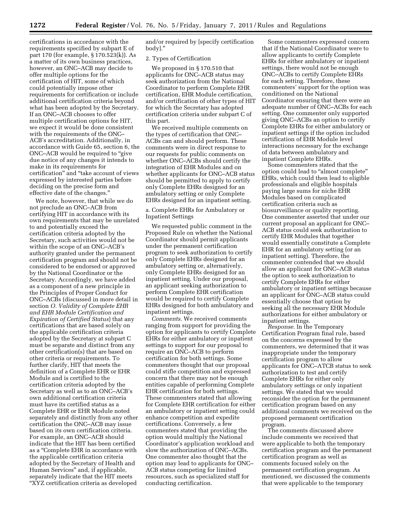certifications in accordance with the requirements specified by subpart E of part 170 (for example, § 170.523(k)). As a matter of its own business practices, however, an ONC–ACB may decide to offer multiple options for the certification of HIT, some of which could potentially impose other requirements for certification or include additional certification criteria beyond what has been adopted by the Secretary. If an ONC–ACB chooses to offer multiple certification options for HIT, we expect it would be done consistent with the requirements of the ONC– ACB's accreditation. Additionally, in accordance with Guide 65, section 6, the ONC–ACB would be required to ''give due notice of any changes it intends to make in its requirements for certification'' and ''take account of views expressed by interested parties before deciding on the precise form and effective date of the changes.''

We note, however, that while we do not preclude an ONC–ACB from certifying HIT in accordance with its own requirements that may be unrelated to and potentially exceed the certification criteria adopted by the Secretary, such activities would not be within the scope of an ONC–ACB's authority granted under the permanent certification program and should not be considered to be endorsed or approved by the National Coordinator or the Secretary. Accordingly, we have added as a component of a new principle in the Principles of Proper Conduct for ONC–ACBs (discussed in more detail in section *O. Validity of Complete EHR and EHR Module Certification and Expiration of Certified Status*) that any certifications that are based solely on the applicable certification criteria adopted by the Secretary at subpart C must be separate and distinct from any other certification(s) that are based on other criteria or requirements. To further clarify, HIT that meets the definition of a Complete EHR or EHR Module and is certified to the certification criteria adopted by the Secretary as well as to an ONC–ACB's own additional certification criteria must have its certified status as a Complete EHR or EHR Module noted separately and distinctly from any other certification the ONC–ACB may issue based on its own certification criteria. For example, an ONC–ACB should indicate that the HIT has been certified as a ''Complete EHR in accordance with the applicable certification criteria adopted by the Secretary of Health and Human Services'' and, if applicable, separately indicate that the HIT meets ''XYZ certification criteria as developed

and/or required by [specify certification body].''

#### 2. Types of Certification

We proposed in § 170.510 that applicants for ONC–ACB status may seek authorization from the National Coordinator to perform Complete EHR certification, EHR Module certification, and/or certification of other types of HIT for which the Secretary has adopted certification criteria under subpart C of this part.

We received multiple comments on the types of certification that ONC– ACBs can and should perform. These comments were in direct response to our requests for public comments on whether ONC–ACBs should certify the integration of EHR Modules and on whether applicants for ONC–ACB status should be permitted to apply to certify only Complete EHRs designed for an ambulatory setting or only Complete EHRs designed for an inpatient setting.

# a. Complete EHRs for Ambulatory or Inpatient Settings

We requested public comment in the Proposed Rule on whether the National Coordinator should permit applicants under the permanent certification program to seek authorization to certify only Complete EHRs designed for an ambulatory setting or, alternatively, only Complete EHRs designed for an inpatient setting. Under our proposal, an applicant seeking authorization to perform Complete EHR certification would be required to certify Complete EHRs designed for both ambulatory and inpatient settings.

*Comments.* We received comments ranging from support for providing the option for applicants to certify Complete EHRs for either ambulatory or inpatient settings to support for our proposal to require an ONC–ACB to perform certification for both settings. Some commenters thought that our proposal could stifle competition and expressed concern that there may not be enough entities capable of performing Complete EHR certification for both settings. These commenters stated that allowing for Complete EHR certification for either an ambulatory or inpatient setting could enhance competition and expedite certifications. Conversely, a few commenters stated that providing the option would multiply the National Coordinator's application workload and slow the authorization of ONC–ACBs. One commenter also thought that the option may lead to applicants for ONC– ACB status competing for limited resources, such as specialized staff for conducting certification.

Some commenters expressed concern that if the National Coordinator were to allow applicants to certify Complete EHRs for either ambulatory or inpatient settings, there would not be enough ONC–ACBs to certify Complete EHRs for each setting. Therefore, these commenters' support for the option was conditioned on the National Coordinator ensuring that there were an adequate number of ONC–ACBs for each setting. One commenter only supported giving ONC–ACBs an option to certify Complete EHRs for either ambulatory or inpatient settings if the option included certification of EHR Module level interactions necessary for the exchange of data between ambulatory and inpatient Complete EHRs.

Some commenters stated that the option could lead to ''almost complete'' EHRs, which could then lead to eligible professionals and eligible hospitals paying large sums for niche EHR Modules based on complicated certification criteria such as biosurveillance or quality reporting. One commenter asserted that under our current proposal an applicant for ONC– ACB status could seek authorization to certify EHR Modules that together would essentially constitute a Complete EHR for an ambulatory setting (or an inpatient setting). Therefore, the commenter contended that we should allow an applicant for ONC–ACB status the option to seek authorization to certify Complete EHRs for either ambulatory or inpatient settings because an applicant for ONC–ACB status could essentially choose that option by seeking all the necessary EHR Module authorizations for either ambulatory or inpatient settings.

*Response.* In the Temporary Certification Program final rule, based on the concerns expressed by the commenters, we determined that it was inappropriate under the temporary certification program to allow applicants for ONC–ATCB status to seek authorization to test and certify Complete EHRs for either only ambulatory settings or only inpatient settings. We stated that we would reconsider the option for the permanent certification program based on any additional comments we received on the proposed permanent certification program.

The comments discussed above include comments we received that were applicable to both the temporary certification program and the permanent certification program as well as comments focused solely on the permanent certification program. As mentioned, we discussed the comments that were applicable to the temporary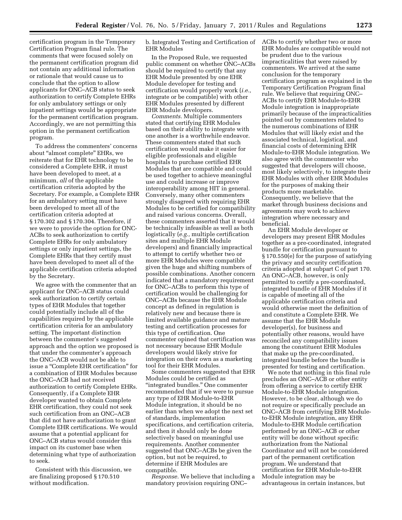certification program in the Temporary Certification Program final rule. The comments that were focused solely on the permanent certification program did not contain any additional information or rationale that would cause us to conclude that the option to allow applicants for ONC–ACB status to seek authorization to certify Complete EHRs for only ambulatory settings or only inpatient settings would be appropriate for the permanent certification program. Accordingly, we are not permitting this option in the permanent certification program.

To address the commenters' concerns about "almost complete" EHRs, we reiterate that for EHR technology to be considered a Complete EHR, it must have been developed to meet, at a minimum, *all* of the applicable certification criteria adopted by the Secretary. For example, a Complete EHR for an ambulatory setting must have been developed to meet all of the certification criteria adopted at § 170.302 and § 170.304. Therefore, if we were to provide the option for ONC-ACBs to seek authorization to certify Complete EHRs for only ambulatory settings or only inpatient settings, the Complete EHRs that they certify must have been developed to meet all of the applicable certification criteria adopted by the Secretary.

We agree with the commenter that an applicant for ONC–ACB status could seek authorization to certify certain types of EHR Modules that together could potentially include all of the capabilities required by the applicable certification criteria for an ambulatory setting. The important distinction between the commenter's suggested approach and the option we proposed is that under the commenter's approach the ONC–ACB would not be able to issue a ''Complete EHR certification'' for a combination of EHR Modules because the ONC–ACB had not received authorization to certify Complete EHRs. Consequently, if a Complete EHR developer wanted to obtain Complete EHR certification, they could not seek such certification from an ONC–ACB that did not have authorization to grant Complete EHR certifications. We would assume that a potential applicant for ONC–ACB status would consider this impact on its customer base when determining what type of authorization to seek.

Consistent with this discussion, we are finalizing proposed § 170.510 without modification.

b. Integrated Testing and Certification of EHR Modules

In the Proposed Rule, we requested public comment on whether ONC–ACBs should be required to certify that any EHR Module presented by one EHR Module developer for testing and certification would properly work (*i.e.,*  integrate or be compatible) with other EHR Modules presented by different EHR Module developers.

*Comments.* Multiple commenters stated that certifying EHR Modules based on their ability to integrate with one another is a worthwhile endeavor. These commenters stated that such certification would make it easier for eligible professionals and eligible hospitals to purchase certified EHR Modules that are compatible and could be used together to achieve meaningful use and could increase or improve interoperability among HIT in general. Conversely, many other commenters strongly disagreed with requiring EHR Modules to be certified for compatibility and raised various concerns. Overall, these commenters asserted that it would be technically infeasible as well as both logistically (*e.g.,* multiple certification sites and multiple EHR Module developers) and financially impractical to attempt to certify whether two or more EHR Modules were compatible given the huge and shifting numbers of possible combinations. Another concern indicated that a mandatory requirement for ONC–ACBs to perform this type of certification would be challenging for ONC–ACBs because the EHR Module concept as defined in regulation is relatively new and because there is limited available guidance and mature testing and certification processes for this type of certification. One commenter opined that certification was not necessary because EHR Module developers would likely strive for integration on their own as a marketing tool for their EHR Modules.

Some commenters suggested that EHR Modules could be certified as ''integrated bundles.'' One commenter recommended that if we were to pursue any type of EHR Module-to-EHR Module integration, it should be no earlier than when we adopt the next set of standards, implementation specifications, and certification criteria, and then it should only be done selectively based on meaningful use requirements. Another commenter suggested that ONC–ACBs be given the option, but not be required, to determine if EHR Modules are compatible.

*Response.* We believe that including a mandatory provision requiring ONC–

ACBs to certify whether two or more EHR Modules are compatible would not be prudent due to the various impracticalities that were raised by commenters. We arrived at the same conclusion for the temporary certification program as explained in the Temporary Certification Program final rule. We believe that requiring ONC– ACBs to certify EHR Module-to-EHR Module integration is inappropriate primarily because of the impracticalities pointed out by commenters related to the numerous combinations of EHR Modules that will likely exist and the associated technical, logistical, and financial costs of determining EHR Module-to-EHR Module integration. We also agree with the commenter who suggested that developers will choose, most likely selectively, to integrate their EHR Modules with other EHR Modules for the purposes of making their products more marketable. Consequently, we believe that the market through business decisions and agreements may work to achieve integration where necessary and beneficial.

An EHR Module developer or developers may present EHR Modules together as a pre-coordinated, integrated bundle for certification pursuant to § 170.550(e) for the purpose of satisfying the privacy and security certification criteria adopted at subpart C of part 170. An ONC–ACB, however, is only permitted to certify a pre-coordinated, integrated bundle of EHR Modules if it is capable of meeting all of the applicable certification criteria and would otherwise meet the definition of and constitute a Complete EHR. We assume that the EHR Module developer(s), for business and potentially other reasons, would have reconciled any compatibility issues among the constituent EHR Modules that make up the pre-coordinated, integrated bundle before the bundle is presented for testing and certification.

We note that nothing in this final rule precludes an ONC–ACB or other entity from offering a service to certify EHR Module-to-EHR Module integration. However, to be clear, although we do not require or specifically preclude an ONC–ACB from certifying EHR Moduleto-EHR Module integration, any EHR Module-to-EHR Module certification performed by an ONC–ACB or other entity will be done without specific authorization from the National Coordinator and will not be considered part of the permanent certification program. We understand that certification for EHR Module-to-EHR Module integration may be advantageous in certain instances, but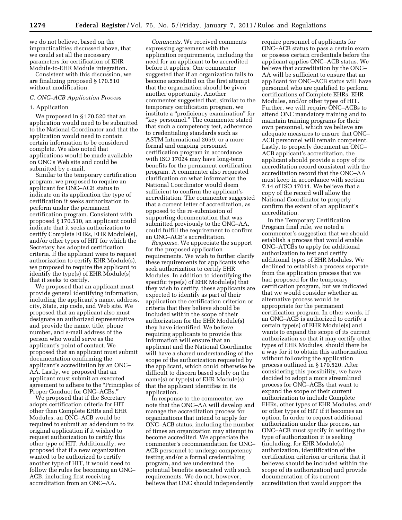we do not believe, based on the impracticalities discussed above, that we could set all the necessary parameters for certification of EHR Module-to-EHR Module integration.

Consistent with this discussion, we are finalizing proposed § 170.510 without modification.

#### *G. ONC–ACB Application Process*

# 1. Application

We proposed in § 170.520 that an application would need to be submitted to the National Coordinator and that the application would need to contain certain information to be considered complete. We also noted that applications would be made available on ONC's Web site and could be submitted by e-mail.

Similar to the temporary certification program, we proposed to require an applicant for ONC–ACB status to indicate on its application the type of certification it seeks authorization to perform under the permanent certification program. Consistent with proposed § 170.510, an applicant could indicate that it seeks authorization to certify Complete EHRs, EHR Module(s), and/or other types of HIT for which the Secretary has adopted certification criteria. If the applicant were to request authorization to certify EHR Module(s), we proposed to require the applicant to identify the type(s) of EHR Module(s) that it seeks to certify.

We proposed that an applicant must provide general identifying information, including the applicant's name, address, city, State, zip code, and Web site. We proposed that an applicant also must designate an authorized representative and provide the name, title, phone number, and e-mail address of the person who would serve as the applicant's point of contact. We proposed that an applicant must submit documentation confirming the applicant's accreditation by an ONC– AA. Lastly, we proposed that an applicant must submit an executed agreement to adhere to the ''Principles of Proper Conduct for ONC–ACBs.''

We proposed that if the Secretary adopts certification criteria for HIT other than Complete EHRs and EHR Modules, an ONC–ACB would be required to submit an addendum to its original application if it wished to request authorization to certify this other type of HIT. Additionally, we proposed that if a new organization wanted to be authorized to certify another type of HIT, it would need to follow the rules for becoming an ONC– ACB, including first receiving accreditation from an ONC–AA.

*Comments.* We received comments expressing agreement with the application requirements, including the need for an applicant to be accredited before it applies. One commenter suggested that if an organization fails to become accredited on the first attempt that the organization should be given another opportunity. Another commenter suggested that, similar to the temporary certification program, we institute a "proficiency examination" for "key personnel." The commenter stated that such a competency test, adherence to credentialing standards such as ASTM International 2659, or a more formal and ongoing personnel certification program in accordance with ISO 17024 may have long-term benefits for the permanent certification program. A commenter also requested clarification on what information the National Coordinator would deem sufficient to confirm the applicant's accreditation. The commenter suggested that a current letter of accreditation, as opposed to the re-submission of supporting documentation that was submitted previously to the ONC–AA, could fulfill the requirement to confirm an ONC–ACB's accreditation.

*Response.* We appreciate the support for the proposed application requirements. We wish to further clarify these requirements for applicants who seek authorization to certify EHR Modules. In addition to identifying the specific type(s) of EHR Module(s) that they wish to certify, these applicants are expected to identify as part of their application the certification criterion or criteria that they believe should be included within the scope of their authorization for the EHR Module(s) they have identified. We believe requiring applicants to provide this information will ensure that an applicant and the National Coordinator will have a shared understanding of the scope of the authorization requested by the applicant, which could otherwise be difficult to discern based solely on the name(s) or type(s) of EHR Module(s) that the applicant identifies in its application.

In response to the commenter, we note that the ONC–AA will develop and manage the accreditation process for organizations that intend to apply for ONC–ACB status, including the number of times an organization may attempt to become accredited. We appreciate the commenter's recommendation for ONC– ACB personnel to undergo competency testing and/or a formal credentialing program, and we understand the potential benefits associated with such requirements. We do not, however, believe that ONC should independently

require personnel of applicants for ONC–ACB status to pass a certain exam or possess certain credentials before the applicant applies ONC–ACB status. We believe that accreditation by the ONC– AA will be sufficient to ensure that an applicant for ONC–ACB status will have personnel who are qualified to perform certifications of Complete EHRs, EHR Modules, and/or other types of HIT. Further, we will require ONC–ACBs to attend ONC mandatory training and to maintain training programs for their own personnel, which we believe are adequate measures to ensure that ONC– ACB personnel will remain competent. Lastly, to properly document an ONC– ACB applicant's accreditation, the applicant should provide a copy of its accreditation record consistent with the accreditation record that the ONC–AA must keep in accordance with section 7.14 of ISO 17011. We believe that a copy of the record will allow the National Coordinator to properly confirm the extent of an applicant's accreditation.

In the Temporary Certification Program final rule, we noted a commenter's suggestion that we should establish a process that would enable ONC–ATCBs to apply for additional authorization to test and certify additional types of EHR Modules. We declined to establish a process separate from the application process that we had proposed for the temporary certification program, but we indicated that we would consider whether an alternative process would be appropriate for the permanent certification program. In other words, if an ONC–ACB is authorized to certify a certain type(s) of EHR Module(s) and wants to expand the scope of its current authorization so that it may certify other types of EHR Modules, should there be a way for it to obtain this authorization without following the application process outlined in § 170.520. After considering this possibility, we have decided to adopt a more streamlined process for ONC–ACBs that want to expand the scope of their current authorization to include Complete EHRs, other types of EHR Modules, and/ or other types of HIT if it becomes an option. In order to request additional authorization under this process, an ONC–ACB must specify in writing the type of authorization it is seeking (including, for EHR Module(s) authorization, identification of the certification criterion or criteria that it believes should be included within the scope of its authorization) and provide documentation of its current accreditation that would support the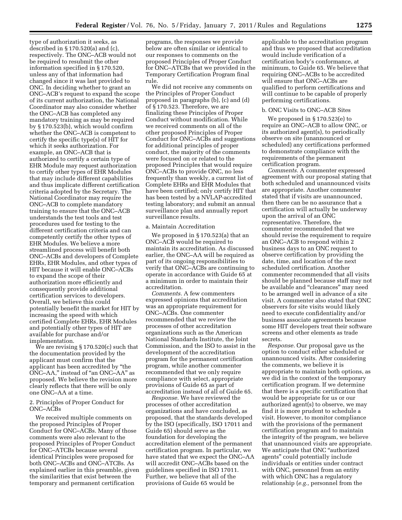type of authorization it seeks, as described in § 170.520(a) and (c), respectively. The ONC–ACB would not be required to resubmit the other information specified in § 170.520, unless any of that information had changed since it was last provided to ONC. In deciding whether to grant an ONC–ACB's request to expand the scope of its current authorization, the National Coordinator may also consider whether the ONC–ACB has completed any mandatory training as may be required by § 170.523(b), which would confirm whether the ONC–ACB is competent to certify the specific type(s) of HIT for which it seeks authorization. For example, an ONC–ACB that is authorized to certify a certain type of EHR Module may request authorization to certify other types of EHR Modules that may include different capabilities and thus implicate different certification criteria adopted by the Secretary. The National Coordinator may require the ONC–ACB to complete mandatory training to ensure that the ONC–ACB understands the test tools and test procedures used for testing to the different certification criteria and can competently certify the other types of EHR Modules. We believe a more streamlined process will benefit both ONC–ACBs and developers of Complete EHRs, EHR Modules, and other types of HIT because it will enable ONC–ACBs to expand the scope of their authorization more efficiently and consequently provide additional certification services to developers. Overall, we believe this could potentially benefit the market for HIT by increasing the speed with which certified Complete EHRs, EHR Modules and potentially other types of HIT are available for purchase and/or implementation.

We are revising § 170.520(c) such that the documentation provided by the applicant must confirm that the applicant has been accredited by ''the ONC–AA,'' instead of ''an ONC–AA'' as proposed. We believe the revision more clearly reflects that there will be only one ONC–AA at a time.

#### 2. Principles of Proper Conduct for ONC–ACBs

We received multiple comments on the proposed Principles of Proper Conduct for ONC–ACBs. Many of those comments were also relevant to the proposed Principles of Proper Conduct for ONC–ATCBs because several identical Principles were proposed for both ONC–ACBs and ONC–ATCBs. As explained earlier in this preamble, given the similarities that exist between the temporary and permanent certification

programs, the responses we provide below are often similar or identical to our responses to comments on the proposed Principles of Proper Conduct for ONC–ATCBs that we provided in the Temporary Certification Program final rule.

We did not receive any comments on the Principles of Proper Conduct proposed in paragraphs (b), (c) and (d) of § 170.523. Therefore, we are finalizing these Principles of Proper Conduct without modification. While we received comments on all of the other proposed Principles of Proper Conduct for ONC–ACBs and suggestions for additional principles of proper conduct, the majority of the comments were focused on or related to the proposed Principles that would require ONC–ACBs to provide ONC, no less frequently than weekly, a current list of Complete EHRs and EHR Modules that have been certified; only certify HIT that has been tested by a NVLAP-accredited testing laboratory; and submit an annual surveillance plan and annually report surveillance results.

#### a. Maintain Accreditation

We proposed in § 170.523(a) that an ONC–ACB would be required to maintain its accreditation. As discussed earlier, the ONC–AA will be required as part of its ongoing responsibilities to verify that ONC–ACBs are continuing to operate in accordance with Guide 65 at a minimum in order to maintain their accreditation.

*Comments.* A few commenters expressed opinions that accreditation was an appropriate requirement for ONC–ACBs. One commenter recommended that we review the processes of other accreditation organizations such as the American National Standards Institute, the Joint Commission, and the ISO to assist in the development of the accreditation program for the permanent certification program, while another commenter recommended that we only require compliance with select, appropriate provisions of Guide 65 as part of accreditation instead of all of Guide 65.

*Response.* We have reviewed the processes of other accreditation organizations and have concluded, as proposed, that the standards developed by the ISO (specifically, ISO 17011 and Guide 65) should serve as the foundation for developing the accreditation element of the permanent certification program. In particular, we have stated that we expect the ONC–AA will accredit ONC–ACBs based on the guidelines specified in ISO 17011. Further, we believe that all of the provisions of Guide 65 would be

applicable to the accreditation program and thus we proposed that accreditation would include verification of a certification body's conformance, at minimum, to Guide 65. We believe that requiring ONC–ACBs to be accredited will ensure that ONC–ACBs are qualified to perform certifications and will continue to be capable of properly performing certifications.

#### b. ONC Visits to ONC–ACB Sites

We proposed in § 170.523(e) to require an ONC–ACB to allow ONC, or its authorized agent(s), to periodically observe on site (unannounced or scheduled) any certifications performed to demonstrate compliance with the requirements of the permanent certification program.

*Comments.* A commenter expressed agreement with our proposal stating that both scheduled and unannounced visits are appropriate. Another commenter stated that if visits are unannounced, then there can be no assurance that a certification will actually be underway upon the arrival of an ONC representative. Therefore, the commenter recommended that we should revise the requirement to require an ONC–ACB to respond within 2 business days to an ONC request to observe certification by providing the date, time, and location of the next scheduled certification. Another commenter recommended that all visits should be planned because staff may not be available and ''clearances'' may need to be arranged well in advance of a site visit. A commenter also stated that ONC observers for site visits would likely need to execute confidentiality and/or business associate agreements because some HIT developers treat their software screens and other elements as trade secrets.

*Response.* Our proposal gave us the option to conduct either scheduled or unannounced visits. After considering the comments, we believe it is appropriate to maintain both options, as we did in the context of the temporary certification program. If we determine that there is a specific certification that would be appropriate for us or our authorized agent(s) to observe, we may find it is more prudent to schedule a visit. However, to monitor compliance with the provisions of the permanent certification program and to maintain the integrity of the program, we believe that unannounced visits are appropriate. We anticipate that ONC ''authorized agents'' could potentially include individuals or entities under contract with ONC, personnel from an entity with which ONC has a regulatory relationship (*e.g.,* personnel from the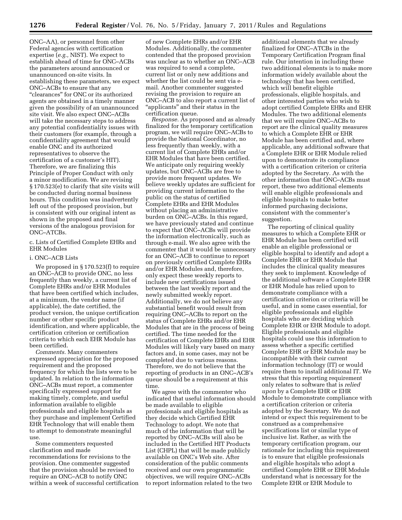ONC–AA), or personnel from other Federal agencies with certification expertise (*e.g.,* NIST). We expect to establish ahead of time for ONC–ACBs the parameters around announced or unannounced on-site visits. In establishing these parameters, we expect ONC–ACBs to ensure that any "clearances" for ONC or its authorized agents are obtained in a timely manner given the possibility of an unannounced site visit. We also expect ONC–ACBs will take the necessary steps to address any potential confidentiality issues with their customers (for example, through a confidentiality agreement that would enable ONC and its authorized representatives to observe the certification of a customer's HIT). Therefore, we are finalizing this Principle of Proper Conduct with only a minor modification. We are revising § 170.523(e) to clarify that site visits will be conducted during normal business hours. This condition was inadvertently left out of the proposed provision, but is consistent with our original intent as shown in the proposed and final versions of the analogous provision for ONC–ATCBs.

c. Lists of Certified Complete EHRs and EHR Modules

#### i. ONC–ACB Lists

We proposed in § 170.523(f) to require an ONC–ACB to provide ONC, no less frequently than weekly, a current list of Complete EHRs and/or EHR Modules that have been certified which includes, at a minimum, the vendor name (if applicable), the date certified, the product version, the unique certification number or other specific product identification, and where applicable, the certification criterion or certification criteria to which each EHR Module has been certified.

*Comments.* Many commenters expressed appreciation for the proposed requirement and the proposed frequency for which the lists were to be updated. In relation to the information ONC–ACBs must report, a commenter specifically expressed support for making timely, complete, and useful information available to eligible professionals and eligible hospitals as they purchase and implement Certified EHR Technology that will enable them to attempt to demonstrate meaningful use.

Some commenters requested clarification and made recommendations for revisions to the provision. One commenter suggested that the provision should be revised to require an ONC–ACB to notify ONC within a week of successful certification

of new Complete EHRs and/or EHR Modules. Additionally, the commenter contended that the proposed provision was unclear as to whether an ONC–ACB was required to send a complete, current list or only new additions and whether the list could be sent via email. Another commenter suggested revising the provision to require an ONC–ACB to also report a current list of "applicants" and their status in the certification queue.

*Response.* As proposed and as already finalized for the temporary certification program, we will require ONC–ACBs to provide the National Coordinator, no less frequently than weekly, with a current list of Complete EHRs and/or EHR Modules that have been certified. We anticipate only requiring weekly updates, but ONC–ACBs are free to provide more frequent updates. We believe weekly updates are sufficient for providing current information to the public on the status of certified Complete EHRs and EHR Modules without placing an administrative burden on ONC–ACBs. In this regard, we have previously stated and continue to expect that ONC–ACBs will provide the information electronically, such as through e-mail. We also agree with the commenter that it would be unnecessary for an ONC–ACB to continue to report on previously certified Complete EHRs and/or EHR Modules and, therefore, only expect these weekly reports to include new certifications issued between the last weekly report and the newly submitted weekly report. Additionally, we do not believe any substantial benefit would result from requiring ONC–ACBs to report on the status of Complete EHRs and/or EHR Modules that are in the process of being certified. The time needed for the certification of Complete EHRs and EHR Modules will likely vary based on many factors and, in some cases, may not be completed due to various reasons. Therefore, we do not believe that the reporting of products in an ONC–ACB's queue should be a requirement at this time.

We agree with the commenter who indicated that useful information should be made available to eligible professionals and eligible hospitals as they decide which Certified EHR Technology to adopt. We note that much of the information that will be reported by ONC–ACBs will also be included in the Certified HIT Products List (CHPL) that will be made publicly available on ONC's Web site. After consideration of the public comments received and our own programmatic objectives, we will require ONC–ACBs to report information related to the two

additional elements that we already finalized for ONC–ATCBs in the Temporary Certification Program final rule. Our intention in including these two additional elements is to make more information widely available about the technology that has been certified, which will benefit eligible professionals, eligible hospitals, and other interested parties who wish to adopt certified Complete EHRs and EHR Modules. The two additional elements that we will require ONC–ACBs to report are the clinical quality measures to which a Complete EHR or EHR Module has been certified and, where applicable, any additional software that a Complete EHR or EHR Module relied upon to demonstrate its compliance with a certification criterion or criteria adopted by the Secretary. As with the other information that ONC–ACBs must report, these two additional elements will enable eligible professionals and eligible hospitals to make better informed purchasing decisions, consistent with the commenter's suggestion.

The reporting of clinical quality measures to which a Complete EHR or EHR Module has been certified will enable an eligible professional or eligible hospital to identify and adopt a Complete EHR or EHR Module that includes the clinical quality measures they seek to implement. Knowledge of the additional software a Complete EHR or EHR Module has relied upon to demonstrate compliance with a certification criterion or criteria will be useful, and in some cases essential, for eligible professionals and eligible hospitals who are deciding which Complete EHR or EHR Module to adopt. Eligible professionals and eligible hospitals could use this information to assess whether a specific certified Complete EHR or EHR Module may be incompatible with their current information technology (IT) or would require them to install additional IT. We stress that this reporting requirement only relates to software that is *relied upon* by a Complete EHR or EHR Module to demonstrate compliance with a certification criterion or criteria adopted by the Secretary. We do not intend or expect this requirement to be construed as a comprehensive specifications list or similar type of inclusive list. Rather, as with the temporary certification program, our rationale for including this requirement is to ensure that eligible professionals and eligible hospitals who adopt a certified Complete EHR or EHR Module understand what is necessary for the Complete EHR or EHR Module to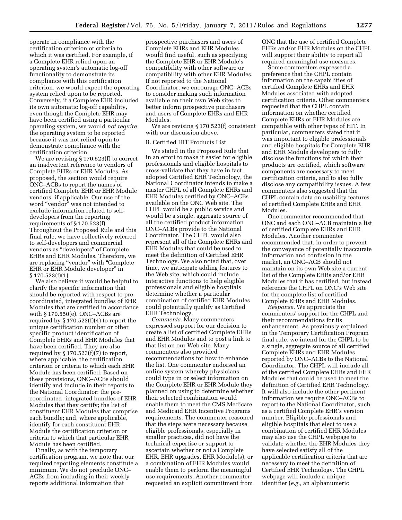operate in compliance with the certification criterion or criteria to which it was certified. For example, if a Complete EHR relied upon an operating system's automatic log-off functionality to demonstrate its compliance with this certification criterion, we would expect the operating system relied upon to be reported. Conversely, if a Complete EHR included its own automatic log-off capability, even though the Complete EHR may have been certified using a particular operating system, we would *not require*  the operating system to be reported because it was not relied upon to demonstrate compliance with the certification criterion.

We are revising § 170.523(f) to correct an inadvertent reference to vendors of Complete EHRs or EHR Modules. As proposed, the section would require ONC–ACBs to report the names of certified Complete EHR or EHR Module vendors, if applicable. Our use of the word "vendor" was not intended to exclude information related to selfdevelopers from the reporting requirements of § 170.523(f). Throughout the Proposed Rule and this final rule, we have collectively referred to self-developers and commercial vendors as ''developers'' of Complete EHRs and EHR Modules. Therefore, we are replacing ''vendor'' with ''Complete EHR or EHR Module developer'' in § 170.523(f)(1).

We also believe it would be helpful to clarify the specific information that should be reported with respect to precoordinated, integrated bundles of EHR Modules that are certified in accordance with § 170.550(e). ONC–ACBs are required by  $\S 170.523(f)(4)$  to report the unique certification number or other specific product identification of Complete EHRs and EHR Modules that have been certified. They are also required by  $\S 170.523(f)(7)$  to report, where applicable, the certification criterion or criteria to which each EHR Module has been certified. Based on these provisions, ONC–ACBs should identify and include in their reports to the National Coordinator: the precoordinated, integrated bundles of EHR Modules that they certify; the list of constituent EHR Modules that comprise each bundle; and, where applicable, identify for each constituent EHR Module the certification criterion or criteria to which that particular EHR Module has been certified.

Finally, as with the temporary certification program, we note that our required reporting elements constitute a minimum. We do not preclude ONC– ACBs from including in their weekly reports additional information that

prospective purchasers and users of Complete EHRs and EHR Modules would find useful, such as specifying the Complete EHR or EHR Module's compatibility with other software or compatibility with other EHR Modules. If not reported to the National Coordinator, we encourage ONC–ACBs to consider making such information available on their own Web sites to better inform prospective purchasers and users of Complete EHRs and EHR Modules.

We are revising § 170.523(f) consistent with our discussion above.

### ii. Certified HIT Products List

We stated in the Proposed Rule that in an effort to make it easier for eligible professionals and eligible hospitals to cross-validate that they have in fact adopted Certified EHR Technology, the National Coordinator intends to make a master CHPL of all Complete EHRs and EHR Modules certified by ONC–ACBs available on the ONC Web site. The CHPL would be a public service and would be a single, aggregate source of all the certified product information ONC–ACBs provide to the National Coordinator. The CHPL would also represent all of the Complete EHRs and EHR Modules that could be used to meet the definition of Certified EHR Technology. We also noted that, over time, we anticipate adding features to the Web site, which could include interactive functions to help eligible professionals and eligible hospitals determine whether a particular combination of certified EHR Modules could potentially qualify as Certified EHR Technology.

*Comments.* Many commenters expressed support for our decision to create a list of certified Complete EHRs and EHR Modules and to post a link to that list on our Web site. Many commenters also provided recommendations for how to enhance the list. One commenter endorsed an online system whereby physicians could type in or select information on the Complete EHR or EHR Module they planned on using to determine whether their selected combination would enable them to meet the CMS Medicare and Medicaid EHR Incentive Programs requirements. The commenter reasoned that the steps were necessary because eligible professionals, especially in smaller practices, did not have the technical expertise or support to ascertain whether or not a Complete EHR, EHR upgrades, EHR Module(s), or a combination of EHR Modules would enable them to perform the meaningful use requirements. Another commenter requested an explicit commitment from

ONC that the use of certified Complete EHRs and/or EHR Modules on the CHPL will support their ability to report all required meaningful use measures.

Some commenters expressed a preference that the CHPL contain information on the capabilities of certified Complete EHRs and EHR Modules associated with adopted certification criteria. Other commenters requested that the CHPL contain information on whether certified Complete EHRs or EHR Modules are compatible with other types of HIT. In particular, commenters stated that it was important to eligible professionals and eligible hospitals for Complete EHR and EHR Module developers to fully disclose the functions for which their products are certified, which software components are necessary to meet certification criteria, and to also fully disclose any compatibility issues. A few commenters also suggested that the CHPL contain data on usability features of certified Complete EHRs and EHR Modules.

One commenter recommended that ONC and each ONC–ACB maintain a list of certified Complete EHRs and EHR Modules. Another commenter recommended that, in order to prevent the conveyance of potentially inaccurate information and confusion in the market, an ONC–ACB should not maintain on its own Web site a current list of the Complete EHRs and/or EHR Modules that it has certified, but instead reference the CHPL on ONC's Web site for the complete list of certified Complete EHRs and EHR Modules.

*Response.* We appreciate the commenters' support for the CHPL and their recommendations for its enhancement. As previously explained in the Temporary Certification Program final rule, we intend for the CHPL to be a single, aggregate source of all certified Complete EHRs and EHR Modules reported by ONC–ACBs to the National Coordinator. The CHPL will include all of the certified Complete EHRs and EHR Modules that could be used to meet the definition of Certified EHR Technology. It will also include the other pertinent information we require ONC–ACBs to report to the National Coordinator, such as a certified Complete EHR's version number. Eligible professionals and eligible hospitals that elect to use a combination of certified EHR Modules may also use the CHPL webpage to validate whether the EHR Modules they have selected satisfy all of the applicable certification criteria that are necessary to meet the definition of Certified EHR Technology. The CHPL webpage will include a unique identifier (*e.g.,* an alphanumeric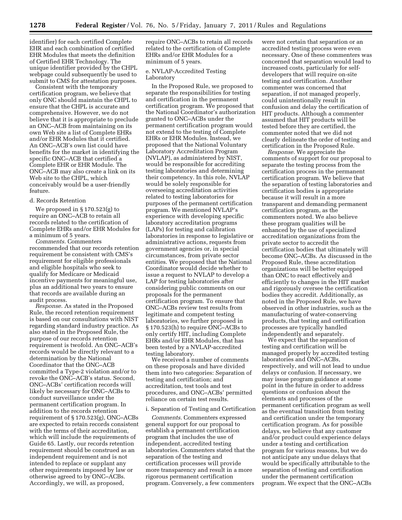identifier) for each certified Complete EHR and each combination of certified EHR Modules that meets the definition of Certified EHR Technology. The unique identifier provided by the CHPL webpage could subsequently be used to submit to CMS for attestation purposes.

Consistent with the temporary certification program, we believe that only ONC should maintain the CHPL to ensure that the CHPL is accurate and comprehensive. However, we do not believe that it is appropriate to preclude an ONC–ACB from maintaining on its own Web site a list of Complete EHRs and/or EHR Modules that it certified. An ONC–ACB's own list could have benefits for the market in identifying the specific ONC–ACB that certified a Complete EHR or EHR Module. The ONC–ACB may also create a link on its Web site to the CHPL, which conceivably would be a user-friendly feature.

#### d. Records Retention

We proposed in § 170.523(g) to require an ONC–ACB to retain all records related to the certification of Complete EHRs and/or EHR Modules for a minimum of 5 years.

*Comments.* Commenters recommended that our records retention requirement be consistent with CMS's requirement for eligible professionals and eligible hospitals who seek to qualify for Medicare or Medicaid incentive payments for meaningful use, plus an additional two years to ensure that records are available during an audit process.

*Response.* As stated in the Proposed Rule, the record retention requirement is based on our consultations with NIST regarding standard industry practice. As also stated in the Proposed Rule, the purpose of our records retention requirement is twofold. An ONC–ACB's records would be directly relevant to a determination by the National Coordinator that the ONC–ACB committed a Type-2 violation and/or to revoke the ONC–ACB's status. Second, ONC–ACBs' certification records will likely be necessary for ONC–ACBs to conduct surveillance under the permanent certification program. In addition to the records retention requirement of § 170.523(g), ONC–ACBs are expected to retain records consistent with the terms of their accreditation, which will include the requirements of Guide 65. Lastly, our records retention requirement should be construed as an independent requirement and is not intended to replace or supplant any other requirements imposed by law or otherwise agreed to by ONC–ACBs. Accordingly, we will, as proposed,

require ONC–ACBs to retain all records related to the certification of Complete EHRs and/or EHR Modules for a minimum of 5 years.

e. NVLAP-Accredited Testing Laboratory

In the Proposed Rule, we proposed to separate the responsibilities for testing and certification in the permanent certification program. We proposed that the National Coordinator's authorization granted to ONC–ACBs under the permanent certification program would not extend to the testing of Complete EHRs or EHR Modules. Instead, we proposed that the National Voluntary Laboratory Accreditation Program (NVLAP), as administered by NIST, would be responsible for accrediting testing laboratories and determining their competency. In this role, NVLAP would be solely responsible for overseeing accreditation activities related to testing laboratories for purposes of the permanent certification program. We mentioned NVLAP's experience with developing specific laboratory accreditation programs (LAPs) for testing and calibration laboratories in response to legislative or administrative actions, requests from government agencies or, in special circumstances, from private sector entities. We proposed that the National Coordinator would decide whether to issue a request to NVLAP to develop a LAP for testing laboratories after considering public comments on our proposals for the permanent certification program. To ensure that ONC–ACBs review test results from legitimate and competent testing laboratories, we further proposed in § 170.523(h) to require ONC–ACBs to only certify HIT, including Complete EHRs and/or EHR Modules, that has been tested by a NVLAP-accredited testing laboratory.

We received a number of comments on these proposals and have divided them into two categories: Separation of testing and certification; and accreditation, test tools and test procedures, and ONC–ACBs' permitted reliance on certain test results.

#### i. Separation of Testing and Certification

*Comments.* Commenters expressed general support for our proposal to establish a permanent certification program that includes the use of independent, accredited testing laboratories. Commenters stated that the separation of the testing and certification processes will provide more transparency and result in a more rigorous permanent certification program. Conversely, a few commenters

were not certain that separation or an accredited testing process were even necessary. One of these commenters was concerned that separation would lead to increased costs, particularly for selfdevelopers that will require on-site testing and certification. Another commenter was concerned that separation, if not managed properly, could unintentionally result in confusion and delay the certification of HIT products. Although a commenter assumed that HIT products will be tested before they are certified, the commenter noted that we did not clearly delineate the order of testing and certification in the Proposed Rule.

*Response.* We appreciate the comments of support for our proposal to separate the testing process from the certification process in the permanent certification program. We believe that the separation of testing laboratories and certification bodies is appropriate because it will result in a more transparent and demanding permanent certification program, as the commenters noted. We also believe these program qualities will be enhanced by the use of specialized accreditation organizations from the private sector to accredit the certification bodies that ultimately will become ONC–ACBs. As discussed in the Proposed Rule, these accreditation organizations will be better equipped than ONC to react effectively and efficiently to changes in the HIT market and rigorously oversee the certification bodies they accredit. Additionally, as noted in the Proposed Rule, we have observed in other industries, such as the manufacturing of water-conserving products, that testing and certification processes are typically handled independently and separately.

We expect that the separation of testing and certification will be managed properly by accredited testing laboratories and ONC–ACBs, respectively, and will not lead to undue delays or confusion. If necessary, we may issue program guidance at some point in the future in order to address questions or confusion about the elements and processes of the permanent certification program as well as the eventual transition from testing and certification under the temporary certification program. As for possible delays, we believe that any customer and/or product could experience delays under a testing and certification program for various reasons, but we do not anticipate any undue delays that would be specifically attributable to the separation of testing and certification under the permanent certification program. We expect that the ONC–ACBs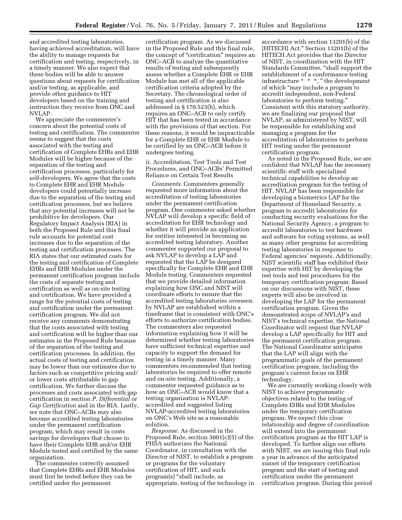and accredited testing laboratories, having achieved accreditation, will have the ability to manage requests for certification and testing, respectively, in a timely manner. We also expect that these bodies will be able to answer questions about requests for certification and/or testing, as applicable, and provide other guidance to HIT developers based on the training and instruction they receive from ONC and NVLAP.

We appreciate the commenter's concern about the potential costs of testing and certification. The commenter seems to suggest that the costs associated with the testing and certification of Complete EHRs and EHR Modules will be higher because of the separation of the testing and certification processes, particularly for self-developers. We agree that the costs to Complete EHR and EHR Module developers could potentially increase due to the separation of the testing and certification processes, but we believe that any potential increases will not be prohibitive for developers. Our Regulatory Impact Analysis (RIA) in both the Proposed Rule and this final rule accounts for potential cost increases due to the separation of the testing and certification processes. The RIA states that our estimated costs for the testing and certification of Complete EHRs and EHR Modules under the permanent certification program include the costs of separate testing and certification as well as on-site testing and certification. We have provided a range for the potential costs of testing and certification under the permanent certification program. We did not receive any comments demonstrating that the costs associated with testing and certification will be higher than our estimates in the Proposed Rule because of the separation of the testing and certification processes. In addition, the actual costs of testing and certification may be lower than our estimates due to factors such as competitive pricing and/ or lower costs attributable to gap certification. We further discuss the processes and costs associated with gap certification in section *P. Differential or Gap Certification* and in the RIA. Lastly, we note that ONC–ACBs may also become accredited testing laboratories under the permanent certification program, which may result in costs savings for developers that choose to have their Complete EHR and/or EHR Module tested and certified by the same organization.

The commenter correctly assumed that Complete EHRs and EHR Modules must first be tested before they can be certified under the permanent

certification program. As we discussed in the Proposed Rule and this final rule, the concept of ''certification'' requires an ONC–ACB to analyze the quantitative results of testing and subsequently assess whether a Complete EHR or EHR Module has met all of the applicable certification criteria adopted by the Secretary. The chronological order of testing and certification is also addressed in § 170.523(h), which requires an ONC–ACB to only certify HIT that has been tested in accordance with the provisions of that section. For these reasons, it would be impracticable for a Complete EHR or EHR Module to be certified by an ONC–ACB before it undergoes testing.

ii. Accreditation, Test Tools and Test Procedures, and ONC–ACBs' Permitted Reliance on Certain Test Results

*Comments.* Commenters generally requested more information about the accreditation of testing laboratories under the permanent certification program. One commenter asked whether NVLAP will develop a specific field of accreditation for EHR technology and whether it will provide an application for entities interested in becoming an accredited testing laboratory. Another commenter supported our proposal to ask NVLAP to develop a LAP and requested that the LAP be designed specifically for Complete EHR and EHR Module testing. Commenters requested that we provide detailed information explaining how ONC and NIST will coordinate efforts to ensure that the accredited testing laboratories overseen by NVLAP are established within a timeframe that is consistent with ONC's efforts to authorize certification bodies. The commenters also requested information explaining how it will be determined whether testing laboratories have sufficient technical expertise and capacity to support the demand for testing in a timely manner. Many commenters recommended that testing laboratories be required to offer remote and on-site testing. Additionally, a commenter requested guidance as to how an ONC–ACB would know that a testing organization is NVLAPaccredited and suggested listing NVLAP-accredited testing laboratories on ONC's Web site as a reasonable solution.

*Response.* As discussed in the Proposed Rule, section 3001(c)(5) of the PHSA authorizes the National Coordinator, in consultation with the Director of NIST, to establish a program or programs for the voluntary certification of HIT, and such program(s) "shall include, as appropriate, testing of the technology in

accordance with section 13201(b) of the [HITECH] Act.'' Section 13201(b) of the HITECH Act provides that the Director of NIST, in coordination with the HIT Standards Committee, ''shall support the establishment of a conformance testing infrastructure \* \* \*, '' the development of which ''may include a program to accredit independent, non-Federal laboratories to perform testing.'' Consistent with this statutory authority, we are finalizing our proposal that NVLAP, as administered by NIST, will be responsible for establishing and managing a program for the accreditation of laboratories to perform HIT testing under the permanent certification program.

As noted in the Proposed Rule, we are confident that NVLAP has the necessary scientific staff with specialized technical capabilities to develop an accreditation program for the testing of HIT. NVLAP has been responsible for developing a biometrics LAP for the Department of Homeland Security, a program to accredit laboratories for conducting security evaluations for the National Security Agency, a program to accredit laboratories to test hardware and software for voting systems, as well as many other programs for accrediting testing laboratories in response to Federal agencies' requests. Additionally, NIST scientific staff has exhibited their expertise with HIT by developing the test tools and test procedures for the temporary certification program. Based on our discussions with NIST, these experts will also be involved in developing the LAP for the permanent certification program. Given the demonstrated scope of NVLAP's and NIST's technical expertise, the National Coordinator will request that NVLAP develop a LAP specifically for HIT and the permanent certification program. The National Coordinator anticipates that the LAP will align with the programmatic goals of the permanent certification program, including the program's current focus on EHR technology.

We are currently working closely with NIST to achieve programmatic objectives related to the testing of Complete EHRs and EHR Modules under the temporary certification program. We expect this close relationship and degree of coordination will extend into the permanent certification program as the HIT LAP is developed. To further align our efforts with NIST, we are issuing this final rule a year in advance of the anticipated sunset of the temporary certification program and the start of testing and certification under the permanent certification program. During this period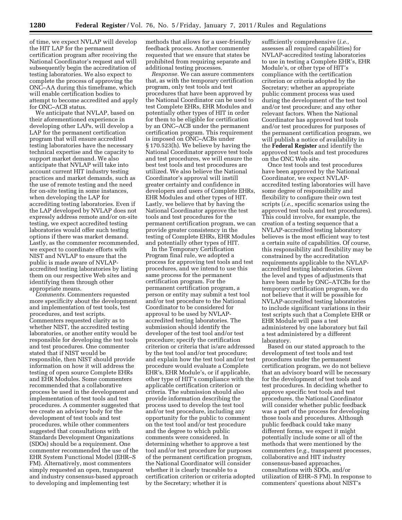of time, we expect NVLAP will develop the HIT LAP for the permanent certification program after receiving the National Coordinator's request and will subsequently begin the accreditation of testing laboratories. We also expect to complete the process of approving the ONC–AA during this timeframe, which will enable certification bodies to attempt to become accredited and apply for ONC–ACB status.

We anticipate that NVLAP, based on their aforementioned experience in developing other LAPs, will develop a LAP for the permanent certification program that will ensure accredited testing laboratories have the necessary technical expertise and the capacity to support market demand. We also anticipate that NVLAP will take into account current HIT industry testing practices and market demands, such as the use of remote testing and the need for on-site testing in some instances, when developing the LAP for accrediting testing laboratories. Even if the LAP developed by NVLAP does not expressly address remote and/or on-site testing, we expect accredited testing laboratories would offer such testing options if there was market demand. Lastly, as the commenter recommended, we expect to coordinate efforts with NIST and NVLAP to ensure that the public is made aware of NVLAPaccredited testing laboratories by listing them on our respective Web sites and identifying them through other appropriate means.

*Comments.* Commenters requested more specificity about the development and implementation of test tools, test procedures, and test scripts. Commenters requested clarity as to whether NIST, the accredited testing laboratories, or another entity would be responsible for developing the test tools and test procedures. One commenter stated that if NIST would be responsible, then NIST should provide information on how it will address the testing of open source Complete EHRs and EHR Modules. Some commenters recommended that a collaborative process be used in the development and implementation of test tools and test procedures. A commenter suggested that we create an advisory body for the development of test tools and test procedures, while other commenters suggested that consultations with Standards Development Organizations (SDOs) should be a requirement. One commenter recommended the use of the EHR System Functional Model (EHR–S FM). Alternatively, most commenters simply requested an open, transparent and industry consensus-based approach to developing and implementing test

methods that allows for a user-friendly feedback process. Another commenter requested that we ensure that states be prohibited from requiring separate and additional testing processes.

*Response.* We can assure commenters that, as with the temporary certification program, only test tools and test procedures that have been approved by the National Coordinator can be used to test Complete EHRs, EHR Modules and potentially other types of HIT in order for them to be eligible for certification by an ONC–ACB under the permanent certification program. This requirement is imposed on ONC–ACBs under § 170.523(h). We believe by having the National Coordinator approve test tools and test procedures, we will ensure the best test tools and test procedures are utilized. We also believe the National Coordinator's approval will instill greater certainty and confidence in developers and users of Complete EHRs, EHR Modules and other types of HIT. Lastly, we believe that by having the National Coordinator approve the test tools and test procedures for the permanent certification program, we can provide greater consistency in the testing of Complete EHRs, EHR Modules and potentially other types of HIT.

In the Temporary Certification Program final rule, we adopted a process for approving test tools and test procedures, and we intend to use this same process for the permanent certification program. For the permanent certification program, a person or entity may submit a test tool and/or test procedure to the National Coordinator to be considered for approval to be used by NVLAPaccredited testing laboratories. The submission should identify the developer of the test tool and/or test procedure; specify the certification criterion or criteria that is/are addressed by the test tool and/or test procedure; and explain how the test tool and/or test procedure would evaluate a Complete EHR's, EHR Module's, or if applicable, other type of HIT's compliance with the applicable certification criterion or criteria. The submission should also provide information describing the process used to develop the test tool and/or test procedure, including any opportunity for the public to comment on the test tool and/or test procedure and the degree to which public comments were considered. In determining whether to approve a test tool and/or test procedure for purposes of the permanent certification program, the National Coordinator will consider whether it is clearly traceable to a certification criterion or criteria adopted by the Secretary; whether it is

sufficiently comprehensive (*i.e.,*  assesses all required capabilities) for NVLAP-accredited testing laboratories to use in testing a Complete EHR's, EHR Module's, or other type of HIT's compliance with the certification criterion or criteria adopted by the Secretary; whether an appropriate public comment process was used during the development of the test tool and/or test procedure; and any other relevant factors. When the National Coordinator has approved test tools and/or test procedures for purposes of the permanent certification program, we will publish a notice of availability in the **Federal Register** and identify the approved test tools and test procedures on the ONC Web site.

Once test tools and test procedures have been approved by the National Coordinator, we expect NVLAPaccredited testing laboratories will have some degree of responsibility and flexibility to configure their own test scripts (*i.e.,* specific scenarios using the approved test tools and test procedures). This could involve, for example, the creation of a testing sequence that a NVLAP-accredited testing laboratory believes is the most efficient way to test a certain suite of capabilities. Of course, this responsibility and flexibility may be constrained by the accreditation requirements applicable to the NVLAPaccredited testing laboratories. Given the level and types of adjustments that have been made by ONC–ATCBs for the temporary certification program, we do not believe that it will be possible for NVLAP-accredited testing laboratories to include significant variations in their test scripts such that a Complete EHR or EHR Module will pass a test administered by one laboratory but fail a test administered by a different laboratory.

Based on our stated approach to the development of test tools and test procedures under the permanent certification program, we do not believe that an advisory board will be necessary for the development of test tools and test procedures. In deciding whether to approve specific test tools and test procedures, the National Coordinator will consider whether public feedback was a part of the process for developing those tools and procedures. Although public feedback could take many different forms, we expect it might potentially include some or all of the methods that were mentioned by the commenters (*e.g.,* transparent processes, collaborative and HIT industry consensus-based approaches, consultations with SDOs, and/or utilization of EHR–S FM). In response to commenters' questions about NIST's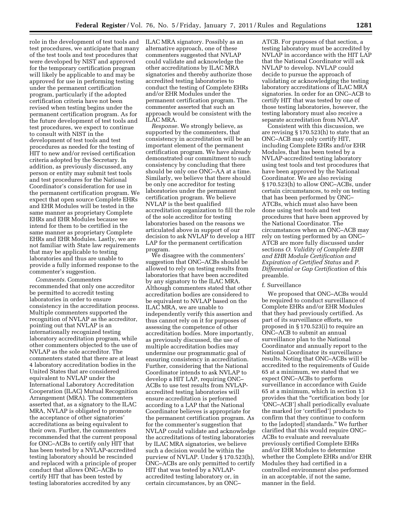role in the development of test tools and test procedures, we anticipate that many of the test tools and test procedures that were developed by NIST and approved for the temporary certification program will likely be applicable to and may be approved for use in performing testing under the permanent certification program, particularly if the adopted certification criteria have not been revised when testing begins under the permanent certification program. As for the future development of test tools and test procedures, we expect to continue to consult with NIST in the development of test tools and test procedures as needed for the testing of HIT to new and/or revised certification criteria adopted by the Secretary. In addition, as previously discussed, any person or entity may submit test tools and test procedures for the National Coordinator's consideration for use in the permanent certification program. We expect that open source Complete EHRs and EHR Modules will be tested in the same manner as proprietary Complete EHRs and EHR Modules because we intend for them to be certified in the same manner as proprietary Complete EHRs and EHR Modules. Lastly, we are not familiar with State law requirements that may be applicable to testing laboratories and thus are unable to provide a fully informed response to the commenter's suggestion.

*Comments.* Commenters recommended that only one accreditor be permitted to accredit testing laboratories in order to ensure consistency in the accreditation process. Multiple commenters supported the recognition of NVLAP as the accreditor, pointing out that NVLAP is an internationally recognized testing laboratory accreditation program, while other commenters objected to the use of NVLAP as the sole accreditor. The commenters stated that there are at least 4 laboratory accreditation bodies in the United States that are considered equivalent to NVLAP under the International Laboratory Accreditation Cooperation (ILAC) Mutual Recognition Arrangement (MRA). The commenters asserted that, as a signatory to the ILAC MRA, NVLAP is obligated to promote the acceptance of other signatories' accreditations as being equivalent to their own. Further, the commenters recommended that the current proposal for ONC–ACBs to certify only HIT that has been tested by a NVLAP-accredited testing laboratory should be rescinded and replaced with a principle of proper conduct that allows ONC–ACBs to certify HIT that has been tested by testing laboratories accredited by any

ILAC MRA signatory. Possibly as an alternative approach, one of these commenters suggested that NVLAP could validate and acknowledge the other accreditations by ILAC MRA signatories and thereby authorize those accredited testing laboratories to conduct the testing of Complete EHRs and/or EHR Modules under the permanent certification program. The commenter asserted that such an approach would be consistent with the ILAC MRA.

*Response.* We strongly believe, as supported by the commenters, that consistency in accreditation will be an important element of the permanent certification program. We have already demonstrated our commitment to such consistency by concluding that there should be only one ONC–AA at a time. Similarly, we believe that there should be only one accreditor for testing laboratories under the permanent certification program. We believe NVLAP is the best qualified accreditation organization to fill the role of the sole accreditor for testing laboratories based on the reasons we articulated above in support of our decision to ask NVLAP to develop a HIT LAP for the permanent certification program.

We disagree with the commenters' suggestion that ONC–ACBs should be allowed to rely on testing results from laboratories that have been accredited by any signatory to the ILAC MRA. Although commenters stated that other accreditation bodies are considered to be equivalent to NVLAP based on the ILAC MRA, we are unable to independently verify this assertion and thus cannot rely on it for purposes of assessing the competence of other accreditation bodies. More importantly, as previously discussed, the use of multiple accreditation bodies may undermine our programmatic goal of ensuring consistency in accreditation. Further, considering that the National Coordinator intends to ask NVLAP to develop a HIT LAP, requiring ONC– ACBs to use test results from NVLAPaccredited testing laboratories will ensure accreditation is performed according to a LAP that the National Coordinator believes is appropriate for the permanent certification program. As for the commenter's suggestion that NVLAP could validate and acknowledge the accreditations of testing laboratories by ILAC MRA signatories, we believe such a decision would be within the purview of NVLAP. Under § 170.523(h), ONC–ACBs are only permitted to certify HIT that was tested by a NVLAPaccredited testing laboratory or, in certain circumstances, by an ONC–

ATCB. For purposes of that section, a testing laboratory must be accredited by NVLAP in accordance with the HIT LAP that the National Coordinator will ask NVLAP to develop. NVLAP could decide to pursue the approach of validating or acknowledging the testing laboratory accreditations of ILAC MRA signatories. In order for an ONC–ACB to certify HIT that was tested by one of those testing laboratories, however, the testing laboratory must also receive a separate accreditation from NVLAP.

Consistent with this discussion, we are revising § 170.523(h) to state that an ONC–ACB may only certify HIT, including Complete EHRs and/or EHR Modules, that has been tested by a NVLAP-accredited testing laboratory using test tools and test procedures that have been approved by the National Coordinator. We are also revising § 170.523(h) to allow ONC–ACBs, under certain circumstances, to rely on testing that has been performed by ONC– ATCBs, which must also have been done using test tools and test procedures that have been approved by the National Coordinator. The circumstances when an ONC–ACB may rely on testing performed by an ONC– ATCB are more fully discussed under sections *O. Validity of Complete EHR and EHR Module Certification and Expiration of Certified Status* and *P. Differential or Gap Certification* of this preamble.

#### f. Surveillance

We proposed that ONC–ACBs would be required to conduct surveillance of Complete EHRs and/or EHR Modules that they had previously certified. As part of its surveillance efforts, we proposed in § 170.523(i) to require an ONC–ACB to submit an annual surveillance plan to the National Coordinator and annually report to the National Coordinator its surveillance results. Noting that ONC–ACBs will be accredited to the requirements of Guide 65 at a minimum, we stated that we expect ONC–ACBs to perform surveillance in accordance with Guide 65 at a minimum, which in section 13 provides that the ''certification body [or 'ONC–ACB'] shall periodically evaluate the marked [or 'certified'] products to confirm that they continue to conform to the [adopted] standards.'' We further clarified that this would require ONC– ACBs to evaluate and reevaluate previously certified Complete EHRs and/or EHR Modules to determine whether the Complete EHRs and/or EHR Modules they had certified in a controlled environment also performed in an acceptable, if not the same, manner in the field.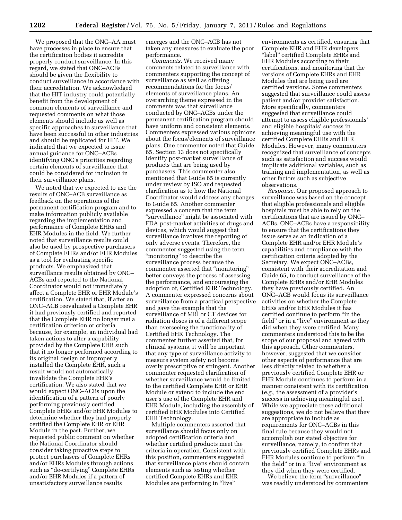We proposed that the ONC–AA must have processes in place to ensure that the certification bodies it accredits properly conduct surveillance. In this regard, we stated that ONC–ACBs should be given the flexibility to conduct surveillance in accordance with their accreditation. We acknowledged that the HIT industry could potentially benefit from the development of common elements of surveillance and requested comments on what those elements should include as well as specific approaches to surveillance that have been successful in other industries and should be replicated for HIT. We indicated that we expected to issue annual guidance for ONC–ACBs identifying ONC's priorities regarding certain elements of surveillance that could be considered for inclusion in their surveillance plans.

We noted that we expected to use the results of ONC–ACB surveillance as feedback on the operations of the permanent certification program and to make information publicly available regarding the implementation and performance of Complete EHRs and EHR Modules in the field. We further noted that surveillance results could also be used by prospective purchasers of Complete EHRs and/or EHR Modules as a tool for evaluating specific products. We emphasized that surveillance results obtained by ONC– ACBs and reported to the National Coordinator would not immediately affect a Complete EHR or EHR Module's certification. We stated that, if after an ONC–ACB reevaluated a Complete EHR it had previously certified and reported that the Complete EHR no longer met a certification criterion or criteria because, for example, an individual had taken actions to alter a capability provided by the Complete EHR such that it no longer performed according to its original design or improperly installed the Complete EHR, such a result would not automatically invalidate the Complete EHR's certification. We also stated that we would expect ONC–ACBs upon the identification of a pattern of poorly performing previously certified Complete EHRs and/or EHR Modules to determine whether they had properly certified the Complete EHR or EHR Module in the past. Further, we requested public comment on whether the National Coordinator should consider taking proactive steps to protect purchasers of Complete EHRs and/or EHRs Modules through actions such as ''de-certifying'' Complete EHRs and/or EHR Modules if a pattern of unsatisfactory surveillance results

emerges and the ONC–ACB has not taken any measures to evaluate the poor performance.

*Comments.* We received many comments related to surveillance with commenters supporting the concept of surveillance as well as offering recommendations for the focus/ elements of surveillance plans. An overarching theme expressed in the comments was that surveillance conducted by ONC–ACBs under the permanent certification program should have uniform and consistent elements. Commenters expressed various opinions about the focus/elements of surveillance plans. One commenter noted that Guide 65, Section 13 does not specifically identify post-market surveillance of products that are being used by purchasers. This commenter also mentioned that Guide 65 is currently under review by ISO and requested clarification as to how the National Coordinator would address any changes to Guide 65. Another commenter expressed a concern that the term "surveillance" might be associated with FDA post-market activities of drugs and devices, which would suggest that surveillance involves the reporting of only adverse events. Therefore, the commenter suggested using the term "monitoring" to describe the surveillance process because the commenter asserted that ''monitoring'' better conveys the process of assessing the performance, and encouraging the adoption of, Certified EHR Technology. A commenter expressed concerns about surveillance from a practical perspective and gave the example that the surveillance of MRI or CT devices for radiation doses is of a different scope than overseeing the functionality of Certified EHR Technology. The commenter further asserted that, for clinical systems, it will be important that any type of surveillance activity to measure system safety not become overly prescriptive or stringent. Another commenter requested clarification of whether surveillance would be limited to the certified Complete EHR or EHR Module or extend to include the end user's use of the Complete EHR and EHR Module, including the assembly of certified EHR Modules into Certified EHR Technology.

Multiple commenters asserted that surveillance should focus only on adopted certification criteria and whether certified products meet the criteria in operation. Consistent with this position, commenters suggested that surveillance plans should contain elements such as testing whether certified Complete EHRs and EHR Modules are performing in "live"

environments as certified, ensuring that Complete EHR and EHR developers ''label'' certified Complete EHRs and EHR Modules according to their certifications, and monitoring that the versions of Complete EHRs and EHR Modules that are being used are certified versions. Some commenters suggested that surveillance could assess patient and/or provider satisfaction. More specifically, commenters suggested that surveillance could attempt to assess eligible professionals' and eligible hospitals' success in achieving meaningful use with the certified Complete EHRs and EHR Modules. However, many commenters recognized that surveillance of concepts such as satisfaction and success would implicate additional variables, such as training and implementation, as well as other factors such as subjective observations.

*Response.* Our proposed approach to surveillance was based on the concept that eligible professionals and eligible hospitals must be able to rely on the certifications that are issued by ONC– ACBs. ONC–ACBs have a responsibility to ensure that the certifications they issue serve as an indication of a Complete EHR and/or EHR Module's capabilities and compliance with the certification criteria adopted by the Secretary. We expect ONC–ACBs, consistent with their accreditation and Guide 65, to conduct surveillance of the Complete EHRs and/or EHR Modules they have previously certified. An ONC–ACB would focus its surveillance activities on whether the Complete EHRs and/or EHR Modules it has certified continue to perform ''in the field" or in a "live" environment as they did when they were certified. Many commenters understood this to be the scope of our proposal and agreed with this approach. Other commenters, however, suggested that we consider other aspects of performance that are less directly related to whether a previously certified Complete EHR or EHR Module continues to perform in a manner consistent with its certification (*e.g.,* the assessment of a provider's success in achieving meaningful use). While we appreciate these additional suggestions, we do not believe that they are appropriate to include as requirements for ONC–ACBs in this final rule because they would not accomplish our stated objective for surveillance, namely, to confirm that previously certified Complete EHRs and EHR Modules continue to perform ''in the field" or in a "live" environment as they did when they were certified.

We believe the term "surveillance" was readily understood by commenters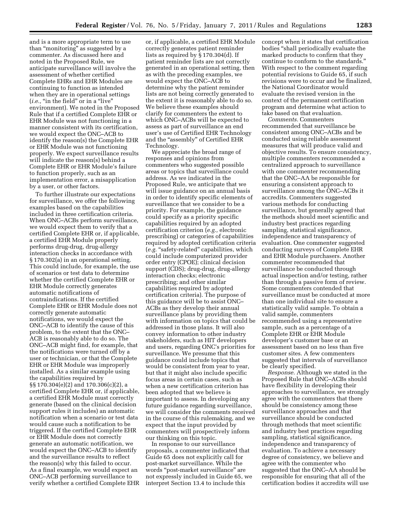and is a more appropriate term to use than ''monitoring'' as suggested by a commenter. As discussed here and noted in the Proposed Rule, we anticipate surveillance will involve the assessment of whether certified Complete EHRs and EHR Modules are continuing to function as intended when they are in operational settings (*i.e.*, "in the field" or in a "live" environment). We noted in the Proposed Rule that if a certified Complete EHR or EHR Module was not functioning in a manner consistent with its certification, we would expect the ONC–ACB to identify the reason(s) the Complete EHR or EHR Module was not functioning properly. We expect surveillance results will indicate the reason(s) behind a Complete EHR or EHR Module's failure to function properly, such as an implementation error, a misapplication by a user, or other factors.

To further illustrate our expectations for surveillance, we offer the following examples based on the capabilities included in three certification criteria. When ONC–ACBs perform surveillance, we would expect them to verify that a certified Complete EHR or, if applicable, a certified EHR Module properly performs drug-drug, drug-allergy interaction checks in accordance with § 170.302(a) in an operational setting. This could include, for example, the use of scenarios or test data to determine whether the certified Complete EHR or EHR Module correctly generates automatic notifications of contraindications. If the certified Complete EHR or EHR Module does not correctly generate automatic notifications, we would expect the ONC–ACB to identify the cause of this problem, to the extent that the ONC– ACB is reasonably able to do so. The ONC–ACB might find, for example, that the notifications were turned off by a user or technician, or that the Complete EHR or EHR Module was improperly installed. As a similar example using the capabilities required by §§ 170.304(e)(2) and 170.306(c)(2), a certified Complete EHR or, if applicable, a certified EHR Module must correctly generate (based on the clinical decision support rules it includes) an automatic notification when a scenario or test data would cause such a notification to be triggered. If the certified Complete EHR or EHR Module does not correctly generate an automatic notification, we would expect the ONC–ACB to identify and the surveillance results to reflect the reason(s) why this failed to occur. As a final example, we would expect an ONC–ACB performing surveillance to verify whether a certified Complete EHR

or, if applicable, a certified EHR Module correctly generates patient reminder lists as required by § 170.304(d). If patient reminder lists are not correctly generated in an operational setting, then as with the preceding examples, we would expect the ONC–ACB to determine why the patient reminder lists are not being correctly generated to the extent it is reasonably able to do so. We believe these examples should clarify for commenters the extent to which ONC–ACBs will be expected to assess as part of surveillance an end user's use of Certified EHR Technology and the ''assembly'' of Certified EHR Technology.

We appreciate the broad range of responses and opinions from commenters who suggested possible areas or topics that surveillance could address. As we indicated in the Proposed Rule, we anticipate that we will issue guidance on an annual basis in order to identify specific elements of surveillance that we consider to be a priority. For example, the guidance could specify as a priority specific capabilities required by an adopted certification criterion (*e.g.,* electronic prescribing) or categories of capabilities required by adopted certification criteria (*e.g.* ''safety-related'' capabilities, which could include computerized provider order entry (CPOE); clinical decision support (CDS); drug-drug, drug-allergy interaction checks; electronic prescribing; and other similar capabilities required by adopted certification criteria). The purpose of this guidance will be to assist ONC– ACBs as they develop their annual surveillance plans by providing them with information on topics that could be addressed in those plans. It will also convey information to other industry stakeholders, such as HIT developers and users, regarding ONC's priorities for surveillance. We presume that this guidance could include topics that would be consistent from year to year, but that it might also include specific focus areas in certain cases, such as when a new certification criterion has been adopted that we believe is important to assess. In developing any future guidance regarding surveillance, we will consider the comments received in the course of this rulemaking, and we expect that the input provided by commenters will prospectively inform our thinking on this topic.

In response to our surveillance proposals, a commenter indicated that Guide 65 does not explicitly call for post-market surveillance. While the words ''post-market surveillance'' are not expressly included in Guide 65, we interpret Section 13.4 to include this

concept when it states that certification bodies ''shall periodically evaluate the marked products to confirm that they continue to conform to the standards.'' With respect to the comment regarding potential revisions to Guide 65, if such revisions were to occur and be finalized, the National Coordinator would evaluate the revised version in the context of the permanent certification program and determine what action to take based on that evaluation.

*Comments.* Commenters recommended that surveillance be consistent among ONC–ACBs and be conducted using reliable assessment measures that will produce valid and objective results. To ensure consistency, multiple commenters recommended a centralized approach to surveillance with one commenter recommending that the ONC–AA be responsible for ensuring a consistent approach to surveillance among the ONC–ACBs it accredits. Commenters suggested various methods for conducting surveillance, but generally agreed that the methods should meet scientific and industry best practices regarding sampling, statistical significance, independence and transparency of evaluation. One commenter suggested conducting surveys of Complete EHR and EHR Module purchasers. Another commenter recommended that surveillance be conducted through actual inspection and/or testing, rather than through a passive form of review. Some commenters contended that surveillance must be conducted at more than one individual site to ensure a statistically valid sample. To obtain a valid sample, commenters recommended using a representative sample, such as a percentage of a Complete EHR or EHR Module developer's customer base or an assessment based on no less than five customer sites. A few commenters suggested that intervals of surveillance be clearly specified.

*Response.* Although we stated in the Proposed Rule that ONC–ACBs should have flexibility in developing their approaches to surveillance, we strongly agree with the commenters that there should be consistency among these surveillance approaches and that surveillance should be conducted through methods that meet scientific and industry best practices regarding sampling, statistical significance, independence and transparency of evaluation. To achieve a necessary degree of consistency, we believe and agree with the commenter who suggested that the ONC–AA should be responsible for ensuring that all of the certification bodies it accredits will use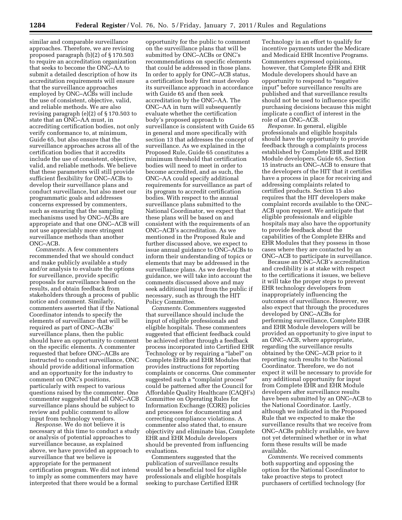similar and comparable surveillance approaches. Therefore, we are revising proposed paragraph (b)(2) of § 170.503 to require an accreditation organization that seeks to become the ONC–AA to submit a detailed description of how its accreditation requirements will ensure that the surveillance approaches employed by ONC–ACBs will include the use of consistent, objective, valid, and reliable methods. We are also revising paragraph (e)(2) of § 170.503 to state that an ONC–AA must, in accrediting certification bodies, not only verify conformance to, at minimum, Guide 65, but also ensure that the surveillance approaches across all of the certification bodies that it accredits include the use of consistent, objective, valid, and reliable methods. We believe that these parameters will still provide sufficient flexibility for ONC–ACBs to develop their surveillance plans and conduct surveillance, but also meet our programmatic goals and addresses concerns expressed by commenters, such as ensuring that the sampling mechanisms used by ONC–ACBs are appropriate and that one ONC–ACB will not use appreciably more stringent surveillance methods than another ONC–ACB.

*Comments.* A few commenters recommended that we should conduct and make publicly available a study and/or analysis to evaluate the options for surveillance, provide specific proposals for surveillance based on the results, and obtain feedback from stakeholders through a process of public notice and comment. Similarly, commenters asserted that if the National Coordinator intends to specify the elements of surveillance that will be required as part of ONC–ACBs' surveillance plans, then the public should have an opportunity to comment on the specific elements. A commenter requested that before ONC–ACBs are instructed to conduct surveillance, ONC should provide additional information and an opportunity for the industry to comment on ONC's positions, particularly with respect to various questions raised by the commenter. One commenter suggested that all ONC–ACB surveillance plans should be subject to review and public comment to allow input from technology vendors.

*Response.* We do not believe it is necessary at this time to conduct a study or analysis of potential approaches to surveillance because, as explained above, we have provided an approach to surveillance that we believe is appropriate for the permanent certification program. We did not intend to imply as some commenters may have interpreted that there would be a formal

opportunity for the public to comment on the surveillance plans that will be submitted by ONC–ACBs or ONC's recommendations on specific elements that could be addressed in those plans. In order to apply for ONC–ACB status, a certification body first must develop its surveillance approach in accordance with Guide 65 and then seek accreditation by the ONC–AA. The ONC–AA in turn will subsequently evaluate whether the certification body's proposed approach to surveillance is consistent with Guide 65 in general and more specifically with section 13 that addresses the concept of surveillance. As we explained in the Proposed Rule, Guide 65 constitutes a minimum threshold that certification bodies will need to meet in order to become accredited, and as such, the ONC–AA could specify additional requirements for surveillance as part of its program to accredit certification bodies. With respect to the annual surveillance plans submitted to the National Coordinator, we expect that these plans will be based on and consistent with the requirements of an ONC–ACB's accreditation. As we mentioned in the Proposed Rule and further discussed above, we expect to issue annual guidance to ONC–ACBs to inform their understanding of topics or elements that may be addressed in the surveillance plans. As we develop that guidance, we will take into account the comments discussed above and may seek additional input from the public if necessary, such as through the HIT Policy Committee.

*Comments.* Commenters suggested that surveillance should include the input of eligible professionals and eligible hospitals. These commenters suggested that efficient feedback could be achieved either through a feedback process incorporated into Certified EHR Technology or by requiring a ''label'' on Complete EHRs and EHR Modules that provides instructions for reporting complaints or concerns. One commenter suggested such a ''complaint process'' could be patterned after the Council for Affordable Quality Healthcare (CAQH's) Committee on Operating Rules for Information Exchange (CORE) policies and processes for documenting and correcting compliance violations. A commenter also stated that, to ensure objectivity and eliminate bias, Complete EHR and EHR Module developers should be prevented from influencing evaluations.

Commenters suggested that the publication of surveillance results would be a beneficial tool for eligible professionals and eligible hospitals seeking to purchase Certified EHR

Technology in an effort to qualify for incentive payments under the Medicare and Medicaid EHR Incentive Programs. Commenters expressed opinions, however, that Complete EHR and EHR Module developers should have an opportunity to respond to ''negative input'' before surveillance results are published and that surveillance results should not be used to influence specific purchasing decisions because this might implicate a conflict of interest in the role of an ONC–ACB.

*Response.* In general, eligible professionals and eligible hospitals should have the opportunity to provide feedback through a complaints process established by Complete EHR and EHR Module developers. Guide 65, Section 15 instructs an ONC–ACB to ensure that the developers of the HIT that it certifies have a process in place for receiving and addressing complaints related to certified products. Section 15 also requires that the HIT developers make complaint records available to the ONC– ACB upon request. We anticipate that eligible professionals and eligible hospitals may also have the opportunity to provide feedback about the capabilities of the Complete EHRs and EHR Modules that they possess in those cases where they are contacted by an ONC–ACB to participate in surveillance.

Because an ONC–ACB's accreditation and credibility is at stake with respect to the certifications it issues, we believe it will take the proper steps to prevent EHR technology developers from inappropriately influencing the outcomes of surveillance. However, we also expect that through the procedures developed by ONC–ACBs for performing surveillance, Complete EHR and EHR Module developers will be provided an opportunity to give input to an ONC–ACB, where appropriate, regarding the surveillance results obtained by the ONC–ACB prior to it reporting such results to the National Coordinator. Therefore, we do not expect it will be necessary to provide for any additional opportunity for input from Complete EHR and EHR Module developers after surveillance results have been submitted by an ONC–ACB to the National Coordinator. Lastly, although we indicated in the Proposed Rule that we expected to make the surveillance results that we receive from ONC–ACBs publicly available, we have not yet determined whether or in what form these results will be made available.

*Comments.* We received comments both supporting and opposing the option for the National Coordinator to take proactive steps to protect purchasers of certified technology (for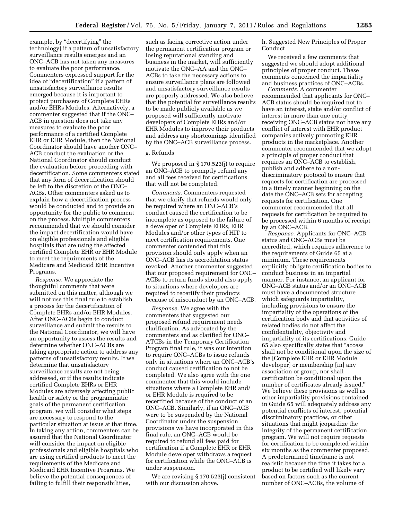example, by "decertifying" the technology) if a pattern of unsatisfactory surveillance results emerges and an ONC–ACB has not taken any measures to evaluate the poor performance. Commenters expressed support for the idea of ''decertification'' if a pattern of unsatisfactory surveillance results emerged because it is important to protect purchasers of Complete EHRs and/or EHRs Modules. Alternatively, a commenter suggested that if the ONC– ACB in question does not take any measures to evaluate the poor performance of a certified Complete EHR or EHR Module, then the National Coordinator should have another ONC– ACB conduct the evaluation or the National Coordinator should conduct the evaluation before proceeding with decertification. Some commenters stated that any form of decertification should be left to the discretion of the ONC– ACBs. Other commenters asked us to explain how a decertification process would be conducted and to provide an opportunity for the public to comment on the process. Multiple commenters recommended that we should consider the impact decertification would have on eligible professionals and eligible hospitals that are using the affected certified Complete EHR or EHR Module to meet the requirements of the Medicare and Medicaid EHR Incentive Programs.

*Response.* We appreciate the thoughtful comments that were submitted on this matter, although we will not use this final rule to establish a process for the decertification of Complete EHRs and/or EHR Modules. After ONC–ACBs begin to conduct surveillance and submit the results to the National Coordinator, we will have an opportunity to assess the results and determine whether ONC–ACBs are taking appropriate action to address any patterns of unsatisfactory results. If we determine that unsatisfactory surveillance results are not being addressed, or if the results indicate certified Complete EHRs or EHR Modules are adversely affecting public health or safety or the programmatic goals of the permanent certification program, we will consider what steps are necessary to respond to the particular situation at issue at that time. In taking any action, commenters can be assured that the National Coordinator will consider the impact on eligible professionals and eligible hospitals who are using certified products to meet the requirements of the Medicare and Medicaid EHR Incentive Programs. We believe the potential consequences of failing to fulfill their responsibilities,

such as facing corrective action under the permanent certification program or losing reputational standing and business in the market, will sufficiently motivate the ONC–AA and the ONC– ACBs to take the necessary actions to ensure surveillance plans are followed and unsatisfactory surveillance results are properly addressed. We also believe that the potential for surveillance results to be made publicly available as we proposed will sufficiently motivate developers of Complete EHRs and/or EHR Modules to improve their products and address any shortcomings identified by the ONC–ACB surveillance process.

#### g. Refunds

We proposed in § 170.523(j) to require an ONC–ACB to promptly refund any and all fees received for certifications that will not be completed.

*Comments.* Commenters requested that we clarify that refunds would only be required where an ONC–ACB's conduct caused the certification to be incomplete as opposed to the failure of a developer of Complete EHRs, EHR Modules and/or other types of HIT to meet certification requirements. One commenter contended that this provision should only apply when an ONC–ACB has its accreditation status revoked. Another commenter suggested that our proposed requirement for ONC– ACBs to return funds should also apply to situations where developers are required to recertify their products because of misconduct by an ONC–ACB.

*Response.* We agree with the commenters that suggested our proposed refund requirement needs clarification. As advocated by the commenters and as clarified for ONC– ATCBs in the Temporary Certification Program final rule, it was our intention to require ONC–ACBs to issue refunds only in situations where an ONC–ACB's conduct caused certification to not be completed. We also agree with the one commenter that this would include situations where a Complete EHR and/ or EHR Module is required to be recertified because of the conduct of an ONC–ACB. Similarly, if an ONC–ACB were to be suspended by the National Coordinator under the suspension provisions we have incorporated in this final rule, an ONC–ACB would be required to refund all fees paid for certification if a Complete EHR or EHR Module developer withdraws a request for certification while the ONC–ACB is under suspension.

We are revising § 170.523(j) consistent with our discussion above.

h. Suggested New Principles of Proper Conduct

We received a few comments that suggested we should adopt additional principles of proper conduct. These comments concerned the impartiality and business practices of ONC–ACBs.

*Comments.* A commenter recommended that applicants for ONC– ACB status should be required not to have an interest, stake and/or conflict of interest in more than one entity receiving ONC–ACB status nor have any conflict of interest with EHR product companies actively promoting EHR products in the marketplace. Another commenter recommended that we adopt a principle of proper conduct that requires an ONC–ACB to establish, publish and adhere to a nondiscriminatory protocol to ensure that requests for certification are processed in a timely manner beginning on the date the ONC–ACB sets for accepting requests for certification. One commenter recommended that all requests for certification be required to be processed within 6 months of receipt by an ONC–ACB.

*Response.* Applicants for ONC–ACB status and ONC–ACBs must be accredited, which requires adherence to the requirements of Guide 65 at a minimum. These requirements explicitly obligate certification bodies to conduct business in an impartial manner. For instance, an applicant for ONC–ACB status and/or an ONC–ACB must have a documented structure which safeguards impartiality, including provisions to ensure the impartiality of the operations of the certification body and that activities of related bodies do not affect the confidentiality, objectivity and impartiality of its certifications. Guide 65 also specifically states that ''access shall not be conditional upon the size of the [Complete EHR or EHR Module developer] or membership [in] any association or group, nor shall certification be conditional upon the number of certificates already issued.'' We believe these provisions as well as other impartiality provisions contained in Guide 65 will adequately address any potential conflicts of interest, potential discriminatory practices, or other situations that might jeopardize the integrity of the permanent certification program. We will not require requests for certification to be completed within six months as the commenter proposed. A predetermined timeframe is not realistic because the time it takes for a product to be certified will likely vary based on factors such as the current number of ONC–ACBs, the volume of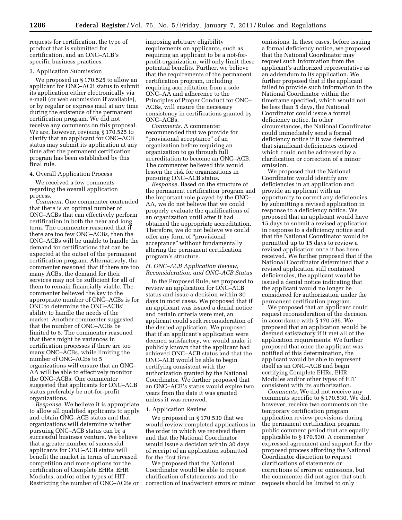requests for certification, the type of product that is submitted for certification, and an ONC–ACB's specific business practices.

#### 3. Application Submission

We proposed in § 170.525 to allow an applicant for ONC–ACB status to submit its application either electronically via e-mail (or web submission if available), or by regular or express mail at any time during the existence of the permanent certification program. We did not receive any comments on this proposal. We are, however, revising § 170.525 to clarify that an applicant for ONC–ACB status may submit its application at any time after the permanent certification program has been established by this final rule.

#### 4. Overall Application Process

We received a few comments regarding the overall application process.

*Comment.* One commenter contended that there is an optimal number of ONC–ACBs that can effectively perform certification in both the near and long term. The commenter reasoned that if there are too few ONC–ACBs, then the ONC–ACBs will be unable to handle the demand for certifications that can be expected at the outset of the permanent certification program. Alternatively, the commenter reasoned that if there are too many ACBs, the demand for their services may not be sufficient for all of them to remain financially viable. The commenter believed the key to the appropriate number of ONC–ACBs is for ONC to determine the ONC–ACBs' ability to handle the needs of the market. Another commenter suggested that the number of ONC–ACBs be limited to 5. The commenter reasoned that there might be variances in certification processes if there are too many ONC–ACBs, while limiting the number of ONC–ACBs to 5 organizations will ensure that an ONC– AA will be able to effectively monitor the ONC–ACBs. One commenter suggested that applicants for ONC–ACB status preferably be not-for-profit organizations.

*Response.* We believe it is appropriate to allow all qualified applicants to apply and obtain ONC–ACB status and that organizations will determine whether pursuing ONC–ACB status can be a successful business venture. We believe that a greater number of successful applicants for ONC–ACB status will benefit the market in terms of increased competition and more options for the certification of Complete EHRs, EHR Modules, and/or other types of HIT. Restricting the number of ONC–ACBs or

imposing arbitrary eligibility requirements on applicants, such as requiring an applicant to be a not-forprofit organization, will only limit these potential benefits. Further, we believe that the requirements of the permanent certification program, including requiring accreditation from a sole ONC–AA and adherence to the Principles of Proper Conduct for ONC– ACBs, will ensure the necessary consistency in certifications granted by ONC–ACBs.

*Comments.* A commenter recommended that we provide for ''provisional acceptance'' of an organization before requiring an organization to go through full accreditation to become an ONC–ACB. The commenter believed this would lessen the risk for organizations in pursuing ONC–ACB status.

*Response.* Based on the structure of the permanent certification program and the important role played by the ONC– AA, we do not believe that we could properly evaluate the qualifications of an organization until after it had obtained the appropriate accreditation. Therefore, we do not believe we could offer any form of ''provisional acceptance'' without fundamentally altering the permanent certification program's structure.

#### *H. ONC–ACB Application Review, Reconsideration, and ONC–ACB Status*

In the Proposed Rule, we proposed to review an application for ONC–ACB status and issue a decision within 30 days in most cases. We proposed that if an applicant was issued a denial notice and certain criteria were met, an applicant could seek reconsideration of the denied application. We proposed that if an applicant's application were deemed satisfactory, we would make it publicly known that the applicant had achieved ONC–ACB status and that the ONC–ACB would be able to begin certifying consistent with the authorization granted by the National Coordinator. We further proposed that an ONC–ACB's status would expire two years from the date it was granted unless it was renewed.

#### 1. Application Review

We proposed in § 170.530 that we would review completed applications in the order in which we received them and that the National Coordinator would issue a decision within 30 days of receipt of an application submitted for the first time.

We proposed that the National Coordinator would be able to request clarification of statements and the correction of inadvertent errors or minor

omissions. In these cases, before issuing a formal deficiency notice, we proposed that the National Coordinator may request such information from the applicant's authorized representative as an addendum to its application. We further proposed that if the applicant failed to provide such information to the National Coordinator within the timeframe specified, which would not be less than 5 days, the National Coordinator could issue a formal deficiency notice. In other circumstances, the National Coordinator could immediately send a formal deficiency notice if it was determined that significant deficiencies existed which could not be addressed by a clarification or correction of a minor omission.

We proposed that the National Coordinator would identify any deficiencies in an application and provide an applicant with an opportunity to correct any deficiencies by submitting a revised application in response to a deficiency notice. We proposed that an applicant would have 15 days to submit a revised application in response to a deficiency notice and that the National Coordinator would be permitted up to 15 days to review a revised application once it has been received. We further proposed that if the National Coordinator determined that a revised application still contained deficiencies, the applicant would be issued a denial notice indicating that the applicant would no longer be considered for authorization under the permanent certification program.

We proposed that an applicant could request reconsideration of the decision in accordance with § 170.535. We proposed that an application would be deemed satisfactory if it met all of the application requirements. We further proposed that once the applicant was notified of this determination, the applicant would be able to represent itself as an ONC–ACB and begin certifying Complete EHRs, EHR Modules and/or other types of HIT consistent with its authorization.

*Comments.* We did not receive any comments specific to § 170.530. We did, however, receive two comments on the temporary certification program application review provisions during the permanent certification program public comment period that are equally applicable to § 170.530. A commenter expressed agreement and support for the proposed process affording the National Coordinator discretion to request clarifications of statements or corrections of errors or omissions, but the commenter did not agree that such requests should be limited to only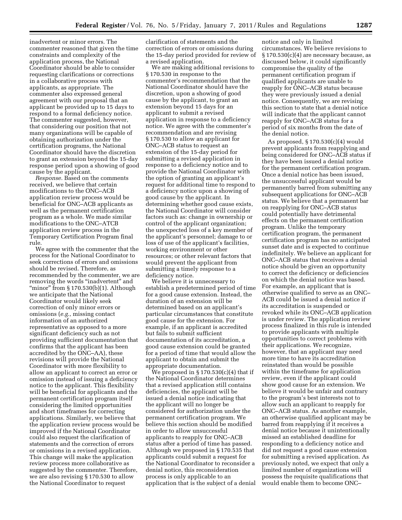inadvertent or minor errors. The commenter reasoned that given the time constraints and complexity of the application process, the National Coordinator should be able to consider requesting clarifications or corrections in a collaborative process with applicants, as appropriate. The commenter also expressed general agreement with our proposal that an applicant be provided up to 15 days to respond to a formal deficiency notice. The commenter suggested, however, that considering our position that not many organizations will be capable of obtaining authorization under the certification programs, the National Coordinator should have the discretion to grant an extension beyond the 15-day response period upon a showing of good cause by the applicant.

*Response.* Based on the comments received, we believe that certain modifications to the ONC–ACB application review process would be beneficial for ONC–ACB applicants as well as the permanent certification program as a whole. We made similar modifications to the ONC–ATCB application review process in the Temporary Certification Program final rule.

We agree with the commenter that the process for the National Coordinator to seek corrections of errors and omissions should be revised. Therefore, as recommended by the commenter, we are removing the words "inadvertent" and "minor" from  $\S 170.530(b)(1)$ . Although we anticipate that the National Coordinator would likely seek correction of only minor errors or omissions (*e.g.,* missing contact information of an authorized representative as opposed to a more significant deficiency such as not providing sufficient documentation that confirms that the applicant has been accredited by the ONC–AA), these revisions will provide the National Coordinator with more flexibility to allow an applicant to correct an error or omission instead of issuing a deficiency notice to the applicant. This flexibility will be beneficial for applicants and the permanent certification program itself considering the limited opportunities and short timeframes for correcting applications. Similarly, we believe that the application review process would be improved if the National Coordinator could also request the clarification of statements and the correction of errors or omissions in a revised application. This change will make the application review process more collaborative as suggested by the commenter. Therefore, we are also revising § 170.530 to allow the National Coordinator to request

clarification of statements and the correction of errors or omissions during the 15-day period provided for review of a revised application.

We are making additional revisions to § 170.530 in response to the commenter's recommendation that the National Coordinator should have the discretion, upon a showing of good cause by the applicant, to grant an extension beyond 15 days for an applicant to submit a revised application in response to a deficiency notice. We agree with the commenter's recommendation and are revising § 170.530 to allow an applicant for ONC–ACB status to request an extension of the 15-day period for submitting a revised application in response to a deficiency notice and to provide the National Coordinator with the option of granting an applicant's request for additional time to respond to a deficiency notice upon a showing of good cause by the applicant. In determining whether good cause exists, the National Coordinator will consider factors such as: change in ownership or control of the applicant organization; the unexpected loss of a key member of the applicant's personnel; damage to or loss of use of the applicant's facilities, working environment or other resources; or other relevant factors that would prevent the applicant from submitting a timely response to a deficiency notice.

We believe it is unnecessary to establish a predetermined period of time for a good cause extension. Instead, the duration of an extension will be determined based on an applicant's particular circumstances that constitute good cause for the extension. For example, if an applicant is accredited but fails to submit sufficient documentation of its accreditation, a good cause extension could be granted for a period of time that would allow the applicant to obtain and submit the appropriate documentation.

We proposed in  $\S 170.530(c)(4)$  that if the National Coordinator determines that a revised application still contains deficiencies, the applicant will be issued a denial notice indicating that the applicant will no longer be considered for authorization under the permanent certification program. We believe this section should be modified in order to allow unsuccessful applicants to reapply for ONC–ACB status after a period of time has passed. Although we proposed in § 170.535 that applicants could submit a request for the National Coordinator to reconsider a denial notice, this reconsideration process is only applicable to an application that is the subject of a denial

notice and only in limited circumstances. We believe revisions to  $\S 170.530(c)(4)$  are necessary because, as discussed below, it could significantly compromise the quality of the permanent certification program if qualified applicants are unable to reapply for ONC–ACB status because they were previously issued a denial notice. Consequently, we are revising this section to state that a denial notice will indicate that the applicant cannot reapply for ONC–ACB status for a period of six months from the date of the denial notice.

As proposed, § 170.530(c)(4) would prevent applicants from reapplying and being considered for ONC–ACB status if they have been issued a denial notice for the permanent certification program. Once a denial notice has been issued, the unsuccessful applicant would be permanently barred from submitting any subsequent applications for ONC–ACB status. We believe that a permanent bar on reapplying for ONC–ACB status could potentially have detrimental effects on the permanent certification program. Unlike the temporary certification program, the permanent certification program has no anticipated sunset date and is expected to continue indefinitely. We believe an applicant for ONC–ACB status that receives a denial notice should be given an opportunity to correct the deficiency or deficiencies on which the denial notice was based. For example, an applicant that is otherwise qualified to serve as an ONC– ACB could be issued a denial notice if its accreditation is suspended or revoked while its ONC–ACB application is under review. The application review process finalized in this rule is intended to provide applicants with multiple opportunities to correct problems with their applications. We recognize, however, that an applicant may need more time to have its accreditation reinstated than would be possible within the timeframe for application review, even if the applicant could show good cause for an extension. We believe it would be unfair and contrary to the program's best interests not to allow such an applicant to reapply for ONC–ACB status. As another example, an otherwise qualified applicant may be barred from reapplying if it receives a denial notice because it unintentionally missed an established deadline for responding to a deficiency notice and did not request a good cause extension for submitting a revised application. As previously noted, we expect that only a limited number of organizations will possess the requisite qualifications that would enable them to become ONC–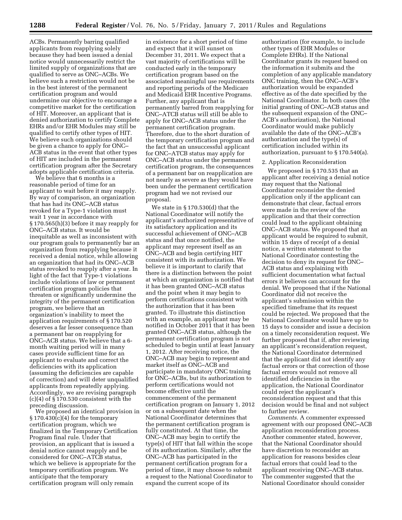ACBs. Permanently barring qualified applicants from reapplying solely because they had been issued a denial notice would unnecessarily restrict the limited supply of organizations that are qualified to serve as ONC–ACBs. We believe such a restriction would not be in the best interest of the permanent certification program and would undermine our objective to encourage a competitive market for the certification of HIT. Moreover, an applicant that is denied authorization to certify Complete EHRs and/or EHR Modules may still be qualified to certify other types of HIT. We believe such organizations should be given a chance to apply for ONC– ACB status in the event that other types of HIT are included in the permanent certification program after the Secretary adopts applicable certification criteria.

We believe that 6 months is a reasonable period of time for an applicant to wait before it may reapply. By way of comparison, an organization that has had its ONC–ACB status revoked for a Type-1 violation must wait 1 year in accordance with § 170.565(h)(3) before it may reapply for ONC–ACB status. It would be inequitable as well as inconsistent with our program goals to permanently bar an organization from reapplying because it received a denial notice, while allowing an organization that had its ONC–ACB status revoked to reapply after a year. In light of the fact that Type-1 violations include violations of law or permanent certification program policies that threaten or significantly undermine the integrity of the permanent certification program, we believe that an organization's inability to meet the application requirements of § 170.520 deserves a far lesser consequence than a permanent bar on reapplying for ONC–ACB status. We believe that a 6 month waiting period will in many cases provide sufficient time for an applicant to evaluate and correct the deficiencies with its application (assuming the deficiencies are capable of correction) and will deter unqualified applicants from repeatedly applying. Accordingly, we are revising paragraph (c)(4) of § 170.530 consistent with the preceding discussion.

We proposed an identical provision in  $§ 170.430(c)(4)$  for the temporary certification program, which we finalized in the Temporary Certification Program final rule. Under that provision, an applicant that is issued a denial notice cannot reapply and be considered for ONC–ATCB status, which we believe is appropriate for the temporary certification program. We anticipate that the temporary certification program will only remain

in existence for a short period of time and expect that it will sunset on December 31, 2011. We expect that a vast majority of certifications will be conducted early in the temporary certification program based on the associated meaningful use requirements and reporting periods of the Medicare and Medicaid EHR Incentive Programs. Further, any applicant that is permanently barred from reapplying for ONC–ATCB status will still be able to apply for ONC–ACB status under the permanent certification program. Therefore, due to the short duration of the temporary certification program and the fact that an unsuccessful applicant for ONC–ATCB status may apply for ONC–ACB status under the permanent certification program, the consequences of a permanent bar on reapplication are not nearly as severe as they would have been under the permanent certification program had we not revised our proposal.

We state in § 170.530(d) that the National Coordinator will notify the applicant's authorized representative of its satisfactory application and its successful achievement of ONC–ACB status and that once notified, the applicant may represent itself as an ONC–ACB and begin certifying HIT consistent with its authorization. We believe it is important to clarify that there is a distinction between the point at which an organization is notified that it has been granted ONC–ACB status and the point when it may begin to perform certifications consistent with the authorization that it has been granted. To illustrate this distinction with an example, an applicant may be notified in October 2011 that it has been granted ONC–ACB status, although the permanent certification program is not scheduled to begin until at least January 1, 2012. After receiving notice, the ONC–ACB may begin to represent and market itself as ONC–ACB and participate in mandatory ONC training for ONC–ACBs, but its authorization to perform certifications would not become effective until the commencement of the permanent certification program on January 1, 2012 or on a subsequent date when the National Coordinator determines that the permanent certification program is fully constituted. At that time, the ONC–ACB may begin to certify the type(s) of HIT that fall within the scope of its authorization. Similarly, after the ONC–ACB has participated in the permanent certification program for a period of time, it may choose to submit a request to the National Coordinator to expand the current scope of its

authorization (for example, to include other types of EHR Modules or Complete EHRs). If the National Coordinator grants its request based on the information it submits and the completion of any applicable mandatory ONC training, then the ONC–ACB's authorization would be expanded effective as of the date specified by the National Coordinator. In both cases (the initial granting of ONC–ACB status and the subsequent expansion of the ONC– ACB's authorization), the National Coordinator would make publicly available the date of the ONC–ACB's authorization and the type(s) of certification included within its authorization, pursuant to § 170.540(a).

#### 2. Application Reconsideration

We proposed in § 170.535 that an applicant after receiving a denial notice may request that the National Coordinator reconsider the denied application only if the applicant can demonstrate that clear, factual errors were made in the review of the application and that their correction could lead to the applicant obtaining ONC–ACB status. We proposed that an applicant would be required to submit, within 15 days of receipt of a denial notice, a written statement to the National Coordinator contesting the decision to deny its request for ONC– ACB status and explaining with sufficient documentation what factual errors it believes can account for the denial. We proposed that if the National Coordinator did not receive the applicant's submission within the specified timeframe that its request could be rejected. We proposed that the National Coordinator would have up to 15 days to consider and issue a decision on a timely reconsideration request. We further proposed that if, after reviewing an applicant's reconsideration request, the National Coordinator determined that the applicant did not identify any factual errors or that correction of those factual errors would not remove all identified deficiencies in the application, the National Coordinator could reject the applicant's reconsideration request and that this decision would be final and not subject to further review.

*Comments.* A commenter expressed agreement with our proposed ONC–ACB application reconsideration process. Another commenter stated, however, that the National Coordinator should have discretion to reconsider an application for reasons besides clear factual errors that could lead to the applicant receiving ONC–ACB status. The commenter suggested that the National Coordinator should consider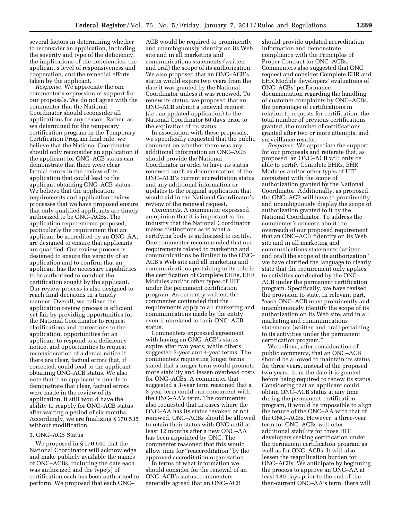several factors in determining whether to reconsider an application, including the severity and type of the deficiency, the implications of the deficiencies, the applicant's level of responsiveness and cooperation, and the remedial efforts taken by the applicant.

*Response.* We appreciate the one commenter's expression of support for our proposals. We do not agree with the commenter that the National Coordinator should reconsider all applications for any reason. Rather, as we determined for the temporary certification program in the Temporary Certification Program final rule, we believe that the National Coordinator should only reconsider an application if the applicant for ONC–ACB status can demonstrate that there were clear factual errors in the review of its application that could lead to the applicant obtaining ONC–ACB status. We believe that the application requirements and application review processes that we have proposed ensure that only qualified applicants are timely authorized to be ONC–ACBs. The application requirements proposed, particularly the requirement that an applicant be accredited by an ONC–AA, are designed to ensure that applicants are qualified. Our review process is designed to ensure the veracity of an application and to confirm that an applicant has the necessary capabilities to be authorized to conduct the certification sought by the applicant. Our review process is also designed to reach final decisions in a timely manner. Overall, we believe the application review process is efficient yet fair by providing opportunities for the National Coordinator to request clarifications and corrections to the application, opportunities for an applicant to respond to a deficiency notice, and opportunities to request reconsideration of a denial notice if there are clear, factual errors that, if corrected, could lead to the applicant obtaining ONC–ACB status. We also note that if an applicant is unable to demonstrate that clear, factual errors were made in the review of its application, it still would have the ability to reapply for ONC–ACB status after waiting a period of six months. Accordingly, we are finalizing § 170.535 without modification.

#### 3. ONC–ACB Status

We proposed in § 170.540 that the National Coordinator will acknowledge and make publicly available the names of ONC–ACBs, including the date each was authorized and the type(s) of certification each has been authorized to perform. We proposed that each ONC–

ACB would be required to prominently and unambiguously identify on its Web site and in all marketing and communications statements (written and oral) the scope of its authorization. We also proposed that an ONC–ACB's status would expire two years from the date it was granted by the National Coordinator unless it was renewed. To renew its status, we proposed that an ONC–ACB submit a renewal request (*i.e.,* an updated application) to the National Coordinator 60 days prior to the expiration of its status.

In association with these proposals, we specifically requested that the public comment on whether there was any additional information an ONC–ACB should provide the National Coordinator in order to have its status renewed, such as documentation of the ONC–ACB's current accreditation status and any additional information or updates to the original application that would aid in the National Coordinator's review of the renewal request.

*Comments.* A commenter expressed an opinion that it is important to the industry that the National Coordinator makes distinctions as to what a certifying body is authorized to certify. One commenter recommended that our requirements related to marketing and communications be limited to the ONC– ACB's Web site and all marketing and communications pertaining to its role in the certification of Complete EHRs, EHR Modules and/or other types of HIT under the permanent certification program. As currently written, the commenter contended that the requirements apply to all marketing and communications made by the entity even if unrelated to their ONC–ACB status.

Commenters expressed agreement with having an ONC–ACB's status expire after two years, while others suggested 3-year and 4-year terms. The commenters requesting longer terms stated that a longer term would promote more stability and lessen overhead costs for ONC–ACBs. A commenter that suggested a 3-year term reasoned that a 3-year term could run concurrent with the ONC–AA's term. The commenter also requested that in cases where the ONC–AA has its status revoked or not renewed, ONC–ACBs should be allowed to retain their status with ONC until at least 12 months after a new ONC–AA has been appointed by ONC. The commenter reasoned that this would allow time for "reaccreditation" by the approved accreditation organization.

In terms of what information we should consider for the renewal of an ONC–ACB's status, commenters generally agreed that an ONC–ACB

should provide updated accreditation information and demonstrate compliance with the Principles of Proper Conduct for ONC–ACBs. Commenters also suggested that ONC request and consider Complete EHR and EHR Module developers' evaluations of ONC–ACBs' performance, documentation regarding the handling of customer complaints by ONC–ACBs, the percentage of certifications in relation to requests for certification, the total number of previous certifications granted, the number of certifications granted after two or more attempts, and surveillance results.

*Response.* We appreciate the support for our proposals and reiterate that, as proposed, an ONC–ACB will only be able to certify Complete EHRs, EHR Modules and/or other types of HIT consistent with the scope of authorization granted by the National Coordinator. Additionally, as proposed, the ONC–ACB will have to prominently and unambiguously display the scope of authorization granted to it by the National Coordinator. To address the commenter's concern about the overreach of our proposed requirement that an ONC–ACB ''identify on its Web site and in all marketing and communications statements (written and oral) the scope of its authorization'' we have clarified the language to clearly state that the requirement only applies to activities conducted by the ONC– ACB under the permanent certification program. Specifically, we have revised the provision to state, in relevant part, ''each ONC–ACB must prominently and unambiguously identify the scope of its authorization on its Web site, and in all marketing and communications statements (written and oral) pertaining to its activities under the permanent certification program.''

We believe, after consideration of public comments, that an ONC–ACB should be allowed to maintain its status for three years, instead of the proposed two years, from the date it is granted before being required to renew its status. Considering that an applicant could obtain ONC–ACB status at any time during the permanent certification program, it would be impossible to align the tenure of the ONC–AA with that of the ONC–ACBs. However, a three-year term for ONC–ACBs will offer additional stability for those HIT developers seeking certification under the permanent certification program as well as for ONC–ACBs. It will also lessen the reapplication burden for ONC–ACBs. We anticipate by beginning the process to approve an ONC–AA at least 180 days prior to the end of the then-current ONC–AA's term, there will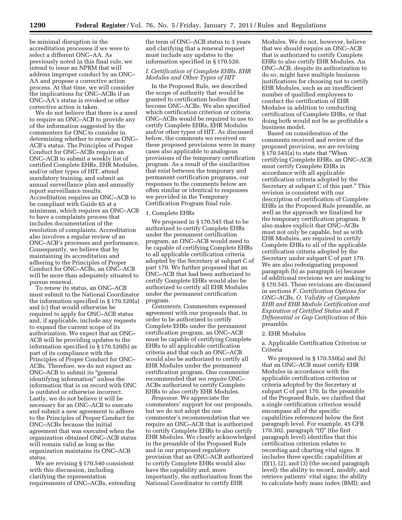be minimal disruption in the accreditation processes if we were to select a different ONC–AA. As previously noted in this final rule, we intend to issue an NPRM that will address improper conduct by an ONC– AA and propose a corrective action process. At that time, we will consider the implications for ONC–ACBs if an ONC–AA's status is revoked or other corrective action is taken.

We do not believe that there is a need to require an ONC–ACB to provide any of the information suggested by the commenters for ONC to consider in determining whether to renew an ONC– ACB's status. The Principles of Proper Conduct for ONC–ACBs require an ONC–ACB to submit a weekly list of certified Complete EHRs, EHR Modules, and/or other types of HIT, attend mandatory training, and submit an annual surveillance plan and annually report surveillance results. Accreditation requires an ONC–ACB to be compliant with Guide 65 at a minimum, which requires an ONC–ACB to have a complaints process that includes documentation of the resolution of complaints. Accreditation also involves a regular review of an ONC–ACB's processes and performance. Consequently, we believe that by maintaining its accreditation and adhering to the Principles of Proper Conduct for ONC–ACBs, an ONC–ACB will be more than adequately situated to pursue renewal.

To renew its status, an ONC–ACB must submit to the National Coordinator the information specified in § 170.520(a) and (c) that would otherwise be required to apply for ONC–ACB status and, if applicable, include any requests to expand the current scope of its authorization. We expect that an ONC– ACB will be providing updates to the information specified in § 170.520(b) as part of its compliance with the Principles of Proper Conduct for ONC– ACBs. Therefore, we do not expect an ONC–ACB to submit its ''general identifying information'' unless the information that is on record with ONC is outdated or otherwise incorrect. Lastly, we do not believe it will be necessary for an ONC–ACB to execute and submit a new agreement to adhere to the Principles of Proper Conduct for ONC–ACBs because the initial agreement that was executed when the organization obtained ONC–ACB status will remain valid as long as the organization maintains its ONC–ACB status.

We are revising § 170.540 consistent with this discussion, including clarifying the representation requirements of ONC–ACBs, extending the term of ONC–ACB status to 3 years and clarifying that a renewal request must include any updates to the information specified in § 170.520.

# *I. Certification of Complete EHRs, EHR Modules and Other Types of HIT*

In the Proposed Rule, we described the scope of authority that would be granted to certification bodies that become ONC–ACBs. We also specified which certification criterion or criteria ONC–ACBs would be required to use to certify Complete EHRs, EHR Modules and/or other types of HIT. As discussed below, the comments we received on these proposed provisions were in many cases also applicable to analogous provisions of the temporary certification program. As a result of the similarities that exist between the temporary and permanent certification programs, our responses to the comments below are often similar or identical to responses we provided in the Temporary Certification Program final rule.

#### 1. Complete EHRs

We proposed in § 170.545 that to be authorized to certify Complete EHRs under the permanent certification program, an ONC–ACB would need to be capable of certifying Complete EHRs to all applicable certification criteria adopted by the Secretary at subpart C of part 170. We further proposed that an ONC–ACB that had been authorized to certify Complete EHRs would also be authorized to certify all EHR Modules under the permanent certification program.

*Comments.* Commenters expressed agreement with our proposals that, in order to be authorized to certify Complete EHRs under the permanent certification program, an ONC–ACB must be capable of certifying Complete EHRs to all applicable certification criteria and that such an ONC–ACB would also be authorized to certify all EHR Modules under the permanent certification program. One commenter recommended that we *require* ONC– ACBs authorized to certify Complete EHRs to also certify EHR Modules.

*Response.* We appreciate the commenters' support for our proposals, but we do not adopt the one commenter's recommendation that we require an ONC–ACB that is authorized to certify Complete EHRs to also certify EHR Modules. We clearly acknowledged in the preamble of the Proposed Rule and in our proposed regulatory provision that an ONC–ACB authorized to certify Complete EHRs would also have the capability and, more importantly, the authorization from the National Coordinator to certify EHR

Modules. We do not, however, believe that we should require an ONC–ACB that is authorized to certify Complete EHRs to also certify EHR Modules. An ONC–ACB, despite its authorization to do so, might have multiple business justifications for choosing not to certify EHR Modules, such as an insufficient number of qualified employees to conduct the certification of EHR Modules in addition to conducting certification of Complete EHRs, or that doing both would not be as profitable a business model.

Based on consideration of the comments received and review of the proposed provision, we are revising § 170.545(a) to state that ''When certifying Complete EHRs, an ONC–ACB must certify Complete EHRs in accordance with all applicable certification criteria adopted by the Secretary at subpart C of this part.'' This revision is consistent with our description of certification of Complete EHRs in the Proposed Rule preamble, as well as the approach we finalized for the temporary certification program. It also makes explicit that ONC–ACBs must not only be capable, but as with EHR Modules, are required to certify Complete EHRs to all of the applicable certification criteria adopted by the Secretary under subpart C of part 170. We are also redesignating proposed paragraph (b) as paragraph (e) because of additional revisions we are making to § 170.545. These revisions are discussed in sections *F. Certification Options for ONC–ACBs, O. Validity of Complete EHR and EHR Module Certification and Expiration of Certified Status* and *P. Differential or Gap Certification* of this preamble.

#### 2. EHR Modules

a. Applicable Certification Criterion or Criteria

We proposed in § 170.550(a) and (b) that an ONC–ACB must certify EHR Modules in accordance with the applicable certification criterion or criteria adopted by the Secretary at subpart C of part 170. In the preamble of the Proposed Rule, we clarified that a single certification criterion would encompass all of the specific capabilities referenced below the first paragraph level. For example, 45 CFR 170.302, paragraph " $(f)$ " (the first paragraph level) identifies that this certification criterion relates to recording and charting vital signs. It includes three specific capabilities at (f)(1), (2), and (3) (the second paragraph level): the ability to record, modify, and retrieve patients' vital signs; the ability to calculate body mass index (BMI); and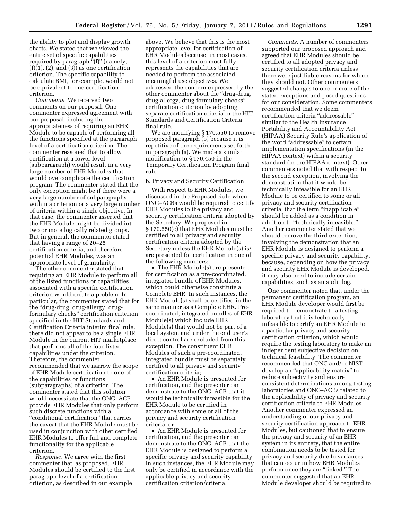the ability to plot and display growth charts. We stated that we viewed the entire set of specific capabilities required by paragraph "(f)" (namely,  $(f)(1)$ ,  $(2)$ , and  $(3)$ ) as one certification criterion. The specific capability to calculate BMI, for example, would not be equivalent to one certification criterion.

*Comments.* We received two comments on our proposal. One commenter expressed agreement with our proposal, including the appropriateness of requiring an EHR Module to be capable of performing all the functions specified at the paragraph level of a certification criterion. The commenter reasoned that to allow certification at a lower level (subparagraph) would result in a very large number of EHR Modules that would overcomplicate the certification program. The commenter stated that the only exception might be if there were a very large number of subparagraphs within a criterion or a very large number of criteria within a single objective. In that case, the commenter asserted that the EHR Module might be divided into two or more logically related groups. But in general, the commenter stated that having a range of 20–25 certification criteria, and therefore potential EHR Modules, was an appropriate level of granularity.

The other commenter stated that requiring an EHR Module to perform all of the listed functions or capabilities associated with a specific certification criterion would create a problem. In particular, the commenter stated that for the ''drug-drug, drug-allergy, drugformulary checks'' certification criterion specified in the HIT Standards and Certification Criteria interim final rule, there did not appear to be a single EHR Module in the current HIT marketplace that performs all of the four listed capabilities under the criterion. Therefore, the commenter recommended that we narrow the scope of EHR Module certification to one of the capabilities or functions (subparagraphs) of a criterion. The commenter stated that this solution would necessitate that the ONC–ACB provide EHR Modules that only perform such discrete functions with a "conditional certification" that carries the caveat that the EHR Module must be used in conjunction with other certified EHR Modules to offer full and complete functionality for the applicable criterion.

*Response.* We agree with the first commenter that, as proposed, EHR Modules should be certified to the first paragraph level of a certification criterion, as described in our example

above. We believe that this is the most appropriate level for certification of EHR Modules because, in most cases, this level of a criterion most fully represents the capabilities that are needed to perform the associated meaningful use objectives. We addressed the concern expressed by the other commenter about the ''drug-drug, drug-allergy, drug-formulary checks'' certification criterion by adopting separate certification criteria in the HIT Standards and Certification Criteria final rule.

We are modifying § 170.550 to remove proposed paragraph (b) because it is repetitive of the requirements set forth in paragraph (a). We made a similar modification to § 170.450 in the Temporary Certification Program final rule.

b. Privacy and Security Certification

With respect to EHR Modules, we discussed in the Proposed Rule when ONC–ACBs would be required to certify EHR Modules to the privacy and security certification criteria adopted by the Secretary. We proposed in § 170.550(c) that EHR Modules must be certified to all privacy and security certification criteria adopted by the Secretary unless the EHR Module(s) is/ are presented for certification in one of the following manners:

• The EHR Module(s) are presented for certification as a pre-coordinated, integrated bundle of EHR Modules, which could otherwise constitute a Complete EHR. In such instances, the EHR Module(s) shall be certified in the same manner as a Complete EHR. Precoordinated, integrated bundles of EHR Module(s) which include EHR Module(s) that would not be part of a local system and under the end user's direct control are excluded from this exception. The constituent EHR Modules of such a pre-coordinated, integrated bundle must be separately certified to all privacy and security certification criteria;

• An EHR Module is presented for certification, and the presenter can demonstrate to the ONC–ACB that it would be technically infeasible for the EHR Module to be certified in accordance with some or all of the privacy and security certification criteria; or

• An EHR Module is presented for certification, and the presenter can demonstrate to the ONC–ACB that the EHR Module is designed to perform a specific privacy and security capability. In such instances, the EHR Module may only be certified in accordance with the applicable privacy and security certification criterion/criteria.

*Comments.* A number of commenters supported our proposed approach and agreed that EHR Modules should be certified to all adopted privacy and security certification criteria unless there were justifiable reasons for which they should not. Other commenters suggested changes to one or more of the stated exceptions and posed questions for our consideration. Some commenters recommended that we deem certification criteria ''addressable'' similar to the Health Insurance Portability and Accountability Act (HIPAA) Security Rule's application of the word "addressable" to certain implementation specifications (in the HIPAA context) within a security standard (in the HIPAA context). Other commenters noted that with respect to the second exception, involving the demonstration that it would be technically infeasible for an EHR Module to be certified to some or all privacy and security certification criteria, that the term ''inapplicable'' should be added as a condition in addition to "technically infeasible." Another commenter stated that we should remove the third exception, involving the demonstration that an EHR Module is designed to perform a specific privacy and security capability, because, depending on how the privacy and security EHR Module is developed, it may also need to include certain capabilities, such as an audit log.

One commenter noted that, under the permanent certification program, an EHR Module developer would first be required to demonstrate to a testing laboratory that it is technically infeasible to certify an EHR Module to a particular privacy and security certification criterion, which would require the testing laboratory to make an independent subjective decision on technical feasibility. The commenter recommended that ONC and/or NIST develop an ''applicability matrix'' to reduce subjectivity and ensure consistent determinations among testing laboratories and ONC–ACBs related to the applicability of privacy and security certification criteria to EHR Modules. Another commenter expressed an understanding of our privacy and security certification approach to EHR Modules, but cautioned that to ensure the privacy and security of an EHR system in its entirety, that the entire combination needs to be tested for privacy and security due to variances that can occur in how EHR Modules perform once they are "linked." The commenter suggested that an EHR Module developer should be required to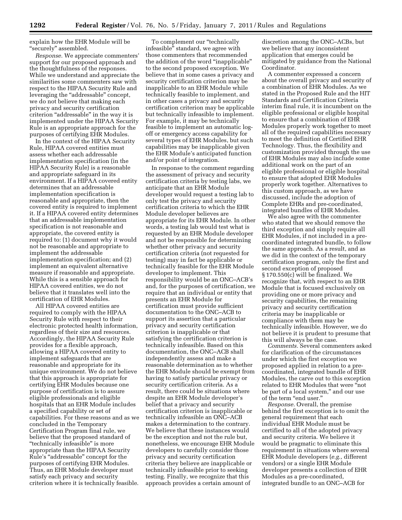explain how the EHR Module will be ''securely'' assembled.

*Response.* We appreciate commenters' support for our proposed approach and the thoughtfulness of the responses. While we understand and appreciate the similarities some commenters saw with respect to the HIPAA Security Rule and leveraging the "addressable" concept, we do not believe that making each privacy and security certification criterion "addressable" in the way it is implemented under the HIPAA Security Rule is an appropriate approach for the purposes of certifying EHR Modules.

In the context of the HIPAA Security Rule, HIPAA covered entities must assess whether each addressable implementation specification (in the HIPAA Security Rule) is a reasonable and appropriate safeguard in its environment. If a HIPAA covered entity determines that an addressable implementation specification is reasonable and appropriate, then the covered entity is required to implement it. If a HIPAA covered entity determines that an addressable implementation specification is not reasonable and appropriate, the covered entity is required to: (1) document why it would not be reasonable and appropriate to implement the addressable implementation specification; and (2) implement an equivalent alternative measure if reasonable and appropriate. While this is a sensible approach for HIPAA covered entities, we do not believe that it translates well into the certification of EHR Modules.

All HIPAA covered entities are required to comply with the HIPAA Security Rule with respect to their electronic protected health information, regardless of their size and resources. Accordingly, the HIPAA Security Rule provides for a flexible approach, allowing a HIPAA covered entity to implement safeguards that are reasonable and appropriate for its unique environment. We do not believe that this approach is appropriate for certifying EHR Modules because one purpose of certification is to assure eligible professionals and eligible hospitals that an EHR Module includes a specified capability or set of capabilities. For these reasons and as we concluded in the Temporary Certification Program final rule, we believe that the proposed standard of ''technically infeasible'' is more appropriate than the HIPAA Security Rule's ''addressable'' concept for the purposes of certifying EHR Modules. Thus, an EHR Module developer must satisfy each privacy and security criterion where it is technically feasible.

To complement our "technically infeasible'' standard, we agree with those commenters that recommended the addition of the word "inapplicable" to the second proposed exception. We believe that in some cases a privacy and security certification criterion may be inapplicable to an EHR Module while technically feasible to implement, and in other cases a privacy and security certification criterion may be applicable but technically infeasible to implement. For example, it may be technically feasible to implement an automatic logoff or emergency access capability for several types of EHR Modules, but such capabilities may be inapplicable given the EHR Module's anticipated function and/or point of integration.

In response to the comment regarding the assessment of privacy and security certification criteria by testing labs, we anticipate that an EHR Module developer would request a testing lab to only test the privacy and security certification criteria to which the EHR Module developer believes are appropriate for its EHR Module. In other words, a testing lab would test what is requested by an EHR Module developer and not be responsible for determining whether other privacy and security certification criteria (not requested for testing) may in fact be applicable or technically feasible for the EHR Module developer to implement. This responsibility would be an ONC–ACB's and, for the purposes of certification, we require that an individual or entity that presents an EHR Module for certification must provide sufficient documentation to the ONC–ACB to support its assertion that a particular privacy and security certification criterion is inapplicable or that satisfying the certification criterion is technically infeasible. Based on this documentation, the ONC–ACB shall independently assess and make a reasonable determination as to whether the EHR Module should be exempt from having to satisfy particular privacy or security certification criteria. As a result, there could be situations where despite an EHR Module developer's belief that a privacy and security certification criterion is inapplicable or technically infeasible an ONC–ACB makes a determination to the contrary. We believe that these instances would be the exception and not the rule but, nonetheless, we encourage EHR Module developers to carefully consider those privacy and security certification criteria they believe are inapplicable or technically infeasible prior to seeking testing. Finally, we recognize that this approach provides a certain amount of

discretion among the ONC–ACBs, but we believe that any inconsistent application that emerges could be mitigated by guidance from the National Coordinator.

A commenter expressed a concern about the overall privacy and security of a combination of EHR Modules. As we stated in the Proposed Rule and the HIT Standards and Certification Criteria interim final rule, it is incumbent on the eligible professional or eligible hospital to ensure that a combination of EHR Modules properly work together to meet all of the required capabilities necessary to meet the definition of Certified EHR Technology. Thus, the flexibility and customization provided through the use of EHR Modules may also include some additional work on the part of an eligible professional or eligible hospital to ensure that adopted EHR Modules properly work together. Alternatives to this custom approach, as we have discussed, include the adoption of Complete EHRs and pre-coordinated, integrated bundles of EHR Modules.

We also agree with the commenter who stated that we should remove the third exception and simply require all EHR Modules, if not included in a precoordinated integrated bundle, to follow the same approach. As a result, and as we did in the context of the temporary certification program, only the first and second exception of proposed § 170.550(c) will be finalized. We recognize that, with respect to an EHR Module that is focused exclusively on providing one or more privacy and security capabilities, the remaining privacy and security certification criteria may be inapplicable or compliance with them may be technically infeasible. However, we do not believe it is prudent to presume that this will always be the case.

*Comments.* Several commenters asked for clarification of the circumstances under which the first exception we proposed applied in relation to a precoordinated, integrated bundle of EHR Modules, the carve out to this exception related to EHR Modules that were ''not be part of a local system,'' and our use of the term "end user."

*Response.* Overall, the premise behind the first exception is to omit the general requirement that each individual EHR Module must be certified to all of the adopted privacy and security criteria. We believe it would be pragmatic to eliminate this requirement in situations where several EHR Module developers (*e.g.,* different vendors) or a single EHR Module developer presents a collection of EHR Modules as a pre-coordinated, integrated bundle to an ONC–ACB for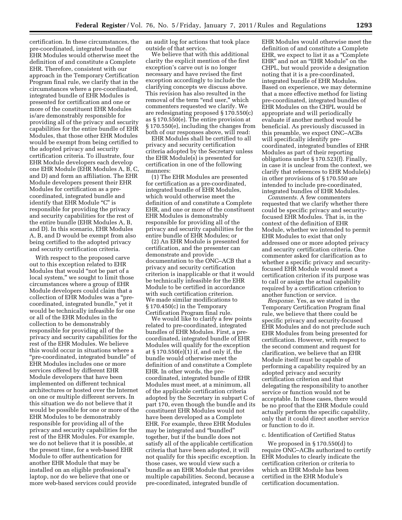certification. In these circumstances, the pre-coordinated, integrated bundle of EHR Modules would otherwise meet the definition of and constitute a Complete EHR. Therefore, consistent with our approach in the Temporary Certification Program final rule, we clarify that in the circumstances where a pre-coordinated, integrated bundle of EHR Modules is presented for certification and one or more of the constituent EHR Modules is/are demonstrably responsible for providing all of the privacy and security capabilities for the entire bundle of EHR Modules, that those other EHR Modules would be exempt from being certified to the adopted privacy and security certification criteria. To illustrate, four EHR Module developers each develop one EHR Module (EHR Modules A, B, C, and D) and form an affiliation. The EHR Module developers present their EHR Modules for certification as a precoordinated, integrated bundle and identify that EHR Module "C" is responsible for providing the privacy and security capabilities for the rest of the entire bundle (EHR Modules A, B, and D). In this scenario, EHR Modules A, B, and D would be exempt from also being certified to the adopted privacy and security certification criteria.

With respect to the proposed carve out to this exception related to EHR Modules that would ''not be part of a local system,'' we sought to limit those circumstances where a group of EHR Module developers could claim that a collection of EHR Modules was a ''precoordinated, integrated bundle,'' yet it would be technically infeasible for one or all of the EHR Modules in the collection to be demonstrably responsible for providing all of the privacy and security capabilities for the rest of the EHR Modules. We believe this would occur in situations where a ''pre-coordinated, integrated bundle'' of EHR Modules includes one or more services offered by different EHR Module developers that have been implemented on different technical architectures or hosted over the Internet on one or multiple different servers. In this situation we do not believe that it would be possible for one or more of the EHR Modules to be demonstrably responsible for providing all of the privacy and security capabilities for the rest of the EHR Modules. For example, we do not believe that it is possible, at the present time, for a web-based EHR Module to offer authentication for another EHR Module that may be installed on an eligible professional's laptop, nor do we believe that one or more web-based services could provide

an audit log for actions that took place outside of that service.

We believe that with this additional clarity the explicit mention of the first exception's carve out is no longer necessary and have revised the first exception accordingly to include the clarifying concepts we discuss above. This revision has also resulted in the removal of the term "end user," which commenters requested we clarify. We are redesignating proposed § 170.550(c) as § 170.550(e). The entire provision at § 170.550(e), including the changes from both of our responses above, will read:

EHR Modules shall be certified to all privacy and security certification criteria adopted by the Secretary unless the EHR Module(s) is presented for certification in one of the following manners:

(1) The EHR Modules are presented for certification as a pre-coordinated, integrated bundle of EHR Modules, which would otherwise meet the definition of and constitute a Complete EHR, and one or more of the constituent EHR Modules is demonstrably responsible for providing all of the privacy and security capabilities for the entire bundle of EHR Modules; or

(2) An EHR Module is presented for certification, and the presenter can demonstrate and provide documentation to the ONC–ACB that a privacy and security certification criterion is inapplicable or that it would be technically infeasible for the EHR Module to be certified in accordance with such certification criterion. We made similar modifications to § 170.450(c) in the Temporary Certification Program final rule.

We would like to clarify a few points related to pre-coordinated, integrated bundles of EHR Modules. First, a precoordinated, integrated bundle of EHR Modules will qualify for the exception at § 170.550(e)(1) if, and only if, the bundle would otherwise meet the definition of and constitute a Complete EHR. In other words, the precoordinated, integrated bundle of EHR Modules must meet, at a minimum, all of the applicable certification criteria adopted by the Secretary in subpart C of part 170, even though the bundle and its constituent EHR Modules would not have been developed as a Complete EHR. For example, three EHR Modules may be integrated and ''bundled'' together, but if the bundle does not satisfy all of the applicable certification criteria that have been adopted, it will not qualify for this specific exception. In those cases, we would view such a bundle as an EHR Module that provides multiple capabilities. Second, because a pre-coordinated, integrated bundle of

EHR Modules would otherwise meet the definition of and constitute a Complete EHR, we expect to list it as a ''Complete EHR" and not an "EHR Module" on the CHPL, but would provide a designation noting that it is a pre-coordinated, integrated bundle of EHR Modules. Based on experience, we may determine that a more effective method for listing pre-coordinated, integrated bundles of EHR Modules on the CHPL would be appropriate and will periodically evaluate if another method would be beneficial. As previously discussed in this preamble, we expect ONC–ACBs will specifically identify precoordinated, integrated bundles of EHR Modules as part of their reporting obligations under § 170.523(f). Finally, in case it is unclear from the context, we clarify that references to EHR Module(s) in other provisions of § 170.550 are intended to include pre-coordinated, integrated bundles of EHR Modules.

*Comments.* A few commenters requested that we clarify whether there could be specific privacy and securityfocused EHR Modules. That is, in the context of the definition of EHR Module, whether we intended to permit EHR Modules to exist that only addressed one or more adopted privacy and security certification criteria. One commenter asked for clarification as to whether a specific privacy and securityfocused EHR Module would meet a certification criterion if its purpose was to call or assign the actual capability required by a certification criterion to another function or service.

*Response.* Yes, as we stated in the Temporary Certification Program final rule, we believe that there could be specific privacy and security-focused EHR Modules and do not preclude such EHR Modules from being presented for certification. However, with respect to the second comment and request for clarification, we believe that an EHR Module itself must be capable of performing a capability required by an adopted privacy and security certification criterion and that delegating the responsibility to another service or function would not be acceptable. In those cases, there would be no proof that the EHR Module could actually perform the specific capability, only that it could direct another service or function to do it.

# c. Identification of Certified Status

We proposed in § 170.550(d) to require ONC–ACBs authorized to certify EHR Modules to clearly indicate the certification criterion or criteria to which an EHR Module has been certified in the EHR Module's certification documentation.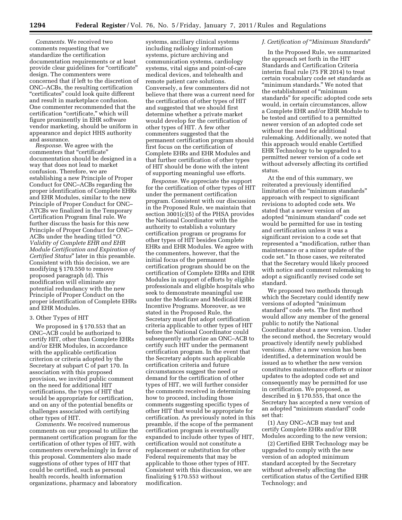*Comments.* We received two comments requesting that we standardize the certification documentation requirements or at least provide clear guidelines for "certificate" design. The commenters were concerned that if left to the discretion of ONC–ACBs, the resulting certification ''certificates'' could look quite different and result in marketplace confusion. One commenter recommended that the certification "certificate," which will figure prominently in EHR software vendor marketing, should be uniform in appearance and depict HHS authority and assurance.

*Response.* We agree with the commenters that "certificate" documentation should be designed in a way that does not lead to market confusion. Therefore, we are establishing a new Principle of Proper Conduct for ONC–ACBs regarding the proper identification of Complete EHRs and EHR Modules, similar to the new Principle of Proper Conduct for ONC– ATCBs we finalized in the Temporary Certification Program final rule. We further discuss the basis for this new Principle of Proper Conduct for ONC– ACBs under the heading titled ''*O. Validity of Complete EHR and EHR Module Certification and Expiration of Certified Status*'' later in this preamble. Consistent with this decision, we are modifying § 170.550 to remove proposed paragraph (d). This modification will eliminate any potential redundancy with the new Principle of Proper Conduct on the proper identification of Complete EHRs and EHR Modules.

# 3. Other Types of HIT

We proposed in § 170.553 that an ONC–ACB could be authorized to certify HIT, other than Complete EHRs and/or EHR Modules, in accordance with the applicable certification criterion or criteria adopted by the Secretary at subpart C of part 170. In association with this proposed provision, we invited public comment on the need for additional HIT certifications, the types of HIT that would be appropriate for certification, and on any of the potential benefits or challenges associated with certifying other types of HIT.

*Comments.* We received numerous comments on our proposal to utilize the permanent certification program for the certification of other types of HIT, with commenters overwhelmingly in favor of this proposal. Commenters also made suggestions of other types of HIT that could be certified, such as personal health records, health information organizations, pharmacy and laboratory

systems, ancillary clinical systems including radiology information systems, picture archiving and communication systems, cardiology systems, vital signs and point-of-care medical devices, and telehealth and remote patient care solutions. Conversely, a few commenters did not believe that there was a current need for the certification of other types of HIT and suggested that we should first determine whether a private market would develop for the certification of other types of HIT. A few other commenters suggested that the permanent certification program should first focus on the certification of Complete EHRs and EHR Modules and that further certification of other types of HIT should be done with the intent of supporting meaningful use efforts.

*Response.* We appreciate the support for the certification of other types of HIT under the permanent certification program. Consistent with our discussion in the Proposed Rule, we maintain that section 3001(c)(5) of the PHSA provides the National Coordinator with the authority to establish a voluntary certification program or programs for other types of HIT besides Complete EHRs and EHR Modules. We agree with the commenters, however, that the initial focus of the permanent certification program should be on the certification of Complete EHRs and EHR Modules in support of efforts by eligible professionals and eligible hospitals who seek to demonstrate meaningful use under the Medicare and Medicaid EHR Incentive Programs. Moreover, as we stated in the Proposed Rule, the Secretary must first adopt certification criteria applicable to other types of HIT before the National Coordinator could subsequently authorize an ONC–ACB to certify such HIT under the permanent certification program. In the event that the Secretary adopts such applicable certification criteria and future circumstances suggest the need or demand for the certification of other types of HIT, we will further consider the comments received in determining how to proceed, including those comments suggesting specific types of other HIT that would be appropriate for certification. As previously noted in this preamble, if the scope of the permanent certification program is eventually expanded to include other types of HIT, certification would not constitute a replacement or substitution for other Federal requirements that may be applicable to those other types of HIT. Consistent with this discussion, we are finalizing § 170.553 without modification.

#### *J. Certification of* ''*Minimum Standards*''

In the Proposed Rule, we summarized the approach set forth in the HIT Standards and Certification Criteria interim final rule (75 FR 2014) to treat certain vocabulary code set standards as "minimum standards." We noted that the establishment of ''minimum standards'' for specific adopted code sets would, in certain circumstances, allow a Complete EHR and/or EHR Module to be tested and certified to a permitted newer version of an adopted code set without the need for additional rulemaking. Additionally, we noted that this approach would enable Certified EHR Technology to be upgraded to a permitted newer version of a code set without adversely affecting its certified status.

At the end of this summary, we reiterated a previously identified limitation of the "minimum standards" approach with respect to significant revisions to adopted code sets. We stated that a newer version of an adopted ''minimum standard'' code set would be permitted for use in testing and certification unless it was a significant revision to a code set that represented a ''modification, rather than maintenance or a minor update of the code set.'' In those cases, we reiterated that the Secretary would likely proceed with notice and comment rulemaking to adopt a significantly revised code set standard.

We proposed two methods through which the Secretary could identify new versions of adopted ''minimum standard'' code sets. The first method would allow any member of the general public to notify the National Coordinator about a new version. Under the second method, the Secretary would proactively identify newly published versions. After a new version has been identified, a determination would be issued as to whether the new version constitutes maintenance efforts or minor updates to the adopted code set and consequently may be permitted for use in certification. We proposed, as described in § 170.555, that once the Secretary has accepted a new version of an adopted ''minimum standard'' code set that:

(1) Any ONC–ACB may test and certify Complete EHRs and/or EHR Modules according to the new version;

(2) Certified EHR Technology may be upgraded to comply with the new version of an adopted minimum standard accepted by the Secretary without adversely affecting the certification status of the Certified EHR Technology; and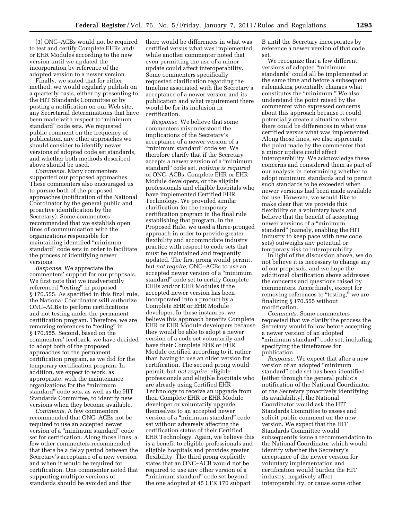(3) ONC–ACBs would not be required to test and certify Complete EHRs and/ or EHR Modules according to the new version until we updated the incorporation by reference of the adopted version to a newer version.

Finally, we stated that for either method, we would regularly publish on a quarterly basis, either by presenting to the HIT Standards Committee or by posting a notification on our Web site, any Secretarial determinations that have been made with respect to "minimum standard'' code sets. We requested public comment on the frequency of publication, any other approaches we should consider to identify newer versions of adopted code set standards, and whether both methods described above should be used.

*Comments.* Many commenters supported our proposed approaches. These commenters also encouraged us to pursue both of the proposed approaches (notification of the National Coordinator by the general public and proactive identification by the Secretary). Some commenters recommended that we establish open lines of communication with the organizations responsible for maintaining identified ''minimum standard'' code sets in order to facilitate the process of identifying newer versions.

*Response.* We appreciate the commenters' support for our proposals. We first note that we inadvertently referenced ''testing'' in proposed § 170.555. As specified in this final rule, the National Coordinator will authorize ONC–ACBs to perform certifications and not testing under the permanent certification program. Therefore, we are removing references to "testing" in § 170.555. Second, based on the commenters' feedback, we have decided to adopt both of the proposed approaches for the permanent certification program, as we did for the temporary certification program. In addition, we expect to work, as appropriate, with the maintenance organizations for the ''minimum standard'' code sets, as well as the HIT Standards Committee, to identify new versions when they become available.

*Comments.* A few commenters recommended that ONC–ACBs not be required to use an accepted newer version of a ''minimum standard'' code set for certification. Along those lines, a few other commenters recommended that there be a delay period between the Secretary's acceptance of a new version and when it would be required for certification. One commenter noted that supporting multiple versions of standards should be avoided and that

there would be differences in what was certified versus what was implemented, while another commenter noted that even permitting the use of a minor update could affect interoperability. Some commenters specifically requested clarification regarding the timeline associated with the Secretary's acceptance of a newer version and its publication and what requirement there would be for its inclusion in certification.

*Response.* We believe that some commenters misunderstood the implications of the Secretary's acceptance of a newer version of a "minimum standard" code set. We therefore clarify that if the Secretary accepts a newer version of a ''minimum standard'' code set, *nothing is required*  of ONC–ACBs, Complete EHR or EHR Module developers, or the eligible professionals and eligible hospitals who have implemented Certified EHR Technology. We provided similar clarification for the temporary certification program in the final rule establishing that program. In the Proposed Rule, we used a three-pronged approach in order to provide greater flexibility and accommodate industry practice with respect to code sets that must be maintained and frequently updated. The first prong would permit, but *not require,* ONC–ACBs to use an accepted newer version of a ''minimum standard'' code set to certify Complete EHRs and/or EHR Modules if the accepted newer version has been incorporated into a product by a Complete EHR or EHR Module developer. In these instances, we believe this approach benefits Complete EHR or EHR Module developers because they would be able to adopt a newer version of a code set voluntarily and have their Complete EHR or EHR Module certified according to it, rather than having to use an older version for certification. The second prong would permit, but *not require,* eligible professionals and eligible hospitals who are already using Certified EHR Technology to receive an upgrade from their Complete EHR or EHR Module developer or voluntarily upgrade themselves to an accepted newer version of a ''minimum standard'' code set without adversely affecting the certification status of their Certified EHR Technology. Again, we believe this is a benefit to eligible professionals and eligible hospitals and provides greater flexibility. The third prong explicitly states that an ONC–ACB would not be required to use any other version of a "minimum standard" code set beyond the one adopted at 45 CFR 170 subpart

B until the Secretary incorporates by reference a newer version of that code set.

We recognize that a few different versions of adopted ''minimum standards'' could all be implemented at the same time and before a subsequent rulemaking potentially changes what constitutes the "minimum." We also understand the point raised by the commenter who expressed concerns about this approach because it could potentially create a situation where there could be differences in what was certified versus what was implemented. Along those lines, we also appreciate the point made by the commenter that a minor update could affect interoperability. We acknowledge these concerns and considered them as part of our analysis in determining whether to adopt minimum standards and to permit such standards to be exceeded when newer versions had been made available for use. However, we would like to make clear that we provide this flexibility on a voluntary basis and believe that the benefit of accepting newer versions of a "minimum" standard'' (namely, enabling the HIT industry to keep pace with new code sets) outweighs any potential or temporary risk to interoperability.

In light of the discussion above, we do not believe it is necessary to change any of our proposals, and we hope the additional clarification above addresses the concerns and questions raised by commenters. Accordingly, except for removing references to "testing," we are finalizing § 170.555 without modification.

*Comments.* Some commenters requested that we clarify the process the Secretary would follow before accepting a newer version of an adopted ''minimum standard'' code set, including specifying the timeframes for publication.

*Response.* We expect that after a new version of an adopted ''minimum standard'' code set has been identified (either through the general public's notification of the National Coordinator or the Secretary proactively identifying its availability), the National Coordinator would ask the HIT Standards Committee to assess and solicit public comment on the new version. We expect that the HIT Standards Committee would subsequently issue a recommendation to the National Coordinator which would identify whether the Secretary's acceptance of the newer version for voluntary implementation and certification would burden the HIT industry, negatively affect interoperability, or cause some other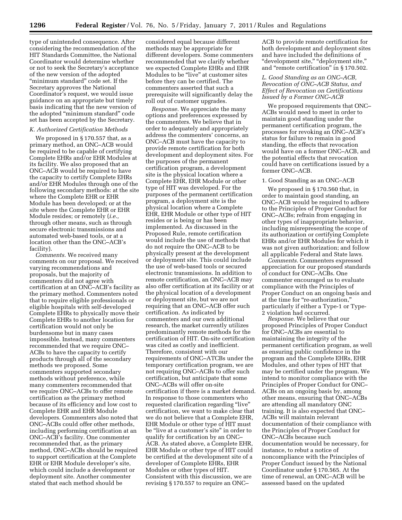type of unintended consequence. After considering the recommendation of the HIT Standards Committee, the National Coordinator would determine whether or not to seek the Secretary's acceptance of the new version of the adopted ''minimum standard'' code set. If the Secretary approves the National Coordinator's request, we would issue guidance on an appropriate but timely basis indicating that the new version of the adopted ''minimum standard'' code set has been accepted by the Secretary.

### *K. Authorized Certification Methods*

We proposed in § 170.557 that, as a primary method, an ONC–ACB would be required to be capable of certifying Complete EHRs and/or EHR Modules at its facility. We also proposed that an ONC–ACB would be required to have the capacity to certify Complete EHRs and/or EHR Modules through one of the following secondary methods: at the site where the Complete EHR or EHR Module has been developed; or at the site where the Complete EHR or EHR Module resides; or remotely (*i.e.,*  through other means, such as through secure electronic transmissions and automated web-based tools, or at a location other than the ONC–ACB's facility).

*Comments.* We received many comments on our proposal. We received varying recommendations and proposals, but the majority of commenters did not agree with certification at an ONC–ACB's facility as the primary method. Commenters noted that to require eligible professionals or eligible hospitals with self-developed Complete EHRs to physically move their Complete EHRs to another location for certification would not only be burdensome but in many cases impossible. Instead, many commenters recommended that we require ONC– ACBs to have the capacity to certify products through all of the secondary methods we proposed. Some commenters supported secondary methods without preference, while many commenters recommended that we require ONC–ACBs to offer remote certification as the primary method because of its efficiency and low cost to Complete EHR and EHR Module developers. Commenters also noted that ONC–ACBs could offer other methods, including performing certification at an ONC–ACB's facility. One commenter recommended that, as the primary method, ONC–ACBs should be required to support certification at the Complete EHR or EHR Module developer's site, which could include a development or deployment site. Another commenter stated that each method should be

considered equal because different methods may be appropriate for different developers. Some commenters recommended that we clarify whether we expected Complete EHRs and EHR Modules to be "live" at customer sites before they can be certified. The commenters asserted that such a prerequisite will significantly delay the roll out of customer upgrades.

*Response.* We appreciate the many options and preferences expressed by the commenters. We believe that in order to adequately and appropriately address the commenters' concerns, an ONC–ACB must have the capacity to provide remote certification for both development and deployment sites. For the purposes of the permanent certification program, a development site is the physical location where a Complete EHR, EHR Module or other type of HIT was developed. For the purposes of the permanent certification program, a deployment site is the physical location where a Complete EHR, EHR Module or other type of HIT resides or is being or has been implemented. As discussed in the Proposed Rule, remote certification would include the use of methods that do not require the ONC–ACB to be physically present at the development or deployment site. This could include the use of web-based tools or secured electronic transmissions. In addition to remote certification, an ONC–ACB may also offer certification at its facility or at the physical location of a development or deployment site, but we are not requiring that an ONC–ACB offer such certification. As indicated by commenters and our own additional research, the market currently utilizes predominantly remote methods for the certification of HIT. On-site certification was cited as costly and inefficient. Therefore, consistent with our requirements of ONC–ATCBs under the temporary certification program, we are not requiring ONC–ACBs to offer such certification, but anticipate that some ONC–ACBs will offer on-site certification if there is a market demand. In response to those commenters who requested clarification regarding "live" certification, we want to make clear that we do not believe that a Complete EHR, EHR Module or other type of HIT must be ''live at a customer's site'' in order to qualify for certification by an ONC– ACB. As stated above, a Complete EHR, EHR Module or other type of HIT could be certified at the development site of a developer of Complete EHRs, EHR Modules or other types of HIT. Consistent with this discussion, we are revising § 170.557 to require an ONC–

ACB to provide remote certification for both development and deployment sites and have included the definitions of "development site," "deployment site," and "remote certification" in § 170.502.

#### *L. Good Standing as an ONC–ACB, Revocation of ONC–ACB Status, and Effect of Revocation on Certifications Issued by a Former ONC–ACB*

We proposed requirements that ONC– ACBs would need to meet in order to maintain good standing under the permanent certification program, the processes for revoking an ONC–ACB's status for failure to remain in good standing, the effects that revocation would have on a former ONC–ACB, and the potential effects that revocation could have on certifications issued by a former ONC–ACB.

#### 1. Good Standing as an ONC–ACB

We proposed in § 170.560 that, in order to maintain good standing, an ONC–ACB would be required to adhere to the Principles of Proper Conduct for ONC–ACBs; refrain from engaging in other types of inappropriate behavior, including misrepresenting the scope of its authorization or certifying Complete EHRs and/or EHR Modules for which it was not given authorization; and follow all applicable Federal and State laws.

*Comments.* Commenters expressed appreciation for our proposed standards of conduct for ONC–ACBs. One commenter encouraged us to evaluate compliance with the Principles of Proper Conduct on an ongoing basis and at the time for ''re-authorization,'' particularly if either a Type-1 or Type-2 violation had occurred.

*Response.* We believe that our proposed Principles of Proper Conduct for ONC–ACBs are essential to maintaining the integrity of the permanent certification program, as well as ensuring public confidence in the program and the Complete EHRs, EHR Modules, and other types of HIT that may be certified under the program. We intend to monitor compliance with the Principles of Proper Conduct for ONC– ACBs on an ongoing basis by, among other means, ensuring that ONC–ACBs are attending all mandatory ONC training. It is also expected that ONC– ACBs will maintain relevant documentation of their compliance with the Principles of Proper Conduct for ONC–ACBs because such documentation would be necessary, for instance, to rebut a notice of noncompliance with the Principles of Proper Conduct issued by the National Coordinator under § 170.565. At the time of renewal, an ONC–ACB will be assessed based on the updated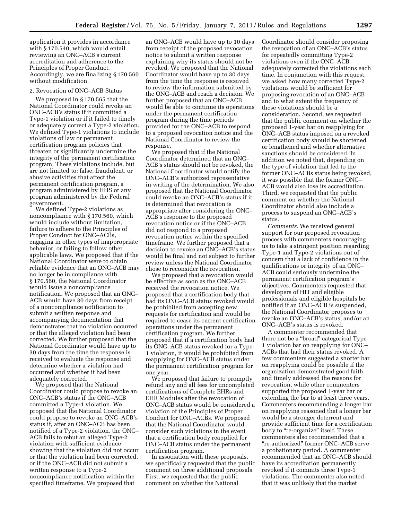application it provides in accordance with § 170.540, which would entail reviewing an ONC–ACB's current accreditation and adherence to the Principles of Proper Conduct. Accordingly, we are finalizing § 170.560 without modification.

#### 2. Revocation of ONC–ACB Status

We proposed in § 170.565 that the National Coordinator could revoke an ONC–ACB's status if it committed a Type-1 violation or if it failed to timely or adequately correct a Type-2 violation. We defined Type-1 violations to include violations of law or permanent certification program policies that threaten or significantly undermine the integrity of the permanent certification program. These violations include, but are not limited to: false, fraudulent, or abusive activities that affect the permanent certification program, a program administered by HHS or any program administered by the Federal government.

We defined Type-2 violations as noncompliance with § 170.560, which would include without limitation, failure to adhere to the Principles of Proper Conduct for ONC–ACBs, engaging in other types of inappropriate behavior, or failing to follow other applicable laws. We proposed that if the National Coordinator were to obtain reliable evidence that an ONC–ACB may no longer be in compliance with § 170.560, the National Coordinator would issue a noncompliance notification. We proposed that an ONC– ACB would have 30 days from receipt of a noncompliance notification to submit a written response and accompanying documentation that demonstrates that no violation occurred or that the alleged violation had been corrected. We further proposed that the National Coordinator would have up to 30 days from the time the response is received to evaluate the response and determine whether a violation had occurred and whether it had been adequately corrected.

We proposed that the National Coordinator could propose to revoke an ONC–ACB's status if the ONC–ACB committed a Type-1 violation. We proposed that the National Coordinator could propose to revoke an ONC–ACB's status if, after an ONC–ACB has been notified of a Type-2 violation, the ONC– ACB fails to rebut an alleged Type-2 violation with sufficient evidence showing that the violation did not occur or that the violation had been corrected, or if the ONC–ACB did not submit a written response to a Type-2 noncompliance notification within the specified timeframe. We proposed that

an ONC–ACB would have up to 10 days from receipt of the proposed revocation notice to submit a written response explaining why its status should not be revoked. We proposed that the National Coordinator would have up to 30 days from the time the response is received to review the information submitted by the ONC–ACB and reach a decision. We further proposed that an ONC–ACB would be able to continue its operations under the permanent certification program during the time periods provided for the ONC–ACB to respond to a proposed revocation notice and the National Coordinator to review the response.

We proposed that if the National Coordinator determined that an ONC– ACB's status should not be revoked, the National Coordinator would notify the ONC–ACB's authorized representative in writing of the determination. We also proposed that the National Coordinator could revoke an ONC–ACB's status if it is determined that revocation is appropriate after considering the ONC– ACB's response to the proposed revocation notice or if the ONC–ACB did not respond to a proposed revocation notice within the specified timeframe. We further proposed that a decision to revoke an ONC–ACB's status would be final and not subject to further review unless the National Coordinator chose to reconsider the revocation.

We proposed that a revocation would be effective as soon as the ONC–ACB received the revocation notice. We proposed that a certification body that had its ONC–ACB status revoked would be prohibited from accepting new requests for certification and would be required to cease its current certification operations under the permanent certification program. We further proposed that if a certification body had its ONC–ACB status revoked for a Type-1 violation, it would be prohibited from reapplying for ONC–ACB status under the permanent certification program for one year.

We proposed that failure to promptly refund any and all fees for uncompleted certifications of Complete EHRs and EHR Modules after the revocation of ONC–ACB status would be considered a violation of the Principles of Proper Conduct for ONC–ACBs. We proposed that the National Coordinator would consider such violations in the event that a certification body reapplied for ONC–ACB status under the permanent certification program.

In association with these proposals, we specifically requested that the public comment on three additional proposals. First, we requested that the public comment on whether the National

Coordinator should consider proposing the revocation of an ONC–ACB's status for repeatedly committing Type-2 violations even if the ONC–ACB adequately corrected the violations each time. In conjunction with this request, we asked how many corrected Type-2 violations would be sufficient for proposing revocation of an ONC–ACB and to what extent the frequency of these violations should be a consideration. Second, we requested that the public comment on whether the proposed 1-year bar on reapplying for ONC–ACB status imposed on a revoked certification body should be shortened or lengthened and whether alternative sanctions should be considered. In addition we noted that, depending on the type of violation that led to the former ONC–ACBs status being revoked, it was possible that the former ONC– ACB would also lose its accreditation. Third, we requested that the public comment on whether the National Coordinator should also include a process to suspend an ONC–ACB's status.

*Comments.* We received general support for our proposed revocation process with commenters encouraging us to take a stringent position regarding Type-1 and Type-2 violations out of concern that a lack of confidence in the qualifications or integrity of an ONC– ACB could seriously undermine the permanent certification program's objectives. Commenters requested that developers of HIT and eligible professionals and eligible hospitals be notified if an ONC–ACB is suspended, the National Coordinator proposes to revoke an ONC–ACB's status, and/or an ONC–ACB's status is revoked.

A commenter recommended that there not be a ''broad'' categorical Type-1 violation bar on reapplying for ONC– ACBs that had their status revoked. A few commenters suggested a shorter bar on reapplying could be possible if the organization demonstrated good faith and timely addressed the reasons for revocation, while other commenters supported the proposed 1-year bar or extending the bar to at least three years. Commenters recommending a longer bar on reapplying reasoned that a longer bar would be a stronger deterrent and provide sufficient time for a certification body to ''re-organize'' itself. These commenters also recommended that a ''re-authorized'' former ONC–ACB serve a probationary period. A commenter recommended that an ONC–ACB should have its accreditation permanently revoked if it commits three Type-1 violations. The commenter also noted that it was unlikely that the market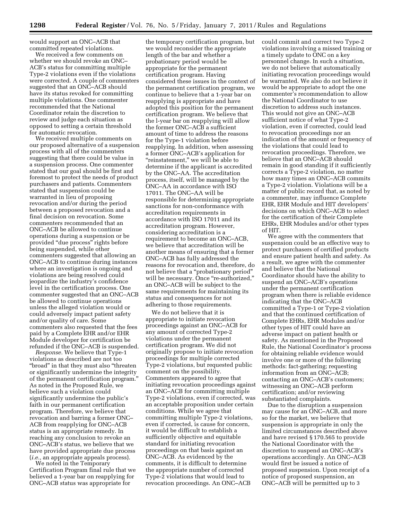would support an ONC–ACB that committed repeated violations.

We received a few comments on whether we should revoke an ONC– ACB's status for committing multiple Type-2 violations even if the violations were corrected. A couple of commenters suggested that an ONC–ACB should have its status revoked for committing multiple violations. One commenter recommended that the National Coordinator retain the discretion to review and judge each situation as opposed to setting a certain threshold for automatic revocation.

We received multiple comments on our proposed alternative of a suspension process with all of the commenters suggesting that there could be value in a suspension process. One commenter stated that our goal should be first and foremost to protect the needs of product purchasers and patients. Commenters stated that suspension could be warranted in lieu of proposing revocation and/or during the period between a proposed revocation and a final decision on revocation. Some commenters recommended that an ONC–ACB be allowed to continue operations during a suspension or be provided ''due process'' rights before being suspended, while other commenters suggested that allowing an ONC–ACB to continue during instances where an investigation is ongoing and violations are being resolved could jeopardize the industry's confidence level in the certification process. One commenter suggested that an ONC–ACB be allowed to continue operations unless the alleged violation would or could adversely impact patient safety and/or quality of care. Some commenters also requested that the fees paid by a Complete EHR and/or EHR Module developer for certification be refunded if the ONC–ACB is suspended.

*Response.* We believe that Type-1 violations as described are not too ''broad'' in that they must also ''threaten or significantly undermine the integrity of the permanent certification program.'' As noted in the Proposed Rule, we believe such a violation could significantly undermine the public's faith in our permanent certification program. Therefore, we believe that revocation and barring a former ONC– ACB from reapplying for ONC–ACB status is an appropriate remedy. In reaching any conclusion to revoke an ONC–ACB's status, we believe that we have provided appropriate due process (*i.e.,* an appropriate appeals process).

We noted in the Temporary Certification Program final rule that we believed a 1-year bar on reapplying for ONC–ACB status was appropriate for

the temporary certification program, but we would reconsider the appropriate length of the bar and whether a probationary period would be appropriate for the permanent certification program. Having considered these issues in the context of the permanent certification program, we continue to believe that a 1-year bar on reapplying is appropriate and have adopted this position for the permanent certification program. We believe that the l-year bar on reapplying will allow the former ONC–ACB a sufficient amount of time to address the reasons for the Type-1 violation before reapplying. In addition, when assessing a former ONC–ACB's application for ''reinstatement,'' we will be able to determine if the applicant is accredited by the ONC–AA. The accreditation process, itself, will be managed by the ONC–AA in accordance with ISO 17011. The ONC–AA will be responsible for determining appropriate sanctions for non-conformance with accreditation requirements in accordance with ISO 17011 and its accreditation program. However, considering accreditation is a requirement to become an ONC–ACB, we believe that accreditation will be another means of ensuring that a former ONC–ACB has fully addressed the reasons for revocation and, therefore, do not believe that a ''probationary period'' will be necessary. Once "re-authorized," an ONC–ACB will be subject to the same requirements for maintaining its status and consequences for not adhering to those requirements.

We do not believe that it is appropriate to initiate revocation proceedings against an ONC–ACB for any amount of corrected Type-2 violations under the permanent certification program. We did not originally propose to initiate revocation proceedings for multiple corrected Type-2 violations, but requested public comment on the possibility. Commenters appeared to agree that initiating revocation proceedings against an ONC–ACB for committing multiple Type-2 violations, even if corrected, was an acceptable proposition under certain conditions. While we agree that committing multiple Type-2 violations, even if corrected, is cause for concern, it would be difficult to establish a sufficiently objective and equitable standard for initiating revocation proceedings on that basis against an ONC–ACB. As evidenced by the comments, it is difficult to determine the appropriate number of corrected Type-2 violations that would lead to revocation proceedings. An ONC–ACB

could commit and correct two Type-2 violations involving a missed training or a timely update to ONC on a key personnel change. In such a situation, we do not believe that automatically initiating revocation proceedings would be warranted. We also do not believe it would be appropriate to adopt the one commenter's recommendation to allow the National Coordinator to use discretion to address such instances. This would not give an ONC–ACB sufficient notice of what Type-2 violation, even if corrected, could lead to revocation proceedings nor an indication of the amount or frequency of the violations that could lead to revocation proceedings. Therefore, we believe that an ONC–ACB should remain in good standing if it sufficiently corrects a Type-2 violation, no matter how many times an ONC–ACB commits a Type-2 violation. Violations will be a matter of public record that, as noted by a commenter, may influence Complete EHR, EHR Module and HIT developers' decisions on which ONC–ACB to select for the certification of their Complete EHRs, EHR Modules and/or other types of HIT.

We agree with the commenters that suspension could be an effective way to protect purchasers of certified products and ensure patient health and safety. As a result, we agree with the commenter and believe that the National Coordinator should have the ability to suspend an ONC–ACB's operations under the permanent certification program when there is reliable evidence indicating that the ONC–ACB committed a Type-1 or Type-2 violation and that the continued certification of Complete EHRs, EHR Modules and/or other types of HIT could have an adverse impact on patient health or safety. As mentioned in the Proposed Rule, the National Coordinator's process for obtaining reliable evidence would involve one or more of the following methods: fact-gathering; requesting information from an ONC–ACB; contacting an ONC–ACB's customers; witnessing an ONC–ACB perform certification; and/or reviewing substantiated complaints.

Due to the disruption a suspension may cause for an ONC–ACB, and more so for the market, we believe that suspension is appropriate in only the limited circumstances described above and have revised § 170.565 to provide the National Coordinator with the discretion to suspend an ONC–ACB's operations accordingly. An ONC–ACB would first be issued a notice of proposed suspension. Upon receipt of a notice of proposed suspension, an ONC–ACB will be permitted up to 3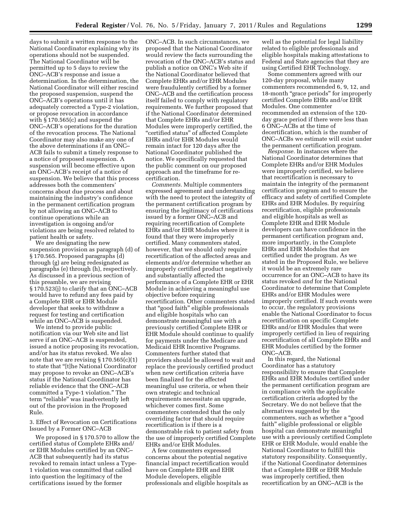days to submit a written response to the National Coordinator explaining why its operations should not be suspended. The National Coordinator will be permitted up to 5 days to review the ONC–ACB's response and issue a determination. In the determination, the National Coordinator will either rescind the proposed suspension, suspend the ONC–ACB's operations until it has adequately corrected a Type-2 violation, or propose revocation in accordance with § 170.565(c) and suspend the ONC–ACB's operations for the duration of the revocation process. The National Coordinator may also make any one of the above determinations if an ONC– ACB fails to submit a timely response to a notice of proposed suspension. A suspension will become effective upon an ONC–ACB's receipt of a notice of suspension. We believe that this process addresses both the commenters' concerns about due process and about maintaining the industry's confidence in the permanent certification program by not allowing an ONC–ACB to continue operations while an investigation is ongoing and/or violations are being resolved related to patient health or safety.

We are designating the new suspension provision as paragraph (d) of § 170.565. Proposed paragraphs (d) through (g) are being redesignated as paragraphs (e) through (h), respectively. As discussed in a previous section of this preamble, we are revising § 170.523(j) to clarify that an ONC–ACB would have to refund any fees paid by a Complete EHR or EHR Module developer that seeks to withdraw a request for testing and certification while an ONC–ACB is suspended.

We intend to provide public notification via our Web site and list serve if an ONC–ACB is suspended, issued a notice proposing its revocation, and/or has its status revoked. We also note that we are revising  $\S 170.565(c)(1)$ to state that ''[t]he National Coordinator may propose to revoke an ONC–ACB's status if the National Coordinator has reliable evidence that the ONC–ACB committed a Type-1 violation.'' The term "reliable" was inadvertently left out of the provision in the Proposed Rule.

3. Effect of Revocation on Certifications Issued by a Former ONC–ACB

We proposed in § 170.570 to allow the certified status of Complete EHRs and/ or EHR Modules certified by an ONC– ACB that subsequently had its status revoked to remain intact unless a Type-1 violation was committed that called into question the legitimacy of the certifications issued by the former

ONC–ACB. In such circumstances, we proposed that the National Coordinator would review the facts surrounding the revocation of the ONC–ACB's status and publish a notice on ONC's Web site if the National Coordinator believed that Complete EHRs and/or EHR Modules were fraudulently certified by a former ONC–ACB and the certification process itself failed to comply with regulatory requirements. We further proposed that if the National Coordinator determined that Complete EHRs and/or EHR Modules were improperly certified, the ''certified status'' of affected Complete EHRs and/or EHR Modules would remain intact for 120 days after the National Coordinator published the notice. We specifically requested that the public comment on our proposed approach and the timeframe for recertification.

*Comments.* Multiple commenters expressed agreement and understanding with the need to protect the integrity of the permanent certification program by ensuring the legitimacy of certifications issued by a former ONC–ACB and requiring recertification of Complete EHRs and/or EHR Modules where it is found that they were improperly certified. Many commenters stated, however, that we should only require recertification of the affected areas and elements and/or determine whether an improperly certified product negatively and substantially affected the performance of a Complete EHR or EHR Module in achieving a meaningful use objective before requiring recertification. Other commenters stated that ''good faith'' eligible professionals and eligible hospitals who can demonstrate meaningful use with a previously certified Complete EHR or EHR Module should continue to qualify for payments under the Medicare and Medicaid EHR Incentive Programs. Commenters further stated that providers should be allowed to wait and replace the previously certified product when new certification criteria have been finalized for the affected meaningful use criteria, or when their own strategic and technical requirements necessitate an upgrade, whichever comes first. Some commenters contended that the only overriding factor that should require recertification is if there is a demonstrable risk to patient safety from the use of improperly certified Complete EHRs and/or EHR Modules.

A few commenters expressed concerns about the potential negative financial impact recertification would have on Complete EHR and EHR Module developers, eligible professionals and eligible hospitals as

well as the potential for legal liability related to eligible professionals and eligible hospitals making attestations to Federal and State agencies that they are using Certified EHR Technology.

Some commenters agreed with our 120-day proposal, while many commenters recommended 6, 9, 12, and 18-month ''grace periods'' for improperly certified Complete EHRs and/or EHR Modules. One commenter recommended an extension of the 120 day grace period if there were less than 6 ONC–ACBs at the time of decertification, which is the number of ONC–ACBs we estimate will exist under the permanent certification program.

*Response.* In instances where the National Coordinator determines that Complete EHRs and/or EHR Modules were improperly certified, we believe that recertification is necessary to maintain the integrity of the permanent certification program and to ensure the efficacy and safety of certified Complete EHRs and EHR Modules. By requiring recertification, eligible professionals and eligible hospitals as well as Complete EHR and EHR Module developers can have confidence in the permanent certification program and, more importantly, in the Complete EHRs and EHR Modules that are certified under the program. As we stated in the Proposed Rule, we believe it would be an extremely rare occurrence for an ONC–ACB to have its status revoked *and* for the National Coordinator to determine that Complete EHRs and/or EHR Modules were improperly certified. If such events were to occur, the regulatory provisions enable the National Coordinator to focus recertification on specific Complete EHRs and/or EHR Modules that were improperly certified in lieu of requiring recertification of all Complete EHRs and EHR Modules certified by the former ONC–ACB.

In this regard, the National Coordinator has a statutory responsibility to ensure that Complete EHRs and EHR Modules certified under the permanent certification program are in compliance with the applicable certification criteria adopted by the Secretary. We do not believe that the alternatives suggested by the commenters, such as whether a ''good faith'' eligible professional or eligible hospital can demonstrate meaningful use with a previously certified Complete EHR or EHR Module, would enable the National Coordinator to fulfill this statutory responsibility. Consequently, if the National Coordinator determines that a Complete EHR or EHR Module was improperly certified, then recertification by an ONC–ACB is the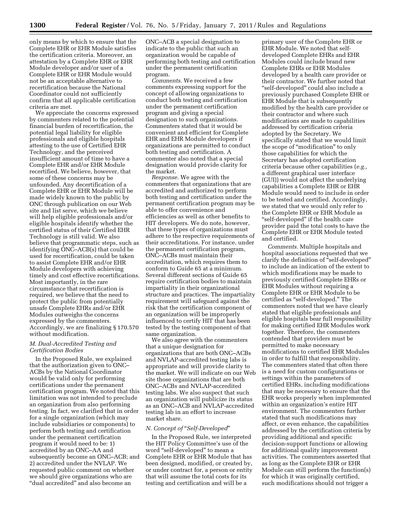only means by which to ensure that the Complete EHR or EHR Module satisfies the certification criteria. Moreover, an attestation by a Complete EHR or EHR Module developer and/or user of a Complete EHR or EHR Module would not be an acceptable alternative to recertification because the National Coordinator could not sufficiently confirm that all applicable certification criteria are met.

We appreciate the concerns expressed by commenters related to the potential financial burden of recertification, the potential legal liability for eligible professionals and eligible hospitals attesting to the use of Certified EHR Technology, and the perceived insufficient amount of time to have a Complete EHR and/or EHR Module recertified. We believe, however, that some of these concerns may be unfounded. Any decertification of a Complete EHR or EHR Module will be made widely known to the public by ONC through publication on our Web site and list serve, which we believe will help eligible professionals and/or eligible hospitals identify whether the certified status of their Certified EHR Technology is still valid. We also believe that programmatic steps, such as identifying ONC–ACB(s) that could be used for recertification, could be taken to assist Complete EHR and/or EHR Module developers with achieving timely and cost effective recertifications. Most importantly, in the rare circumstance that recertification is required, we believe that the need to protect the public from potentially unsafe Complete EHRs and/or EHR Modules outweighs the concerns expressed by the commenters. Accordingly, we are finalizing § 170.570 without modification.

#### *M. Dual-Accredited Testing and Certification Bodies*

In the Proposed Rule, we explained that the authorization given to ONC– ACBs by the National Coordinator would be valid only for performing certifications under the permanent certification program. We noted that this limitation was not intended to preclude an organization from also performing testing. In fact, we clarified that in order for a single organization (which may include subsidiaries or components) to perform both testing and certification under the permanent certification program it would need to be: 1) accredited by an ONC–AA and subsequently become an ONC–ACB; and 2) accredited under the NVLAP. We requested public comment on whether we should give organizations who are ''dual accredited'' and also become an

ONC–ACB a special designation to indicate to the public that such an organization would be capable of performing both testing and certification under the permanent certification program.

*Comments.* We received a few comments expressing support for the concept of allowing organizations to conduct both testing and certification under the permanent certification program and giving a special designation to such organizations. Commenters stated that it would be convenient and efficient for Complete EHR and EHR Module developers if organizations are permitted to conduct both testing and certification. A commenter also noted that a special designation would provide clarity for the market.

*Response.* We agree with the commenters that organizations that are accredited and authorized to perform both testing and certification under the permanent certification program may be able to offer convenience and efficiencies as well as other benefits to HIT developers. We do note, however, that these types of organizations must adhere to the respective requirements of their accreditations. For instance, under the permanent certification program, ONC–ACBs must maintain their accreditation, which requires them to conform to Guide 65 at a minimum. Several different sections of Guide 65 require certification bodies to maintain impartiality in their organizational structure and practices. The impartiality requirement will safeguard against the risk that the certification component of an organization will be improperly influenced to certify HIT that has been tested by the testing component of that same organization.

We also agree with the commenters that a unique designation for organizations that are both ONC–ACBs and NVLAP-accredited testing labs is appropriate and will provide clarity to the market. We will indicate on our Web site those organizations that are both ONC–ACBs and NVLAP-accredited testing labs. We also suspect that such an organization will publicize its status as an ONC–ACB and NVLAP-accredited testing lab in an effort to increase market share.

#### *N. Concept of* ''*Self-Developed*''

In the Proposed Rule, we interpreted the HIT Policy Committee's use of the word ''self-developed'' to mean a Complete EHR or EHR Module that has been designed, modified, or created by, or under contract for, a person or entity that will assume the total costs for its testing and certification and will be a

primary user of the Complete EHR or EHR Module. We noted that selfdeveloped Complete EHRs and EHR Modules could include brand new Complete EHRs or EHR Modules developed by a health care provider or their contractor. We further noted that ''self-developed'' could also include a previously purchased Complete EHR or EHR Module that is subsequently modified by the health care provider or their contractor and where such modifications are made to capabilities addressed by certification criteria adopted by the Secretary. We specifically stated that we would limit the scope of "modification" to only those capabilities for which the Secretary has adopted certification criteria because other capabilities (*e.g.,*  a different graphical user interface (GUI)) would not affect the underlying capabilities a Complete EHR or EHR Module would need to include in order to be tested and certified. Accordingly, we stated that we would only refer to the Complete EHR or EHR Module as ''self-developed'' if the health care provider paid the total costs to have the Complete EHR or EHR Module tested and certified.

*Comments.* Multiple hospitals and hospital associations requested that we clarify the definition of "self-developed" to include an indication of the extent to which modifications may be made to previously certified Complete EHRs or EHR Modules without requiring a Complete EHR or EHR Module to be certified as "self-developed." The commenters noted that we have clearly stated that eligible professionals and eligible hospitals bear full responsibility for making certified EHR Modules work together. Therefore, the commenters contended that providers must be permitted to make necessary modifications to certified EHR Modules in order to fulfill that responsibility. The commenters stated that often there is a need for custom configurations or settings within the parameters of certified EHRs, including modifications that may be necessary to ensure that the EHR works properly when implemented within an organization's entire HIT environment. The commenters further stated that such modifications may affect, or even enhance, the capabilities addressed by the certification criteria by providing additional and specific decision-support functions or allowing for additional quality improvement activities. The commenters asserted that as long as the Complete EHR or EHR Module can still perform the function(s) for which it was originally certified, such modifications should not trigger a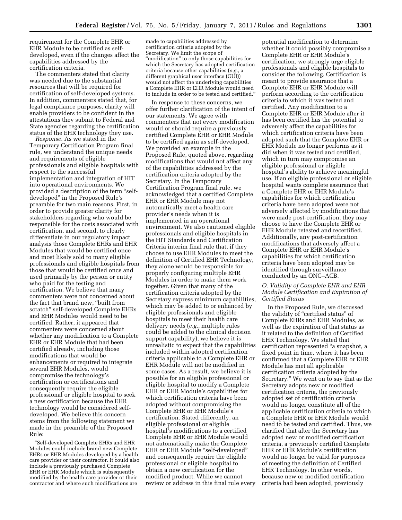requirement for the Complete EHR or EHR Module to be certified as selfdeveloped, even if the changes affect the capabilities addressed by the certification criteria.

The commenters stated that clarity was needed due to the substantial resources that will be required for certification of self-developed systems. In addition, commenters stated that, for legal compliance purposes, clarity will enable providers to be confident in the attestations they submit to Federal and State agencies regarding the certification status of the EHR technology they use.

*Response.* As we stated in the Temporary Certification Program final rule, we understand the unique needs and requirements of eligible professionals and eligible hospitals with respect to the successful implementation and integration of HIT into operational environments. We provided a description of the term "selfdeveloped'' in the Proposed Rule's preamble for two main reasons. First, in order to provide greater clarity for stakeholders regarding who would be responsible for the costs associated with certification, and second, to clearly differentiate in our regulatory impact analysis those Complete EHRs and EHR Modules that would be certified once and most likely sold to many eligible professionals and eligible hospitals from those that would be certified once and used primarily by the person or entity who paid for the testing and certification. We believe that many commenters were not concerned about the fact that brand new, ''built from scratch'' self-developed Complete EHRs and EHR Modules would need to be certified. Rather, it appeared that commenters were concerned about whether any modification to a Complete EHR or EHR Module that had been certified already, including those modifications that would be enhancements or required to integrate several EHR Modules, would compromise the technology's certification or certifications and consequently require the eligible professional or eligible hospital to seek a new certification because the EHR technology would be considered selfdeveloped. We believe this concern stems from the following statement we made in the preamble of the Proposed Rule:

''Self-developed Complete EHRs and EHR Modules could include brand new Complete EHRs or EHR Modules developed by a health care provider or their contractor. It could also include a previously purchased Complete EHR or EHR Module which is subsequently modified by the health care provider or their contractor and where such modifications are

made to capabilities addressed by certification criteria adopted by the Secretary. We limit the scope of "modification" to only those capabilities for which the Secretary has adopted certification criteria because other capabilities (*e.g.,* a different graphical user interface (GUI)) would not affect the underlying capabilities a Complete EHR or EHR Module would need to include in order to be tested and certified.''

In response to these concerns, we offer further clarification of the intent of our statements. We agree with commenters that not every modification would or should require a previously certified Complete EHR or EHR Module to be certified again as self-developed. We provided an example in the Proposed Rule, quoted above, regarding modifications that would not affect any of the capabilities addressed by the certification criteria adopted by the Secretary. In the Temporary Certification Program final rule, we acknowledged that a certified Complete EHR or EHR Module may not automatically meet a health care provider's needs when it is implemented in an operational environment. We also cautioned eligible professionals and eligible hospitals in the HIT Standards and Certification Criteria interim final rule that, if they choose to use EHR Modules to meet the definition of Certified EHR Technology, they alone would be responsible for properly configuring multiple EHR Modules in order to make them work together. Given that many of the certification criteria adopted by the Secretary express minimum capabilities, which may be added to or enhanced by eligible professionals and eligible hospitals to meet their health care delivery needs (*e.g.,* multiple rules could be added to the clinical decision support capability), we believe it is unrealistic to expect that the capabilities included within adopted certification criteria applicable to a Complete EHR or EHR Module will not be modified in some cases. As a result, we believe it is possible for an eligible professional or eligible hospital to modify a Complete EHR or EHR Module's capabilities for which certification criteria have been adopted without compromising the Complete EHR or EHR Module's certification. Stated differently, an eligible professional or eligible hospital's modifications to a certified Complete EHR or EHR Module would not automatically make the Complete EHR or EHR Module ''self-developed'' and consequently require the eligible professional or eligible hospital to obtain a new certification for the modified product. While we cannot review or address in this final rule every

potential modification to determine whether it could possibly compromise a Complete EHR or EHR Module's certification, we strongly urge eligible professionals and eligible hospitals to consider the following. Certification is meant to provide assurance that a Complete EHR or EHR Module will perform according to the certification criteria to which it was tested and certified. Any modification to a Complete EHR or EHR Module after it has been certified has the potential to adversely affect the capabilities for which certification criteria have been adopted such that the Complete EHR or EHR Module no longer performs as it did when it was tested and certified, which in turn may compromise an eligible professional or eligible hospital's ability to achieve meaningful use. If an eligible professional or eligible hospital wants complete assurance that a Complete EHR or EHR Module's capabilities for which certification criteria have been adopted were not adversely affected by modifications that were made post-certification, they may choose to have the Complete EHR or EHR Module retested and recertified. Additionally, any post-certification modifications that adversely affect a Complete EHR or EHR Module's capabilities for which certification criteria have been adopted may be identified through surveillance conducted by an ONC–ACB.

# *O. Validity of Complete EHR and EHR Module Certification and Expiration of Certified Status*

In the Proposed Rule, we discussed the validity of "certified status" of Complete EHRs and EHR Modules, as well as the expiration of that status as it related to the definition of Certified EHR Technology. We stated that certification represented ''a snapshot, a fixed point in time, where it has been confirmed that a Complete EHR or EHR Module has met all applicable certification criteria adopted by the Secretary.'' We went on to say that as the Secretary adopts new or modified certification criteria, the previously adopted set of certification criteria would no longer constitute all of the applicable certification criteria to which a Complete EHR or EHR Module would need to be tested and certified. Thus, we clarified that after the Secretary has adopted new or modified certification criteria, a previously certified Complete EHR or EHR Module's certification would no longer be valid for purposes of meeting the definition of Certified EHR Technology. In other words, because new or modified certification criteria had been adopted, previously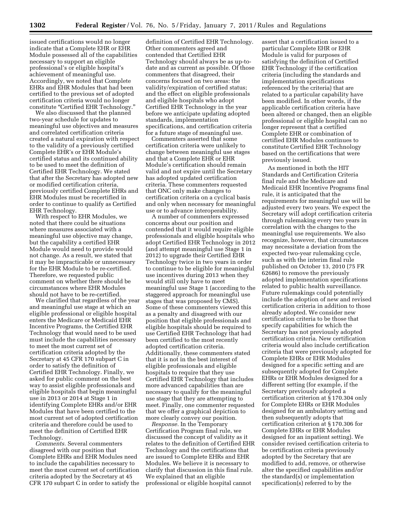issued certifications would no longer indicate that a Complete EHR or EHR Module possessed all of the capabilities necessary to support an eligible professional's or eligible hospital's achievement of meaningful use. Accordingly, we noted that Complete EHRs and EHR Modules that had been certified to the previous set of adopted certification criteria would no longer constitute ''Certified EHR Technology.''

We also discussed that the planned two-year schedule for updates to meaningful use objectives and measures and correlated certification criteria created a natural expiration with respect to the validity of a previously certified Complete EHR's or EHR Module's certified status and its continued ability to be used to meet the definition of Certified EHR Technology. We stated that after the Secretary has adopted new or modified certification criteria, previously certified Complete EHRs and EHR Modules must be recertified in order to continue to qualify as Certified EHR Technology.

With respect to EHR Modules, we noted that there could be situations where measures associated with a meaningful use objective may change, but the capability a certified EHR Module would need to provide would not change. As a result, we stated that it may be impracticable or unnecessary for the EHR Module to be re-certified. Therefore, we requested public comment on whether there should be circumstances where EHR Modules should not have to be re-certified.

We clarified that regardless of the year and meaningful use stage at which an eligible professional or eligible hospital enters the Medicare or Medicaid EHR Incentive Programs, the Certified EHR Technology that would need to be used must include the capabilities necessary to meet the most current set of certification criteria adopted by the Secretary at 45 CFR 170 subpart C in order to satisfy the definition of Certified EHR Technology. Finally, we asked for public comment on the best way to assist eligible professionals and eligible hospitals that begin meaningful use in 2013 or 2014 at Stage 1 in identifying Complete EHRs and/or EHR Modules that have been certified to the most current set of adopted certification criteria and therefore could be used to meet the definition of Certified EHR Technology.

*Comments.* Several commenters disagreed with our position that Complete EHRs and EHR Modules need to include the capabilities necessary to meet the most current set of certification criteria adopted by the Secretary at 45 CFR 170 subpart C in order to satisfy the

definition of Certified EHR Technology. Other commenters agreed and contended that Certified EHR Technology should always be as up-todate and as current as possible. Of those commenters that disagreed, their concerns focused on two areas: the validity/expiration of certified status; and the effect on eligible professionals and eligible hospitals who adopt Certified EHR Technology in the year before we anticipate updating adopted standards, implementation specifications, and certification criteria for a future stage of meaningful use.

Commenters asserted that some certification criteria were unlikely to change between meaningful use stages and that a Complete EHR or EHR Module's certification should remain valid and not expire until the Secretary has adopted updated certification criteria. These commenters requested that ONC only make changes to certification criteria on a cyclical basis and only when necessary for meaningful use or to advance interoperability.

A number of commenters expressed concerns about our position and contended that it would require eligible professionals and eligible hospitals who adopt Certified EHR Technology in 2012 (and attempt meaningful use Stage 1 in 2012) to upgrade their Certified EHR Technology twice in two years in order to continue to be eligible for meaningful use incentives during 2013 when they would still only have to meet meaningful use Stage 1 (according to the staggered approach for meaningful use stages that was proposed by CMS). Some of these commenters viewed this as a penalty and disagreed with our position that eligible professionals and eligible hospitals should be required to use Certified EHR Technology that had been certified to the most recently adopted certification criteria. Additionally, these commenters stated that it is not in the best interest of eligible professionals and eligible hospitals to require that they use Certified EHR Technology that includes more advanced capabilities than are necessary to qualify for the meaningful use stage that they are attempting to meet. Finally, one commenter requested that we offer a graphical depiction to more clearly convey our position.

*Response.* In the Temporary Certification Program final rule, we discussed the concept of validity as it relates to the definition of Certified EHR Technology and the certifications that are issued to Complete EHRs and EHR Modules. We believe it is necessary to clarify that discussion in this final rule. We explained that an eligible professional or eligible hospital cannot

assert that a certification issued to a particular Complete EHR or EHR Module is valid for purposes of satisfying the definition of Certified EHR Technology if the certification criteria (including the standards and implementation specifications referenced by the criteria) that are related to a particular capability have been modified. In other words, if the applicable certification criteria have been altered or changed, then an eligible professional or eligible hospital can no longer represent that a certified Complete EHR or combination of certified EHR Modules continues to constitute Certified EHR Technology based on the certifications that were previously issued.

As mentioned in both the HIT Standards and Certification Criteria final rule and the Medicare and Medicaid EHR Incentive Programs final rule, it is anticipated that the requirements for meaningful use will be adjusted every two years. We expect the Secretary will adopt certification criteria through rulemaking every two years in correlation with the changes to the meaningful use requirements. We also recognize, however, that circumstances may necessitate a deviation from the expected two-year rulemaking cycle, such as with the interim final rule published on October 13, 2010 (75 FR 62686) to remove the previously adopted implementation specifications related to public health surveillance. Future rulemakings could potentially include the adoption of new and revised certification criteria in addition to those already adopted. We consider new certification criteria to be those that specify capabilities for which the Secretary has not previously adopted certification criteria. New certification criteria would also include certification criteria that were previously adopted for Complete EHRs or EHR Modules designed for a specific setting and are subsequently adopted for Complete EHRs or EHR Modules designed for a different setting (for example, if the Secretary previously adopted a certification criterion at § 170.304 only for Complete EHRs or EHR Modules designed for an ambulatory setting and then subsequently adopts that certification criterion at § 170.306 for Complete EHRs or EHR Modules designed for an inpatient setting). We consider revised certification criteria to be certification criteria previously adopted by the Secretary that are modified to add, remove, or otherwise alter the specified capabilities and/or the standard(s) or implementation specification(s) referred to by the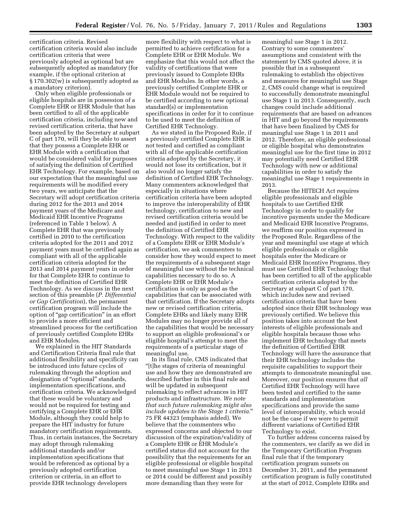certification criteria. Revised certification criteria would also include certification criteria that were previously adopted as optional but are subsequently adopted as mandatory (for example, if the optional criterion at § 170.302(w) is subsequently adopted as a mandatory criterion).

Only when eligible professionals or eligible hospitals are in possession of a Complete EHR or EHR Module that has been certified to all of the applicable certification criteria, including new and revised certification criteria, that have been adopted by the Secretary at subpart C of part 170, will they be able to assert that they possess a Complete EHR or EHR Module with a certification that would be considered valid for purposes of satisfying the definition of Certified EHR Technology. For example, based on our expectation that the meaningful use requirements will be modified every two years, we anticipate that the Secretary will adopt certification criteria during 2012 for the 2013 and 2014 payment years of the Medicare and Medicaid EHR Incentive Programs (referenced in Table 1 below). A Complete EHR that was previously certified in 2010 to the certification criteria adopted for the 2011 and 2012 payment years must be certified again as compliant with all of the applicable certification criteria adopted for the 2013 and 2014 payment years in order for that Complete EHR to continue to meet the definition of Certified EHR Technology. As we discuss in the next section of this preamble (*P. Differential or Gap Certification*), the permanent certification program will include the option of ''gap certification'' in an effort to provide a more efficient and streamlined process for the certification of previously certified Complete EHRs and EHR Modules.

We explained in the HIT Standards and Certification Criteria final rule that additional flexibility and specificity can be introduced into future cycles of rulemaking through the adoption and designation of "optional" standards, implementation specifications, and certification criteria. We acknowledged that these would be voluntary and would not be required for testing and certifying a Complete EHR or EHR Module, although they could help to prepare the HIT industry for future mandatory certification requirements. Thus, in certain instances, the Secretary may adopt through rulemaking additional standards and/or implementation specifications that would be referenced as optional by a previously adopted certification criterion or criteria, in an effort to provide EHR technology developers

more flexibility with respect to what is permitted to achieve certification for a Complete EHR or EHR Module. We emphasize that this would not affect the validity of certifications that were previously issued to Complete EHRs and EHR Modules. In other words, a previously certified Complete EHR or EHR Module would not be required to be certified according to new optional standard(s) or implementation specifications in order for it to continue to be used to meet the definition of Certified EHR Technology.

As we stated in the Proposed Rule, if a previously certified Complete EHR is not tested and certified as compliant with all of the applicable certification criteria adopted by the Secretary, it would not lose its certification, but it also would no longer satisfy the definition of Certified EHR Technology. Many commenters acknowledged that especially in situations where certification criteria have been adopted to improve the interoperability of EHR technology, certification to new and revised certification criteria would be needed and justified in order to meet the definition of Certified EHR Technology. With respect to the validity of a Complete EHR or EHR Module's certification, we ask commenters to consider how they would expect to meet the requirements of a subsequent stage of meaningful use without the technical capabilities necessary to do so. A Complete EHR or EHR Module's certification is only as good as the capabilities that can be associated with that certification. If the Secretary adopts new or revised certification criteria, Complete EHRs and likely many EHR Modules may no longer provide all of the capabilities that would be necessary to support an eligible professional's or eligible hospital's attempt to meet the requirements of a particular stage of meaningful use.

In its final rule, CMS indicated that ''[t]he stages of criteria of meaningful use and how they are demonstrated are described further in this final rule and will be updated in subsequent rulemaking to reflect advances in HIT products and infrastructure. *We note that such future rulemaking might also include updates to the Stage 1 criteria.*'' 75 FR 44323 (emphasis added). We believe that the commenters who expressed concerns and objected to our discussion of the expiration/validity of a Complete EHR or EHR Module's certified status did not account for the possibility that the requirements for an eligible professional or eligible hospital to meet meaningful use Stage 1 in 2013 or 2014 could be different and possibly more demanding than they were for

meaningful use Stage 1 in 2012. Contrary to some commenters' assumptions and consistent with the statement by CMS quoted above, it is possible that in a subsequent rulemaking to establish the objectives and measures for meaningful use Stage 2, CMS could change what is required to successfully demonstrate meaningful use Stage 1 in 2013. Consequently, such changes could include additional requirements that are based on advances in HIT and go beyond the requirements that have been finalized by CMS for meaningful use Stage 1 in 2011 and 2012. Therefore, an eligible professional or eligible hospital who demonstrates meaningful use for the first time in 2012 may potentially need Certified EHR Technology with new or additional capabilities in order to satisfy the meaningful use Stage 1 requirements in 2013.

Because the HITECH Act requires eligible professionals and eligible hospitals to use Certified EHR Technology in order to qualify for incentive payments under the Medicare and Medicaid EHR Incentive Programs, we reaffirm our position expressed in the Proposed Rule. Regardless of the year and meaningful use stage at which eligible professionals or eligible hospitals enter the Medicare or Medicaid EHR Incentive Programs, they must use Certified EHR Technology that has been certified to all of the applicable certification criteria adopted by the Secretary at subpart C of part 170, which includes new and revised certification criteria that have been adopted since their EHR technology was previously certified. We believe this position takes into account the best interests of eligible professionals and eligible hospitals because those who implement EHR technology that meets the definition of Certified EHR Technology will have the assurance that their EHR technology includes the requisite capabilities to support their attempts to demonstrate meaningful use. Moreover, our position ensures that *all*  Certified EHR Technology will have been tested and certified to the same standards and implementation specifications and provide the same level of interoperability, which would not be the case if we were to permit different variations of Certified EHR Technology to exist.

To further address concerns raised by the commenters, we clarify as we did in the Temporary Certification Program final rule that if the temporary certification program sunsets on December 31, 2011, and the permanent certification program is fully constituted at the start of 2012, Complete EHRs and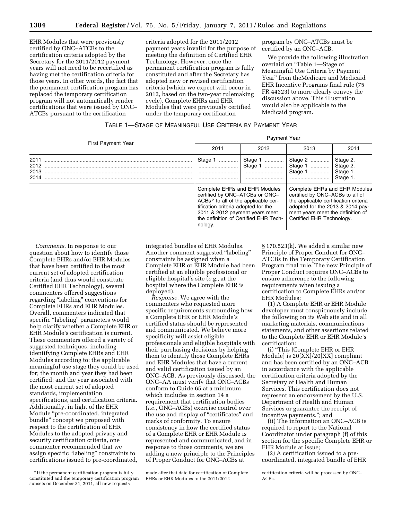EHR Modules that were previously certified by ONC–ATCBs to the certification criteria adopted by the Secretary for the 2011/2012 payment years will not need to be recertified as having met the certification criteria for those years. In other words, the fact that the permanent certification program has replaced the temporary certification program will not automatically render certifications that were issued by ONC– ATCBs pursuant to the certification

criteria adopted for the 2011/2012 payment years invalid for the purpose of meeting the definition of Certified EHR Technology. However, once the permanent certification program is fully constituted and after the Secretary has adopted new or revised certification criteria (which we expect will occur in 2012, based on the two-year rulemaking cycle), Complete EHRs and EHR Modules that were previously certified under the temporary certification

program by ONC–ATCBs must be certified by an ONC–ACB.

We provide the following illustration overlaid on ''Table 1—Stage of Meaningful Use Criteria by Payment Year'' from theMedicare and Medicaid EHR Incentive Programs final rule (75 FR 44323) to more clearly convey the discussion above. This illustration would also be applicable to the Medicaid program.

| Table 1—Stage of Meaningful Use Criteria by Payment Year |
|----------------------------------------------------------|
|----------------------------------------------------------|

|                              | <b>Payment Year</b>                                                                                                                                                                                                                             |      |                                                                                                                                                                                                                 |                                  |  |
|------------------------------|-------------------------------------------------------------------------------------------------------------------------------------------------------------------------------------------------------------------------------------------------|------|-----------------------------------------------------------------------------------------------------------------------------------------------------------------------------------------------------------------|----------------------------------|--|
| <b>First Payment Year</b>    | 2011                                                                                                                                                                                                                                            | 2012 | 2013                                                                                                                                                                                                            | 2014                             |  |
| 2011<br>2012<br>2013<br>2014 | Stage 1<br><br><br>                                                                                                                                                                                                                             |      | Stage 2<br>Stage 1    Stage 2.                                                                                                                                                                                  | Stage 2.<br>Stage 1.<br>Stage 1. |  |
|                              | Complete EHRs and EHR Modules<br>certified by ONC-ATCBs or ONC-<br>ACBs <sup>2</sup> to all of the applicable cer-<br>tification criteria adopted for the<br>2011 & 2012 payment years meet<br>the definition of Certified EHR Tech-<br>nology. |      | Complete EHRs and EHR Modules<br>certified by ONC-ACBs to all of<br>the applicable certification criteria<br>adopted for the 2013 & 2014 pay-<br>ment years meet the definition of<br>Certified EHR Technology. |                                  |  |

*Comments.* In response to our question about how to identify those Complete EHRs and/or EHR Modules that have been certified to the most current set of adopted certification criteria (and thus would constitute Certified EHR Technology), several commenters offered suggestions regarding "labeling" conventions for Complete EHRs and EHR Modules. Overall, commenters indicated that specific "labeling" parameters would help clarify whether a Complete EHR or EHR Module's certification is current. These commenters offered a variety of suggested techniques, including identifying Complete EHRs and EHR Modules according to: the applicable meaningful use stage they could be used for; the month and year they had been certified; and the year associated with the most current set of adopted standards, implementation specifications, and certification criteria. Additionally, in light of the EHR Module ''pre-coordinated, integrated bundle'' concept we proposed with respect to the certification of EHR Modules to the adopted privacy and security certification criteria, one commenter recommended that we assign specific "labeling" constraints to certifications issued to pre-coordinated,

integrated bundles of EHR Modules. Another comment suggested ''labeling'' constraints be assigned when a Complete EHR or EHR Module had been certified at an eligible professional or eligible hospital's site (*e.g.,* at the hospital where the Complete EHR is deployed).

*Response.* We agree with the commenters who requested more specific requirements surrounding how a Complete EHR or EHR Module's certified status should be represented and communicated. We believe more specificity will assist eligible professionals and eligible hospitals with their purchasing decisions by helping them to identify those Complete EHRs and EHR Modules that have a current and valid certification issued by an ONC–ACB. As previously discussed, the ONC–AA must verify that ONC–ACBs conform to Guide 65 at a minimum, which includes in section 14 a requirement that certification bodies (*i.e.,* ONC–ACBs) exercise control over the use and display of "certificates" and marks of conformity. To ensure consistency in how the certified status of a Complete EHR or EHR Module is represented and communicated, and in response to those comments, we are adding a new principle to the Principles of Proper Conduct for ONC–ACBs at

§ 170.523(k). We added a similar new Principle of Proper Conduct for ONC– ATCBs in the Temporary Certification Program final rule. The new Principle of Proper Conduct requires ONC–ACBs to ensure adherence to the following requirements when issuing a certification to Complete EHRs and/or EHR Modules:

(1) A Complete EHR or EHR Module developer must conspicuously include the following on its Web site and in all marketing materials, communications statements, and other assertions related to the Complete EHR or EHR Module's certification:

(i) ''This [Complete EHR or EHR Module] is 20[XX]/20[XX] compliant and has been certified by an ONC–ACB in accordance with the applicable certification criteria adopted by the Secretary of Health and Human Services. This certification does not represent an endorsement by the U.S. Department of Health and Human Services or guarantee the receipt of incentive payments.''; and

(ii) The information an ONC–ACB is required to report to the National Coordinator under paragraph (f) of this section for the specific Complete EHR or EHR Module at issue;

(2) A certification issued to a precoordinated, integrated bundle of EHR

<sup>2</sup> If the permanent certification program is fully constituted and the temporary certification program sunsets on December 31, 2011, all new requests

made after that date for certification of Complete EHRs or EHR Modules to the 2011/2012

certification criteria will be processed by ONC– ACBs.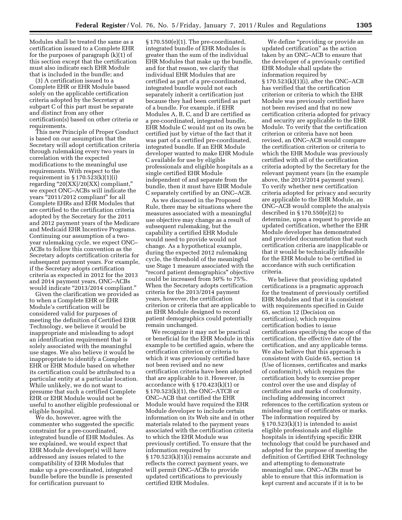Modules shall be treated the same as a certification issued to a Complete EHR for the purposes of paragraph (k)(1) of this section except that the certification must also indicate each EHR Module that is included in the bundle; and

(3) A certification issued to a Complete EHR or EHR Module based solely on the applicable certification criteria adopted by the Secretary at subpart C of this part must be separate and distinct from any other certification(s) based on other criteria or requirements.

This new Principle of Proper Conduct is based on our assumption that the Secretary will adopt certification criteria through rulemaking every two years in correlation with the expected modifications to the meaningful use requirements. With respect to the requirement in § 170.523(k)(1)(i) regarding "20[XX]/20[XX] compliant," we expect ONC–ACBs will indicate the years "2011/2012 compliant" for all Complete EHRs and EHR Modules that are certified to the certification criteria adopted by the Secretary for the 2011 and 2012 payment years of the Medicare and Medicaid EHR Incentive Programs. Continuing our assumption of a twoyear rulemaking cycle, we expect ONC– ACBs to follow this convention as the Secretary adopts certification criteria for subsequent payment years. For example, if the Secretary adopts certification criteria as expected in 2012 for the 2013 and 2014 payment years, ONC–ACBs would indicate "2013/2014 compliant."

Given the clarification we provided as to when a Complete EHR or EHR Module's certification will be considered valid for purposes of meeting the definition of Certified EHR Technology, we believe it would be inappropriate and misleading to adopt an identification requirement that is solely associated with the meaningful use stages. We also believe it would be inappropriate to identify a Complete EHR or EHR Module based on whether its certification could be attributed to a particular entity at a particular location. While unlikely, we do not want to presume that such a certified Complete EHR or EHR Module would not be useful to another eligible professional or eligible hospital.

We do, however, agree with the commenter who suggested the specific constraint for a pre-coordinated, integrated bundle of EHR Modules. As we explained, we would expect that EHR Module developer(s) will have addressed any issues related to the compatibility of EHR Modules that make up a pre-coordinated, integrated bundle before the bundle is presented for certification pursuant to

§ 170.550(e)(1). The pre-coordinated, integrated bundle of EHR Modules is greater than the sum of the individual EHR Modules that make up the bundle, and for that reason, we clarify that individual EHR Modules that are certified as part of a pre-coordinated, integrated bundle would not each separately inherit a certification just because they had been certified as part of a bundle. For example, if EHR Modules A, B, C, and D are certified as a pre-coordinated, integrated bundle, EHR Module C would not on its own be certified just by virtue of the fact that it was part of a certified pre-coordinated, integrated bundle. If an EHR Module developer wanted to make EHR Module C available for use by eligible professionals and eligible hospitals as a single certified EHR Module independent of and separate from the bundle, then it must have EHR Module C separately certified by an ONC–ACB.

As we discussed in the Proposed Rule, there may be situations where the measures associated with a meaningful use objective may change as a result of subsequent rulemaking, but the capability a certified EHR Module would need to provide would not change. As a hypothetical example, during the expected 2012 rulemaking cycle, the threshold of the meaningful use Stage 1 measure associated with the ''record patient demographics'' objective could be increased from 50% to 75%. When the Secretary adopts certification criteria for the 2013/2014 payment years, however, the certification criterion or criteria that are applicable to an EHR Module designed to record patient demographics could potentially remain unchanged.

We recognize it may not be practical or beneficial for the EHR Module in this example to be certified again, where the certification criterion or criteria to which it was previously certified have not been revised and no new certification criteria have been adopted that are applicable to it. However, in accordance with § 170.423(k)(1) or § 170.523(k)(1), the ONC–ATCB or ONC–ACB that certified the EHR Module would have required the EHR Module developer to include certain information on its Web site and in other materials related to the payment years associated with the certification criteria to which the EHR Module was previously certified. To ensure that the information required by § 170.523(k)(1)(i) remains accurate and reflects the correct payment years, we will permit ONC–ACBs to provide updated certifications to previously certified EHR Modules.

We define "providing or provide an updated certification'' as the action taken by an ONC–ACB to ensure that the developer of a previously certified EHR Module shall update the information required by § 170.523(k)(1)(i), after the ONC–ACB has verified that the certification criterion or criteria to which the EHR Module was previously certified have not been revised and that no new certification criteria adopted for privacy and security are applicable to the EHR Module. To verify that the certification criterion or criteria have not been revised, an ONC–ACB would compare the certification criterion or criteria to which the EHR Module was previously certified with all of the certification criteria adopted by the Secretary for the relevant payment years (in the example above, the 2013/2014 payment years). To verify whether new certification criteria adopted for privacy and security are applicable to the EHR Module, an ONC–ACB would complete the analysis described in § 170.550(e)(2) to determine, upon a request to provide an updated certification, whether the EHR Module developer has demonstrated and provided documentation that such certification criteria are inapplicable or that it would be technically infeasible for the EHR Module to be certified in accordance with such certification criteria.

We believe that providing updated certifications is a pragmatic approach for the treatment of previously certified EHR Modules and that it is consistent with requirements specified in Guide 65, section 12 (Decision on certification), which requires certification bodies to issue certifications specifying the scope of the certification, the effective date of the certification, and any applicable terms. We also believe that this approach is consistent with Guide 65, section 14 (Use of licenses, certificates and marks of conformity), which requires the certification body to exercise proper control over the use and display of certificates and marks of conformity, including addressing incorrect references to the certification system or misleading use of certificates or marks. The information required by  $\S 170.523(k)(1)$  is intended to assist eligible professionals and eligible hospitals in identifying specific EHR technology that could be purchased and adopted for the purpose of meeting the definition of Certified EHR Technology and attempting to demonstrate meaningful use. ONC–ACBs must be able to ensure that this information is kept current and accurate if it is to be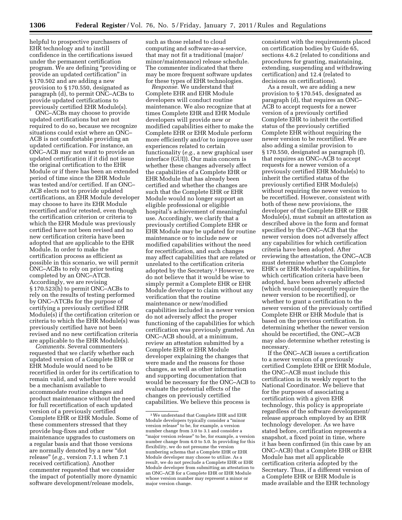helpful to prospective purchasers of EHR technology and to instill confidence in the certifications issued under the permanent certification program. We are defining ''providing or provide an updated certification'' in § 170.502 and are adding a new provision to § 170.550, designated as paragraph (d), to permit ONC–ACBs to provide updated certifications to previously certified EHR Module(s).

ONC–ACBs may choose to provide updated certifications but are not required to do so, because we recognize situations could exist where an ONC– ACB is not comfortable providing an updated certification. For instance, an ONC–ACB may not want to provide an updated certification if it did not issue the original certification to the EHR Module or if there has been an extended period of time since the EHR Module was tested and/or certified. If an ONC– ACB elects not to provide updated certifications, an EHR Module developer may choose to have its EHR Module recertified and/or retested, even though the certification criterion or criteria to which the EHR Module was previously certified have not been revised and no new certification criteria have been adopted that are applicable to the EHR Module. In order to make the certification process as efficient as possible in this scenario, we will permit ONC–ACBs to rely on prior testing completed by an ONC–ATCB. Accordingly, we are revising § 170.523(h) to permit ONC–ACBs to rely on the results of testing performed by ONC–ATCBs for the purpose of certifying a previously certified EHR Module(s) if the certification criterion or criteria to which the EHR Module(s) was previously certified have not been revised and no new certification criteria are applicable to the EHR Module(s).

*Comments.* Several commenters requested that we clarify whether each updated version of a Complete EHR or EHR Module would need to be recertified in order for its certification to remain valid, and whether there would be a mechanism available to accommodate routine changes and product maintenance without the need for full recertification of each updated version of a previously certified Complete EHR or EHR Module. Some of these commenters stressed that they provide bug-fixes and other maintenance upgrades to customers on a regular basis and that those versions are normally denoted by a new "dot release'' (*e.g.,* version 7.1.1 when 7.1 received certification). Another commenter requested that we consider the impact of potentially more dynamic software development/release models,

such as those related to cloud computing and software-as-a-service, that may not fit a traditional (major/ minor/maintenance) release schedule. The commenter indicated that there may be more frequent software updates for these types of EHR technologies.

*Response.* We understand that Complete EHR and EHR Module developers will conduct routine maintenance. We also recognize that at times Complete EHR and EHR Module developers will provide new or modified capabilities either to make the Complete EHR or EHR Module perform more efficiently and/or to improve user experiences related to certain functionality (*e.g.,* a new graphical user interface (GUI)). Our main concern is whether these changes adversely affect the capabilities of a Complete EHR or EHR Module that has already been certified and whether the changes are such that the Complete EHR or EHR Module would no longer support an eligible professional or eligible hospital's achievement of meaningful use. Accordingly, we clarify that a previously certified Complete EHR or EHR Module may be updated for routine maintenance or to include new or modified capabilities without the need for recertification, and such changes may affect capabilities that are related or unrelated to the certification criteria adopted by the Secretary.3 However, we do not believe that it would be wise to simply permit a Complete EHR or EHR Module developer to claim without any verification that the routine maintenance or new/modified capabilities included in a newer version do not adversely affect the proper functioning of the capabilities for which certification was previously granted. An ONC–ACB should, at a minimum, review an attestation submitted by a Complete EHR or EHR Module developer explaining the changes that were made and the reasons for those changes, as well as other information and supporting documentation that would be necessary for the ONC–ACB to evaluate the potential effects of the changes on previously certified capabilities. We believe this process is

consistent with the requirements placed on certification bodies by Guide 65, sections 4.6.2 (related to conditions and procedures for granting, maintaining, extending, suspending and withdrawing certification) and 12.4 (related to decisions on certifications).

As a result, we are adding a new provision to § 170.545, designated as paragraph (d), that requires an ONC– ACB to accept requests for a newer version of a previously certified Complete EHR to inherit the certified status of the previously certified Complete EHR without requiring the newer version to be recertified. We are also adding a similar provision to § 170.550, designated as paragraph (f), that requires an ONC–ACB to accept requests for a newer version of a previously certified EHR Module(s) to inherit the certified status of the previously certified EHR Module(s) without requiring the newer version to be recertified. However, consistent with both of these new provisions, the developer of the Complete EHR or EHR Module(s), must submit an attestation as described above in the form and format specified by the ONC–ACB that the newer version does not adversely affect any capabilities for which certification criteria have been adopted. After reviewing the attestation, the ONC–ACB must determine whether the Complete EHR's or EHR Module's capabilities, for which certification criteria have been adopted, have been adversely affected (which would consequently require the newer version to be recertified), or whether to grant a certification to the newer version of the previously certified Complete EHR or EHR Module that is based on the previous certification. In determining whether the newer version should be recertified, the ONC–ACB may also determine whether retesting is necessary.

If the ONC–ACB issues a certification to a newer version of a previously certified Complete EHR or EHR Module, the ONC–ACB must include this certification in its weekly report to the National Coordinator. We believe that for the purposes of associating a certification with a given EHR technology, this policy is appropriate regardless of the software development/ release approach employed by an EHR technology developer. As we have stated before, certification represents a snapshot, a fixed point in time, where it has been confirmed (in this case by an ONC–ACB) that a Complete EHR or EHR Module has met all applicable certification criteria adopted by the Secretary. Thus, if a different version of a Complete EHR or EHR Module is made available and the EHR technology

<sup>3</sup>We understand that Complete EHR and EHR Module developers typically consider a ''minor version release'' to be, for example, a version number change from 3.0 to 3.1 and consider a "major version release" to be, for example, a version number change from 4.0 to 5.0. In providing for this flexibility, we do not presume the version numbering schema that a Complete EHR or EHR Module developer may choose to utilize. As a result, we do not preclude a Complete EHR or EHR Module developer from submitting an attestation to an ONC–ACB for a Complete EHR or EHR Module whose version number may represent a minor or major version change.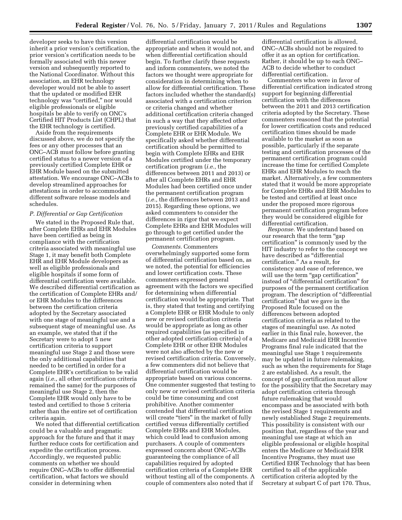developer seeks to have this version inherit a prior version's certification, the prior version's certification needs to be formally associated with this newer version and subsequently reported to the National Coordinator. Without this association, an EHR technology developer would not be able to assert that the updated or modified EHR technology was "certified," nor would eligible professionals or eligible hospitals be able to verify on ONC's Certified HIT Products List (CHPL) that the EHR technology is certified.

Aside from the requirements discussed above, we do not specify the fees or any other processes that an ONC–ACB must follow before granting certified status to a newer version of a previously certified Complete EHR or EHR Module based on the submitted attestation. We encourage ONC–ACBs to develop streamlined approaches for attestations in order to accommodate different software release models and schedules.

#### *P. Differential or Gap Certification*

We stated in the Proposed Rule that, after Complete EHRs and EHR Modules have been certified as being in compliance with the certification criteria associated with meaningful use Stage 1, it may benefit both Complete EHR and EHR Module developers as well as eligible professionals and eligible hospitals if some form of differential certification were available. We described differential certification as the certification of Complete EHRs and/ or EHR Modules to the differences between the certification criteria adopted by the Secretary associated with one stage of meaningful use and a subsequent stage of meaningful use. As an example, we stated that if the Secretary were to adopt 5 new certification criteria to support meaningful use Stage 2 and those were the only additional capabilities that needed to be certified in order for a Complete EHR's certification to be valid again (*i.e.,* all other certification criteria remained the same) for the purposes of meaningful use Stage 2, then the Complete EHR would only have to be tested and certified to those 5 criteria rather than the entire set of certification criteria again.

We noted that differential certification could be a valuable and pragmatic approach for the future and that it may further reduce costs for certification and expedite the certification process. Accordingly, we requested public comments on whether we should require ONC–ACBs to offer differential certification, what factors we should consider in determining when

differential certification would be appropriate and when it would not, and when differential certification should begin. To further clarify these requests and inform commenters, we noted the factors we thought were appropriate for consideration in determining when to allow for differential certification. These factors included whether the standard(s) associated with a certification criterion or criteria changed and whether additional certification criteria changed in such a way that they affected other previously certified capabilities of a Complete EHR or EHR Module. We specifically asked whether differential certification should be permitted to begin with Complete EHRs and EHR Modules certified under the temporary certification program (*i.e.,* the differences between 2011 and 2013) or after all Complete EHRs and EHR Modules had been certified once under the permanent certification program (*i.e.,* the differences between 2013 and 2015). Regarding these options, we asked commenters to consider the differences in rigor that we expect Complete EHRs and EHR Modules will go through to get certified under the permanent certification program.

*Comments.* Commenters overwhelmingly supported some form of differential certification based on, as we noted, the potential for efficiencies and lower certification costs. These commenters expressed general agreement with the factors we specified for determining when differential certification would be appropriate. That is, they stated that testing and certifying a Complete EHR or EHR Module to only new or revised certification criteria would be appropriate as long as other required capabilities (as specified in other adopted certification criteria) of a Complete EHR or other EHR Modules were not also affected by the new or revised certification criteria. Conversely, a few commenters did not believe that differential certification would be appropriate based on various concerns. One commenter suggested that testing to only new or revised certification criteria could be time consuming and cost prohibitive. Another commenter contended that differential certification will create "tiers" in the market of fully certified versus differentially certified Complete EHRs and EHR Modules, which could lead to confusion among purchasers. A couple of commenters expressed concern about ONC–ACBs guaranteeing the compliance of all capabilities required by adopted certification criteria of a Complete EHR without testing all of the components. A couple of commenters also noted that if

differential certification is allowed, ONC–ACBs should not be required to offer it as an option for certification. Rather, it should be up to each ONC– ACB to decide whether to conduct differential certification.

Commenters who were in favor of differential certification indicated strong support for beginning differential certification with the differences between the 2011 and 2013 certification criteria adopted by the Secretary. These commenters reasoned that the potential for lower certification costs and reduced certification times should be made available to the market as soon as possible, particularly if the separate testing and certification processes of the permanent certification program could increase the time for certified Complete EHRs and EHR Modules to reach the market. Alternatively, a few commenters stated that it would be more appropriate for Complete EHRs and EHR Modules to be tested and certified at least once under the proposed more rigorous permanent certification program before they would be considered eligible for differential certification.

*Response.* We understand based on our research that the term "gap" certification'' is commonly used by the HIT industry to refer to the concept we have described as ''differential certification.'' As a result, for consistency and ease of reference, we will use the term "gap certification" instead of ''differential certification'' for purposes of the permanent certification program. The description of ''differential certification'' that we gave in the Proposed Rule focused on the differences between adopted certification criteria as related to the stages of meaningful use. As noted earlier in this final rule, however, the Medicare and Medicaid EHR Incentive Programs final rule indicated that the meaningful use Stage 1 requirements may be updated in future rulemaking, such as when the requirements for Stage 2 are established. As a result, the concept of gap certification must allow for the possibility that the Secretary may adopt certification criteria through future rulemaking that would encompass and be associated with both the revised Stage 1 requirements and newly established Stage 2 requirements. This possibility is consistent with our position that, regardless of the year and meaningful use stage at which an eligible professional or eligible hospital enters the Medicare or Medicaid EHR Incentive Programs, they must use Certified EHR Technology that has been certified to all of the applicable certification criteria adopted by the Secretary at subpart C of part 170. Thus,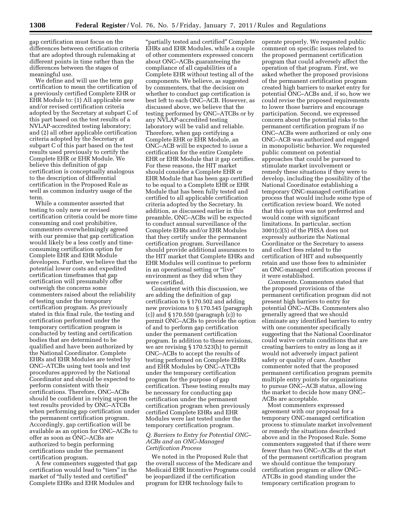gap certification must focus on the differences between certification criteria that are adopted through rulemaking at different points in time rather than the differences between the stages of meaningful use.

We define and will use the term gap certification to mean the certification of a previously certified Complete EHR or EHR Module to: (1) All applicable new and/or revised certification criteria adopted by the Secretary at subpart C of this part based on the test results of a NVLAP-accredited testing laboratory; and (2) all other applicable certification criteria adopted by the Secretary at subpart C of this part based on the test results used previously to certify the Complete EHR or EHR Module. We believe this definition of gap certification is conceptually analogous to the description of differential certification in the Proposed Rule as well as common industry usage of the term.

While a commenter asserted that testing to only new or revised certification criteria could be more time consuming and cost prohibitive, commenters overwhelmingly agreed with our premise that gap certification would likely be a less costly and timeconsuming certification option for Complete EHR and EHR Module developers. Further, we believe that the potential lower costs and expedited certification timeframes that gap certification will presumably offer outweigh the concerns some commenters raised about the reliability of testing under the temporary certification program. As previously stated in this final rule, the testing and certification performed under the temporary certification program is conducted by testing and certification bodies that are determined to be qualified and have been authorized by the National Coordinator. Complete EHRs and EHR Modules are tested by ONC–ATCBs using test tools and test procedures approved by the National Coordinator and should be expected to perform consistent with their certifications. Therefore, ONC–ACBs should be confident in relying upon the test results provided by ONC–ATCBs when performing gap certification under the permanent certification program. Accordingly, gap certification will be available as an option for ONC–ACBs to offer as soon as ONC–ACBs are authorized to begin performing certifications under the permanent certification program.

A few commenters suggested that gap certification would lead to "tiers" in the market of "fully tested and certified" Complete EHRs and EHR Modules and

''partially tested and certified'' Complete EHRs and EHR Modules, while a couple of other commenters expressed concern about ONC–ACBs guaranteeing the compliance of all capabilities of a Complete EHR without testing all of the components. We believe, as suggested by commenters, that the decision on whether to conduct gap certification is best left to each ONC–ACB. However, as discussed above, we believe that the testing performed by ONC–ATCBs or by any NVLAP-accredited testing laboratory will be valid and reliable. Therefore, when gap certifying a Complete EHR or EHR Module, an ONC–ACB will be expected to issue a certification for the entire Complete EHR or EHR Module that it gap certifies. For these reasons, the HIT market should consider a Complete EHR or EHR Module that has been gap certified to be equal to a Complete EHR or EHR Module that has been fully tested and certified to all applicable certification criteria adopted by the Secretary. In addition, as discussed earlier in this preamble, ONC–ACBs will be expected to conduct annual surveillance of the Complete EHRs and/or EHR Modules that they certify under the permanent certification program. Surveillance should provide additional assurances to the HIT market that Complete EHRs and EHR Modules will continue to perform in an operational setting or "live" environment as they did when they were certified.

Consistent with this discussion, we are adding the definition of gap certification to § 170.502 and adding new provisions to § 170.545 (paragraph (c)) and § 170.550 (paragraph (c)) to permit ONC–ACBs to provide the option of and to perform gap certification under the permanent certification program. In addition to these revisions, we are revising § 170.523(h) to permit ONC–ACBs to accept the results of testing performed on Complete EHRs and EHR Modules by ONC–ATCBs under the temporary certification program for the purpose of gap certification. These testing results may be necessary for conducting gap certification under the permanent certification program when previously certified Complete EHRs and EHR Modules were last tested under the temporary certification program.

#### *Q. Barriers to Entry for Potential ONC– ACBs and an ONC–Managed Certification Process*

We noted in the Proposed Rule that the overall success of the Medicare and Medicaid EHR Incentive Programs could be jeopardized if the certification program for EHR technology fails to

operate properly. We requested public comment on specific issues related to the proposed permanent certification program that could adversely affect the operation of that program. First, we asked whether the proposed provisions of the permanent certification program created high barriers to market entry for potential ONC–ACBs and, if so, how we could revise the proposed requirements to lower those barriers and encourage participation. Second, we expressed concern about the potential risks to the permanent certification program if no ONC–ACBs were authorized or only one ONC–ACB was authorized and engaged in monopolistic behavior. We requested public comment on potential approaches that could be pursued to stimulate market involvement or remedy these situations if they were to develop, including the possibility of the National Coordinator establishing a temporary ONC-managed certification process that would include some type of certification review board. We noted that this option was not preferred and would come with significant limitations. In particular, section 3001(c)(5) of the PHSA does not expressly authorize the National Coordinator or the Secretary to assess and collect fees related to the certification of HIT and subsequently retain and use those fees to administer an ONC-managed certification process if it were established.

*Comments.* Commenters stated that the proposed provisions of the permanent certification program did not present high barriers to entry for potential ONC–ACBs. Commenters also generally agreed that we should eliminate any identified barriers to entry with one commenter specifically suggesting that the National Coordinator could waive certain conditions that are creating barriers to entry as long as it would not adversely impact patient safety or quality of care. Another commenter noted that the proposed permanent certification program permits multiple entry points for organizations to pursue ONC–ACB status, allowing the market to decide how many ONC– ACBs are acceptable.

Most commenters expressed agreement with our proposal for a temporary ONC-managed certification process to stimulate market involvement or remedy the situations described above and in the Proposed Rule. Some commenters suggested that if there were fewer than two ONC–ACBs at the start of the permanent certification program we should continue the temporary certification program or allow ONC– ATCBs in good standing under the temporary certification program to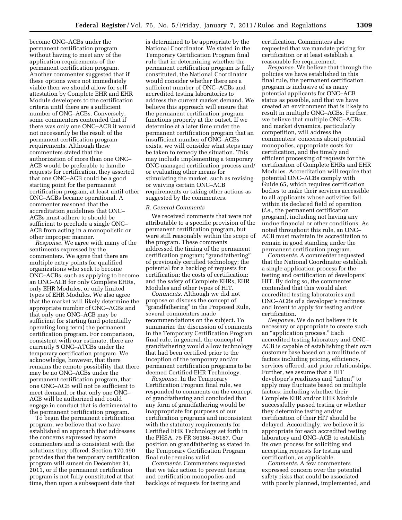become ONC–ACBs under the permanent certification program without having to meet any of the application requirements of the permanent certification program. Another commenter suggested that if these options were not immediately viable then we should allow for selfattestation by Complete EHR and EHR Module developers to the certification criteria until there are a sufficient number of ONC–ACBs. Conversely, some commenters contended that if there was only one ONC–ACB it would not necessarily be the result of the permanent certification program requirements. Although these commenters stated that the authorization of more than one ONC– ACB would be preferable to handle requests for certification, they asserted that one ONC–ACB could be a good starting point for the permanent certification program, at least until other ONC–ACBs became operational. A commenter reasoned that the accreditation guidelines that ONC– ACBs must adhere to should be sufficient to preclude a single ONC– ACB from acting in a monopolistic or other improper manner.

*Response.* We agree with many of the sentiments expressed by the commenters. We agree that there are multiple entry points for qualified organizations who seek to become ONC–ACBs, such as applying to become an ONC–ACB for only Complete EHRs, only EHR Modules, or only limited types of EHR Modules. We also agree that the market will likely determine the appropriate number of ONC–ACBs and that only one ONC–ACB may be sufficient for starting (and potentially operating long term) the permanent certification program. For comparison, consistent with our estimate, there are currently 5 ONC–ATCBs under the temporary certification program. We acknowledge, however, that there remains the remote possibility that there may be no ONC–ACBs under the permanent certification program, that one ONC–ACB will not be sufficient to meet demand, or that only one ONC– ACB will be authorized and could engage in conduct that is detrimental to the permanent certification program.

To begin the permanent certification program, we believe that we have established an approach that addresses the concerns expressed by some commenters and is consistent with the solutions they offered. Section 170.490 provides that the temporary certification program will sunset on December 31, 2011, or if the permanent certification program is not fully constituted at that time, then upon a subsequent date that

is determined to be appropriate by the National Coordinator. We stated in the Temporary Certification Program final rule that in determining whether the permanent certification program is fully constituted, the National Coordinator would consider whether there are a sufficient number of ONC–ACBs and accredited testing laboratories to address the current market demand. We believe this approach will ensure that the permanent certification program functions properly at the outset. If we determine at a later time under the permanent certification program that an insufficient number of ONC–ACBs exists, we will consider what steps may be taken to remedy the situation. This may include implementing a temporary ONC-managed certification process and/ or evaluating other means for stimulating the market, such as revising or waiving certain ONC–ACB requirements or taking other actions as suggested by the commenters.

#### *R. General Comments*

We received comments that were not attributable to a specific provision of the permanent certification program, but were still reasonably within the scope of the program. These comments addressed the timing of the permanent certification program; ''grandfathering'' of previously certified technology; the potential for a backlog of requests for certification; the costs of certification; and the safety of Complete EHRs, EHR Modules and other types of HIT.

*Comments.* Although we did not propose or discuss the concept of ''grandfathering'' in the Proposed Rule, several commenters made recommendations on the subject. To summarize the discussion of comments in the Temporary Certification Program final rule, in general, the concept of grandfathering would allow technology that had been certified prior to the inception of the temporary and/or permanent certification programs to be deemed Certified EHR Technology.

*Response.* In the Temporary Certification Program final rule, we responded to comments on the concept of grandfathering and concluded that any form of grandfathering would be inappropriate for purposes of our certification programs and inconsistent with the statutory requirements for Certified EHR Technology set forth in the PHSA. 75 FR 36186–36187. Our position on grandfathering as stated in the Temporary Certification Program final rule remains valid.

*Comments.* Commenters requested that we take action to prevent testing and certification monopolies and backlogs of requests for testing and

certification. Commenters also requested that we mandate pricing for certification or at least establish a reasonable fee requirement.

*Response.* We believe that through the policies we have established in this final rule, the permanent certification program is inclusive of as many potential applicants for ONC–ACB status as possible, and that we have created an environment that is likely to result in multiple ONC–ACBs. Further, we believe that multiple ONC–ACBs and market dynamics, particularly competition, will address the commenters' concerns about potential monopolies, appropriate costs for certification, and the timely and efficient processing of requests for the certification of Complete EHRs and EHR Modules. Accreditation will require that potential ONC–ACBs comply with Guide 65, which requires certification bodies to make their services accessible to all applicants whose activities fall within its declared field of operation (*i.e.,* the permanent certification program), including not having any undue financial or other conditions. As noted throughout this rule, an ONC– ACB must maintain its accreditation to remain in good standing under the permanent certification program.

*Comments.* A commenter requested that the National Coordinator establish a single application process for the testing and certification of developers' HIT. By doing so, the commenter contended that this would alert accredited testing laboratories and ONC–ACBs of a developer's readiness and intent to apply for testing and/or certification.

*Response.* We do not believe it is necessary or appropriate to create such an ''application process.'' Each accredited testing laboratory and ONC– ACB is capable of establishing their own customer base based on a multitude of factors including pricing, efficiency, services offered, and prior relationships. Further, we assume that a HIT developer's readiness and ''intent'' to apply may fluctuate based on multiple factors, including whether their Complete EHR and/or EHR Module successfully passed testing or whether they determine testing and/or certification of their HIT should be delayed. Accordingly, we believe it is appropriate for each accredited testing laboratory and ONC–ACB to establish its own process for soliciting and accepting requests for testing and certification, as applicable.

*Comments.* A few commenters expressed concern over the potential safety risks that could be associated with poorly planned, implemented, and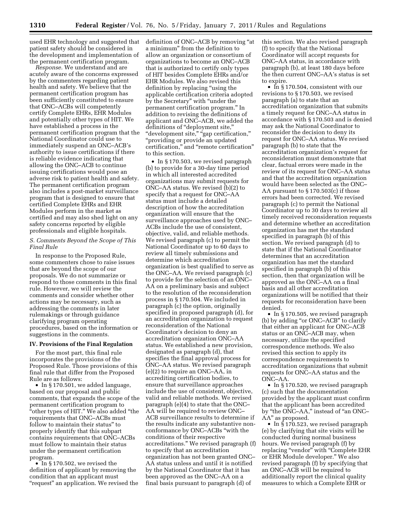used EHR technology and suggested that patient safety should be considered in the development and implementation of the permanent certification program.

*Response.* We understand and are acutely aware of the concerns expressed by the commenters regarding patient health and safety. We believe that the permanent certification program has been sufficiently constituted to ensure that ONC–ACBs will competently certify Complete EHRs, EHR Modules and potentially other types of HIT. We have established a process in the permanent certification program that the National Coordinator could use to immediately suspend an ONC–ACB's authority to issue certifications if there is reliable evidence indicating that allowing the ONC–ACB to continue issuing certifications would pose an adverse risk to patient health and safety. The permanent certification program also includes a post-market surveillance program that is designed to ensure that certified Complete EHRs and EHR Modules perform in the market as certified and may also shed light on any safety concerns reported by eligible professionals and eligible hospitals.

# *S. Comments Beyond the Scope of This Final Rule*

In response to the Proposed Rule, some commenters chose to raise issues that are beyond the scope of our proposals. We do not summarize or respond to those comments in this final rule. However, we will review the comments and consider whether other actions may be necessary, such as addressing the comments in later rulemakings or through guidance clarifying program operating procedures, based on the information or suggestions in the comments.

#### **IV. Provisions of the Final Regulation**

For the most part, this final rule incorporates the provisions of the Proposed Rule. Those provisions of this final rule that differ from the Proposed Rule are as follows:

• In § 170.501, we added language, based on our proposal and public comments, that expands the scope of the permanent certification program to "other types of HIT." We also added "the requirements that ONC–ACBs must follow to maintain their status'' to properly identify that this subpart contains requirements that ONC–ACBs must follow to maintain their status under the permanent certification program.

• In §170.502, we revised the definition of applicant by removing the condition that an applicant must "request" an application. We revised the definition of ONC–ACB by removing ''at a minimum'' from the definition to allow an organization or consortium of organizations to become an ONC–ACB that is authorized to certify only types of HIT besides Complete EHRs and/or EHR Modules. We also revised this definition by replacing "using the applicable certification criteria adopted by the Secretary'' with ''under the permanent certification program.'' In addition to revising the definitions of applicant and ONC–ACB, we added the definitions of "deployment site," "development site," "gap certification," ''providing or provide an updated certification,'' and ''remote certification'' to this section.

• In §170.503, we revised paragraph (b) to provide for a 30-day time period in which all interested accredited organizations may submit requests for ONC–AA status. We revised (b)(2) to specify that a request for ONC–AA status must include a detailed description of how the accreditation organization will ensure that the surveillance approaches used by ONC– ACBs include the use of consistent, objective, valid, and reliable methods. We revised paragraph (c) to permit the National Coordinator up to 60 days to review all timely submissions and determine which accreditation organization is best qualified to serve as the ONC–AA. We revised paragraph (c) to provide for the selection of an ONC– AA on a preliminary basis and subject to the resolution of the reconsideration process in § 170.504. We included in paragraph (c) the option, originally specified in proposed paragraph (d), for an accreditation organization to request reconsideration of the National Coordinator's decision to deny an accreditation organization ONC–AA status. We established a new provision, designated as paragraph (d), that specifies the final approval process for ONC–AA status. We revised paragraph (e)(2) to require an ONC–AA, in accrediting certification bodies, to ensure that surveillance approaches include the use of consistent, objective, valid and reliable methods. We revised paragraph (e)(4) to state that the ONC– AA will be required to review ONC– ACB surveillance results to determine if the results indicate any substantive nonconformance by ONC–ACBs ''with the conditions of their respective accreditations.'' We revised paragraph (f) to specify that an accreditation organization has not been granted ONC– AA status unless and until it is notified by the National Coordinator that it has been approved as the ONC–AA on a final basis pursuant to paragraph (d) of

this section. We also revised paragraph (f) to specify that the National Coordinator will accept requests for ONC–AA status, in accordance with paragraph (b), at least 180 days before the then current ONC–AA's status is set to expire.

• In §170.504, consistent with our revisions to § 170.503, we revised paragraph (a) to state that an accreditation organization that submits a timely request for ONC–AA status in accordance with § 170.503 and is denied may ask the National Coordinator to reconsider the decision to deny its request for ONC–AA status. We revised paragraph (b) to state that the accreditation organization's request for reconsideration must demonstrate that clear, factual errors were made in the review of its request for ONC–AA status and that the accreditation organization would have been selected as the ONC– AA pursuant to § 170.503(c) if those errors had been corrected. We revised paragraph (c) to permit the National Coordinator up to 30 days to review all timely received reconsideration requests and determine whether an accreditation organization has met the standard specified in paragraph (b) of this section. We revised paragraph (d) to state that if the National Coordinator determines that an accreditation organization has met the standard specified in paragraph (b) of this section, then that organization will be approved as the ONC–AA on a final basis and all other accreditation organizations will be notified that their requests for reconsideration have been denied.

• In § 170.505, we revised paragraph (b) by adding "or ONC–ACB" to clarify that either an applicant for ONC–ACB status or an ONC–ACB may, when necessary, utilize the specified correspondence methods. We also revised this section to apply its correspondence requirements to accreditation organizations that submit requests for ONC–AA status and the ONC–AA.

• In § 170.520, we revised paragraph (c) such that the documentation provided by the applicant must confirm that the applicant has been accredited by "the ONC–AA," instead of "an ONC– AA" as proposed.

• In §170.523, we revised paragraph (e) by clarifying that site visits will be conducted during normal business hours. We revised paragraph (f) by replacing ''vendor'' with ''Complete EHR or EHR Module developer.'' We also revised paragraph (f) by specifying that an ONC–ACB will be required to additionally report the clinical quality measures to which a Complete EHR or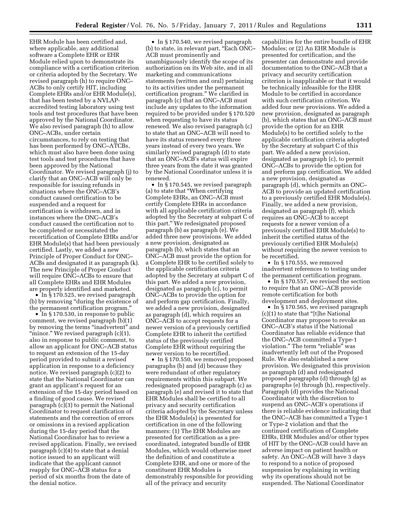EHR Module has been certified and, where applicable, any additional software a Complete EHR or EHR Module relied upon to demonstrate its compliance with a certification criterion or criteria adopted by the Secretary. We revised paragraph (h) to require ONC– ACBs to only certify HIT, including Complete EHRs and/or EHR Module(s), that has been tested by a NVLAPaccredited testing laboratory using test tools and test procedures that have been approved by the National Coordinator. We also revised paragraph (h) to allow ONC–ACBs, under certain circumstances, to rely on testing that has been performed by ONC–ATCBs, which must also have been done using test tools and test procedures that have been approved by the National Coordinator. We revised paragraph (j) to clarify that an ONC–ACB will only be responsible for issuing refunds in situations where the ONC–ACB's conduct caused certification to be suspended and a request for certification is withdrawn, and in instances where the ONC–ACB's conduct caused the certification not to be completed or necessitated the recertification of Complete EHRs and/or EHR Module(s) that had been previously certified. Lastly, we added a new Principle of Proper Conduct for ONC– ACBs and designated it as paragraph (k). The new Principle of Proper Conduct will require ONC–ACBs to ensure that all Complete EHRs and EHR Modules are properly identified and marketed.

• In § 170.525, we revised paragraph (b) by removing ''during the existence of the permanent certification program.''

• In § 170.530, in response to public comment, we revised paragraph (b)(1) by removing the terms "inadvertent" and "minor." We revised paragraph (c)(1), also in response to public comment, to allow an applicant for ONC–ACB status to request an extension of the 15-day period provided to submit a revised application in response to a deficiency notice. We revised paragraph (c)(2) to state that the National Coordinator can grant an applicant's request for an extension of the 15-day period based on a finding of good cause. We revised paragraph (c)(3) to permit the National Coordinator to request clarification of statements and the correction of errors or omissions in a revised application during the 15-day period that the National Coordinator has to review a revised application. Finally, we revised paragraph (c)(4) to state that a denial notice issued to an applicant will indicate that the applicant cannot reapply for ONC–ACB status for a period of six months from the date of the denial notice.

• In § 170.540, we revised paragraph (b) to state, in relevant part, ''Each ONC– ACB must prominently and unambiguously identify the scope of its authorization on its Web site, and in all marketing and communications statements (written and oral) pertaining to its activities under the permanent certification program.'' We clarified in paragraph (c) that an ONC–ACB must include any updates to the information required to be provided under § 170.520 when requesting to have its status renewed. We also revised paragraph (c) to state that an ONC–ACB will need to have its status renewed every three years instead of every two years. We similarly revised paragraph (d) to state that an ONC–ACB's status will expire three years from the date it was granted by the National Coordinator unless it is renewed.

• In §170.545, we revised paragraph (a) to state that ''When certifying Complete EHRs, an ONC–ACB must certify Complete EHRs in accordance with all applicable certification criteria adopted by the Secretary at subpart C of this part.'' We redesignated proposed paragraph (b) as paragraph (e). We added three new provisions. We added a new provision, designated as paragraph (b), which states that an ONC–ACB must provide the option for a Complete EHR to be certified solely to the applicable certification criteria adopted by the Secretary at subpart C of this part. We added a new provision, designated as paragraph (c), to permit ONC–ACBs to provide the option for and perform gap certification. Finally, we added a new provision, designated as paragraph (d), which requires an ONC–ACB to accept requests for a newer version of a previously certified Complete EHR to inherit the certified status of the previously certified Complete EHR without requiring the newer version to be recertified.

• In §170.550, we removed proposed paragraphs (b) and (d) because they were redundant of other regulatory requirements within this subpart. We redesignated proposed paragraph (c) as paragraph (e) and revised it to state that EHR Modules shall be certified to all privacy and security certification criteria adopted by the Secretary unless the EHR Module(s) is presented for certification in one of the following manners: (1) The EHR Modules are presented for certification as a precoordinated, integrated bundle of EHR Modules, which would otherwise meet the definition of and constitute a Complete EHR, and one or more of the constituent EHR Modules is demonstrably responsible for providing all of the privacy and security

capabilities for the entire bundle of EHR Modules; or (2) An EHR Module is presented for certification, and the presenter can demonstrate and provide documentation to the ONC–ACB that a privacy and security certification criterion is inapplicable or that it would be technically infeasible for the EHR Module to be certified in accordance with such certification criterion. We added four new provisions. We added a new provision, designated as paragraph (b), which states that an ONC–ACB must provide the option for an EHR Module(s) to be certified solely to the applicable certification criteria adopted by the Secretary at subpart C of this part. We added a new provision, designated as paragraph (c), to permit ONC–ACBs to provide the option for and perform gap certification. We added a new provision, designated as paragraph (d), which permits an ONC– ACB to provide an updated certification to a previously certified EHR Module(s). Finally, we added a new provision, designated as paragraph (f), which requires an ONC–ACB to accept requests for a newer version of a previously certified EHR Module(s) to inherit the certified status of the previously certified EHR Module(s) without requiring the newer version to be recertified.

• In §170.555, we removed inadvertent references to testing under the permanent certification program.

• In §170.557, we revised the section to require that an ONC–ACB provide remote certification for both development and deployment sites.

• In § 170.565, we revised paragraph (c)(1) to state that ''[t]he National Coordinator may propose to revoke an ONC–ACB's status if the National Coordinator has reliable evidence that the ONC–ACB committed a Type-1 violation." The term "reliable" was inadvertently left out of the Proposed Rule. We also established a new provision. We designated this provision as paragraph (d) and redesignated proposed paragraphs (d) through (g) as paragraphs (e) through (h), respectively. Paragraph (d) provides the National Coordinator with the discretion to suspend an ONC–ACB's operations if there is reliable evidence indicating that the ONC–ACB has committed a Type-1 or Type-2 violation and that the continued certification of Complete EHRs, EHR Modules and/or other types of HIT by the ONC–ACB could have an adverse impact on patient health or safety. An ONC–ACB will have 3 days to respond to a notice of proposed suspension by explaining in writing why its operations should not be suspended. The National Coordinator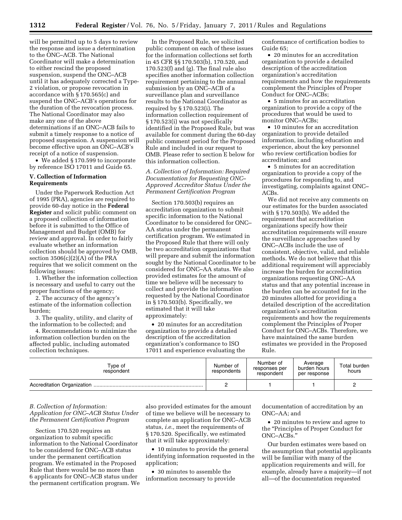will be permitted up to 5 days to review the response and issue a determination to the ONC–ACB. The National Coordinator will make a determination to either rescind the proposed suspension, suspend the ONC–ACB until it has adequately corrected a Type-2 violation, or propose revocation in accordance with § 170.565(c) and suspend the ONC–ACB's operations for the duration of the revocation process. The National Coordinator may also make any one of the above determinations if an ONC–ACB fails to submit a timely response to a notice of proposed suspension. A suspension will become effective upon an ONC–ACB's receipt of a notice of suspension.

• We added §170.599 to incorporate by reference ISO 17011 and Guide 65.

#### **V. Collection of Information Requirements**

Under the Paperwork Reduction Act of 1995 (PRA), agencies are required to provide 60-day notice in the **Federal Register** and solicit public comment on a proposed collection of information before it is submitted to the Office of Management and Budget (OMB) for review and approval. In order to fairly evaluate whether an information collection should be approved by OMB, section  $3506(c)(2)(A)$  of the PRA requires that we solicit comment on the following issues:

1. Whether the information collection is necessary and useful to carry out the proper functions of the agency;

2. The accuracy of the agency's estimate of the information collection burden;

3. The quality, utility, and clarity of the information to be collected; and

4. Recommendations to minimize the information collection burden on the affected public, including automated collection techniques.

In the Proposed Rule, we solicited public comment on each of these issues for the information collections set forth in 45 CFR §§ 170.503(b), 170.520, and 170.523(f) and (g). The final rule also specifies another information collection requirement pertaining to the annual submission by an ONC–ACB of a surveillance plan and surveillance results to the National Coordinator as required by § 170.523(i). The information collection requirement of § 170.523(i) was not specifically identified in the Proposed Rule, but was available for comment during the 60-day public comment period for the Proposed Rule and included in our request to OMB. Please refer to section E below for this information collection.

*A. Collection of Information: Required Documentation for Requesting ONC– Approved Accreditor Status Under the Permanent Certification Program* 

Section 170.503(b) requires an accreditation organization to submit specific information to the National Coordinator to be considered for ONC– AA status under the permanent certification program. We estimated in the Proposed Rule that there will only be two accreditation organizations that will prepare and submit the information sought by the National Coordinator to be considered for ONC–AA status. We also provided estimates for the amount of time we believe will be necessary to collect and provide the information requested by the National Coordinator in § 170.503(b). Specifically, we estimated that it will take approximately:

• 20 minutes for an accreditation organization to provide a detailed description of the accreditation organization's conformance to ISO 17011 and experience evaluating the conformance of certification bodies to Guide 65;

• 20 minutes for an accreditation organization to provide a detailed description of the accreditation organization's accreditation requirements and how the requirements complement the Principles of Proper Conduct for ONC–ACBs;

• 5 minutes for an accreditation organization to provide a copy of the procedures that would be used to monitor ONC–ACBs;

• 10 minutes for an accreditation organization to provide detailed information, including education and experience, about the key personnel who review certification bodies for accreditation; and

• 5 minutes for an accreditation organization to provide a copy of the procedures for responding to, and investigating, complaints against ONC– ACBs.

We did not receive any comments on our estimates for the burden associated with § 170.503(b). We added the requirement that accreditation organizations specify how their accreditation requirements will ensure the surveillance approaches used by ONC–ACBs include the use of consistent, objective, valid, and reliable methods. We do not believe that this additional requirement will appreciably increase the burden for accreditation organizations requesting ONC–AA status and that any potential increase in the burden can be accounted for in the 20 minutes allotted for providing a detailed description of the accreditation organization's accreditation requirements and how the requirements complement the Principles of Proper Conduct for ONC–ACBs. Therefore, we have maintained the same burden estimates we provided in the Proposed Rule.

| Type of<br>respondent | Number of<br>respondents | Number of<br>responses per<br>respondent | Average<br>burden hours<br>per response | Total burden<br>hours |
|-----------------------|--------------------------|------------------------------------------|-----------------------------------------|-----------------------|
|                       |                          |                                          |                                         |                       |

#### *B. Collection of Information: Application for ONC–ACB Status Under the Permanent Certification Program*

Section 170.520 requires an organization to submit specific information to the National Coordinator to be considered for ONC–ACB status under the permanent certification program. We estimated in the Proposed Rule that there would be no more than 6 applicants for ONC–ACB status under the permanent certification program. We

also provided estimates for the amount of time we believe will be necessary to complete an application for ONC–ACB status, *i.e.,* meet the requirements of § 170.520. Specifically, we estimated that it will take approximately:

• 10 minutes to provide the general identifying information requested in the application;

• 30 minutes to assemble the information necessary to provide documentation of accreditation by an ONC–AA; and

• 20 minutes to review and agree to the ''Principles of Proper Conduct for ONC–ACBs.''

Our burden estimates were based on the assumption that potential applicants will be familiar with many of the application requirements and will, for example, already have a majority—if not all—of the documentation requested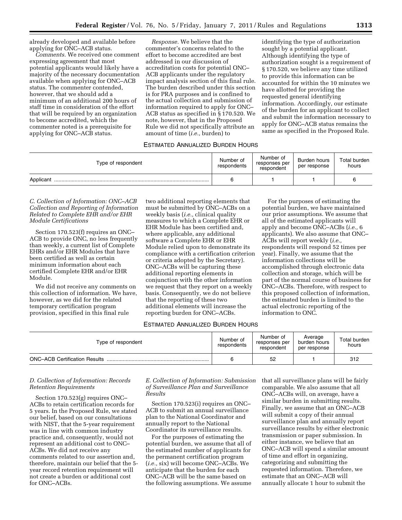already developed and available before applying for ONC–ACB status.

*Comments.* We received one comment expressing agreement that most potential applicants would likely have a majority of the necessary documentation available when applying for ONC–ACB status. The commenter contended, however, that we should add a minimum of an additional 200 hours of staff time in consideration of the effort that will be required by an organization to become accredited, which the commenter noted is a prerequisite for applying for ONC–ACB status.

*Response.* We believe that the commenter's concerns related to the effort to become accredited are best addressed in our discussion of accreditation costs for potential ONC– ACB applicants under the regulatory impact analysis section of this final rule. The burden described under this section is for PRA purposes and is confined to the actual collection and submission of information required to apply for ONC– ACB status as specified in § 170.520. We note, however, that in the Proposed Rule we did not specifically attribute an amount of time (*i.e.,* burden) to

# identifying the type of authorization sought by a potential applicant. Although identifying the type of authorization sought is a requirement of § 170.520, we believe any time utilized to provide this information can be accounted for within the 10 minutes we have allotted for providing the requested general identifying information. Accordingly, our estimate of the burden for an applicant to collect and submit the information necessary to apply for ONC–ACB status remains the same as specified in the Proposed Rule.

#### ESTIMATED ANNUALIZED BURDEN HOURS

| Type of respondent | Number of<br>respondents | Number of<br>responses per<br>respondent | Burden hours<br>per response | Total burden<br>hours |
|--------------------|--------------------------|------------------------------------------|------------------------------|-----------------------|
| Applicant          |                          |                                          |                              |                       |

# *C. Collection of Information: ONC–ACB Collection and Reporting of Information Related to Complete EHR and/or EHR Module Certifications*

Section 170.523(f) requires an ONC– ACB to provide ONC, no less frequently than weekly, a current list of Complete EHRs and/or EHR Modules that have been certified as well as certain minimum information about each certified Complete EHR and/or EHR Module.

We did not receive any comments on this collection of information. We have, however, as we did for the related temporary certification program provision, specified in this final rule

two additional reporting elements that must be submitted by ONC–ACBs on a weekly basis (*i.e.,* clinical quality measures to which a Complete EHR or EHR Module has been certified and, where applicable, any additional software a Complete EHR or EHR Module relied upon to demonstrate its compliance with a certification criterion or criteria adopted by the Secretary). ONC–ACBs will be capturing these additional reporting elements in conjunction with the other information we request that they report on a weekly basis. Consequently, we do not believe that the reporting of these two additional elements will increase the reporting burden for ONC–ACBs.

# ESTIMATED ANNUALIZED BURDEN HOURS

| Type of respondent                   | Number of<br>respondents | Number of<br>responses per<br>respondent | Average<br>burden hours<br>per response | Total burden<br>hours |
|--------------------------------------|--------------------------|------------------------------------------|-----------------------------------------|-----------------------|
| <b>ONC-ACB Certification Results</b> |                          | 52                                       |                                         | 312                   |

#### *D. Collection of Information: Records Retention Requirements*

Section 170.523(g) requires ONC– ACBs to retain certification records for 5 years. In the Proposed Rule, we stated our belief, based on our consultations with NIST, that the 5-year requirement was in line with common industry practice and, consequently, would not represent an additional cost to ONC– ACBs. We did not receive any comments related to our assertion and, therefore, maintain our belief that the 5 year record retention requirement will not create a burden or additional cost for ONC–ACBs.

*E. Collection of Information: Submission of Surveillance Plan and Surveillance Results* 

Section 170.523(i) requires an ONC– ACB to submit an annual surveillance plan to the National Coordinator and annually report to the National Coordinator its surveillance results.

For the purposes of estimating the potential burden, we assume that all of the estimated number of applicants for the permanent certification program (*i.e.,* six) will become ONC–ACBs. We anticipate that the burden for each ONC–ACB will be the same based on the following assumptions. We assume

that all surveillance plans will be fairly comparable. We also assume that all ONC–ACBs will, on average, have a similar burden in submitting results. Finally, we assume that an ONC–ACB will submit a copy of their annual surveillance plan and annually report surveillance results by either electronic transmission or paper submission. In either instance, we believe that an ONC–ACB will spend a similar amount of time and effort in organizing, categorizing and submitting the requested information. Therefore, we estimate that an ONC–ACB will annually allocate 1 hour to submit the

For the purposes of estimating the potential burden, we have maintained our prior assumptions. We assume that all of the estimated applicants will apply and become ONC–ACBs (*i.e.,* 6 applicants). We also assume that ONC– ACBs will report weekly (*i.e.,*  respondents will respond 52 times per year). Finally, we assume that the information collections will be accomplished through electronic data collection and storage, which will be part of the normal course of business for ONC–ACBs. Therefore, with respect to this proposed collection of information, the estimated burden is limited to the actual electronic reporting of the information to ONC.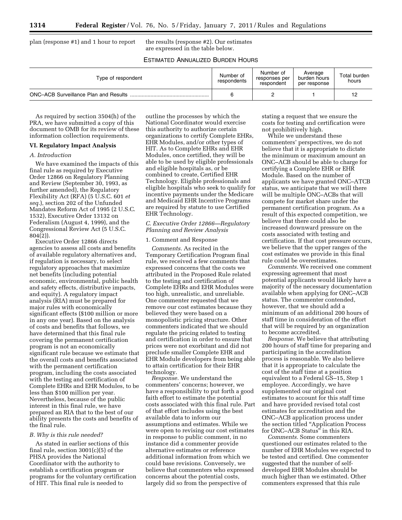plan (response #1) and 1 hour to report the results (response #2). Our estimates

are expressed in the table below.

# ESTIMATED ANNUALIZED BURDEN HOURS

| Type of respondent | Number of<br>respondents | Number of<br>responses per<br>respondent | Average<br>burden hours<br>per response | Total burden<br>hours |
|--------------------|--------------------------|------------------------------------------|-----------------------------------------|-----------------------|
|                    | c                        |                                          |                                         |                       |

As required by section 3504(h) of the PRA, we have submitted a copy of this document to OMB for its review of these information collection requirements.

# **VI. Regulatory Impact Analysis**

#### *A. Introduction*

We have examined the impacts of this final rule as required by Executive Order 12866 on Regulatory Planning and Review (September 30, 1993, as further amended), the Regulatory Flexibility Act (RFA) (5 U.S.C. 601 *et seq.*), section 202 of the Unfunded Mandates Reform Act of 1995 (2 U.S.C. 1532), Executive Order 13132 on Federalism (August 4, 1999), and the Congressional Review Act (5 U.S.C. 804(2)).

Executive Order 12866 directs agencies to assess all costs and benefits of available regulatory alternatives and, if regulation is necessary, to select regulatory approaches that maximize net benefits (including potential economic, environmental, public health and safety effects, distributive impacts, and equity). A regulatory impact analysis (RIA) must be prepared for major rules with economically significant effects (\$100 million or more in any one year). Based on the analysis of costs and benefits that follows, we have determined that this final rule covering the permanent certification program is not an economically significant rule because we estimate that the overall costs and benefits associated with the permanent certification program, including the costs associated with the testing and certification of Complete EHRs and EHR Modules, to be less than \$100 million per year. Nevertheless, because of the public interest in this final rule, we have prepared an RIA that to the best of our ability presents the costs and benefits of the final rule.

#### *B. Why is this rule needed?*

As stated in earlier sections of this final rule, section 3001(c)(5) of the PHSA provides the National Coordinator with the authority to establish a certification program or programs for the voluntary certification of HIT. This final rule is needed to

outline the processes by which the National Coordinator would exercise this authority to authorize certain organizations to certify Complete EHRs, EHR Modules, and/or other types of HIT. As to Complete EHRs and EHR Modules, once certified, they will be able to be used by eligible professionals and eligible hospitals as, or be combined to create, Certified EHR Technology. Eligible professionals and eligible hospitals who seek to qualify for incentive payments under the Medicare and Medicaid EHR Incentive Programs are required by statute to use Certified EHR Technology.

#### *C. Executive Order 12866—Regulatory Planning and Review Analysis*

# 1. Comment and Response

*Comments.* As recited in the Temporary Certification Program final rule, we received a few comments that expressed concerns that the costs we attributed in the Proposed Rule related to the testing and certification of Complete EHRs and EHR Modules were too high, unrealistic, and unreliable. One commenter requested that we remove our cost estimates because they believed they were based on a monopolistic pricing structure. Other commenters indicated that we should regulate the pricing related to testing and certification in order to ensure that prices were not exorbitant and did not preclude smaller Complete EHR and EHR Module developers from being able to attain certification for their EHR technology.

*Response.* We understand the commenters' concerns; however, we have a responsibility to put forth a good faith effort to estimate the potential costs associated with this final rule. Part of that effort includes using the best available data to inform our assumptions and estimates. While we were open to revising our cost estimates in response to public comment, in no instance did a commenter provide alternative estimates or reference additional information from which we could base revisions. Conversely, we believe that commenters who expressed concerns about the potential costs, largely did so from the perspective of

stating a request that we ensure the costs for testing and certification were not prohibitively high.

While we understand these commenters' perspectives, we do not believe that it is appropriate to dictate the minimum or maximum amount an ONC–ACB should be able to charge for certifying a Complete EHR or EHR Module. Based on the number of applicants we have granted ONC–ATCB status, we anticipate that we will there will be multiple ONC–ACBs that will compete for market share under the permanent certification program. As a result of this expected competition, we believe that there could also be increased downward pressure on the costs associated with testing and certification. If that cost pressure occurs, we believe that the upper ranges of the cost estimates we provide in this final rule could be overestimates.

*Comments.* We received one comment expressing agreement that most potential applicants would likely have a majority of the necessary documentation available when applying for ONC–ACB status. The commenter contended, however, that we should add a minimum of an additional 200 hours of staff time in consideration of the effort that will be required by an organization to become accredited.

*Response.* We believe that attributing 200 hours of staff time for preparing and participating in the accreditation process is reasonable. We also believe that it is appropriate to calculate the cost of the staff time at a position equivalent to a Federal GS–15, Step 1 employee. Accordingly, we have supplemented our original cost estimates to account for this staff time and have provided revised total cost estimates for accreditation and the ONC–ACB application process under the section titled ''Application Process for ONC–ACB Status'' in this RIA.

*Comments.* Some commenters questioned our estimates related to the number of EHR Modules we expected to be tested and certified. One commenter suggested that the number of selfdeveloped EHR Modules should be much higher than we estimated. Other commenters expressed that this rule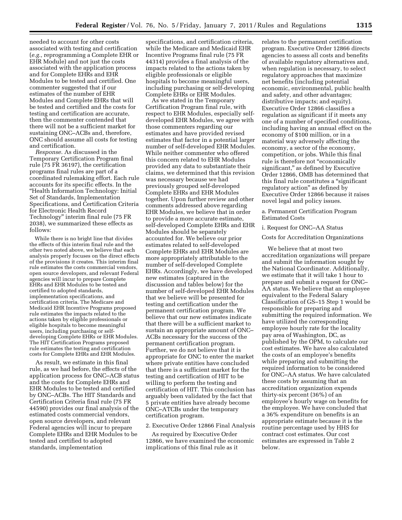needed to account for other costs associated with testing and certification (*e.g.,* reprogramming a Complete EHR or EHR Module) and not just the costs associated with the application process and for Complete EHRs and EHR Modules to be tested and certified. One commenter suggested that if our estimates of the number of EHR Modules and Complete EHRs that will be tested and certified and the costs for testing and certification are accurate, then the commenter contended that there will not be a sufficient market for sustaining ONC–ACBs and, therefore, ONC should assume all costs for testing and certification.

*Response.* As discussed in the Temporary Certification Program final rule (75 FR 36197), the certification programs final rules are part of a coordinated rulemaking effort. Each rule accounts for its specific effects. In the ''Health Information Technology: Initial Set of Standards, Implementation Specifications, and Certification Criteria for Electronic Health Record Technology'' interim final rule (75 FR 2038), we summarized these effects as follows:

While there is no bright line that divides the effects of this interim final rule and the other two noted above, we believe that each analysis properly focuses on the direct effects of the provisions it creates. This interim final rule estimates the costs commercial vendors, open source developers, and relevant Federal agencies will incur to prepare Complete EHRs and EHR Modules to be tested and certified to adopted standards, implementation specifications, and certification criteria. The Medicare and Medicaid EHR Incentive Programs proposed rule estimates the impacts related to the actions taken by eligible professionals or eligible hospitals to become meaningful users, including purchasing or selfdeveloping Complete EHRs or EHR Modules. The HIT Certification Programs proposed rule estimates the testing and certification costs for Complete EHRs and EHR Modules.

As result, we estimate in this final rule, as we had before, the effects of the application process for ONC–ACB status and the costs for Complete EHRs and EHR Modules to be tested and certified by ONC–ACBs. The HIT Standards and Certification Criteria final rule (75 FR 44590) provides our final analysis of the estimated costs commercial vendors, open source developers, and relevant Federal agencies will incur to prepare Complete EHRs and EHR Modules to be tested and certified to adopted standards, implementation

specifications, and certification criteria, while the Medicare and Medicaid EHR Incentive Programs final rule (75 FR 44314) provides a final analysis of the impacts related to the actions taken by eligible professionals or eligible hospitals to become meaningful users, including purchasing or self-developing Complete EHRs or EHR Modules.

As we stated in the Temporary Certification Program final rule, with respect to EHR Modules, especially selfdeveloped EHR Modules, we agree with those commenters regarding our estimates and have provided revised estimates that factor in a potential larger number of self-developed EHR Modules. While neither commenter who offered this concern related to EHR Modules provided any data to substantiate their claims, we determined that this revision was necessary because we had previously grouped self-developed Complete EHRs and EHR Modules together. Upon further review and other comments addressed above regarding EHR Modules, we believe that in order to provide a more accurate estimate, self-developed Complete EHRs and EHR Modules should be separately accounted for. We believe our prior estimates related to self-developed Complete EHRs and EHR Modules are more appropriately attributable to the number of self-developed Complete EHRs. Accordingly, we have developed new estimates (captured in the discussion and tables below) for the number of self-developed EHR Modules that we believe will be presented for testing and certification under the permanent certification program. We believe that our new estimates indicate that there will be a sufficient market to sustain an appropriate amount of ONC– ACBs necessary for the success of the permanent certification program. Further, we do not believe that it is appropriate for ONC to enter the market where private entities have concluded that there is a sufficient market for the testing and certification of HIT to be willing to perform the testing and certification of HIT. This conclusion has arguably been validated by the fact that 5 private entities have already become ONC–ATCBs under the temporary certification program.

#### 2. Executive Order 12866 Final Analysis

As required by Executive Order 12866, we have examined the economic implications of this final rule as it

relates to the permanent certification program. Executive Order 12866 directs agencies to assess all costs and benefits of available regulatory alternatives and, when regulation is necessary, to select regulatory approaches that maximize net benefits (including potential economic, environmental, public health and safety, and other advantages; distributive impacts; and equity). Executive Order 12866 classifies a regulation as significant if it meets any one of a number of specified conditions, including having an annual effect on the economy of \$100 million, or in a material way adversely affecting the economy, a sector of the economy, competition, or jobs. While this final rule is therefore not "economically significant," as defined by Executive Order 12866, OMB has determined that this final rule constitutes a ''significant regulatory action'' as defined by Executive Order 12866 because it raises novel legal and policy issues.

a. Permanent Certification Program Estimated Costs

#### i. Request for ONC–AA Status

Costs for Accreditation Organizations

We believe that at most two accreditation organizations will prepare and submit the information sought by the National Coordinator. Additionally, we estimate that it will take 1 hour to prepare and submit a request for ONC– AA status. We believe that an employee equivalent to the Federal Salary Classification of GS–15 Step 1 would be responsible for preparing and submitting the required information. We have utilized the corresponding employee hourly rate for the locality pay area of Washington, DC, as published by the OPM, to calculate our cost estimates. We have also calculated the costs of an employee's benefits while preparing and submitting the required information to be considered for ONC–AA status. We have calculated these costs by assuming that an accreditation organization expends thirty-six percent (36%) of an employee's hourly wage on benefits for the employee. We have concluded that a 36% expenditure on benefits is an appropriate estimate because it is the routine percentage used by HHS for contract cost estimates. Our cost estimates are expressed in Table 2 below.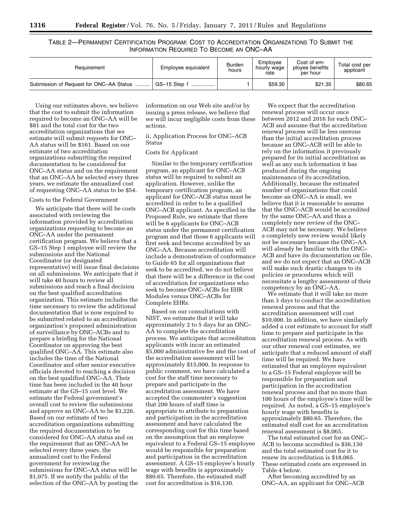TABLE 2—PERMANENT CERTIFICATION PROGRAM: COST TO ACCREDITATION ORGANIZATIONS TO SUBMIT THE INFORMATION REQUIRED TO BECOME AN ONC–AA

| Requirement                             | Employee equivalent                        | <b>Burden</b><br>hours | Emplovee<br>hourly wage<br>rate | Cost of em-<br>ployee benefits<br>per hour | Total cost per<br>applicant |
|-----------------------------------------|--------------------------------------------|------------------------|---------------------------------|--------------------------------------------|-----------------------------|
| Submission of Request for ONC-AA Status | $GS-15$ Step $\overline{\phantom{a}}$<br>. |                        | \$59.30                         | \$21.35                                    | \$80.65                     |

Using our estimates above, we believe that the cost to submit the information required to become an ONC–AA will be \$81 and the total cost for the two accreditation organizations that we estimate will submit requests for ONC– AA status will be \$161. Based on our estimate of two accreditation organizations submitting the required documentation to be considered for ONC–AA status and on the requirement that an ONC–AA be selected every three years, we estimate the annualized cost of requesting ONC–AA status to be \$54.

#### Costs to the Federal Government

We anticipate that there will be costs associated with reviewing the information provided by accreditation organizations requesting to become an ONC–AA under the permanent certification program. We believe that a GS–15 Step 1 employee will review the submissions and the National Coordinator (or designated representative) will issue final decisions on all submissions. We anticipate that it will take 40 hours to review all submissions and reach a final decision on the best qualified accreditation organization. This estimate includes the time necessary to review the additional documentation that is now required to be submitted related to an accreditation organization's proposed administration of surveillance by ONC–ACBs and to prepare a briefing for the National Coordinator on approving the best qualified ONC–AA. This estimate also includes the time of the National Coordinator and other senior executive officials devoted to reaching a decision on the best qualified ONC–AA. Their time has been included in the 40 hour estimate at the GS–15 cost level. We estimate the Federal government's overall cost to review the submissions and approve an ONC–AA to be \$3,226. Based on our estimate of two accreditation organizations submitting the required documentation to be considered for ONC–AA status and on the requirement that an ONC–AA be selected every three years, the annualized cost to the Federal government for reviewing the submissions for ONC–AA status will be \$1,075. If we notify the public of the selection of the ONC–AA by posting the

information on our Web site and/or by issuing a press release, we believe that we will incur negligible costs from these actions.

# ii. Application Process for ONC–ACB Status

# Costs for Applicant

Similar to the temporary certification program, an applicant for ONC–ACB status will be required to submit an application. However, unlike the temporary certification program, an applicant for ONC–ACB status must be accredited in order to be a qualified ONC–ACB applicant. As specified in the Proposed Rule, we estimate that there will be 6 applicants for ONC–ACB status under the permanent certification program and that those 6 applicants will first seek and become accredited by an ONC–AA. Because accreditation will include a demonstration of conformance to Guide 65 for all organizations that seek to be accredited, we do not believe that there will be a difference in the cost of accreditation for organizations who seek to become ONC–ACBs for EHR Modules versus ONC–ACBs for Complete EHRs.

Based on our consultations with NIST, we estimate that it will take approximately 2 to 5 days for an ONC– AA to complete the accreditation process. We anticipate that accreditation applicants with incur an estimated \$5,000 administrative fee and the cost of the accreditation assessment will be approximately \$15,000. In response to public comment, we have calculated a cost for the staff time necessary to prepare and participate in the accreditation assessment. We have accepted the commenter's suggestion that 200 hours of staff time is appropriate to attribute to preparation and participation in the accreditation assessment and have calculated the corresponding cost for this time based on the assumption that an employee equivalent to a Federal GS–15 employee would be responsible for preparation and participation in the accreditation assessment. A GS–15 employee's hourly wage with benefits is approximately \$80.65. Therefore, the estimated staff cost for accreditation is \$16,130.

We expect that the accreditation renewal process will occur once between 2012 and 2016 for each ONC– ACB and assume that the accreditation renewal process will be less onerous than the initial accreditation process because an ONC–ACB will be able to rely on the information it previously prepared for its initial accreditation as well as any such information it has produced during the ongoing maintenance of its accreditation. Additionally, because the estimated number of organizations that could become an ONC–AA is small, we believe that it is reasonable to assume that the ONC–ACB would be accredited by the same ONC–AA and thus a completely new review of the ONC– ACB may not be necessary. We believe a completely new review would likely not be necessary because the ONC–AA will already be familiar with the ONC– ACB and have its documentation on file, and we do not expect that an ONC–ACB will make such drastic changes to its policies or procedures which will necessitate a lengthy assessment of their competency by an ONC–AA.

We estimate that it will take no more than 3 days to conduct the accreditation renewal process and that the accreditation assessment will cost \$10,000. In addition, we have similarly added a cost estimate to account for staff time to prepare and participate in the accreditation renewal process. As with our other renewal cost estimates, we anticipate that a reduced amount of staff time will be required. We have estimated that an employee equivalent to a GS–15 Federal employee will be responsible for preparation and participation in the accreditation renewal process and that no more than 100 hours of the employee's time will be required. As noted, a GS–15 employee's hourly wage with benefits is approximately \$80.65. Therefore, the estimated staff cost for an accreditation renewal assessment is \$8,065.

The total estimated cost for an ONC– ACB to become accredited is \$36,130 and the total estimated cost for it to renew its accreditation is \$18,065. These estimated costs are expressed in Table 4 below.

After becoming accredited by an ONC–AA, an applicant for ONC–ACB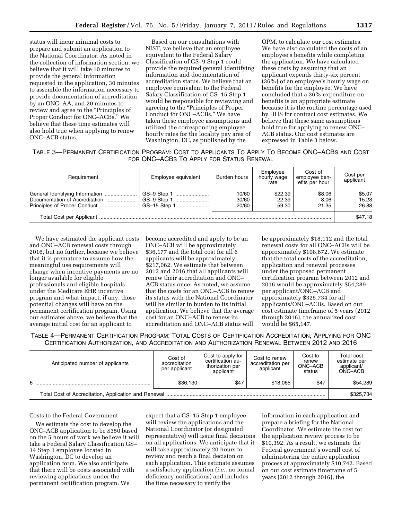status will incur minimal costs to prepare and submit an application to the National Coordinator. As noted in the collection of information section, we believe that it will take 10 minutes to provide the general information requested in the application, 30 minutes to assemble the information necessary to provide documentation of accreditation by an ONC–AA, and 20 minutes to review and agree to the ''Principles of Proper Conduct for ONC–ACBs.'' We believe that these time estimates will also hold true when applying to renew ONC–ACB status.

Based on our consultations with NIST, we believe that an employee equivalent to the Federal Salary Classification of GS–9 Step 1 could provide the required general identifying information and documentation of accreditation status. We believe that an employee equivalent to the Federal Salary Classification of GS–15 Step 1 would be responsible for reviewing and agreeing to the ''Principles of Proper Conduct for ONC–ACBs.'' We have taken these employee assumptions and utilized the corresponding employee hourly rates for the locality pay area of Washington, DC, as published by the

OPM, to calculate our cost estimates. We have also calculated the costs of an employee's benefits while completing the application. We have calculated these costs by assuming that an applicant expends thirty-six percent (36%) of an employee's hourly wage on benefits for the employee. We have concluded that a 36% expenditure on benefits is an appropriate estimate because it is the routine percentage used by HHS for contract cost estimates. We believe that these same assumptions hold true for applying to renew ONC– ACB status. Our cost estimates are expressed in Table 3 below.

TABLE 3—PERMANENT CERTIFICATION PROGRAM: COST TO APPLICANTS TO APPLY TO BECOME ONC–ACBS AND COST FOR ONC–ACBS TO APPLY FOR STATUS RENEWAL

| Requirement | Employee equivalent        | Burden hours            | Employee<br>hourly wage<br>rate | Cost of<br>employee ben-<br>efits per hour | Cost per<br>applicant    |  |
|-------------|----------------------------|-------------------------|---------------------------------|--------------------------------------------|--------------------------|--|
|             | GS-9 Step 1<br>GS-9 Step 1 | 10/60<br>30/60<br>20/60 | \$22.39<br>22.39<br>59.30       | \$8.06<br>8.06<br>21.35                    | \$5.07<br>15.23<br>26.88 |  |
|             |                            |                         |                                 |                                            |                          |  |

We have estimated the applicant costs and ONC–ACB renewal costs through 2016, but no further, because we believe that it is premature to assume how the meaningful use requirements will change when incentive payments are no longer available for eligible professionals and eligible hospitals under the Medicare EHR incentive program and what impact, if any, those potential changes will have on the permanent certification program. Using our estimates above, we believe that the average initial cost for an applicant to

become accredited and apply to be an ONC–ACB will be approximately \$36,177 and the total cost for all 6 applicants will be approximately \$217,062. We estimate that between 2012 and 2016 that all applicants will renew their accreditation and ONC– ACB status once. As noted, we assume that the costs for an ONC–ACB to renew its status with the National Coordinator will be similar in burden to its initial application. We believe that the average cost for an ONC–ACB to renew its accreditation and ONC–ACB status will be approximately \$18,112 and the total renewal costs for all ONC–ACBs will be approximately \$108,672. We estimate that the total costs of the accreditation, application and renewal processes under the proposed permanent certification program between 2012 and 2016 would be approximately \$54,289 per applicant/ONC–ACB and approximately \$325,734 for all applicants/ONC–ACBs. Based on our cost estimate timeframe of 5 years (2012 through 2016), the annualized cost would be \$65,147.

TABLE 4—PERMANENT CERTIFICATION PROGRAM: TOTAL COSTS OF CERTIFICATION ACCREDITATION, APPLYING FOR ONC CERTIFICATION AUTHORIZATION, AND ACCREDITATION AND AUTHORIZATION RENEWAL BETWEEN 2012 AND 2016

| Anticipated number of applicants | Cost of<br>accreditation<br>per applicant | Cost to apply for<br>certification au-<br>thorization per<br>applicant | Cost to renew<br>accreditation per<br>applicant | Cost to<br>renew<br>ONC-ACB<br>status | Total cost<br>estimate per<br>applicant/<br>ONC-ACB |
|----------------------------------|-------------------------------------------|------------------------------------------------------------------------|-------------------------------------------------|---------------------------------------|-----------------------------------------------------|
| 6                                | \$36,130                                  | \$47                                                                   | \$18.065                                        | \$47                                  | \$54.289                                            |
|                                  |                                           |                                                                        |                                                 |                                       |                                                     |

#### Costs to the Federal Government

We estimate the cost to develop the ONC–ACB application to be \$350 based on the 5 hours of work we believe it will take a Federal Salary Classification GS– 14 Step 1 employee located in Washington, DC to develop an application form. We also anticipate that there will be costs associated with reviewing applications under the permanent certification program. We

expect that a GS–15 Step 1 employee will review the applications and the National Coordinator (or designated representative) will issue final decisions on all applications. We anticipate that it will take approximately 20 hours to review and reach a final decision on each application. This estimate assumes a satisfactory application (*i.e.,* no formal deficiency notifications) and includes the time necessary to verify the

information in each application and prepare a briefing for the National Coordinator. We estimate the cost for the application review process to be \$10,392. As a result, we estimate the Federal government's overall cost of administering the entire application process at approximately \$10,742. Based on our cost estimate timeframe of 5 years (2012 through 2016), the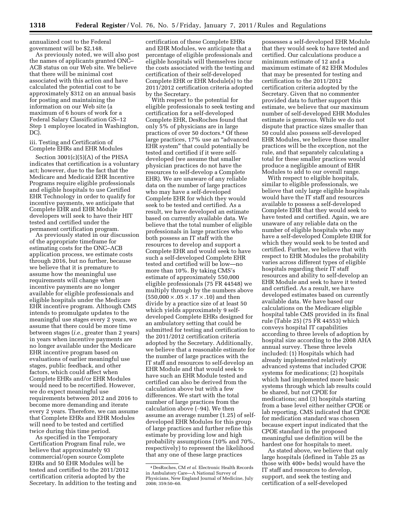annualized cost to the Federal government will be \$2,148.

As previously noted, we will also post the names of applicants granted ONC– ACB status on our Web site. We believe that there will be minimal cost associated with this action and have calculated the potential cost to be approximately \$312 on an annual basis for posting and maintaining the information on our Web site (a maximum of 6 hours of work for a Federal Salary Classification GS–12 Step 1 employee located in Washington, DC).

iii. Testing and Certification of Complete EHRs and EHR Modules

Section 3001(c)(5)(A) of the PHSA indicates that certification is a voluntary act; however, due to the fact that the Medicare and Medicaid EHR Incentive Programs require eligible professionals and eligible hospitals to use Certified EHR Technology in order to qualify for incentive payments, we anticipate that Complete EHR and EHR Module developers will seek to have their HIT tested and certified under the permanent certification program.

As previously stated in our discussion of the appropriate timeframe for estimating costs for the ONC–ACB application process, we estimate costs through 2016, but no further, because we believe that it is premature to assume how the meaningful use requirements will change when incentive payments are no longer available for eligible professionals and eligible hospitals under the Medicare EHR incentive program. Although CMS intends to promulgate updates to the meaningful use stages every 2 years, we assume that there could be more time between stages (*i.e.,* greater than 2 years) in years when incentive payments are no longer available under the Medicare EHR incentive program based on evaluations of earlier meaningful use stages, public feedback, and other factors, which could affect when Complete EHRs and/or EHR Modules would need to be recertified. However, we do expect meaningful use requirements between 2012 and 2016 to become more demanding and iterate every 2 years. Therefore, we can assume that Complete EHRs and EHR Modules will need to be tested and certified twice during this time period.

As specified in the Temporary Certification Program final rule, we believe that approximately 93 commercial/open source Complete EHRs and 50 EHR Modules will be tested and certified to the 2011/2012 certification criteria adopted by the Secretary. In addition to the testing and

certification of these Complete EHRs and EHR Modules, we anticipate that a percentage of eligible professionals and eligible hospitals will themselves incur the costs associated with the testing and certification of their self-developed Complete EHR or EHR Module(s) to the 2011/2012 certification criteria adopted by the Secretary.

With respect to the potential for eligible professionals to seek testing and certification for a self-developed Complete EHR, DesRoches found that only 5% of physicians are in large practices of over 50 doctors.4 Of these large practices, 17% use an ''advanced EHR system'' that could potentially be tested and certified if it were selfdeveloped (we assume that smaller physician practices do not have the resources to self-develop a Complete EHR). We are unaware of any reliable data on the number of large practices who may have a self-developed Complete EHR for which they would seek to be tested and certified. As a result, we have developed an estimate based on currently available data. We believe that the total number of eligible professionals in large practices who both possess an IT staff with the resources to develop and support a Complete EHR and would seek to have such a self-developed Complete EHR tested and certified will be low—no more than 10%. By taking CMS's estimate of approximately 550,000 eligible professionals (75 FR 44548) we multiply through by the numbers above  $(550,000 \times .05 \times .17 \times .10)$  and then divide by a practice size of at least 50 which yields approximately 9 selfdeveloped Complete EHRs designed for an ambulatory setting that could be submitted for testing and certification to the 2011/2012 certification criteria adopted by the Secretary. Additionally, we believe that a reasonable estimate for the number of large practices with the IT staff and resources to self-develop an EHR Module and that would seek to have such an EHR Module tested and certified can also be derived from the calculation above but with a few differences. We start with the total number of large practices from the calculation above (∼94). We then assume an average number (1.25) of selfdeveloped EHR Modules for this group of large practices and further refine this estimate by providing low and high probability assumptions (10% and 70%, respectively) to represent the likelihood that any one of these large practices

possesses a self-developed EHR Module that they would seek to have tested and certified. Our calculations produce a minimum estimate of 12 and a maximum estimate of 82 EHR Modules that may be presented for testing and certification to the 2011/2012 certification criteria adopted by the Secretary. Given that no commenter provided data to further support this estimate, we believe that our maximum number of self-developed EHR Modules estimate is generous. While we do not dispute that practice sizes smaller than 50 could also possess self-developed EHR Modules, we believe those smaller practices will be the exception, not the rule, and that separately calculating a total for these smaller practices would produce a negligible amount of EHR Modules to add to our overall range.

With respect to eligible hospitals, similar to eligible professionals, we believe that only large eligible hospitals would have the IT staff and resources available to possess a self-developed Complete EHR that they would seek to have tested and certified. Again, we are unaware of any reliable data on the number of eligible hospitals who may have a self-developed Complete EHR for which they would seek to be tested and certified. Further, we believe that with respect to EHR Modules the probability varies across different types of eligible hospitals regarding their IT staff resources and ability to self-develop an EHR Module and seek to have it tested and certified. As a result, we have developed estimates based on currently available data. We have based our calculations on the Medicare eligible hospital table CMS provided in its final rule (Table 25) (75 FR 44553) which conveys hospital IT capabilities according to three levels of adoption by hospital size according to the 2008 AHA annual survey. These three levels included: (1) Hospitals which had already implemented relatively advanced systems that included CPOE systems for medications; (2) hospitals which had implemented more basic systems through which lab results could be shared, but not CPOE for medications; and (3) hospitals starting from a base level either neither CPOE or lab reporting. CMS indicated that CPOE for medication standard was chosen because expert input indicated that the CPOE standard in the proposed meaningful use definition will be the hardest one for hospitals to meet.

As stated above, we believe that only large hospitals (defined in Table 25 as those with 400+ beds) would have the IT staff and resources to develop, support, and seek the testing and certification of a self-developed

<sup>4</sup> DesRoches, CM *et al.* Electronic Health Records in Ambulatory Care—A National Survey of Physicians, New England Journal of Medicine, July 2008; 359:50–60.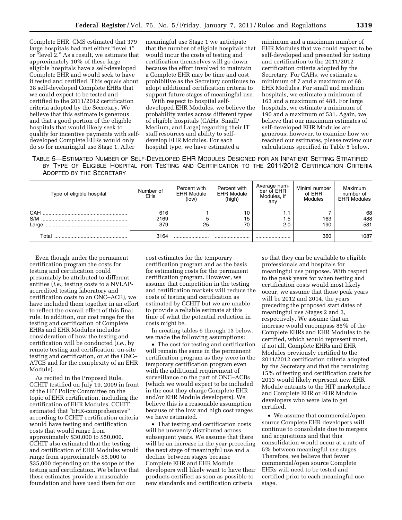Complete EHR. CMS estimated that 379 large hospitals had met either "level 1" or "level 2." As a result, we estimate that approximately 10% of these large eligible hospitals have a self-developed Complete EHR and would seek to have it tested and certified. This equals about 38 self-developed Complete EHRs that we could expect to be tested and certified to the 2011/2012 certification criteria adopted by the Secretary. We believe that this estimate is generous and that a good portion of the eligible hospitals that would likely seek to qualify for incentive payments with selfdeveloped Complete EHRs would only do so for meaningful use Stage 1. After

meaningful use Stage 1 we anticipate that the number of eligible hospitals that would incur the costs of testing and certification themselves will go down because the effort involved to maintain a Complete EHR may be time and cost prohibitive as the Secretary continues to adopt additional certification criteria to support future stages of meaningful use.

With respect to hospital selfdeveloped EHR Modules, we believe the probability varies across different types of eligible hospitals (CAHs, Small/ Medium, and Large) regarding their IT staff resources and ability to selfdevelop EHR Modules. For each hospital type, we have estimated a

minimum and a maximum number of EHR Modules that we could expect to be self-developed and presented for testing and certification to the 2011/2012 certification criteria adopted by the Secretary. For CAHs, we estimate a minimum of 7 and a maximum of 68 EHR Modules. For small and medium hospitals, we estimate a minimum of 163 and a maximum of 488. For large hospitals, we estimate a minimum of 190 and a maximum of 531. Again, we believe that our maximum estimates of self-developed EHR Modules are generous; however, to examine how we reached our estimates, please review our calculations specified in Table 5 below.

TABLE 5—ESTIMATED NUMBER OF SELF-DEVELOPED EHR MODULES DESIGNED FOR AN INPATIENT SETTING STRATIFIED BY TYPE OF ELIGIBLE HOSPITAL FOR TESTING AND CERTIFICATION TO THE 2011/2012 CERTIFICATION CRITERIA ADOPTED BY THE SECRETARY

| Type of eligible hospital | Number of<br>EHs   | Percent with<br><b>EHR Module</b><br>(low) | Percent with<br><b>EHR Module</b><br>(high) | -Average num<br>ber of EHR<br>Modules, if<br>anv | Miniml number<br>of EHR<br><b>Modules</b> | Maximum<br>number of<br><b>EHR Modules</b> |
|---------------------------|--------------------|--------------------------------------------|---------------------------------------------|--------------------------------------------------|-------------------------------------------|--------------------------------------------|
| CAH<br>S/M<br>Large       | 616<br>2169<br>379 | 25                                         | 10<br>15<br>70                              | 1.1<br>.5 <sub>1</sub><br>2.0                    | 163<br>190                                | 68<br>488<br>531                           |
| Total                     | 3164               |                                            |                                             |                                                  | 360                                       | 1087                                       |

Even though under the permanent certification program the costs for testing and certification could presumably be attributed to different entities (*i.e.,* testing costs to a NVLAPaccredited testing laboratory and certification costs to an ONC–ACB), we have included them together in an effort to reflect the overall effect of this final rule. In addition, our cost range for the testing and certification of Complete EHRs and EHR Modules includes consideration of how the testing and certification will be conducted (*i.e.,* by remote testing and certification, on-site testing and certification, or at the ONC– ATCB and for the complexity of an EHR Module).

As recited in the Proposed Rule, CCHIT testified on July 19, 2009 in front of the HIT Policy Committee on the topic of EHR certification, including the certification of EHR Modules. CCHIT estimated that ''EHR-comprehensive'' according to CCHIT certification criteria would have testing and certification costs that would range from approximately \$30,000 to \$50,000. CCHIT also estimated that the testing and certification of EHR Modules would range from approximately \$5,000 to \$35,000 depending on the scope of the testing and certification. We believe that these estimates provide a reasonable foundation and have used them for our

cost estimates for the temporary certification program and as the basis for estimating costs for the permanent certification program. However, we assume that competition in the testing and certification markets will reduce the costs of testing and certification as estimated by CCHIT but we are unable to provide a reliable estimate at this time of what the potential reduction in costs might be.

In creating tables 6 through 13 below, we made the following assumptions:

• The cost for testing and certification will remain the same in the permanent certification program as they were in the temporary certification program even with the additional requirement of surveillance on the part of ONC–ACBs (which we would expect to be included in the cost they charge Complete EHR and/or EHR Module developers). We believe this is a reasonable assumption because of the low and high cost ranges we have estimated.

• That testing and certification costs will be unevenly distributed across subsequent years. We assume that there will be an increase in the year preceding the next stage of meaningful use and a decline between stages because Complete EHR and EHR Module developers will likely want to have their products certified as soon as possible to new standards and certification criteria

so that they can be available to eligible professionals and hospitals for meaningful use purposes. With respect to the peak years for when testing and certification costs would most likely occur, we assume that those peak years will be 2012 and 2014, the years preceding the proposed start dates of meaningful use Stages 2 and 3, respectively. We assume that an increase would encompass 85% of the Complete EHRs and EHR Modules to be certified, which would represent most, if not all, Complete EHRs and EHR Modules previously certified to the 2011/2012 certification criteria adopted by the Secretary and that the remaining 15% of testing and certification costs for 2013 would likely represent new EHR Module entrants to the HIT marketplace and Complete EHR or EHR Module developers who were late to get certified.

• We assume that commercial/open source Complete EHR developers will continue to consolidate due to mergers and acquisitions and that this consolidation would occur at a rate of 5% between meaningful use stages. Therefore, we believe that fewer commercial/open source Complete EHRs will need to be tested and certified prior to each meaningful use stage.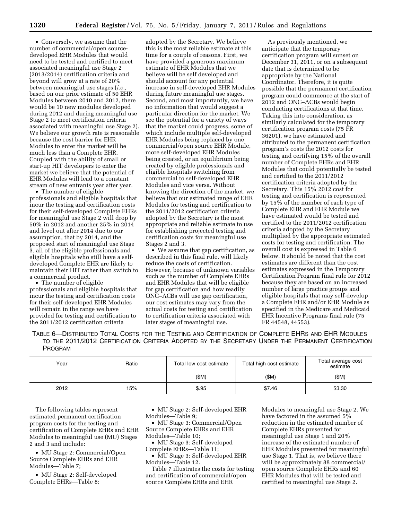• Conversely, we assume that the number of commercial/open sourcedeveloped EHR Modules that would need to be tested and certified to meet associated meaningful use Stage 2 (2013/2014) certification criteria and beyond will grow at a rate of 20% between meaningful use stages (*i.e.,*  based on our prior estimate of 50 EHR Modules between 2010 and 2012, there would be 10 new modules developed during 2012 and during meaningful use Stage 2 to meet certification criteria associated with meaningful use Stage 2). We believe our growth rate is reasonable because the cost barrier for EHR Modules to enter the market will be much less than a Complete EHR. Coupled with the ability of small or start-up HIT developers to enter the market we believe that the potential of EHR Modules will lead to a constant stream of new entrants year after year.

• The number of eligible professionals and eligible hospitals that incur the testing and certification costs for their self-developed Complete EHRs for meaningful use Stage 2 will drop by 50% in 2012 and another 25% in 2014 and level out after 2014 due to our assumption, that by 2014, and the proposed start of meaningful use Stage 3, all of the eligible professionals and eligible hospitals who still have a selfdeveloped Complete EHR are likely to maintain their HIT rather than switch to a commercial product.

• The number of eligible professionals and eligible hospitals that incur the testing and certification costs for their self-developed EHR Modules will remain in the range we have provided for testing and certification to the 2011/2012 certification criteria

adopted by the Secretary. We believe this is the most reliable estimate at this time for a couple of reasons. First, we have provided a generous maximum estimate of EHR Modules that we believe will be self developed and should account for any potential increase in self-developed EHR Modules during future meaningful use stages. Second, and most importantly, we have no information that would suggest a particular direction for the market. We see the potential for a variety of ways that the market could progress, some of which include multiple self-developed EHR Modules being replaced by one commercial/open source EHR Module, more self-developed EHR Modules being created, or an equilibrium being created by eligible professionals and eligible hospitals switching from commercial to self-developed EHR Modules and vice versa. Without knowing the direction of the market, we believe that our estimated range of EHR Modules for testing and certification to the 2011/2012 certification criteria adopted by the Secretary is the most appropriate and reliable estimate to use for establishing projected testing and certification costs for meaningful use Stages 2 and 3.

• We assume that gap certification, as described in this final rule, will likely reduce the costs of certification. However, because of unknown variables such as the number of Complete EHRs and EHR Modules that will be eligible for gap certification and how readily ONC–ACBs will use gap certification, our cost estimates may vary from the actual costs for testing and certification to certification criteria associated with later stages of meaningful use.

As previously mentioned, we anticipate that the temporary certification program will sunset on December 31, 2011, or on a subsequent date that is determined to be appropriate by the National Coordinator. Therefore, it is quite possible that the permanent certification program could commence at the start of 2012 and ONC–ACBs would begin conducting certifications at that time. Taking this into consideration, as similarly calculated for the temporary certification program costs (75 FR 36201), we have estimated and attributed to the permanent certification program's costs the 2012 costs for testing and certifying 15% of the overall number of Complete EHRs and EHR Modules that could potentially be tested and certified to the 2011/2012 certification criteria adopted by the Secretary. This 15% 2012 cost for testing and certification is represented by 15% of the number of each type of Complete EHR and EHR Module we have estimated would be tested and certified to the 2011/2012 certification criteria adopted by the Secretary multiplied by the appropriate estimated costs for testing and certification. The overall cost is expressed in Table 6 below. It should be noted that the cost estimates are different than the cost estimates expressed in the Temporary Certification Program final rule for 2012 because they are based on an increased number of large practice groups and eligible hospitals that may self-develop a Complete EHR and/or EHR Module as specified in the Medicare and Medicaid EHR Incentive Programs final rule (75 FR 44548, 44553).

TABLE 6—DISTRIBUTED TOTAL COSTS FOR THE TESTING AND CERTIFICATION OF COMPLETE EHRS AND EHR MODULES TO THE 2011/2012 CERTIFICATION CRITERIA ADOPTED BY THE SECRETARY UNDER THE PERMANENT CERTIFICATION PROGRAM

| Year | Ratio | Total high cost estimate<br>Total low cost estimate |        | Total average cost<br>estimate |
|------|-------|-----------------------------------------------------|--------|--------------------------------|
|      |       | (\$M)                                               | (\$M)  | (SM)                           |
| 2012 | 15%   | \$.95                                               | \$7.46 | \$3.30                         |

The following tables represent estimated permanent certification program costs for the testing and certification of Complete EHRs and EHR Modules to meaningful use (MU) Stages 2 and 3 and include:

• MU Stage 2: Commercial/Open Source Complete EHRs and EHR Modules—Table 7;

• MU Stage 2: Self-developed Complete EHRs—Table 8;

• MU Stage 2: Self-developed EHR Modules—Table 9;

• MU Stage 3: Commercial/Open Source Complete EHRs and EHR Modules—Table 10;

- MU Stage 3: Self-developed Complete EHRs—Table 11;
- MU Stage 3: Self-developed EHR Modules—Table 12.

Table 7 illustrates the costs for testing and certification of commercial/open source Complete EHRs and EHR

Modules to meaningful use Stage 2. We have factored in the assumed 5% reduction in the estimated number of Complete EHRs presented for meaningful use Stage 1 and 20% increase of the estimated number of EHR Modules presented for meaningful use Stage 1. That is, we believe there will be approximately 88 commercial/ open source Complete EHRs and 60 EHR Modules that will be tested and certified to meaningful use Stage 2.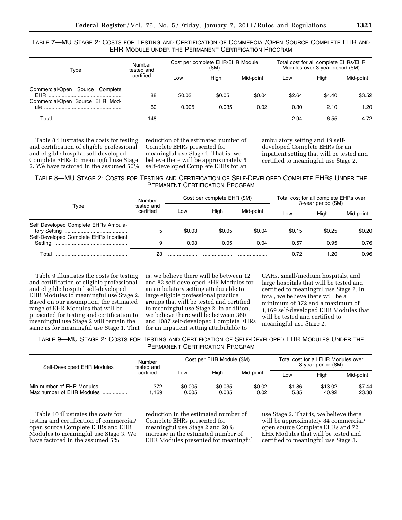# TABLE 7—MU STAGE 2: COSTS FOR TESTING AND CERTIFICATION OF COMMERCIAL/OPEN SOURCE COMPLETE EHR AND EHR MODULE UNDER THE PERMANENT CERTIFICATION PROGRAM

| Type                                                               | Number<br>tested and | Cost per complete EHR/EHR Module<br>(SM) |        |           | Total cost for all complete EHRs/EHR<br>Modules over 3-year period (\$M) |        |           |
|--------------------------------------------------------------------|----------------------|------------------------------------------|--------|-----------|--------------------------------------------------------------------------|--------|-----------|
|                                                                    | certified            | Low                                      | High   | Mid-point | Low                                                                      | High   | Mid-point |
| Commercial/Open Source Complete<br>Commercial/Open Source EHR Mod- | 88                   | \$0.03                                   | \$0.05 | \$0.04    | \$2.64                                                                   | \$4.40 | \$3.52    |
|                                                                    | 60                   | 0.005                                    | 0.035  | 0.02      | 0.30                                                                     | 2.10   | 1.20      |
| Total                                                              | 148                  |                                          |        |           | 2.94                                                                     | 6.55   | 4.72      |

Table 8 illustrates the costs for testing and certification of eligible professional and eligible hospital self-developed Complete EHRs to meaningful use Stage 2. We have factored in the assumed 50% reduction of the estimated number of Complete EHRs presented for meaningful use Stage 1. That is, we believe there will be approximately 5 self-developed Complete EHRs for an

ambulatory setting and 19 selfdeveloped Complete EHRs for an inpatient setting that will be tested and certified to meaningful use Stage 2.

TABLE 8—MU STAGE 2: COSTS FOR TESTING AND CERTIFICATION OF SELF-DEVELOPED COMPLETE EHRS UNDER THE PERMANENT CERTIFICATION PROGRAM

| Type                                                                           | Number                  |        | Cost per complete EHR (\$M) |           | Total cost for all complete EHRs over<br>3-year period (\$M) |        |           |
|--------------------------------------------------------------------------------|-------------------------|--------|-----------------------------|-----------|--------------------------------------------------------------|--------|-----------|
|                                                                                | tested and<br>certified | Low    | High                        | Mid-point | Low                                                          | High   | Mid-point |
| Self Developed Complete EHRs Ambula-<br>Self-Developed Complete EHRs Inpatient | 5                       | \$0.03 | \$0.05                      | \$0.04    | \$0.15                                                       | \$0.25 | \$0.20    |
|                                                                                | 19                      | 0.03   | 0.05                        | 0.04      | 0.57                                                         | 0.95   | 0.76      |
| Total                                                                          | 23                      |        |                             | .         | 0.72                                                         | 1.20   | 0.96      |

Table 9 illustrates the costs for testing and certification of eligible professional and eligible hospital self-developed EHR Modules to meaningful use Stage 2. Based on our assumption, the estimated range of EHR Modules that will be presented for testing and certification to meaningful use Stage 2 will remain the same as for meaningful use Stage 1. That

is, we believe there will be between 12 and 82 self-developed EHR Modules for an ambulatory setting attributable to large eligible professional practice groups that will be tested and certified to meaningful use Stage 2. In addition, we believe there will be between 360 and 1087 self-developed Complete EHRs for an inpatient setting attributable to

CAHs, small/medium hospitals, and large hospitals that will be tested and certified to meaningful use Stage 2. In total, we believe there will be a minimum of 372 and a maximum of 1,169 self-developed EHR Modules that will be tested and certified to meaningful use Stage 2.

TABLE 9—MU STAGE 2: COSTS FOR TESTING AND CERTIFICATION OF SELF-DEVELOPED EHR MODULES UNDER THE PERMANENT CERTIFICATION PROGRAM

| Self-Developed EHR Modules                             | Number                  |                  | Cost per EHR Module (\$M) |                | Total cost for all EHR Modules over<br>3-year period (\$M) |                  |                 |
|--------------------------------------------------------|-------------------------|------------------|---------------------------|----------------|------------------------------------------------------------|------------------|-----------------|
|                                                        | tested and<br>certified | Low              | High                      | Mid-point      | Hiah<br>Low                                                |                  | Mid-point       |
| Min number of EHR Modules<br>Max number of EHR Modules | 372<br>.169             | \$0.005<br>0.005 | \$0.035<br>0.035          | \$0.02<br>0.02 | \$1.86<br>5.85                                             | \$13.02<br>40.92 | \$7.44<br>23.38 |

Table 10 illustrates the costs for testing and certification of commercial/ open source Complete EHRs and EHR Modules to meaningful use Stage 3. We have factored in the assumed 5%

reduction in the estimated number of Complete EHRs presented for meaningful use Stage 2 and 20% increase in the estimated number of EHR Modules presented for meaningful

use Stage 2. That is, we believe there will be approximately 84 commercial/ open source Complete EHRs and 72 EHR Modules that will be tested and certified to meaningful use Stage 3.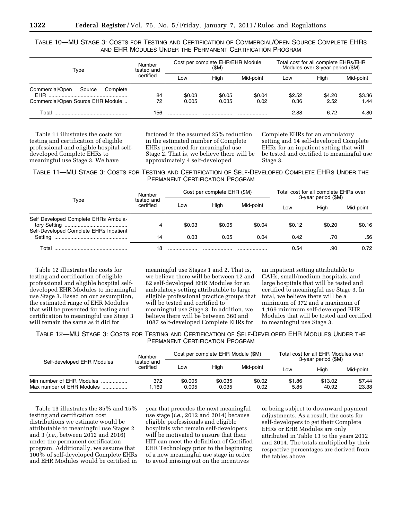TABLE 10—MU STAGE 3: COSTS FOR TESTING AND CERTIFICATION OF COMMERCIAL/OPEN SOURCE COMPLETE EHRS AND EHR MODULES UNDER THE PERMANENT CERTIFICATION PROGRAM

| Type                                                                                     | Number<br>tested and |                 | Cost per complete EHR/EHR Module<br>(SM) |                |                | Total cost for all complete EHRs/EHR<br>Modules over 3-year period (\$M) |                |  |
|------------------------------------------------------------------------------------------|----------------------|-----------------|------------------------------------------|----------------|----------------|--------------------------------------------------------------------------|----------------|--|
|                                                                                          | certified            |                 | Hiah                                     | Mid-point      | Low            | Hiah                                                                     | Mid-point      |  |
| Commercial/Open<br>Source<br>Complete<br><b>FHR</b><br>Commercial/Open Source EHR Module | 84<br>72             | \$0.03<br>0.005 | \$0.05<br>0.035                          | \$0.04<br>0.02 | \$2.52<br>0.36 | \$4.20<br>2.52                                                           | \$3.36<br>1.44 |  |
| Total                                                                                    | 156                  | .               |                                          |                | 2.88           | 6.72                                                                     | 4.80           |  |

Table 11 illustrates the costs for testing and certification of eligible professional and eligible hospital selfdeveloped Complete EHRs to meaningful use Stage 3. We have

factored in the assumed 25% reduction in the estimated number of Complete EHRs presented for meaningful use Stage 2. That is, we believe there will be approximately 4 self-developed

Complete EHRs for an ambulatory setting and 14 self-developed Complete EHRs for an inpatient setting that will be tested and certified to meaningful use Stage 3.

TABLE 11—MU STAGE 3: COSTS FOR TESTING AND CERTIFICATION OF SELF-DEVELOPED COMPLETE EHRS UNDER THE PERMANENT CERTIFICATION PROGRAM

| Type                                                                           | Number                  |        | Cost per complete EHR (\$M) |           | Total cost for all complete EHRs over<br>3-year period (\$M) |        |           |
|--------------------------------------------------------------------------------|-------------------------|--------|-----------------------------|-----------|--------------------------------------------------------------|--------|-----------|
|                                                                                | tested and<br>certified | Low    | High                        | Mid-point | Low                                                          | High   | Mid-point |
| Self Developed Complete EHRs Ambula-<br>Self-Developed Complete EHRs Inpatient | 4                       | \$0.03 | \$0.05                      | \$0.04    | \$0.12                                                       | \$0.20 | \$0.16    |
|                                                                                | 14                      | 0.03   | 0.05                        | 0.04      | 0.42                                                         | .70    | .56       |
| Total                                                                          | 18                      |        |                             | .         | 0.54                                                         | .90    | 0.72      |

Table 12 illustrates the costs for testing and certification of eligible professional and eligible hospital selfdeveloped EHR Modules to meaningful use Stage 3. Based on our assumption, the estimated range of EHR Modules that will be presented for testing and certification to meaningful use Stage 3 will remain the same as it did for

meaningful use Stages 1 and 2. That is, we believe there will be between 12 and 82 self-developed EHR Modules for an ambulatory setting attributable to large eligible professional practice groups that will be tested and certified to meaningful use Stage 3. In addition, we believe there will be between 360 and 1087 self-developed Complete EHRs for

an inpatient setting attributable to CAHs, small/medium hospitals, and large hospitals that will be tested and certified to meaningful use Stage 3. In total, we believe there will be a minimum of 372 and a maximum of 1,169 minimum self-developed EHR Modules that will be tested and certified to meaningful use Stage 3.

TABLE 12—MU STAGE 3: COSTS FOR TESTING AND CERTIFICATION OF SELF-DEVELOPED EHR MODULES UNDER THE PERMANENT CERTIFICATION PROGRAM

| Self-developed EHR Modules                             | Number                  |                  | Cost per complete EHR Module (\$M) |                | Total cost for all EHR Modules over<br>3-year period (\$M) |                  |                 |
|--------------------------------------------------------|-------------------------|------------------|------------------------------------|----------------|------------------------------------------------------------|------------------|-----------------|
|                                                        | tested and<br>certified | Low              | High                               | Mid-point      | Hiah<br>Low                                                |                  | Mid-point       |
| Min number of EHR Modules<br>Max number of EHR Modules | 372<br>.169             | \$0.005<br>0.005 | \$0.035<br>0.035                   | \$0.02<br>0.02 | \$1.86<br>5.85                                             | \$13.02<br>40.92 | \$7.44<br>23.38 |

Table 13 illustrates the 85% and 15% testing and certification cost distributions we estimate would be attributable to meaningful use Stages 2 and 3 (*i.e.,* between 2012 and 2016) under the permanent certification program. Additionally, we assume that 100% of self-developed Complete EHRs and EHR Modules would be certified in

year that precedes the next meaningful use stage (*i.e.,* 2012 and 2014) because eligible professionals and eligible hospitals who remain self-developers will be motivated to ensure that their HIT can meet the definition of Certified EHR Technology prior to the beginning of a new meaningful use stage in order to avoid missing out on the incentives

or being subject to downward payment adjustments. As a result, the costs for self-developers to get their Complete EHRs or EHR Modules are only attributed in Table 13 to the years 2012 and 2014. The totals multiplied by their respective percentages are derived from the tables above.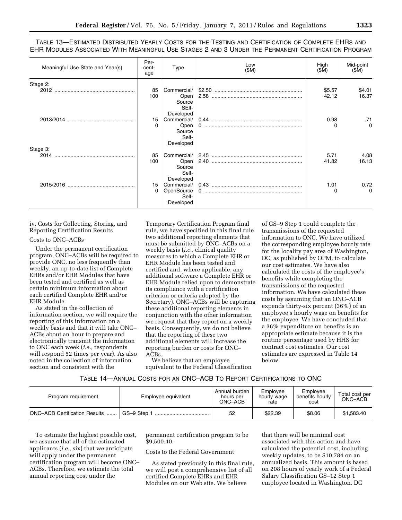TABLE 13—ESTIMATED DISTRIBUTED YEARLY COSTS FOR THE TESTING AND CERTIFICATION OF COMPLETE EHRS AND EHR MODULES ASSOCIATED WITH MEANINGFUL USE STAGES 2 AND 3 UNDER THE PERMANENT CERTIFICATION PROGRAM

| Meaningful Use State and Year(s) | Per-<br>cent-<br>age | Type                                                             | Low<br>(SM) | High<br>(SM)    | Mid-point<br>(SM) |
|----------------------------------|----------------------|------------------------------------------------------------------|-------------|-----------------|-------------------|
| Stage 2:                         | 85<br>100            | Commercial/<br>Open<br>Source<br>SEIf-                           |             | \$5.57<br>42.12 | \$4.01<br>16.37   |
|                                  | 15<br>$\Omega$       | Developed<br>Commercial/<br>Open<br>Source<br>Self-<br>Developed |             | 0.98            | .71<br>$\Omega$   |
| Stage 3:<br>2014                 | 85<br>100            | Commercial/<br>Open<br>Source<br>Self-                           |             | 5.71<br>41.82   | 4.08<br>16.13     |
|                                  | 15<br>0              | Developed<br>Commercial/<br>OpenSource<br>Self-<br>Developed     |             | 1.01            | 0.72<br>$\Omega$  |

iv. Costs for Collecting, Storing, and Reporting Certification Results

# Costs to ONC–ACBs

Under the permanent certification program, ONC–ACBs will be required to provide ONC, no less frequently than weekly, an up-to-date list of Complete EHRs and/or EHR Modules that have been tested and certified as well as certain minimum information about each certified Complete EHR and/or EHR Module.

As stated in the collection of information section, we will require the reporting of this information on a weekly basis and that it will take ONC– ACBs about an hour to prepare and electronically transmit the information to ONC each week (*i.e.,* respondents will respond 52 times per year). As also noted in the collection of information section and consistent with the

Temporary Certification Program final rule, we have specified in this final rule two additional reporting elements that must be submitted by ONC–ACBs on a weekly basis (*i.e.,* clinical quality measures to which a Complete EHR or EHR Module has been tested and certified and, where applicable, any additional software a Complete EHR or EHR Module relied upon to demonstrate its compliance with a certification criterion or criteria adopted by the Secretary). ONC–ACBs will be capturing these additional reporting elements in conjunction with the other information we request that they report on a weekly basis. Consequently, we do not believe that the reporting of these two additional elements will increase the reporting burden or costs for ONC– ACBs.

We believe that an employee equivalent to the Federal Classification of GS–9 Step 1 could complete the transmissions of the requested information to ONC. We have utilized the corresponding employee hourly rate for the locality pay area of Washington, DC, as published by OPM, to calculate our cost estimates. We have also calculated the costs of the employee's benefits while completing the transmissions of the requested information. We have calculated these costs by assuming that an ONC–ACB expends thirty-six percent (36%) of an employee's hourly wage on benefits for the employee. We have concluded that a 36% expenditure on benefits is an appropriate estimate because it is the routine percentage used by HHS for contract cost estimates. Our cost estimates are expressed in Table 14 below.

| Table 14—Annual Costs for an ONC—ACB To Report Certifications to ONC |  |
|----------------------------------------------------------------------|--|
|----------------------------------------------------------------------|--|

| Program reguirement                   | Employee equivalent | Annual burden<br>hours per<br>ONC–ÁCB | Emplovee<br>hourly wage<br>rate | Emplovee<br>benefits hourly<br>cost | Total cost per<br>ONC-ACB |
|---------------------------------------|---------------------|---------------------------------------|---------------------------------|-------------------------------------|---------------------------|
| <b>ONC-ACB Certification Results </b> | GS-9 Step           | 52                                    | \$22.39                         | \$8.06                              | \$1,583.40                |

To estimate the highest possible cost, we assume that all of the estimated applicants (*i.e.,* six) that we anticipate will apply under the permanent certification program will become ONC– ACBs. Therefore, we estimate the total annual reporting cost under the

permanent certification program to be \$9,500.40.

#### Costs to the Federal Government

As stated previously in this final rule, we will post a comprehensive list of all certified Complete EHRs and EHR Modules on our Web site. We believe

that there will be minimal cost associated with this action and have calculated the potential cost, including weekly updates, to be \$10,784 on an annualized basis. This amount is based on 208 hours of yearly work of a Federal Salary Classification GS–12 Step 1 employee located in Washington, DC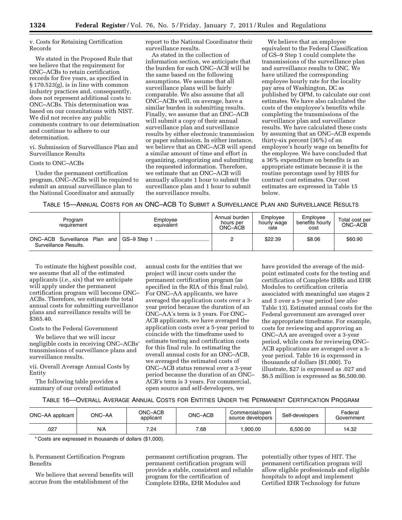v. Costs for Retaining Certification Records

We stated in the Proposed Rule that we believe that the requirement for ONC–ACBs to retain certification records for five years, as specified in § 170.523(g), is in line with common industry practices and, consequently, does not represent additional costs to ONC–ACBs. This determination was based on our consultations with NIST. We did not receive any public comments contrary to our determination and continue to adhere to our determination.

vi. Submission of Surveillance Plan and Surveillance Results

Costs to ONC–ACBs

Under the permanent certification program, ONC–ACBs will be required to submit an annual surveillance plan to the National Coordinator and annually

report to the National Coordinator their surveillance results.

As stated in the collection of information section, we anticipate that the burden for each ONC–ACB will be the same based on the following assumptions. We assume that all surveillance plans will be fairly comparable. We also assume that all ONC–ACBs will, on average, have a similar burden in submitting results. Finally, we assume that an ONC–ACB will submit a copy of their annual surveillance plan and surveillance results by either electronic transmission or paper submission. In either instance, we believe that an ONC–ACB will spend a similar amount of time and effort in organizing, categorizing and submitting the requested information. Therefore, we estimate that an ONC–ACB will annually allocate 1 hour to submit the surveillance plan and 1 hour to submit the surveillance results.

We believe that an employee equivalent to the Federal Classification of GS–9 Step 1 could complete the transmissions of the surveillance plan and surveillance results to ONC. We have utilized the corresponding employee hourly rate for the locality pay area of Washington, DC as published by OPM, to calculate our cost estimates. We have also calculated the costs of the employee's benefits while completing the transmissions of the surveillance plan and surveillance results. We have calculated these costs by assuming that an ONC–ACB expends thirty-six percent (36%) of an employee's hourly wage on benefits for the employee. We have concluded that a 36% expenditure on benefits is an appropriate estimate because it is the routine percentage used by HHS for contract cost estimates. Our cost estimates are expressed in Table 15 below.

TABLE 15—ANNUAL COSTS FOR AN ONC–ACB TO SUBMIT A SURVEILLANCE PLAN AND SURVEILLANCE RESULTS

| Program<br>requirement                                 | Employee<br>equivalent |  | Employee<br>hourly wage<br>rate | Employee<br>benefits hourly<br>cost | Total cost per<br>ONC-ACB |
|--------------------------------------------------------|------------------------|--|---------------------------------|-------------------------------------|---------------------------|
| ONC-ACB Surveillance Plan and<br>Surveillance Results. | GS-9 Step 1            |  | \$22.39                         | \$8.06                              | \$60.90                   |

To estimate the highest possible cost, we assume that all of the estimated applicants (*i.e.,* six) that we anticipate will apply under the permanent certification program will become ONC– ACBs. Therefore, we estimate the total annual costs for submitting surveillance plans and surveillance results will be \$365.40.

Costs to the Federal Government

We believe that we will incur negligible costs in receiving ONC–ACBs' transmissions of surveillance plans and surveillance results.

vii. Overall Average Annual Costs by Entity

The following table provides a summary of our overall estimated annual costs for the entities that we project will incur costs under the permanent certification program (as specified in the RIA of this final rule). For ONC–AA applicants, we have averaged the application costs over a 3 year period because the duration of an ONC–AA's term is 3 years. For ONC– ACB applicants, we have averaged the application costs over a 5-year period to coincide with the timeframe used to estimate testing and certification costs for this final rule. In estimating the overall annual costs for an ONC–ACB, we averaged the estimated costs of ONC–ACB status renewal over a 3-year period because the duration of an ONC– ACB's term is 3 years. For commercial, open source and self-developers, we

have provided the average of the midpoint estimated costs for the testing and certification of Complete EHRs and EHR Modules to certification criteria associated with meaningful use stages 2 and 3 over a 5-year period (*see also*  Table 13). Estimated annual costs for the Federal government are averaged over the appropriate timeframe. For example, costs for reviewing and approving an ONC–AA are averaged over a 3-year period, while costs for reviewing ONC– ACB applications are averaged over a 5 year period. Table 16 is expressed in thousands of dollars (\$1,000). To illustrate, \$27 is expressed as .027 and \$6.5 million is expressed as \$6,500.00.

#### TABLE 16—OVERALL AVERAGE ANNUAL COSTS FOR ENTITIES UNDER THE PERMANENT CERTIFICATION PROGRAM

| ONC-AA applicant | ONC–AA | ONC-ACB<br>applicant | ONC-ACB | Commercial/open<br>Self-developers<br>source developers |          | Federal<br>Government |
|------------------|--------|----------------------|---------|---------------------------------------------------------|----------|-----------------------|
| .027             | N/A    | 7.24                 | 7.68    | .900.00                                                 | 6.500.00 | 14.32                 |

\* Costs are expressed in thousands of dollars (\$1,000).

# b. Permanent Certification Program Benefits

We believe that several benefits will accrue from the establishment of the

permanent certification program. The permanent certification program will provide a stable, consistent and reliable program for the certification of Complete EHRs, EHR Modules and

potentially other types of HIT. The permanent certification program will allow eligible professionals and eligible hospitals to adopt and implement Certified EHR Technology for future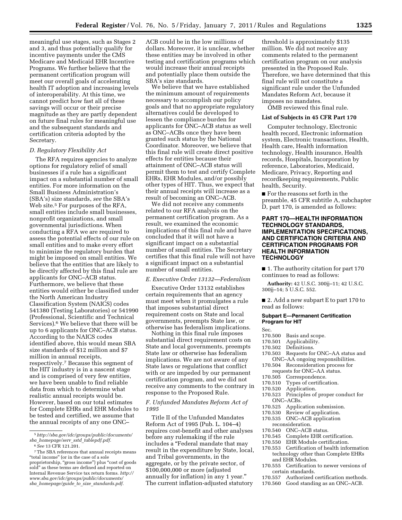meaningful use stages, such as Stages 2 and 3, and thus potentially qualify for incentive payments under the CMS Medicare and Medicaid EHR Incentive Programs. We further believe that the permanent certification program will meet our overall goals of accelerating health IT adoption and increasing levels of interoperability. At this time, we cannot predict how fast all of these savings will occur or their precise magnitude as they are partly dependent on future final rules for meaningful use and the subsequent standards and certification criteria adopted by the Secretary.

### *D. Regulatory Flexibility Act*

The RFA requires agencies to analyze options for regulatory relief of small businesses if a rule has a significant impact on a substantial number of small entities. For more information on the Small Business Administration's (SBA's) size standards, *see* the SBA's Web site.<sup>5</sup> For purposes of the RFA, small entities include small businesses, nonprofit organizations, and small governmental jurisdictions. When conducting a RFA we are required to assess the potential effects of our rule on small entities and to make every effort to minimize the regulatory burden that might be imposed on small entities. We believe that the entities that are likely to be directly affected by this final rule are applicants for ONC–ACB status. Furthermore, we believe that these entities would either be classified under the North American Industry Classification System (NAICS) codes 541380 (Testing Laboratories) or 541990 (Professional, Scientific and Technical Services).<sup>6</sup> We believe that there will be up to 6 applicants for ONC–ACB status. According to the NAICS codes identified above, this would mean SBA size standards of \$12 million and \$7 million in annual receipts, respectively.7 Because this segment of the HIT industry is in a nascent stage and is comprised of very few entities, we have been unable to find reliable data from which to determine what realistic annual receipts would be. However, based on our total estimates for Complete EHRs and EHR Modules to be tested and certified, we assume that the annual receipts of any one ONC–

ACB could be in the low millions of dollars. Moreover, it is unclear, whether these entities may be involved in other testing and certification programs which would increase their annual receipts and potentially place them outside the SBA's size standards.

We believe that we have established the minimum amount of requirements necessary to accomplish our policy goals and that no appropriate regulatory alternatives could be developed to lessen the compliance burden for applicants for ONC–ACB status as well as ONC–ACBs once they have been granted such status by the National Coordinator. Moreover, we believe that this final rule will create direct positive effects for entities because their attainment of ONC–ACB status will permit them to test and certify Complete EHRs, EHR Modules, and/or possibly other types of HIT. Thus, we expect that their annual receipts will increase as a result of becoming an ONC–ACB.

We did not receive any comments related to our RFA analysis on the permanent certification program. As a result, we examined the economic implications of this final rule and have concluded that it will not have a significant impact on a substantial number of small entities. The Secretary certifies that this final rule will not have a significant impact on a substantial number of small entities.

#### *E. Executive Order 13132—Federalism*

Executive Order 13132 establishes certain requirements that an agency must meet when it promulgates a rule that imposes substantial direct requirement costs on State and local governments, preempts State law, or otherwise has federalism implications.

Nothing in this final rule imposes substantial direct requirement costs on State and local governments, preempts State law or otherwise has federalism implications. We are not aware of any State laws or regulations that conflict with or are impeded by our permanent certification program, and we did not receive any comments to the contrary in response to the Proposed Rule.

#### *F. Unfunded Mandates Reform Act of 1995*

Title II of the Unfunded Mandates Reform Act of 1995 (Pub. L. 104–4) requires cost-benefit and other analyses before any rulemaking if the rule includes a ''Federal mandate that may result in the expenditure by State, local, and Tribal governments, in the aggregate, or by the private sector, of \$100,000,000 or more (adjusted annually for inflation) in any 1 year.'' The current inflation-adjusted statutory

threshold is approximately \$135 million. We did not receive any comments related to the permanent certification program on our analysis presented in the Proposed Rule. Therefore, we have determined that this final rule will not constitute a significant rule under the Unfunded Mandates Reform Act, because it imposes no mandates.

OMB reviewed this final rule.

#### **List of Subjects in 45 CFR Part 170**

Computer technology, Electronic health record, Electronic information system, Electronic transactions, Health, Health care, Health information technology, Health insurance, Health records, Hospitals, Incorporation by reference, Laboratories, Medicaid, Medicare, Privacy, Reporting and recordkeeping requirements, Public health, Security.

■ For the reasons set forth in the preamble, 45 CFR subtitle A, subchapter D, part 170, is amended as follows:

#### **PART 170—HEALTH INFORMATION TECHNOLOGY STANDARDS, IMPLEMENTATION SPECIFICATIONS, AND CERTIFICATION CRITERIA AND CERTIFICATION PROGRAMS FOR HEALTH INFORMATION TECHNOLOGY**

■ 1. The authority citation for part 170 continues to read as follows:

**Authority:** 42 U.S.C. 300jj–11; 42 U.S.C. 300jj–14; 5 U.S.C. 552.

■ 2. Add a new subpart E to part 170 to read as follows:

#### **Subpart E—Permanent Certification Program for HIT**

Sec.

- 
- 170.500 Basis and scope.<br>170.501 Applicability. 170.501 Applicability.<br>170.502 Definitions.
- 170.502 Definitions.<br>170.503 Requests for
- Requests for ONC–AA status and ONC–AA ongoing responsibilities.
- 170.504 Reconsideration process for
- requests for ONC–AA status.<br>170.505 Correspondence.
- 170.505 Correspondence.<br>170.510 Types of certifica
- 170.510 Types of certification.<br>170.520 Application
- 170.520 Application.<br>170.523 Principles of
- Principles of proper conduct for ONC–ACBs.<br>170 525 Applic
- 170.525 Application submission.<br>170.530 Review of application.
- 170.530 Review of application.<br>170.535 ONC-ACB application
- ONC-ACB application
- reconsideration.<br>170.540 ONC-ACB
- 170.540 ONC–ACB status.<br>170.545 Complete EHR cer
- 170.545 Complete EHR certification.<br>170.550 EHR Module certification. EHR Module certification.
- 170.553 Certification of health information technology other than Complete EHRs and EHR Modules.
- 170.555 Certification to newer versions of certain standards.
- 170.557 Authorized certification methods.
- 170.560 Good standing as an ONC–ACB.

<sup>5</sup>*[http://sba.gov/idc/groups/public/documents/](http://sba.gov/idc/groups/public/documents/sba_homepage/serv_sstd_tablepdf.pdf)  sba*\_*[homepage/serv](http://sba.gov/idc/groups/public/documents/sba_homepage/serv_sstd_tablepdf.pdf)*\_*sstd*\_*tablepdf.pdf.*  6*See* 13 CFR 121.201.

<sup>7</sup>The SBA references that annual receipts means ''total income'' (or in the case of a sole proprietorship, "gross income") plus "cost of goods sold'' as these terms are defined and reported on Internal Revenue Service tax return forms. *[http://](http://www.sba.gov/idc/groups/public/documents/sba_homepage/guide_to_size_standards.pdf)  [www.sba.gov/idc/groups/public/documents/](http://www.sba.gov/idc/groups/public/documents/sba_homepage/guide_to_size_standards.pdf)  sba*\_*[homepage/guide](http://www.sba.gov/idc/groups/public/documents/sba_homepage/guide_to_size_standards.pdf)*\_*to*\_*size*\_*standards.pdf.*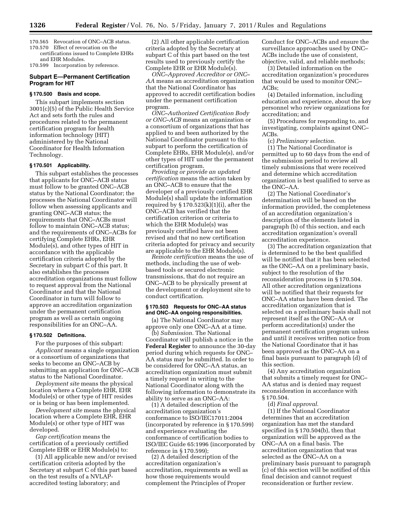- 170.565 Revocation of ONC–ACB status.
- 170.570 Effect of revocation on the certifications issued to Complete EHRs and EHR Modules.

170.599 Incorporation by reference.

#### **Subpart E—Permanent Certification Program for HIT**

#### **§ 170.500 Basis and scope.**

This subpart implements section 3001(c)(5) of the Public Health Service Act and sets forth the rules and procedures related to the permanent certification program for health information technology (HIT) administered by the National Coordinator for Health Information Technology.

#### **§ 170.501 Applicability.**

This subpart establishes the processes that applicants for ONC–ACB status must follow to be granted ONC–ACB status by the National Coordinator; the processes the National Coordinator will follow when assessing applicants and granting ONC–ACB status; the requirements that ONC–ACBs must follow to maintain ONC–ACB status; and the requirements of ONC–ACBs for certifying Complete EHRs, EHR Module(s), and other types of HIT in accordance with the applicable certification criteria adopted by the Secretary in subpart C of this part. It also establishes the processes accreditation organizations must follow to request approval from the National Coordinator and that the National Coordinator in turn will follow to approve an accreditation organization under the permanent certification program as well as certain ongoing responsibilities for an ONC–AA.

#### **§ 170.502 Definitions.**

For the purposes of this subpart: *Applicant* means a single organization or a consortium of organizations that seeks to become an ONC–ACB by submitting an application for ONC–ACB status to the National Coordinator.

*Deployment site* means the physical location where a Complete EHR, EHR Module(s) or other type of HIT resides or is being or has been implemented.

*Development site* means the physical location where a Complete EHR, EHR Module(s) or other type of HIT was developed.

*Gap certification* means the certification of a previously certified Complete EHR or EHR Module(s) to:

(1) All applicable new and/or revised certification criteria adopted by the Secretary at subpart C of this part based on the test results of a NVLAPaccredited testing laboratory; and

(2) All other applicable certification criteria adopted by the Secretary at subpart C of this part based on the test results used to previously certify the Complete EHR or EHR Module(s).

*ONC–Approved Accreditor or ONC– AA* means an accreditation organization that the National Coordinator has approved to accredit certification bodies under the permanent certification program.

*ONC–Authorized Certification Body or ONC–ACB* means an organization or a consortium of organizations that has applied to and been authorized by the National Coordinator pursuant to this subpart to perform the certification of Complete EHRs, EHR Module(s), and/or other types of HIT under the permanent certification program.

*Providing or provide an updated certification* means the action taken by an ONC–ACB to ensure that the developer of a previously certified EHR Module(s) shall update the information required by  $\S 170.523(k)(1)(i)$ , after the ONC–ACB has verified that the certification criterion or criteria to which the EHR Module(s) was previously certified have not been revised and that no new certification criteria adopted for privacy and security are applicable to the EHR Module(s).

*Remote certification* means the use of methods, including the use of webbased tools or secured electronic transmissions, that do not require an ONC–ACB to be physically present at the development or deployment site to conduct certification.

### **§ 170.503 Requests for ONC–AA status and ONC–AA ongoing responsibilities.**

(a) The National Coordinator may approve only one ONC–AA at a time.

(b) *Submission.* The National Coordinator will publish a notice in the **Federal Register** to announce the 30-day period during which requests for ONC– AA status may be submitted. In order to be considered for ONC–AA status, an accreditation organization must submit a timely request in writing to the National Coordinator along with the following information to demonstrate its ability to serve as an ONC–AA:

(1) A detailed description of the accreditation organization's conformance to ISO/IEC17011:2004 (incorporated by reference in § 170.599) and experience evaluating the conformance of certification bodies to ISO/IEC Guide 65:1996 (incorporated by reference in § 170.599);

(2) A detailed description of the accreditation organization's accreditation, requirements as well as how those requirements would complement the Principles of Proper

Conduct for ONC–ACBs and ensure the surveillance approaches used by ONC– ACBs include the use of consistent, objective, valid, and reliable methods;

(3) Detailed information on the accreditation organization's procedures that would be used to monitor ONC– ACBs;

(4) Detailed information, including education and experience, about the key personnel who review organizations for accreditation; and

(5) Procedures for responding to, and investigating, complaints against ONC– ACBs.

(c) *Preliminary selection.* 

(1) The National Coordinator is permitted up to 60 days from the end of the submission period to review all timely submissions that were received and determine which accreditation organization is best qualified to serve as the ONC–AA.

(2) The National Coordinator's determination will be based on the information provided, the completeness of an accreditation organization's description of the elements listed in paragraph (b) of this section, and each accreditation organization's overall accreditation experience.

(3) The accreditation organization that is determined to be the best qualified will be notified that it has been selected as the ONC–AA on a preliminary basis, subject to the resolution of the reconsideration process in § 170.504. All other accreditation organizations will be notified that their requests for ONC–AA status have been denied. The accreditation organization that is selected on a preliminary basis shall not represent itself as the ONC–AA or perform accreditation(s) under the permanent certification program unless and until it receives written notice from the National Coordinator that it has been approved as the ONC–AA on a final basis pursuant to paragraph (d) of this section.

(4) Any accreditation organization that submits a timely request for ONC– AA status and is denied may request reconsideration in accordance with § 170.504.

# (d) *Final approval.*

(1) If the National Coordinator determines that an accreditation organization has met the standard specified in § 170.504(b), then that organization will be approved as the ONC–AA on a final basis. The accreditation organization that was selected as the ONC–AA on a preliminary basis pursuant to paragraph (c) of this section will be notified of this final decision and cannot request reconsideration or further review.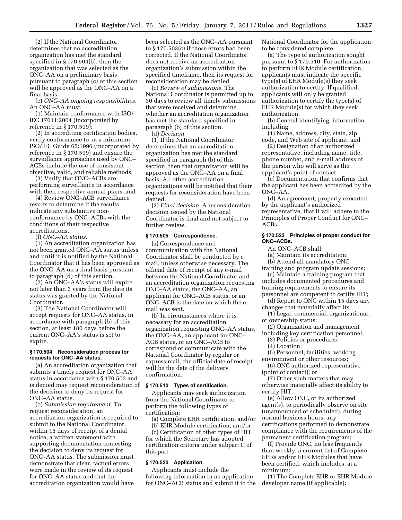(2) If the National Coordinator determines that no accreditation organization has met the standard specified in § 170.504(b), then the organization that was selected as the ONC–AA on a preliminary basis pursuant to paragraph (c) of this section will be approved as the ONC–AA on a final basis.

(e) *ONC–AA ongoing responsibilities.*  An ONC–AA must:

(1) Maintain conformance with ISO/ IEC 17011:2004 (incorporated by reference in § 170.599);

(2) In accrediting certification bodies, verify conformance to, at a minimum, ISO/IEC Guide 65:1996 (incorporated by reference in § 170.599) and ensure the surveillance approaches used by ONC– ACBs include the use of consistent, objective, valid, and reliable methods;

(3) Verify that ONC–ACBs are performing surveillance in accordance with their respective annual plans; and

(4) Review ONC–ACB surveillance results to determine if the results indicate any substantive nonconformance by ONC–ACBs with the conditions of their respective accreditations.

(f) *ONC–AA status.* 

(1) An accreditation organization has not been granted ONC–AA status unless and until it is notified by the National Coordinator that it has been approved as the ONC–AA on a final basis pursuant to paragraph (d) of this section.

(2) An ONC–AA's status will expire not later than 3 years from the date its status was granted by the National Coordinator.

(3) The National Coordinator will accept requests for ONC–AA status, in accordance with paragraph (b) of this section, at least 180 days before the current ONC–AA's status is set to expire.

#### **§ 170.504 Reconsideration process for requests for ONC–AA status.**

(a) An accreditation organization that submits a timely request for ONC–AA status in accordance with § 170.503 and is denied may request reconsideration of the decision to deny its request for ONC–AA status.

(b) *Submission requirement.* To request reconsideration, an accreditation organization is required to submit to the National Coordinator, within 15 days of receipt of a denial notice, a written statement with supporting documentation contesting the decision to deny its request for ONC–AA status. The submission must demonstrate that clear, factual errors were made in the review of its request for ONC–AA status and that the accreditation organization would have

been selected as the ONC–AA pursuant to § 170.503(c) if those errors had been corrected. If the National Coordinator does not receive an accreditation organization's submission within the specified timeframe, then its request for reconsideration may be denied.

(c) *Review of submissions.* The National Coordinator is permitted up to 30 days to review all timely submissions that were received and determine whether an accreditation organization has met the standard specified in paragraph (b) of this section.

(d) *Decision.* 

(1) If the National Coordinator determines that an accreditation organization has met the standard specified in paragraph (b) of this section, then that organization will be approved as the ONC–AA on a final basis. All other accreditation organizations will be notified that their requests for reconsideration have been denied.

(2) *Final decision.* A reconsideration decision issued by the National Coordinator is final and not subject to further review.

# **§ 170.505 Correspondence.**

(a) Correspondence and communication with the National Coordinator shall be conducted by email, unless otherwise necessary. The official date of receipt of any e-mail between the National Coordinator and an accreditation organization requesting ONC–AA status, the ONC–AA, an applicant for ONC–ACB status, or an ONC–ACB is the date on which the email was sent.

(b) In circumstances where it is necessary for an accreditation organization requesting ONC–AA status, the ONC–AA, an applicant for ONC– ACB status, or an ONC–ACB to correspond or communicate with the National Coordinator by regular or express mail, the official date of receipt will be the date of the delivery confirmation.

#### **§ 170.510 Types of certification.**

Applicants may seek authorization from the National Coordinator to perform the following types of certification:

(a) Complete EHR certification; and/or

(b) EHR Module certification; and/or (c) Certification of other types of HIT for which the Secretary has adopted certification criteria under subpart C of this part.

#### **§ 170.520 Application.**

Applicants must include the following information in an application for ONC–ACB status and submit it to the National Coordinator for the application to be considered complete.

(a) The type of authorization sought pursuant to § 170.510. For authorization to perform EHR Module certification, applicants must indicate the specific type(s) of EHR Module(s) they seek authorization to certify. If qualified, applicants will only be granted authorization to certify the type(s) of EHR Module(s) for which they seek authorization.

(b) General identifying, information including:

(1) Name, address, city, state, zip code, and Web site of applicant; and

(2) Designation of an authorized representative, including name, title, phone number, and e-mail address of the person who will serve as the applicant's point of contact.

(c) Documentation that confirms that the applicant has been accredited by the ONC–AA.

(d) An agreement, properly executed by the applicant's authorized representative, that it will adhere to the Principles of Proper Conduct for ONC– ACBs.

#### **§ 170.523 Principles of proper conduct for ONC–ACBs.**

An ONC–ACB shall:

(a) Maintain its accreditation;

(b) Attend all mandatory ONC

training and program update sessions; (c) Maintain a training program that includes documented procedures and training requirements to ensure its personnel are competent to certify HIT;

(d) Report to ONC within 15 days any changes that materially affect its:

(1) Legal, commercial, organizational, or ownership status;

(2) Organization and management

including key certification personnel;

(3) Policies or procedures;

(4) Location;

(5) Personnel, facilities, working environment or other resources;

(6) ONC authorized representative (point of contact); or

(7) Other such matters that may otherwise materially affect its ability to certify HIT.

(e) Allow ONC, or its authorized agent(s), to periodically observe on site (unannounced or scheduled), during normal business hours, any certifications performed to demonstrate compliance with the requirements of the permanent certification program;

(f) Provide ONC, no less frequently than weekly, a current list of Complete EHRs and/or EHR Modules that have been certified, which includes, at a minimum:

(1) The Complete EHR or EHR Module developer name (if applicable);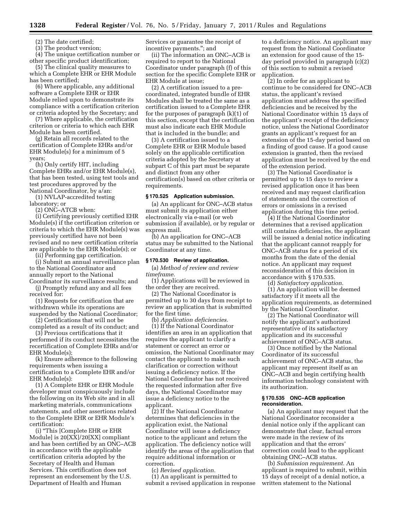(2) The date certified;

(3) The product version;

(4) The unique certification number or other specific product identification;

(5) The clinical quality measures to which a Complete EHR or EHR Module has been certified;

(6) Where applicable, any additional software a Complete EHR or EHR Module relied upon to demonstrate its compliance with a certification criterion or criteria adopted by the Secretary; and

(7) Where applicable, the certification criterion or criteria to which each EHR Module has been certified.

(g) Retain all records related to the certification of Complete EHRs and/or EHR Module(s) for a minimum of 5 years;

(h) Only certify HIT, including Complete EHRs and/or EHR Module(s), that has been tested, using test tools and test procedures approved by the National Coordinator, by a/an:

(1) NVLAP-accredited testing laboratory; or

(2) ONC–ATCB when:

(i) Certifying previously certified EHR Module(s) if the certification criterion or criteria to which the EHR Module(s) was previously certified have not been revised and no new certification criteria are applicable to the EHR Module(s); or

(ii) Performing gap certification.

(i) Submit an annual surveillance plan to the National Coordinator and annually report to the National Coordinator its surveillance results; and

(j) Promptly refund any and all fees received for:

(1) Requests for certification that are withdrawn while its operations are suspended by the National Coordinator;

(2) Certifications that will not be completed as a result of its conduct; and

(3) Previous certifications that it performed if its conduct necessitates the recertification of Complete EHRs and/or EHR Module(s);

(k) Ensure adherence to the following requirements when issuing a certification to a Complete EHR and/or EHR Module(s):

(1) A Complete EHR or EHR Module developer must conspicuously include the following on its Web site and in all marketing materials, communications statements, and other assertions related to the Complete EHR or EHR Module's certification:

(i) ''This [Complete EHR or EHR Module] is 20[XX]/20[XX] compliant and has been certified by an ONC–ACB in accordance with the applicable certification criteria adopted by the Secretary of Health and Human Services. This certification does not represent an endorsement by the U.S. Department of Health and Human

Services or guarantee the receipt of incentive payments.''; and

(ii) The information an ONC–ACB is required to report to the National Coordinator under paragraph (f) of this section for the specific Complete EHR or EHR Module at issue;

(2) A certification issued to a precoordinated, integrated bundle of EHR Modules shall be treated the same as a certification issued to a Complete EHR for the purposes of paragraph (k)(1) of this section, except that the certification must also indicate each EHR Module that is included in the bundle; and

(3) A certification issued to a Complete EHR or EHR Module based solely on the applicable certification criteria adopted by the Secretary at subpart C of this part must be separate and distinct from any other certification(s) based on other criteria or requirements.

#### **§ 170.525 Application submission.**

(a) An applicant for ONC–ACB status must submit its application either electronically via e-mail (or web submission if available), or by regular or express mail.

(b) An application for ONC–ACB status may be submitted to the National Coordinator at any time.

# **§ 170.530 Review of application.**

(a) *Method of review and review timeframe.* 

(1) Applications will be reviewed in the order they are received.

(2) The National Coordinator is permitted up to 30 days from receipt to review an application that is submitted for the first time.

(b) *Application deficiencies.* 

(1) If the National Coordinator identifies an area in an application that requires the applicant to clarify a statement or correct an error or omission, the National Coordinator may contact the applicant to make such clarification or correction without issuing a deficiency notice. If the National Coordinator has not received the requested information after five days, the National Coordinator may issue a deficiency notice to the applicant.

(2) If the National Coordinator determines that deficiencies in the application exist, the National Coordinator will issue a deficiency notice to the applicant and return the application. The deficiency notice will identify the areas of the application that require additional information or correction.

(c) *Revised application.* 

(1) An applicant is permitted to submit a revised application in response

to a deficiency notice. An applicant may request from the National Coordinator an extension for good cause of the 15 day period provided in paragraph (c)(2) of this section to submit a revised application.

(2) In order for an applicant to continue to be considered for ONC–ACB status, the applicant's revised application must address the specified deficiencies and be received by the National Coordinator within 15 days of the applicant's receipt of the deficiency notice, unless the National Coordinator grants an applicant's request for an extension of the 15-day period based on a finding of good cause. If a good cause extension is granted, then the revised application must be received by the end of the extension period.

(3) The National Coordinator is permitted up to 15 days to review a revised application once it has been received and may request clarification of statements and the correction of errors or omissions in a revised application during this time period.

(4) If the National Coordinator determines that a revised application still contains deficiencies, the applicant will be issued a denial notice indicating that the applicant cannot reapply for ONC–ACB status for a period of six months from the date of the denial notice. An applicant may request reconsideration of this decision in accordance with § 170.535.

(d) *Satisfactory application.* 

(1) An application will be deemed satisfactory if it meets all the application requirements, as determined by the National Coordinator.

(2) The National Coordinator will notify the applicant's authorized representative of its satisfactory application and its successful achievement of ONC–ACB status.

(3) Once notified by the National Coordinator of its successful achievement of ONC–ACB status, the applicant may represent itself as an ONC–ACB and begin certifying health information technology consistent with its authorization.

#### **§ 170.535 ONC–ACB application reconsideration.**

(a) An applicant may request that the National Coordinator reconsider a denial notice only if the applicant can demonstrate that clear, factual errors were made in the review of its application and that the errors' correction could lead to the applicant obtaining ONC–ACB status.

(b) *Submission requirement.* An applicant is required to submit, within 15 days of receipt of a denial notice, a written statement to the National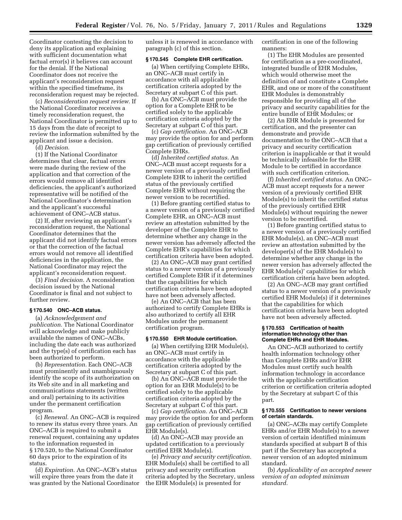Coordinator contesting the decision to deny its application and explaining with sufficient documentation what factual error(s) it believes can account for the denial. If the National Coordinator does not receive the applicant's reconsideration request within the specified timeframe, its reconsideration request may be rejected.

(c) *Reconsideration request review.* If the National Coordinator receives a timely reconsideration request, the National Coordinator is permitted up to 15 days from the date of receipt to review the information submitted by the applicant and issue a decision.

(d) *Decision.* 

(1) If the National Coordinator determines that clear, factual errors were made during the review of the application and that correction of the errors would remove all identified deficiencies, the applicant's authorized representative will be notified of the National Coordinator's determination and the applicant's successful achievement of ONC–ACB status.

(2) If, after reviewing an applicant's reconsideration request, the National Coordinator determines that the applicant did not identify factual errors or that the correction of the factual errors would not remove all identified deficiencies in the application, the National Coordinator may reject the applicant's reconsideration request.

(3) *Final decision.* A reconsideration decision issued by the National Coordinator is final and not subject to further review.

#### **§ 170.540 ONC–ACB status.**

(a) *Acknowledgement and publication.* The National Coordinator will acknowledge and make publicly available the names of ONC–ACBs, including the date each was authorized and the type(s) of certification each has been authorized to perform.

(b) *Representation.* Each ONC–ACB must prominently and unambiguously identify the scope of its authorization on its Web site and in all marketing and communications statements (written and oral) pertaining to its activities under the permanent certification program.

(c) *Renewal.* An ONC–ACB is required to renew its status every three years. An ONC–ACB is required to submit a renewal request, containing any updates to the information requested in § 170.520, to the National Coordinator 60 days prior to the expiration of its status.

(d) *Expiration.* An ONC–ACB's status will expire three years from the date it was granted by the National Coordinator unless it is renewed in accordance with paragraph (c) of this section.

#### **§ 170.545 Complete EHR certification.**

(a) When certifying Complete EHRs, an ONC–ACB must certify in accordance with all applicable certification criteria adopted by the Secretary at subpart C of this part.

(b) An ONC–ACB must provide the option for a Complete EHR to be certified solely to the applicable certification criteria adopted by the Secretary at subpart C of this part.

(c) *Gap certification.* An ONC–ACB may provide the option for and perform gap certification of previously certified Complete EHRs.

(d) *Inherited certified status.* An ONC–ACB must accept requests for a newer version of a previously certified Complete EHR to inherit the certified status of the previously certified Complete EHR without requiring the newer version to be recertified.

(1) Before granting certified status to a newer version of a previously certified Complete EHR, an ONC–ACB must review an attestation submitted by the developer of the Complete EHR to determine whether any change in the newer version has adversely affected the Complete EHR's capabilities for which certification criteria have been adopted.

(2) An ONC–ACB may grant certified status to a newer version of a previously certified Complete EHR if it determines that the capabilities for which certification criteria have been adopted have not been adversely affected.

(e) An ONC–ACB that has been authorized to certify Complete EHRs is also authorized to certify all EHR Modules under the permanent certification program.

#### **§ 170.550 EHR Module certification.**

(a) When certifying EHR Module(s), an ONC–ACB must certify in accordance with the applicable certification criteria adopted by the Secretary at subpart C of this part.

(b) An ONC–ACB must provide the option for an EHR Module(s) to be certified solely to the applicable certification criteria adopted by the Secretary at subpart C of this part.

(c) *Gap certification.* An ONC–ACB may provide the option for and perform gap certification of previously certified EHR Module(s).

(d) An ONC–ACB may provide an updated certification to a previously certified EHR Module(s).

(e) *Privacy and security certification.*  EHR Module(s) shall be certified to all privacy and security certification criteria adopted by the Secretary, unless the EHR Module(s) is presented for

certification in one of the following manners:

(1) The EHR Modules are presented for certification as a pre-coordinated, integrated bundle of EHR Modules, which would otherwise meet the definition of and constitute a Complete EHR, and one or more of the constituent EHR Modules is demonstrably responsible for providing all of the privacy and security capabilities for the entire bundle of EHR Modules; or

(2) An EHR Module is presented for certification, and the presenter can demonstrate and provide documentation to the ONC–ACB that a privacy and security certification criterion is inapplicable or that it would be technically infeasible for the EHR Module to be certified in accordance with such certification criterion.

(f) *Inherited certified status.* An ONC– ACB must accept requests for a newer version of a previously certified EHR Module(s) to inherit the certified status of the previously certified EHR Module(s) without requiring the newer version to be recertified.

(1) Before granting certified status to a newer version of a previously certified EHR Module(s), an ONC–ACB must review an attestation submitted by the developer(s) of the EHR Module(s) to determine whether any change in the newer version has adversely affected the EHR Module(s)' capabilities for which certification criteria have been adopted.

(2) An ONC–ACB may grant certified status to a newer version of a previously certified EHR Module(s) if it determines that the capabilities for which certification criteria have been adopted have not been adversely affected.

#### **§ 170.553 Certification of health information technology other than Complete EHRs and EHR Modules.**

An ONC–ACB authorized to certify health information technology other than Complete EHRs and/or EHR Modules must certify such health information technology in accordance with the applicable certification criterion or certification criteria adopted by the Secretary at subpart C of this part.

# **§ 170.555 Certification to newer versions of certain standards.**

(a) ONC–ACBs may certify Complete EHRs and/or EHR Module(s) to a newer version of certain identified minimum standards specified at subpart B of this part if the Secretary has accepted a newer version of an adopted minimum standard.

(b) *Applicability of an accepted newer version of an adopted minimum standard.*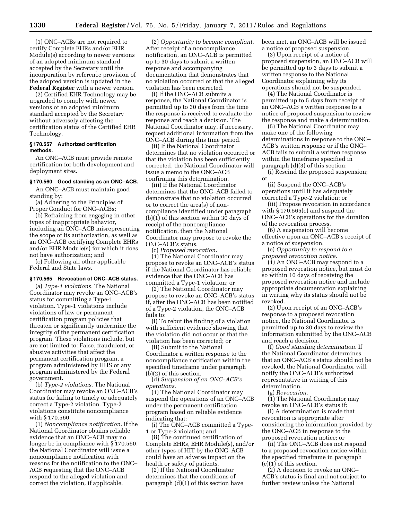(1) ONC–ACBs are not required to certify Complete EHRs and/or EHR Module(s) according to newer versions of an adopted minimum standard accepted by the Secretary until the incorporation by reference provision of the adopted version is updated in the **Federal Register** with a newer version.

(2) Certified EHR Technology may be upgraded to comply with newer versions of an adopted minimum standard accepted by the Secretary without adversely affecting the certification status of the Certified EHR Technology.

### **§ 170.557 Authorized certification methods.**

An ONC–ACB must provide remote certification for both development and deployment sites.

#### **§ 170.560 Good standing as an ONC–ACB.**

An ONC–ACB must maintain good standing by:

(a) Adhering to the Principles of Proper Conduct for ONC–ACBs;

(b) Refraining from engaging in other types of inappropriate behavior, including an ONC–ACB misrepresenting the scope of its authorization, as well as an ONC–ACB certifying Complete EHRs and/or EHR Module(s) for which it does not have authorization; and

(c) Following all other applicable Federal and State laws.

# **§ 170.565 Revocation of ONC–ACB status.**

(a) *Type-1 violations.* The National Coordinator may revoke an ONC–ACB's status for committing a Type-1 violation. Type-1 violations include violations of law or permanent certification program policies that threaten or significantly undermine the integrity of the permanent certification program. These violations include, but are not limited to: False, fraudulent, or abusive activities that affect the permanent certification program, a program administered by HHS or any program administered by the Federal government.

(b) *Type-2 violations.* The National Coordinator may revoke an ONC–ACB's status for failing to timely or adequately correct a Type-2 violation. Type-2 violations constitute noncompliance with § 170.560.

(1) *Noncompliance notification.* If the National Coordinator obtains reliable evidence that an ONC–ACB may no longer be in compliance with § 170.560, the National Coordinator will issue a noncompliance notification with reasons for the notification to the ONC– ACB requesting that the ONC–ACB respond to the alleged violation and correct the violation, if applicable.

(2) *Opportunity to become compliant.*  After receipt of a noncompliance notification, an ONC–ACB is permitted up to 30 days to submit a written response and accompanying documentation that demonstrates that no violation occurred or that the alleged violation has been corrected.

(i) If the ONC–ACB submits a response, the National Coordinator is permitted up to 30 days from the time the response is received to evaluate the response and reach a decision. The National Coordinator may, if necessary, request additional information from the ONC–ACB during this time period.

(ii) If the National Coordinator determines that no violation occurred or that the violation has been sufficiently corrected, the National Coordinator will issue a memo to the ONC–ACB confirming this determination.

(iii) If the National Coordinator determines that the ONC–ACB failed to demonstrate that no violation occurred or to correct the area(s) of noncompliance identified under paragraph (b)(1) of this section within 30 days of receipt of the noncompliance notification, then the National Coordinator may propose to revoke the ONC–ACB's status.

(c) *Proposed revocation.* 

(1) The National Coordinator may propose to revoke an ONC–ACB's status if the National Coordinator has reliable evidence that the ONC–ACB has committed a Type-1 violation; or

(2) The National Coordinator may propose to revoke an ONC–ACB's status if, after the ONC–ACB has been notified of a Type-2 violation, the ONC–ACB fails to:

(i) To rebut the finding of a violation with sufficient evidence showing that the violation did not occur or that the violation has been corrected; or

(ii) Submit to the National Coordinator a written response to the noncompliance notification within the specified timeframe under paragraph (b)(2) of this section.

(d) *Suspension of an ONC–ACB's operations.* 

(1) The National Coordinator may suspend the operations of an ONC–ACB under the permanent certification program based on reliable evidence indicating that:

(i) The ONC–ACB committed a Type-1 or Type-2 violation; and

(ii) The continued certification of Complete EHRs, EHR Module(s), and/or other types of HIT by the ONC–ACB could have an adverse impact on the health or safety of patients.

(2) If the National Coordinator determines that the conditions of paragraph (d)(1) of this section have been met, an ONC–ACB will be issued a notice of proposed suspension.

(3) Upon receipt of a notice of proposed suspension, an ONC–ACB will be permitted up to 3 days to submit a written response to the National Coordinator explaining why its operations should not be suspended.

(4) The National Coordinator is permitted up to 5 days from receipt of an ONC–ACB's written response to a notice of proposed suspension to review the response and make a determination.

(5) The National Coordinator may make one of the following determinations in response to the ONC– ACB's written response or if the ONC– ACB fails to submit a written response within the timeframe specified in paragraph (d)(3) of this section:

(i) Rescind the proposed suspension; or

(ii) Suspend the ONC–ACB's operations until it has adequately corrected a Type-2 violation; or

(iii) Propose revocation in accordance with § 170.565(c) and suspend the ONC–ACB's operations for the duration of the revocation process.

(6) A suspension will become effective upon an ONC–ACB's receipt of a notice of suspension.

(e) *Opportunity to respond to a proposed revocation notice.* 

(1) An ONC–ACB may respond to a proposed revocation notice, but must do so within 10 days of receiving the proposed revocation notice and include appropriate documentation explaining in writing why its status should not be revoked.

(2) Upon receipt of an ONC–ACB's response to a proposed revocation notice, the National Coordinator is permitted up to 30 days to review the information submitted by the ONC–ACB and reach a decision.

(f) *Good standing determination.* If the National Coordinator determines that an ONC–ACB's status should not be revoked, the National Coordinator will notify the ONC–ACB's authorized representative in writing of this determination.

(g) *Revocation.* 

(1) The National Coordinator may revoke an ONC–ACB's status if:

(i) A determination is made that revocation is appropriate after considering the information provided by the ONC–ACB in response to the proposed revocation notice; or

(ii) The ONC–ACB does not respond to a proposed revocation notice within the specified timeframe in paragraph (e)(1) of this section.

(2) A decision to revoke an ONC– ACB's status is final and not subject to further review unless the National